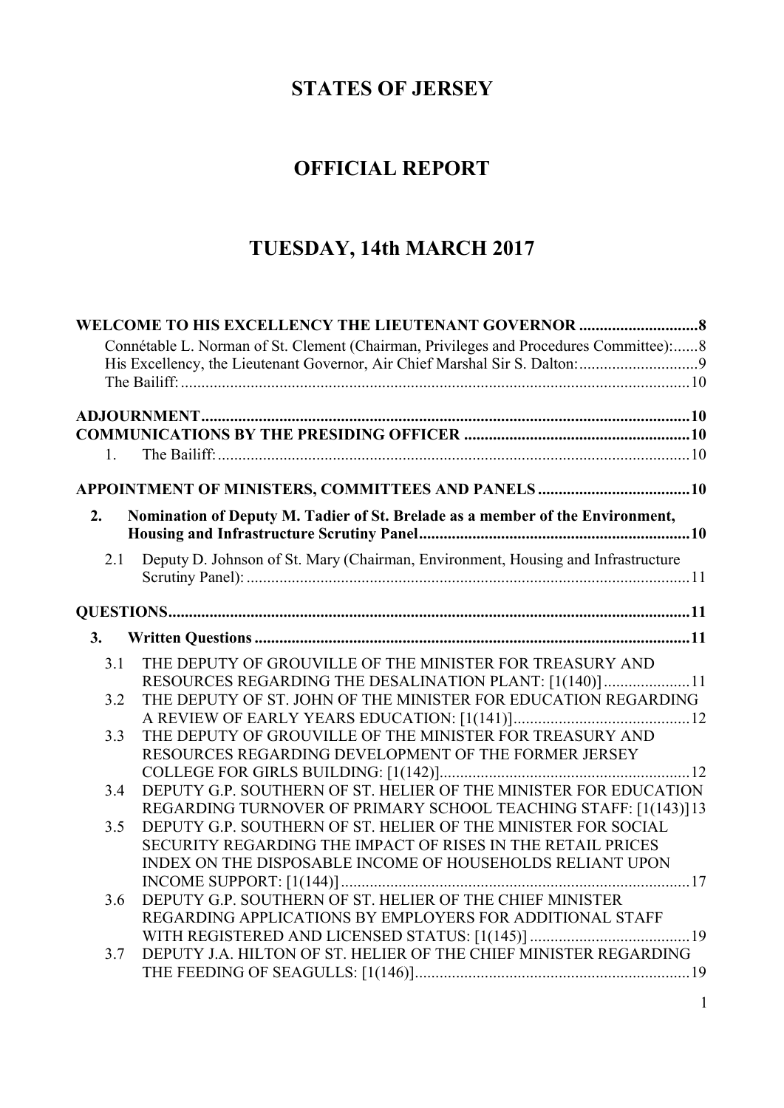## **STATES OF JERSEY**

# **OFFICIAL REPORT**

# **TUESDAY, 14th MARCH 2017**

|     | Connétable L. Norman of St. Clement (Chairman, Privileges and Procedures Committee): 8 |
|-----|----------------------------------------------------------------------------------------|
|     |                                                                                        |
|     |                                                                                        |
|     |                                                                                        |
|     |                                                                                        |
|     |                                                                                        |
| 1   |                                                                                        |
|     |                                                                                        |
|     |                                                                                        |
| 2.  | Nomination of Deputy M. Tadier of St. Brelade as a member of the Environment,          |
|     |                                                                                        |
| 2.1 | Deputy D. Johnson of St. Mary (Chairman, Environment, Housing and Infrastructure       |
|     |                                                                                        |
|     |                                                                                        |
| 3.  |                                                                                        |
| 3.1 | THE DEPUTY OF GROUVILLE OF THE MINISTER FOR TREASURY AND                               |
|     | RESOURCES REGARDING THE DESALINATION PLANT: [1(140)]11                                 |
| 3.2 | THE DEPUTY OF ST. JOHN OF THE MINISTER FOR EDUCATION REGARDING                         |
|     |                                                                                        |
| 3.3 | THE DEPUTY OF GROUVILLE OF THE MINISTER FOR TREASURY AND                               |
|     | RESOURCES REGARDING DEVELOPMENT OF THE FORMER JERSEY                                   |
|     |                                                                                        |
| 3.4 | DEPUTY G.P. SOUTHERN OF ST. HELIER OF THE MINISTER FOR EDUCATION                       |
|     | REGARDING TURNOVER OF PRIMARY SCHOOL TEACHING STAFF: [1(143)]13                        |
| 3.5 | DEPUTY G.P. SOUTHERN OF ST. HELIER OF THE MINISTER FOR SOCIAL                          |
|     | SECURITY REGARDING THE IMPACT OF RISES IN THE RETAIL PRICES                            |
|     | INDEX ON THE DISPOSABLE INCOME OF HOUSEHOLDS RELIANT UPON                              |
|     |                                                                                        |
| 3.6 | DEPUTY G.P. SOUTHERN OF ST. HELIER OF THE CHIEF MINISTER                               |
|     | REGARDING APPLICATIONS BY EMPLOYERS FOR ADDITIONAL STAFF                               |
|     |                                                                                        |
| 3.7 | DEPUTY J.A. HILTON OF ST. HELIER OF THE CHIEF MINISTER REGARDING                       |
|     |                                                                                        |
|     |                                                                                        |

1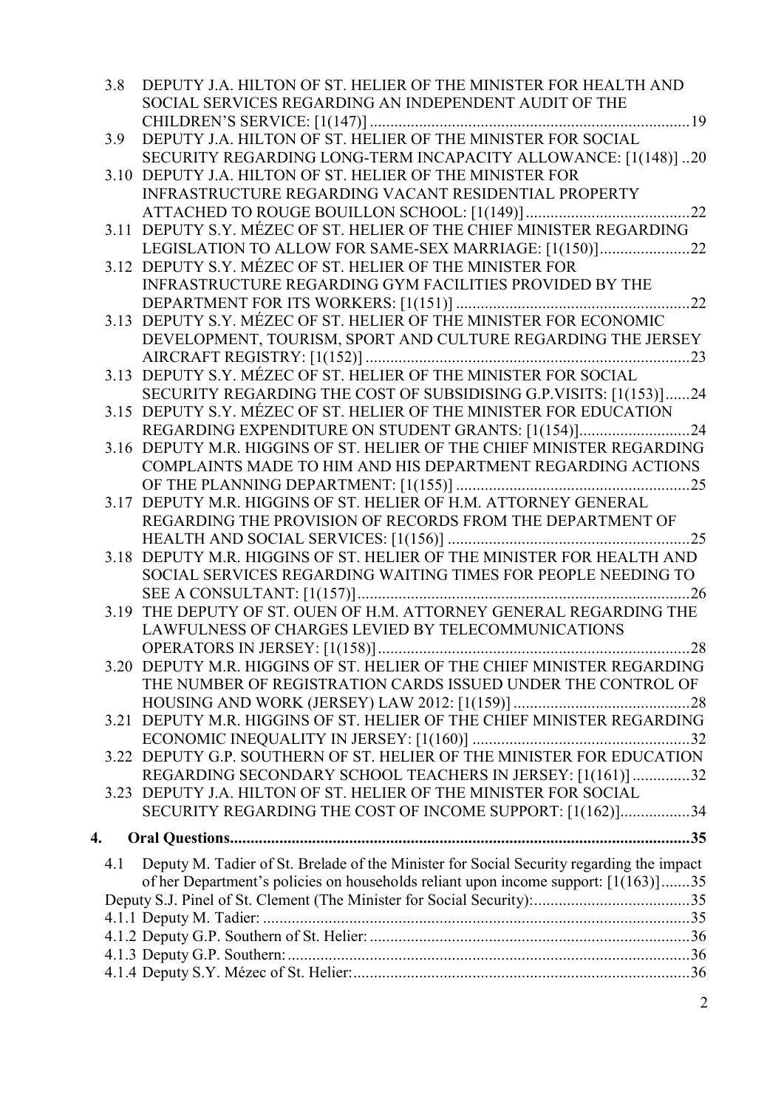|    | 3.8 | DEPUTY J.A. HILTON OF ST. HELIER OF THE MINISTER FOR HEALTH AND                                                               |
|----|-----|-------------------------------------------------------------------------------------------------------------------------------|
|    |     | SOCIAL SERVICES REGARDING AN INDEPENDENT AUDIT OF THE                                                                         |
|    |     | DEPUTY J.A. HILTON OF ST. HELIER OF THE MINISTER FOR SOCIAL                                                                   |
|    | 3.9 |                                                                                                                               |
|    |     | SECURITY REGARDING LONG-TERM INCAPACITY ALLOWANCE: [1(148)]20                                                                 |
|    |     | 3.10 DEPUTY J.A. HILTON OF ST. HELIER OF THE MINISTER FOR                                                                     |
|    |     | <b>INFRASTRUCTURE REGARDING VACANT RESIDENTIAL PROPERTY</b>                                                                   |
|    |     |                                                                                                                               |
|    |     | 3.11 DEPUTY S.Y. MÉZEC OF ST. HELIER OF THE CHIEF MINISTER REGARDING                                                          |
|    |     | LEGISLATION TO ALLOW FOR SAME-SEX MARRIAGE: [1(150)]22                                                                        |
|    |     | 3.12 DEPUTY S.Y. MÉZEC OF ST. HELIER OF THE MINISTER FOR                                                                      |
|    |     | INFRASTRUCTURE REGARDING GYM FACILITIES PROVIDED BY THE                                                                       |
|    |     |                                                                                                                               |
|    |     | 3.13 DEPUTY S.Y. MÉZEC OF ST. HELIER OF THE MINISTER FOR ECONOMIC                                                             |
|    |     | DEVELOPMENT, TOURISM, SPORT AND CULTURE REGARDING THE JERSEY                                                                  |
|    |     | 3.13 DEPUTY S.Y. MÉZEC OF ST. HELIER OF THE MINISTER FOR SOCIAL                                                               |
|    |     |                                                                                                                               |
|    |     | SECURITY REGARDING THE COST OF SUBSIDISING G.P.VISITS: [1(153)]24                                                             |
|    |     | 3.15 DEPUTY S.Y. MÉZEC OF ST. HELIER OF THE MINISTER FOR EDUCATION                                                            |
|    |     | REGARDING EXPENDITURE ON STUDENT GRANTS: [1(154)]24<br>3.16 DEPUTY M.R. HIGGINS OF ST. HELIER OF THE CHIEF MINISTER REGARDING |
|    |     | COMPLAINTS MADE TO HIM AND HIS DEPARTMENT REGARDING ACTIONS                                                                   |
|    |     |                                                                                                                               |
|    |     | 3.17 DEPUTY M.R. HIGGINS OF ST. HELIER OF H.M. ATTORNEY GENERAL                                                               |
|    |     | REGARDING THE PROVISION OF RECORDS FROM THE DEPARTMENT OF                                                                     |
|    |     |                                                                                                                               |
|    |     | 3.18 DEPUTY M.R. HIGGINS OF ST. HELIER OF THE MINISTER FOR HEALTH AND                                                         |
|    |     | SOCIAL SERVICES REGARDING WAITING TIMES FOR PEOPLE NEEDING TO                                                                 |
|    |     |                                                                                                                               |
|    |     | 3.19 THE DEPUTY OF ST. OUEN OF H.M. ATTORNEY GENERAL REGARDING THE                                                            |
|    |     | LAWFULNESS OF CHARGES LEVIED BY TELECOMMUNICATIONS                                                                            |
|    |     |                                                                                                                               |
|    |     | 3.20 DEPUTY M.R. HIGGINS OF ST. HELIER OF THE CHIEF MINISTER REGARDING                                                        |
|    |     | THE NUMBER OF REGISTRATION CARDS ISSUED UNDER THE CONTROL OF                                                                  |
|    |     |                                                                                                                               |
|    |     | 3.21 DEPUTY M.R. HIGGINS OF ST. HELIER OF THE CHIEF MINISTER REGARDING                                                        |
|    |     |                                                                                                                               |
|    |     | 3.22 DEPUTY G.P. SOUTHERN OF ST. HELIER OF THE MINISTER FOR EDUCATION                                                         |
|    |     | REGARDING SECONDARY SCHOOL TEACHERS IN JERSEY: [1(161)]32                                                                     |
|    |     | 3.23 DEPUTY J.A. HILTON OF ST. HELIER OF THE MINISTER FOR SOCIAL                                                              |
|    |     | SECURITY REGARDING THE COST OF INCOME SUPPORT: [1(162)]34                                                                     |
|    |     |                                                                                                                               |
| 4. |     |                                                                                                                               |
|    | 4.1 | Deputy M. Tadier of St. Brelade of the Minister for Social Security regarding the impact                                      |
|    |     | of her Department's policies on households reliant upon income support: [1(163)]35                                            |
|    |     |                                                                                                                               |
|    |     |                                                                                                                               |
|    |     |                                                                                                                               |
|    |     |                                                                                                                               |
|    |     |                                                                                                                               |
|    |     | $\overline{2}$                                                                                                                |
|    |     |                                                                                                                               |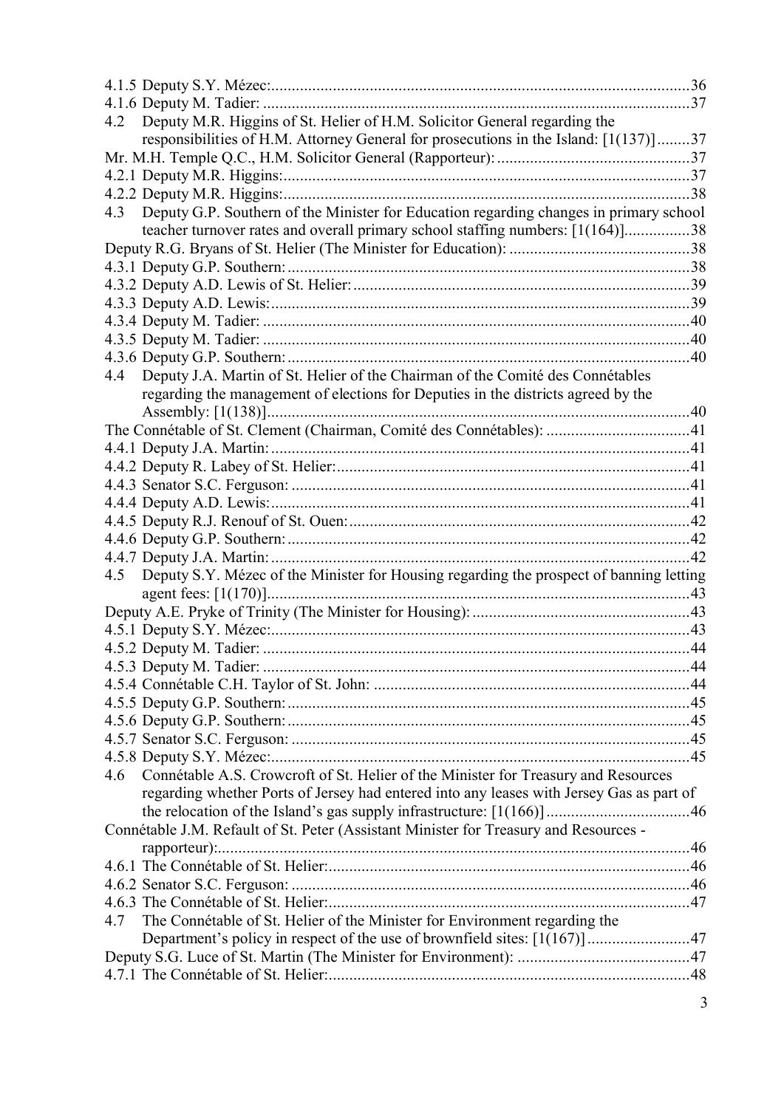| Deputy M.R. Higgins of St. Helier of H.M. Solicitor General regarding the<br>4.2               |     |
|------------------------------------------------------------------------------------------------|-----|
| responsibilities of H.M. Attorney General for prosecutions in the Island: [1(137)]37           |     |
|                                                                                                |     |
|                                                                                                |     |
|                                                                                                |     |
| Deputy G.P. Southern of the Minister for Education regarding changes in primary school<br>4.3  |     |
| teacher turnover rates and overall primary school staffing numbers: [1(164)]38                 |     |
|                                                                                                |     |
|                                                                                                |     |
|                                                                                                |     |
|                                                                                                |     |
|                                                                                                |     |
|                                                                                                |     |
|                                                                                                |     |
| Deputy J.A. Martin of St. Helier of the Chairman of the Comité des Connétables<br>4.4          |     |
| regarding the management of elections for Deputies in the districts agreed by the              |     |
|                                                                                                |     |
|                                                                                                |     |
|                                                                                                |     |
|                                                                                                |     |
|                                                                                                |     |
|                                                                                                |     |
|                                                                                                |     |
|                                                                                                | .42 |
| Deputy S.Y. Mézec of the Minister for Housing regarding the prospect of banning letting<br>4.5 |     |
|                                                                                                |     |
|                                                                                                |     |
|                                                                                                |     |
|                                                                                                |     |
|                                                                                                |     |
|                                                                                                |     |
|                                                                                                |     |
|                                                                                                |     |
|                                                                                                |     |
|                                                                                                |     |
| Connétable A.S. Crowcroft of St. Helier of the Minister for Treasury and Resources<br>4.6      |     |
| regarding whether Ports of Jersey had entered into any leases with Jersey Gas as part of       |     |
|                                                                                                |     |
| Connétable J.M. Refault of St. Peter (Assistant Minister for Treasury and Resources -          |     |
|                                                                                                |     |
|                                                                                                |     |
|                                                                                                |     |
|                                                                                                |     |
| The Connétable of St. Helier of the Minister for Environment regarding the<br>4.7              |     |
| Department's policy in respect of the use of brownfield sites: [1(167)]47                      |     |
|                                                                                                |     |
|                                                                                                |     |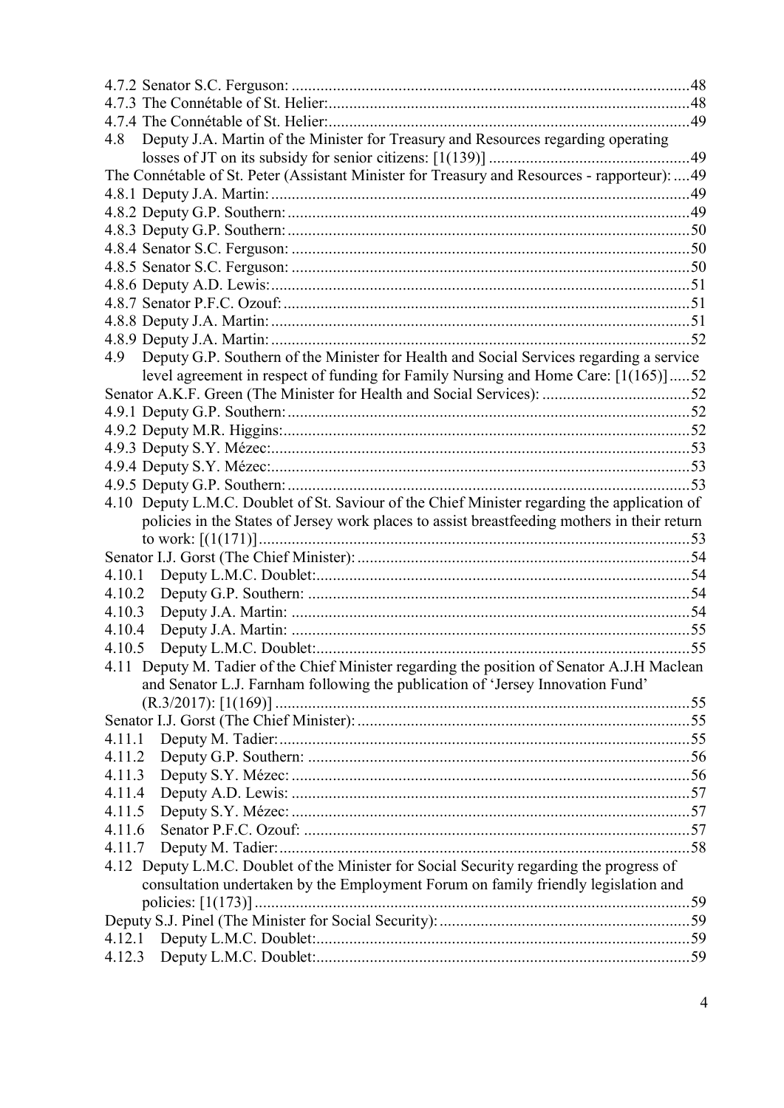| 4.8    | Deputy J.A. Martin of the Minister for Treasury and Resources regarding operating             |  |
|--------|-----------------------------------------------------------------------------------------------|--|
|        |                                                                                               |  |
|        | The Connétable of St. Peter (Assistant Minister for Treasury and Resources - rapporteur):  49 |  |
|        |                                                                                               |  |
|        |                                                                                               |  |
|        |                                                                                               |  |
|        |                                                                                               |  |
|        |                                                                                               |  |
|        |                                                                                               |  |
|        |                                                                                               |  |
|        |                                                                                               |  |
|        |                                                                                               |  |
| 4.9    | Deputy G.P. Southern of the Minister for Health and Social Services regarding a service       |  |
|        | level agreement in respect of funding for Family Nursing and Home Care: [1(165)]52            |  |
|        |                                                                                               |  |
|        |                                                                                               |  |
|        |                                                                                               |  |
|        |                                                                                               |  |
|        |                                                                                               |  |
|        |                                                                                               |  |
|        | 4.10 Deputy L.M.C. Doublet of St. Saviour of the Chief Minister regarding the application of  |  |
|        | policies in the States of Jersey work places to assist breastfeeding mothers in their return  |  |
|        |                                                                                               |  |
|        |                                                                                               |  |
| 4.10.1 |                                                                                               |  |
| 4.10.2 |                                                                                               |  |
| 4.10.3 |                                                                                               |  |
| 4.10.4 |                                                                                               |  |
| 4.10.5 |                                                                                               |  |
|        | 4.11 Deputy M. Tadier of the Chief Minister regarding the position of Senator A.J.H Maclean   |  |
|        | and Senator L.J. Farnham following the publication of 'Jersey Innovation Fund'                |  |
|        |                                                                                               |  |
|        |                                                                                               |  |
| 4.11.1 |                                                                                               |  |
| 4.11.2 |                                                                                               |  |
| 4.11.3 |                                                                                               |  |
| 4.11.4 |                                                                                               |  |
| 4.11.5 |                                                                                               |  |
| 4.11.6 |                                                                                               |  |
| 4.11.7 |                                                                                               |  |
|        | 4.12 Deputy L.M.C. Doublet of the Minister for Social Security regarding the progress of      |  |
|        | consultation undertaken by the Employment Forum on family friendly legislation and            |  |
|        |                                                                                               |  |
|        |                                                                                               |  |
|        |                                                                                               |  |
|        |                                                                                               |  |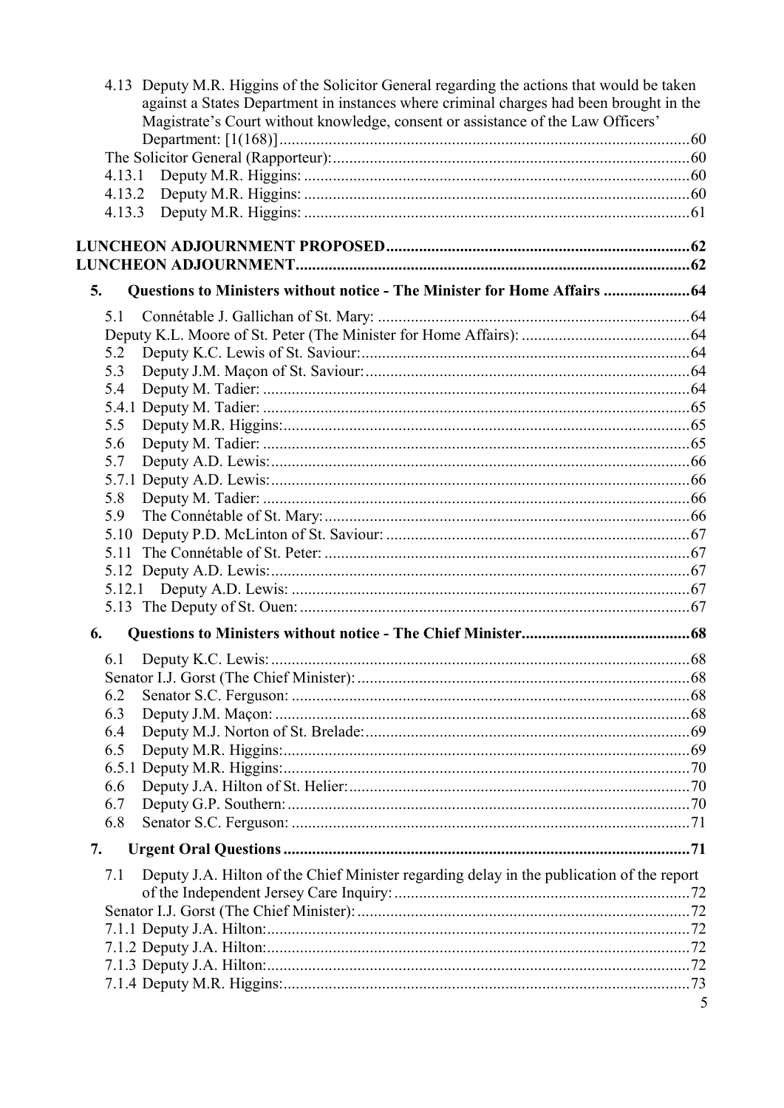| 4.13 Deputy M.R. Higgins of the Solicitor General regarding the actions that would be taken<br>against a States Department in instances where criminal charges had been brought in the<br>Magistrate's Court without knowledge, consent or assistance of the Law Officers' |  |
|----------------------------------------------------------------------------------------------------------------------------------------------------------------------------------------------------------------------------------------------------------------------------|--|
|                                                                                                                                                                                                                                                                            |  |
|                                                                                                                                                                                                                                                                            |  |
| 4.13.1                                                                                                                                                                                                                                                                     |  |
| 4.13.2                                                                                                                                                                                                                                                                     |  |
| 4.13.3                                                                                                                                                                                                                                                                     |  |
|                                                                                                                                                                                                                                                                            |  |
| Questions to Ministers without notice - The Minister for Home Affairs  64<br>5.                                                                                                                                                                                            |  |
| 5.1                                                                                                                                                                                                                                                                        |  |
|                                                                                                                                                                                                                                                                            |  |
| 5.2                                                                                                                                                                                                                                                                        |  |
| 5.3                                                                                                                                                                                                                                                                        |  |
| 5.4                                                                                                                                                                                                                                                                        |  |
|                                                                                                                                                                                                                                                                            |  |
| 5.5                                                                                                                                                                                                                                                                        |  |
| 5.6                                                                                                                                                                                                                                                                        |  |
| 5.7                                                                                                                                                                                                                                                                        |  |
|                                                                                                                                                                                                                                                                            |  |
| 5.8                                                                                                                                                                                                                                                                        |  |
| 5.9                                                                                                                                                                                                                                                                        |  |
| 5.10                                                                                                                                                                                                                                                                       |  |
| 5.11                                                                                                                                                                                                                                                                       |  |
|                                                                                                                                                                                                                                                                            |  |
|                                                                                                                                                                                                                                                                            |  |
|                                                                                                                                                                                                                                                                            |  |
| 6.                                                                                                                                                                                                                                                                         |  |
| 6.1                                                                                                                                                                                                                                                                        |  |
|                                                                                                                                                                                                                                                                            |  |
| 6.2                                                                                                                                                                                                                                                                        |  |
| 6.3                                                                                                                                                                                                                                                                        |  |
| 6.4                                                                                                                                                                                                                                                                        |  |
| 6.5                                                                                                                                                                                                                                                                        |  |
|                                                                                                                                                                                                                                                                            |  |
| 6.6                                                                                                                                                                                                                                                                        |  |
| 6.7<br>6.8                                                                                                                                                                                                                                                                 |  |
|                                                                                                                                                                                                                                                                            |  |
| 7.                                                                                                                                                                                                                                                                         |  |
| Deputy J.A. Hilton of the Chief Minister regarding delay in the publication of the report<br>7.1                                                                                                                                                                           |  |
|                                                                                                                                                                                                                                                                            |  |
|                                                                                                                                                                                                                                                                            |  |
|                                                                                                                                                                                                                                                                            |  |
|                                                                                                                                                                                                                                                                            |  |
|                                                                                                                                                                                                                                                                            |  |
|                                                                                                                                                                                                                                                                            |  |
|                                                                                                                                                                                                                                                                            |  |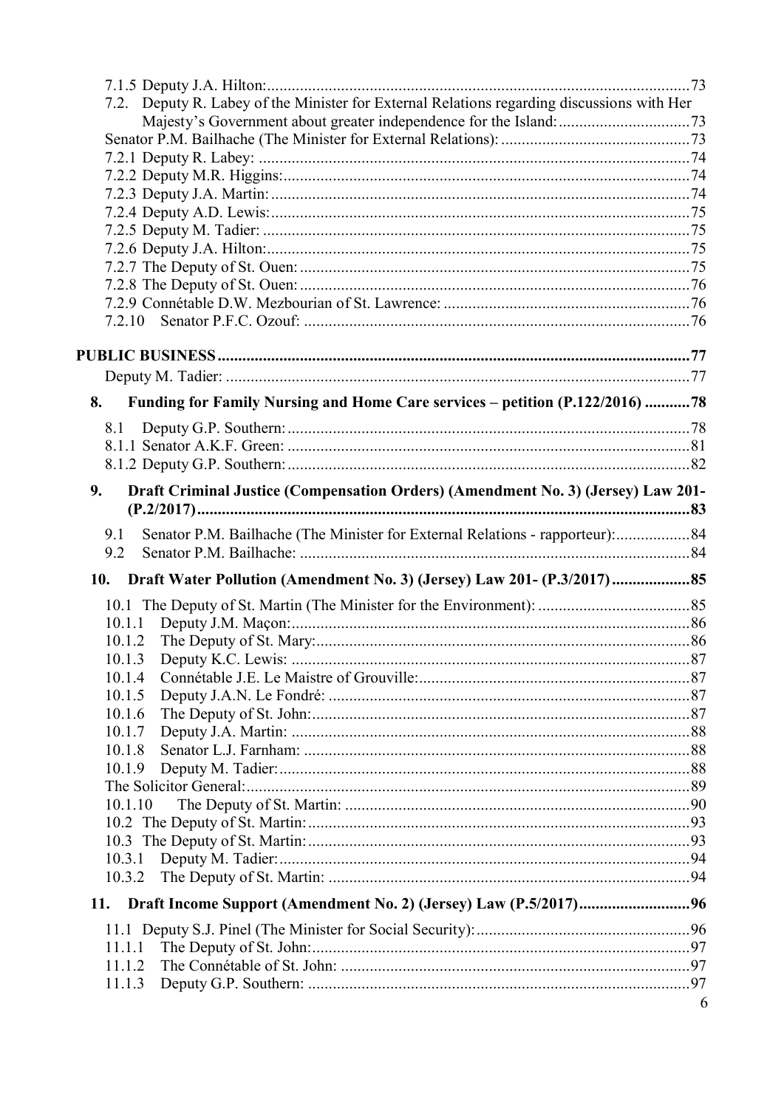| 7.2. Deputy R. Labey of the Minister for External Relations regarding discussions with Her |   |
|--------------------------------------------------------------------------------------------|---|
|                                                                                            |   |
|                                                                                            |   |
|                                                                                            |   |
|                                                                                            |   |
|                                                                                            |   |
|                                                                                            |   |
|                                                                                            |   |
|                                                                                            |   |
|                                                                                            |   |
|                                                                                            |   |
| 7.2.10                                                                                     |   |
|                                                                                            |   |
|                                                                                            |   |
|                                                                                            |   |
|                                                                                            |   |
| Funding for Family Nursing and Home Care services - petition (P.122/2016) 78<br>8.         |   |
| 8.1                                                                                        |   |
|                                                                                            |   |
|                                                                                            |   |
| 9.<br>Draft Criminal Justice (Compensation Orders) (Amendment No. 3) (Jersey) Law 201-     |   |
|                                                                                            |   |
| Senator P.M. Bailhache (The Minister for External Relations - rapporteur):84<br>9.1        |   |
| 9.2                                                                                        |   |
|                                                                                            |   |
| 10. Draft Water Pollution (Amendment No. 3) (Jersey) Law 201- (P.3/2017) 85                |   |
|                                                                                            |   |
| 10.1.1                                                                                     |   |
| 10.1.2                                                                                     |   |
| 10.1.3                                                                                     |   |
| 10.1.4                                                                                     |   |
| 10.1.5                                                                                     |   |
| 10.1.6                                                                                     |   |
| 10.1.7<br>10.1.8                                                                           |   |
| 10.1.9                                                                                     |   |
|                                                                                            |   |
| 10.1.10                                                                                    |   |
|                                                                                            |   |
|                                                                                            |   |
| 10.3.1                                                                                     |   |
| 10.3.2                                                                                     |   |
| 11.                                                                                        |   |
|                                                                                            |   |
|                                                                                            |   |
| 11.1.1                                                                                     |   |
| 11.1.2                                                                                     |   |
| 11.1.3                                                                                     |   |
|                                                                                            | 6 |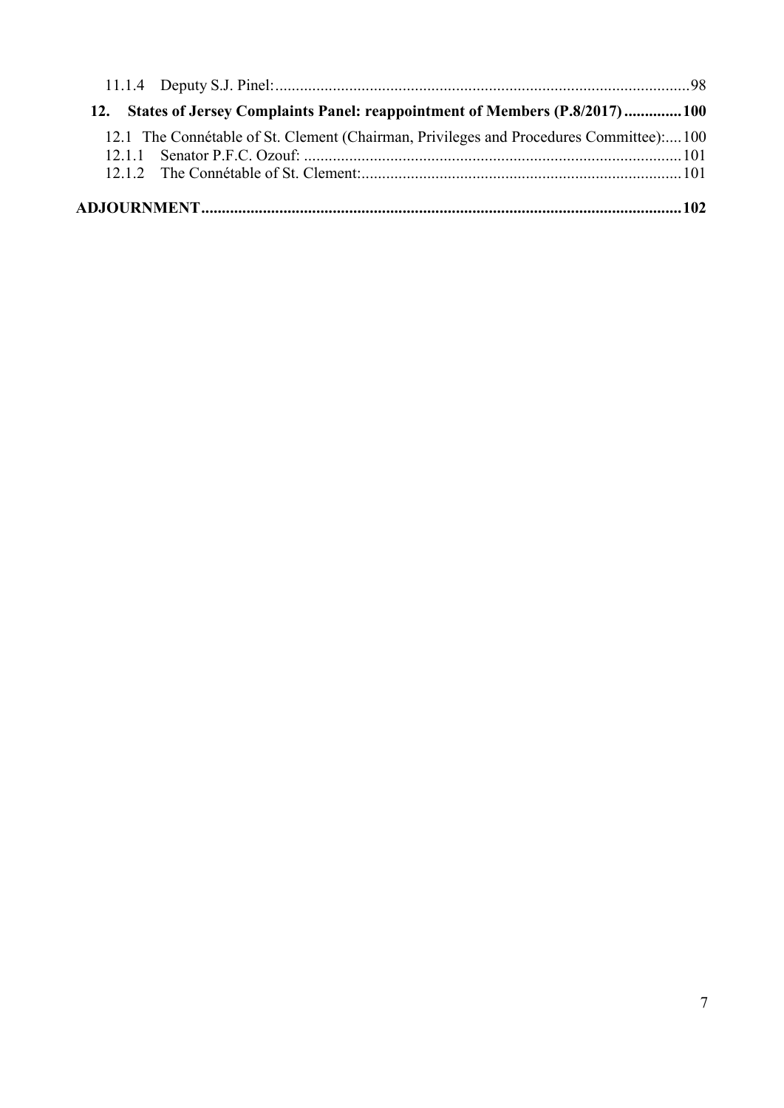| 12. States of Jersey Complaints Panel: reappointment of Members (P.8/2017)100         |  |
|---------------------------------------------------------------------------------------|--|
| 12.1 The Connétable of St. Clement (Chairman, Privileges and Procedures Committee)100 |  |
|                                                                                       |  |
|                                                                                       |  |
|                                                                                       |  |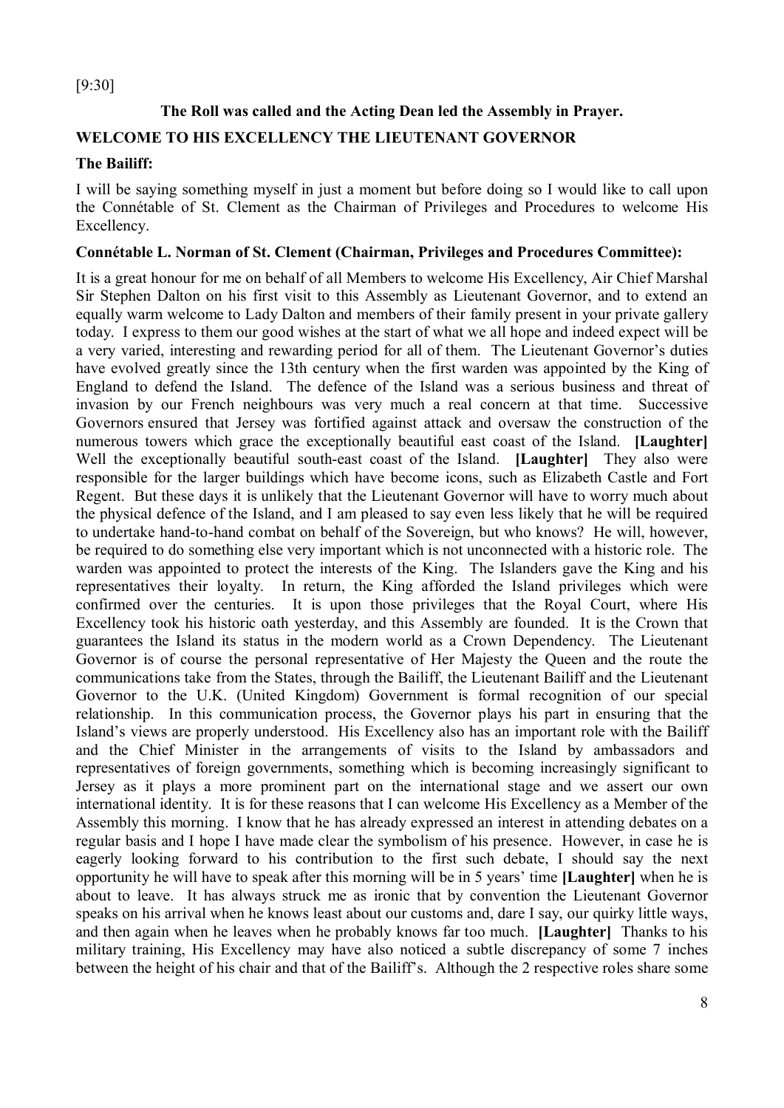## [9:30]

## **The Roll was called and the Acting Dean led the Assembly in Prayer.**

## **WELCOME TO HIS EXCELLENCY THE LIEUTENANT GOVERNOR**

#### **The Bailiff:**

I will be saying something myself in just a moment but before doing so I would like to call upon the Connétable of St. Clement as the Chairman of Privileges and Procedures to welcome His Excellency.

#### **Connétable L. Norman of St. Clement (Chairman, Privileges and Procedures Committee):**

It is a great honour for me on behalf of all Members to welcome His Excellency, Air Chief Marshal Sir Stephen Dalton on his first visit to this Assembly as Lieutenant Governor, and to extend an equally warm welcome to Lady Dalton and members of their family present in your private gallery today. I express to them our good wishes at the start of what we all hope and indeed expect will be a very varied, interesting and rewarding period for all of them. The Lieutenant Governor's duties have evolved greatly since the 13th century when the first warden was appointed by the King of England to defend the Island. The defence of the Island was a serious business and threat of invasion by our French neighbours was very much a real concern at that time. Successive Governors ensured that Jersey was fortified against attack and oversaw the construction of the numerous towers which grace the exceptionally beautiful east coast of the Island. **[Laughter]** Well the exceptionally beautiful south-east coast of the Island. **[Laughter]** They also were responsible for the larger buildings which have become icons, such as Elizabeth Castle and Fort Regent. But these days it is unlikely that the Lieutenant Governor will have to worry much about the physical defence of the Island, and I am pleased to say even less likely that he will be required to undertake hand-to-hand combat on behalf of the Sovereign, but who knows? He will, however, be required to do something else very important which is not unconnected with a historic role. The warden was appointed to protect the interests of the King. The Islanders gave the King and his representatives their loyalty. In return, the King afforded the Island privileges which were confirmed over the centuries. It is upon those privileges that the Royal Court, where His Excellency took his historic oath yesterday, and this Assembly are founded. It is the Crown that guarantees the Island its status in the modern world as a Crown Dependency. The Lieutenant Governor is of course the personal representative of Her Majesty the Queen and the route the communications take from the States, through the Bailiff, the Lieutenant Bailiff and the Lieutenant Governor to the U.K. (United Kingdom) Government is formal recognition of our special relationship. In this communication process, the Governor plays his part in ensuring that the Island's views are properly understood. His Excellency also has an important role with the Bailiff and the Chief Minister in the arrangements of visits to the Island by ambassadors and representatives of foreign governments, something which is becoming increasingly significant to Jersey as it plays a more prominent part on the international stage and we assert our own international identity. It is for these reasons that I can welcome His Excellency as a Member of the Assembly this morning. I know that he has already expressed an interest in attending debates on a regular basis and I hope I have made clear the symbolism of his presence. However, in case he is eagerly looking forward to his contribution to the first such debate, I should say the next opportunity he will have to speak after this morning will be in 5 years' time **[Laughter]** when he is about to leave. It has always struck me as ironic that by convention the Lieutenant Governor speaks on his arrival when he knows least about our customs and, dare I say, our quirky little ways, and then again when he leaves when he probably knows far too much. **[Laughter]** Thanks to his military training, His Excellency may have also noticed a subtle discrepancy of some 7 inches between the height of his chair and that of the Bailiff's. Although the 2 respective roles share some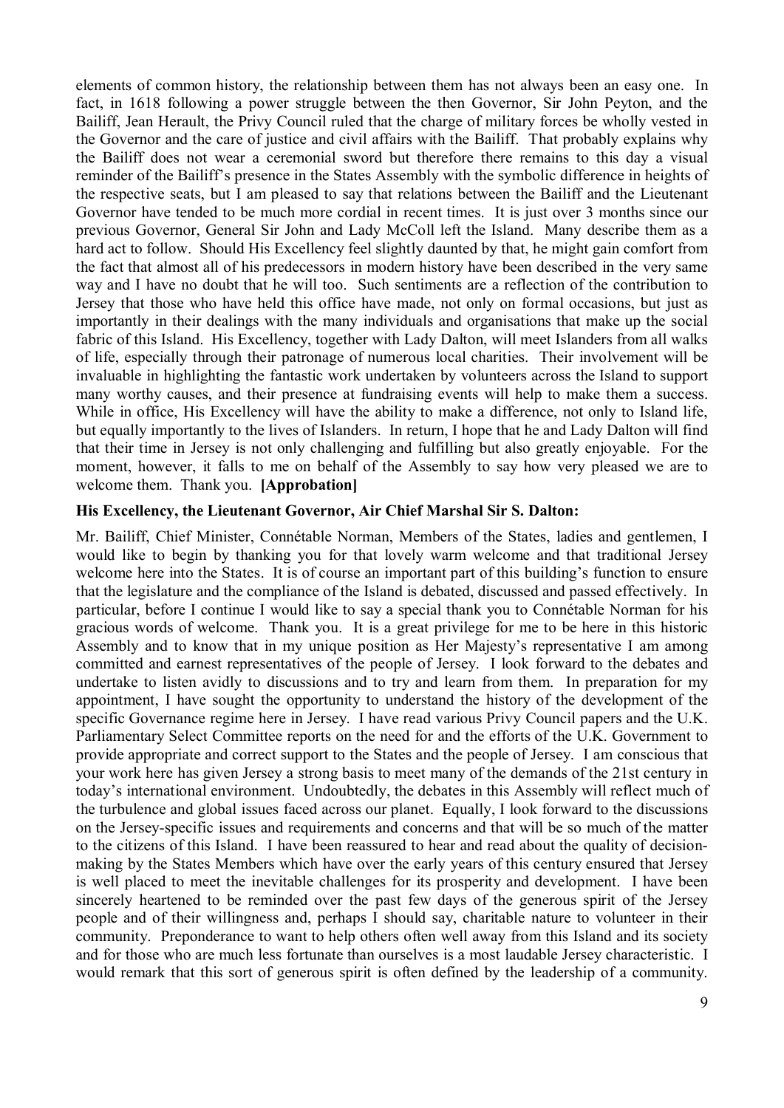elements of common history, the relationship between them has not always been an easy one. In fact, in 1618 following a power struggle between the then Governor, Sir John Peyton, and the Bailiff, Jean Herault, the Privy Council ruled that the charge of military forces be wholly vested in the Governor and the care of justice and civil affairs with the Bailiff. That probably explains why the Bailiff does not wear a ceremonial sword but therefore there remains to this day a visual reminder of the Bailiff's presence in the States Assembly with the symbolic difference in heights of the respective seats, but I am pleased to say that relations between the Bailiff and the Lieutenant Governor have tended to be much more cordial in recent times. It is just over 3 months since our previous Governor, General Sir John and Lady McColl left the Island. Many describe them as a hard act to follow. Should His Excellency feel slightly daunted by that, he might gain comfort from the fact that almost all of his predecessors in modern history have been described in the very same way and I have no doubt that he will too. Such sentiments are a reflection of the contribution to Jersey that those who have held this office have made, not only on formal occasions, but just as importantly in their dealings with the many individuals and organisations that make up the social fabric of this Island. His Excellency, together with Lady Dalton, will meet Islanders from all walks of life, especially through their patronage of numerous local charities. Their involvement will be invaluable in highlighting the fantastic work undertaken by volunteers across the Island to support many worthy causes, and their presence at fundraising events will help to make them a success. While in office, His Excellency will have the ability to make a difference, not only to Island life, but equally importantly to the lives of Islanders. In return, I hope that he and Lady Dalton will find that their time in Jersey is not only challenging and fulfilling but also greatly enjoyable. For the moment, however, it falls to me on behalf of the Assembly to say how very pleased we are to welcome them. Thank you. **[Approbation]**

#### **His Excellency, the Lieutenant Governor, Air Chief Marshal Sir S. Dalton:**

Mr. Bailiff, Chief Minister, Connétable Norman, Members of the States, ladies and gentlemen, I would like to begin by thanking you for that lovely warm welcome and that traditional Jersey welcome here into the States. It is of course an important part of this building's function to ensure that the legislature and the compliance of the Island is debated, discussed and passed effectively. In particular, before I continue I would like to say a special thank you to Connétable Norman for his gracious words of welcome. Thank you. It is a great privilege for me to be here in this historic Assembly and to know that in my unique position as Her Majesty's representative I am among committed and earnest representatives of the people of Jersey. I look forward to the debates and undertake to listen avidly to discussions and to try and learn from them. In preparation for my appointment, I have sought the opportunity to understand the history of the development of the specific Governance regime here in Jersey. I have read various Privy Council papers and the U.K. Parliamentary Select Committee reports on the need for and the efforts of the U.K. Government to provide appropriate and correct support to the States and the people of Jersey. I am conscious that your work here has given Jersey a strong basis to meet many of the demands of the 21st century in today's international environment. Undoubtedly, the debates in this Assembly will reflect much of the turbulence and global issues faced across our planet. Equally, I look forward to the discussions on the Jersey-specific issues and requirements and concerns and that will be so much of the matter to the citizens of this Island. I have been reassured to hear and read about the quality of decisionmaking by the States Members which have over the early years of this century ensured that Jersey is well placed to meet the inevitable challenges for its prosperity and development. I have been sincerely heartened to be reminded over the past few days of the generous spirit of the Jersey people and of their willingness and, perhaps I should say, charitable nature to volunteer in their community. Preponderance to want to help others often well away from this Island and its society and for those who are much less fortunate than ourselves is a most laudable Jersey characteristic. I would remark that this sort of generous spirit is often defined by the leadership of a community.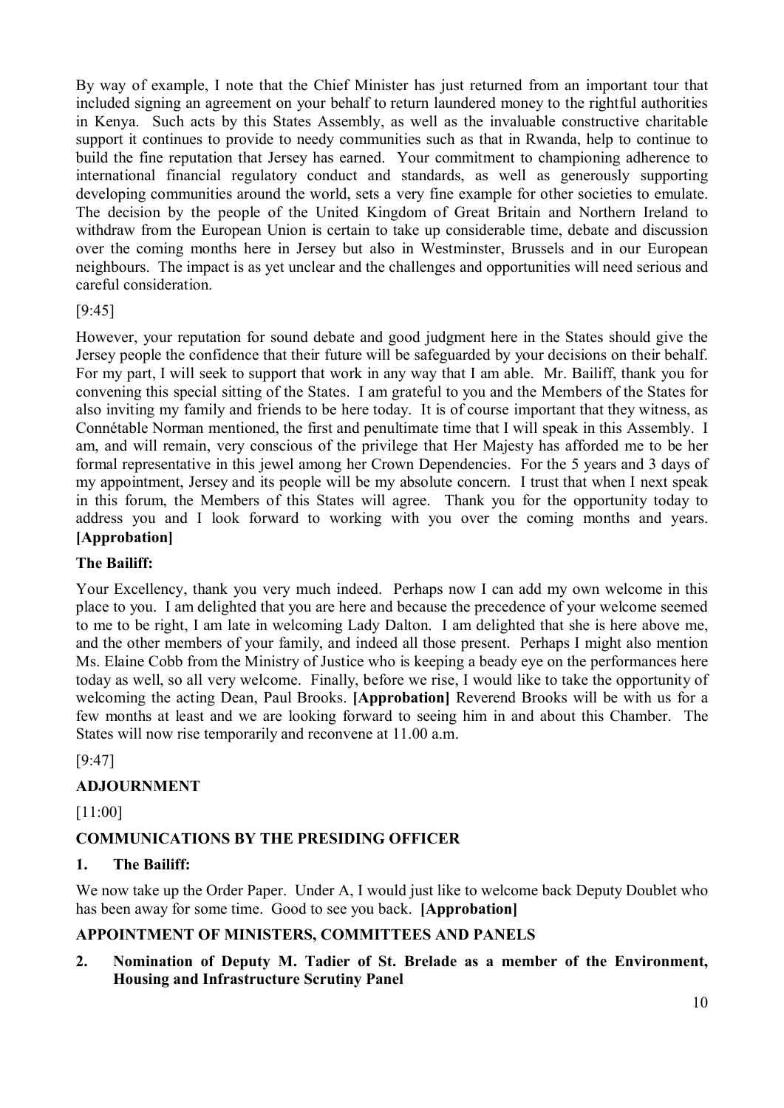By way of example, I note that the Chief Minister has just returned from an important tour that included signing an agreement on your behalf to return laundered money to the rightful authorities in Kenya. Such acts by this States Assembly, as well as the invaluable constructive charitable support it continues to provide to needy communities such as that in Rwanda, help to continue to build the fine reputation that Jersey has earned. Your commitment to championing adherence to international financial regulatory conduct and standards, as well as generously supporting developing communities around the world, sets a very fine example for other societies to emulate. The decision by the people of the United Kingdom of Great Britain and Northern Ireland to withdraw from the European Union is certain to take up considerable time, debate and discussion over the coming months here in Jersey but also in Westminster, Brussels and in our European neighbours. The impact is as yet unclear and the challenges and opportunities will need serious and careful consideration.

## $[9.45]$

However, your reputation for sound debate and good judgment here in the States should give the Jersey people the confidence that their future will be safeguarded by your decisions on their behalf. For my part, I will seek to support that work in any way that I am able. Mr. Bailiff, thank you for convening this special sitting of the States. I am grateful to you and the Members of the States for also inviting my family and friends to be here today. It is of course important that they witness, as Connétable Norman mentioned, the first and penultimate time that I will speak in this Assembly. I am, and will remain, very conscious of the privilege that Her Majesty has afforded me to be her formal representative in this jewel among her Crown Dependencies. For the 5 years and 3 days of my appointment, Jersey and its people will be my absolute concern. I trust that when I next speak in this forum, the Members of this States will agree. Thank you for the opportunity today to address you and I look forward to working with you over the coming months and years. **[Approbation]**

## **The Bailiff:**

Your Excellency, thank you very much indeed. Perhaps now I can add my own welcome in this place to you. I am delighted that you are here and because the precedence of your welcome seemed to me to be right, I am late in welcoming Lady Dalton. I am delighted that she is here above me, and the other members of your family, and indeed all those present. Perhaps I might also mention Ms. Elaine Cobb from the Ministry of Justice who is keeping a beady eye on the performances here today as well, so all very welcome. Finally, before we rise, I would like to take the opportunity of welcoming the acting Dean, Paul Brooks. **[Approbation]** Reverend Brooks will be with us for a few months at least and we are looking forward to seeing him in and about this Chamber. The States will now rise temporarily and reconvene at 11.00 a.m.

[9:47]

## **ADJOURNMENT**

[11:00]

## **COMMUNICATIONS BY THE PRESIDING OFFICER**

## **1. The Bailiff:**

We now take up the Order Paper. Under A, I would just like to welcome back Deputy Doublet who has been away for some time. Good to see you back. **[Approbation]**

## **APPOINTMENT OF MINISTERS, COMMITTEES AND PANELS**

**2. Nomination of Deputy M. Tadier of St. Brelade as a member of the Environment, Housing and Infrastructure Scrutiny Panel**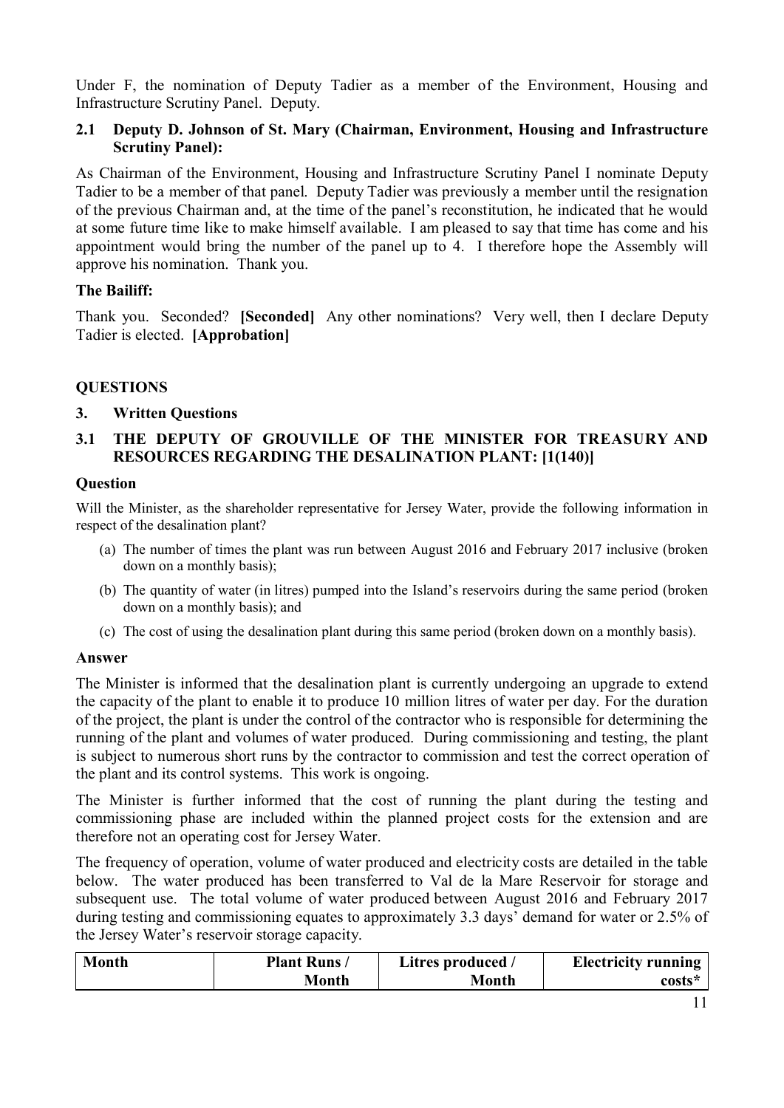Under F, the nomination of Deputy Tadier as a member of the Environment, Housing and Infrastructure Scrutiny Panel. Deputy.

## **2.1 Deputy D. Johnson of St. Mary (Chairman, Environment, Housing and Infrastructure Scrutiny Panel):**

As Chairman of the Environment, Housing and Infrastructure Scrutiny Panel I nominate Deputy Tadier to be a member of that panel. Deputy Tadier was previously a member until the resignation of the previous Chairman and, at the time of the panel's reconstitution, he indicated that he would at some future time like to make himself available. I am pleased to say that time has come and his appointment would bring the number of the panel up to 4. I therefore hope the Assembly will approve his nomination. Thank you.

## **The Bailiff:**

Thank you. Seconded? **[Seconded]** Any other nominations? Very well, then I declare Deputy Tadier is elected. **[Approbation]**

## **QUESTIONS**

## **3. Written Questions**

## **3.1 THE DEPUTY OF GROUVILLE OF THE MINISTER FOR TREASURY AND RESOURCES REGARDING THE DESALINATION PLANT: [1(140)]**

#### **Question**

Will the Minister, as the shareholder representative for Jersey Water, provide the following information in respect of the desalination plant?

- (a) The number of times the plant was run between August 2016 and February 2017 inclusive (broken down on a monthly basis);
- (b) The quantity of water (in litres) pumped into the Island's reservoirs during the same period (broken down on a monthly basis); and
- (c) The cost of using the desalination plant during this same period (broken down on a monthly basis).

## **Answer**

The Minister is informed that the desalination plant is currently undergoing an upgrade to extend the capacity of the plant to enable it to produce 10 million litres of water per day. For the duration of the project, the plant is under the control of the contractor who is responsible for determining the running of the plant and volumes of water produced. During commissioning and testing, the plant is subject to numerous short runs by the contractor to commission and test the correct operation of the plant and its control systems. This work is ongoing.

The Minister is further informed that the cost of running the plant during the testing and commissioning phase are included within the planned project costs for the extension and are therefore not an operating cost for Jersey Water.

The frequency of operation, volume of water produced and electricity costs are detailed in the table below. The water produced has been transferred to Val de la Mare Reservoir for storage and subsequent use. The total volume of water produced between August 2016 and February 2017 during testing and commissioning equates to approximately 3.3 days' demand for water or 2.5% of the Jersey Water's reservoir storage capacity.

| <b>Month</b> | <b>Plant Runs/</b> | Litres produced / | <b>Electricity running</b> |
|--------------|--------------------|-------------------|----------------------------|
|              | Month              | Month             | $costs*$                   |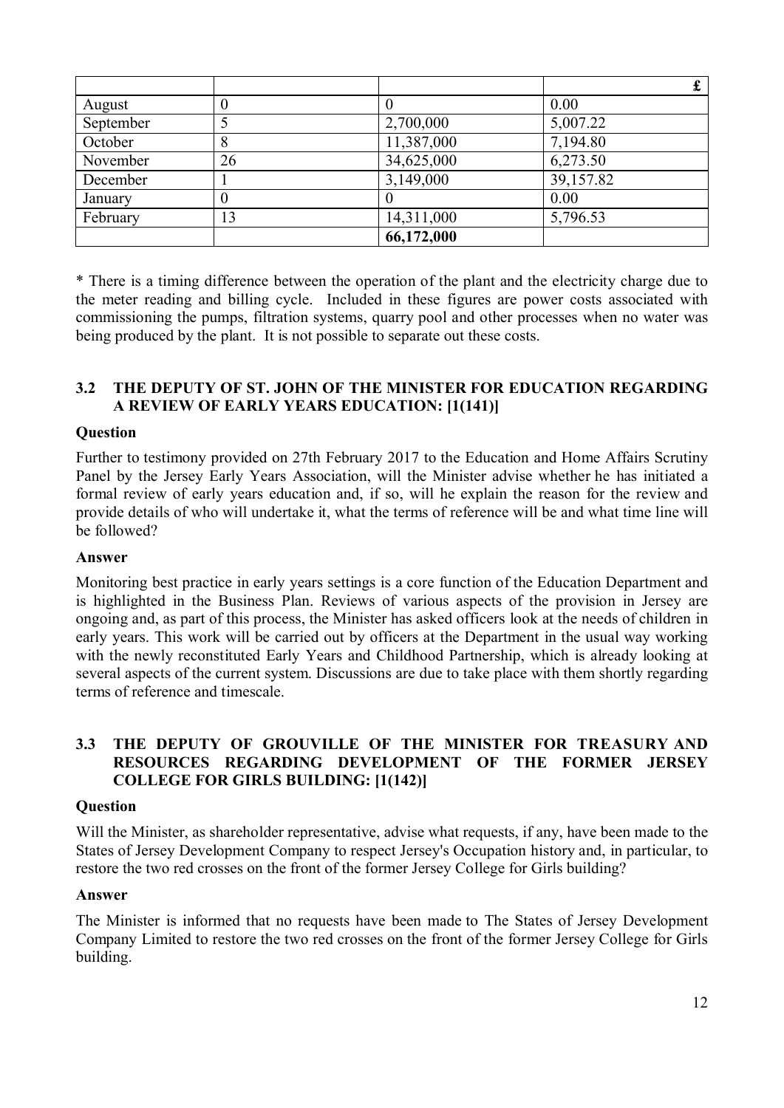| August    |    |            | 0.00      |
|-----------|----|------------|-----------|
| September |    | 2,700,000  | 5,007.22  |
| October   | 8  | 11,387,000 | 7,194.80  |
| November  | 26 | 34,625,000 | 6,273.50  |
| December  |    | 3,149,000  | 39,157.82 |
| January   |    |            | 0.00      |
| February  | 13 | 14,311,000 | 5,796.53  |
|           |    | 66,172,000 |           |

\* There is a timing difference between the operation of the plant and the electricity charge due to the meter reading and billing cycle. Included in these figures are power costs associated with commissioning the pumps, filtration systems, quarry pool and other processes when no water was being produced by the plant. It is not possible to separate out these costs.

## **3.2 THE DEPUTY OF ST. JOHN OF THE MINISTER FOR EDUCATION REGARDING A REVIEW OF EARLY YEARS EDUCATION: [1(141)]**

#### **Question**

Further to testimony provided on 27th February 2017 to the Education and Home Affairs Scrutiny Panel by the Jersey Early Years Association, will the Minister advise whether he has initiated a formal review of early years education and, if so, will he explain the reason for the review and provide details of who will undertake it, what the terms of reference will be and what time line will be followed?

#### **Answer**

Monitoring best practice in early years settings is a core function of the Education Department and is highlighted in the Business Plan. Reviews of various aspects of the provision in Jersey are ongoing and, as part of this process, the Minister has asked officers look at the needs of children in early years. This work will be carried out by officers at the Department in the usual way working with the newly reconstituted Early Years and Childhood Partnership, which is already looking at several aspects of the current system. Discussions are due to take place with them shortly regarding terms of reference and timescale.

## **3.3 THE DEPUTY OF GROUVILLE OF THE MINISTER FOR TREASURY AND RESOURCES REGARDING DEVELOPMENT OF THE FORMER JERSEY COLLEGE FOR GIRLS BUILDING: [1(142)]**

#### **Question**

Will the Minister, as shareholder representative, advise what requests, if any, have been made to the States of Jersey Development Company to respect Jersey's Occupation history and, in particular, to restore the two red crosses on the front of the former Jersey College for Girls building?

#### **Answer**

The Minister is informed that no requests have been made to The States of Jersey Development Company Limited to restore the two red crosses on the front of the former Jersey College for Girls building.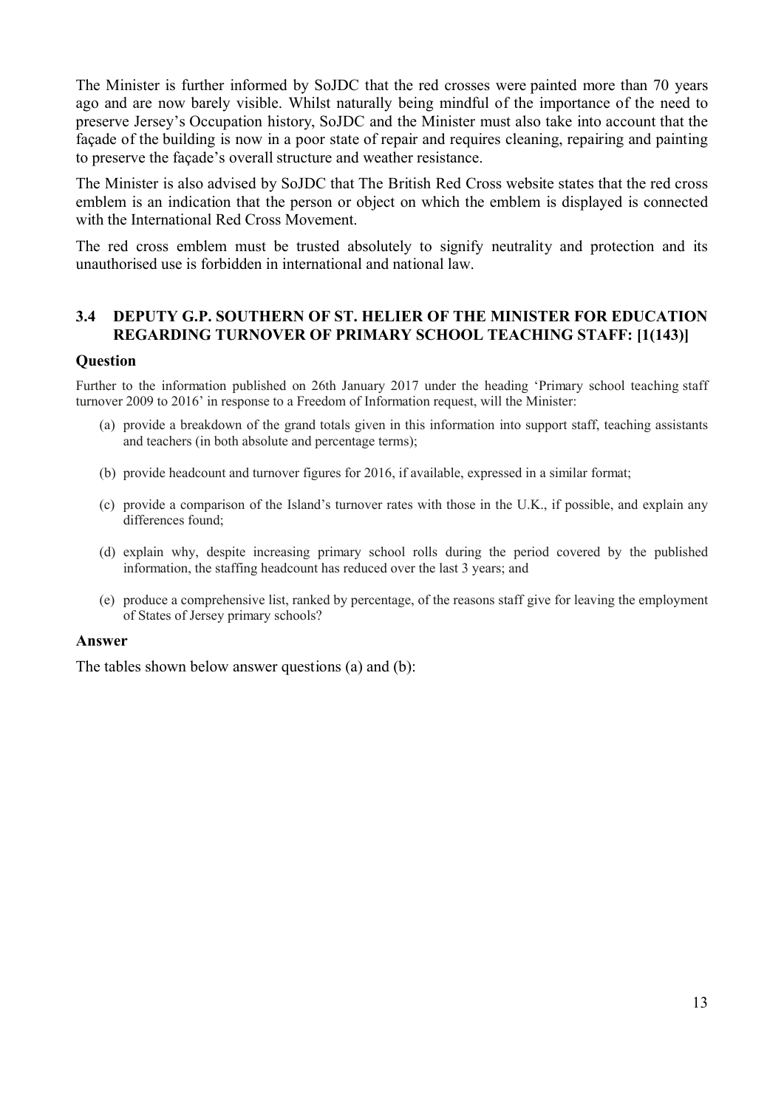The Minister is further informed by SoJDC that the red crosses were painted more than 70 years ago and are now barely visible. Whilst naturally being mindful of the importance of the need to preserve Jersey's Occupation history, SoJDC and the Minister must also take into account that the façade of the building is now in a poor state of repair and requires cleaning, repairing and painting to preserve the façade's overall structure and weather resistance.

The Minister is also advised by SoJDC that The British Red Cross website states that the red cross emblem is an indication that the person or object on which the emblem is displayed is connected with the International Red Cross Movement.

The red cross emblem must be trusted absolutely to signify neutrality and protection and its unauthorised use is forbidden in international and national law.

## **3.4 DEPUTY G.P. SOUTHERN OF ST. HELIER OF THE MINISTER FOR EDUCATION REGARDING TURNOVER OF PRIMARY SCHOOL TEACHING STAFF: [1(143)]**

#### **Question**

Further to the information published on 26th January 2017 under the heading 'Primary school teaching staff turnover 2009 to 2016' in response to a Freedom of Information request, will the Minister:

- (a) provide a breakdown of the grand totals given in this information into support staff, teaching assistants and teachers (in both absolute and percentage terms);
- (b) provide headcount and turnover figures for 2016, if available, expressed in a similar format;
- (c) provide a comparison of the Island's turnover rates with those in the U.K., if possible, and explain any differences found;
- (d) explain why, despite increasing primary school rolls during the period covered by the published information, the staffing headcount has reduced over the last 3 years; and
- (e) produce a comprehensive list, ranked by percentage, of the reasons staff give for leaving the employment of States of Jersey primary schools?

#### **Answer**

The tables shown below answer questions (a) and (b):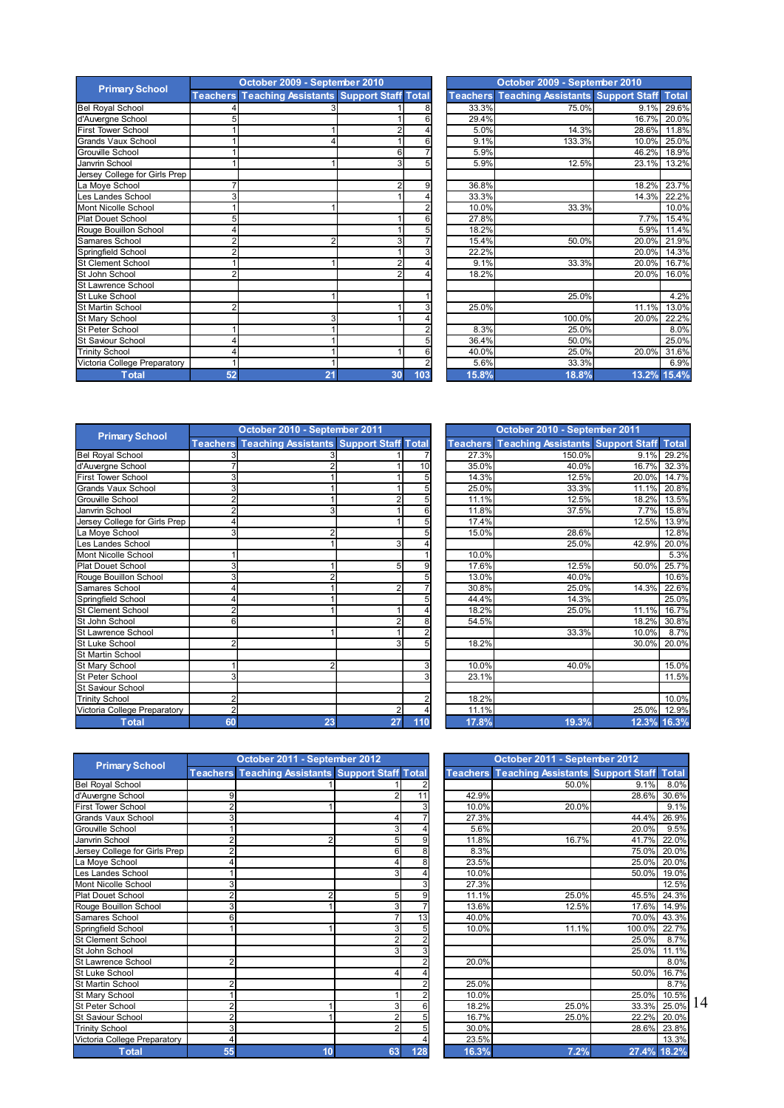|                               | October 2009 - September 2010 |                                                         |                 |     | October 2009 - September 2010 |       |                                                   |               |              |
|-------------------------------|-------------------------------|---------------------------------------------------------|-----------------|-----|-------------------------------|-------|---------------------------------------------------|---------------|--------------|
| <b>Primary School</b>         |                               | <b>Teachers Teaching Assistants Support Staff Total</b> |                 |     |                               |       | <b>Teachers Teaching Assistants Support Staff</b> |               | <b>Total</b> |
| <b>Bel Royal School</b>       |                               |                                                         |                 |     |                               | 33.3% | 75.0%                                             | 9.1%          | 29.6%        |
| d'Auvergne School             |                               |                                                         |                 |     |                               | 29.4% |                                                   | 16.7%         | 20.0%        |
| <b>First Tower School</b>     |                               |                                                         |                 |     |                               | 5.0%  | 14.3%                                             | 28.6%         | 11.8%        |
| <b>Grands Vaux School</b>     |                               |                                                         |                 |     |                               | 9.1%  | 133.3%                                            | 10.0%         | 25.0%        |
| Grouville School              |                               |                                                         | 6               |     |                               | 5.9%  |                                                   | 46.2%         | 18.9%        |
| Janvrin School                |                               |                                                         |                 |     |                               | 5.9%  | 12.5%                                             | 23.1%         | 13.2%        |
| Jersey College for Girls Prep |                               |                                                         |                 |     |                               |       |                                                   |               |              |
| La Moye School                |                               |                                                         |                 |     |                               | 36.8% |                                                   | 18.2%         | 23.7%        |
| Les Landes School             |                               |                                                         |                 |     |                               | 33.3% |                                                   | 14.3%         | 22.2%        |
| Mont Nicolle School           |                               |                                                         |                 |     |                               | 10.0% | 33.3%                                             |               | 10.0%        |
| <b>Plat Douet School</b>      |                               |                                                         |                 |     |                               | 27.8% |                                                   | 7.7%          | 15.4%        |
| Rouge Bouillon School         |                               |                                                         |                 |     |                               | 18.2% |                                                   | 5.9%          | 11.4%        |
| Samares School                |                               | 2                                                       | 3               |     |                               | 15.4% | 50.0%                                             | 20.0%         | 21.9%        |
| Springfield School            |                               |                                                         |                 |     |                               | 22.2% |                                                   | 20.0%         | 14.3%        |
| <b>St Clement School</b>      |                               |                                                         |                 |     |                               | 9.1%  | 33.3%                                             | 20.0%         | 16.7%        |
| St John School                |                               |                                                         |                 |     |                               | 18.2% |                                                   | 20.0%         | 16.0%        |
| St Lawrence School            |                               |                                                         |                 |     |                               |       |                                                   |               |              |
| St Luke School                |                               |                                                         |                 |     |                               |       | 25.0%                                             |               | 4.2%         |
| St Martin School              |                               |                                                         |                 |     |                               | 25.0% |                                                   | 11.1%         | 13.0%        |
| St Mary School                |                               |                                                         |                 |     |                               |       | 100.0%                                            | 20.0%         | 22.2%        |
| <b>St Peter School</b>        |                               |                                                         |                 |     |                               | 8.3%  | 25.0%                                             |               | 8.0%         |
| <b>St Saviour School</b>      |                               |                                                         |                 |     |                               | 36.4% | 50.0%                                             |               | 25.0%        |
| <b>Trinity School</b>         |                               |                                                         |                 |     |                               | 40.0% | 25.0%                                             | 20.0%         | 31.6%        |
| Victoria College Preparatory  |                               |                                                         |                 |     |                               | 5.6%  | 33.3%                                             |               | 6.9%         |
| Total                         | 52                            | 24                                                      | 30 <sub>1</sub> | 103 |                               | 15.8% | 18 8%                                             | 13 20% 15 40% |              |

| ary School         |                | October 2009 - September 2010                           |                | October 2009 - September 2010 |       |                                                         |             |             |  |
|--------------------|----------------|---------------------------------------------------------|----------------|-------------------------------|-------|---------------------------------------------------------|-------------|-------------|--|
|                    |                | <b>Teachers Teaching Assistants Support Staff Total</b> |                |                               |       | <b>Teachers Teaching Assistants Support Staff Total</b> |             |             |  |
| chool              |                |                                                         |                |                               | 33.3% | 75.0%                                                   |             | 9.1% 29.6%  |  |
| School             | 5              |                                                         |                |                               | 29.4% |                                                         |             | 16.7% 20.0% |  |
| School             |                |                                                         | 2              |                               | 5.0%  | 14.3%                                                   | 28.6%       | 11.8%       |  |
| <b>x School</b>    |                |                                                         |                |                               | 9.1%  | 133.3%                                                  | 10.0%       | 25.0%       |  |
| hool:              |                |                                                         | $6 \mid$       |                               | 5.9%  |                                                         | 46.2%       | 18.9%       |  |
| loo                |                |                                                         | 3              |                               | 5.9%  | 12.5%                                                   | 23.1%       | 13.2%       |  |
| ege for Girls Prep |                |                                                         |                |                               |       |                                                         |             |             |  |
| hool               |                |                                                         |                | 9                             | 36.8% |                                                         |             | 18.2% 23.7% |  |
| School             | 3              |                                                         |                |                               | 33.3% |                                                         | 14.3%       | 22.2%       |  |
| e School           |                |                                                         |                |                               | 10.0% | 33.3%                                                   |             | 10.0%       |  |
| School             | 5              |                                                         |                |                               | 27.8% |                                                         | 7.7%        | 15.4%       |  |
| llon School        | 4              |                                                         |                |                               | 18.2% |                                                         | 5.9%        | 11.4%       |  |
| chool              | 2              | 2                                                       | 3              |                               | 15.4% | 50.0%                                                   |             | 20.0% 21.9% |  |
| School             | $\overline{2}$ |                                                         |                |                               | 22.2% |                                                         | 20.0%       | 14.3%       |  |
| School             |                |                                                         | $\overline{2}$ |                               | 9.1%  | 33.3%                                                   | 20.0%       | 16.7%       |  |
| loor               | $\overline{2}$ |                                                         |                |                               | 18.2% |                                                         | 20.0%       | 16.0%       |  |
| e School           |                |                                                         |                |                               |       |                                                         |             |             |  |
| loor               |                |                                                         |                |                               |       | 25.0%                                                   |             | 4.2%        |  |
| chool              | 2              |                                                         |                |                               | 25.0% |                                                         | 11.1%       | 13.0%       |  |
| hool               |                |                                                         |                |                               |       | 100.0%                                                  | 20.0%       | 22.2%       |  |
| hool               |                |                                                         |                |                               | 8.3%  | 25.0%                                                   |             | 8.0%        |  |
| School             | 4              |                                                         |                |                               | 36.4% | 50.0%                                                   |             | 25.0%       |  |
| lo                 | 4              |                                                         |                |                               | 40.0% | 25.0%                                                   |             | 20.0% 31.6% |  |
| lege Preparatory   |                |                                                         |                |                               | 5.6%  | 33.3%                                                   |             | 6.9%        |  |
| <b>Total</b>       | 52             | 21                                                      | 30             | 103                           | 15.8% | 18.8%                                                   | 13.2% 15.4% |             |  |

|                               | October 2010 - September 2011 |                                                         |                |     | October 2010 - September 2011 |                                          |       |              |
|-------------------------------|-------------------------------|---------------------------------------------------------|----------------|-----|-------------------------------|------------------------------------------|-------|--------------|
| <b>Primary School</b>         |                               | <b>Teachers Teaching Assistants Support Staff Total</b> |                |     | <b>Teachers</b>               | <b>Teaching Assistants Support Staff</b> |       | <b>Total</b> |
| <b>Bel Royal School</b>       |                               |                                                         |                |     | 27.3%                         | 150.0%                                   | 9.1%  | 29.2%        |
| d'Auvergne School             |                               |                                                         |                | 10  | 35.0%                         | 40.0%                                    | 16.7% | 32.3%        |
| <b>First Tower School</b>     |                               |                                                         |                |     | 14.3%                         | 12.5%                                    | 20.0% | 14.7%        |
| Grands Vaux School            |                               |                                                         |                |     | 25.0%                         | 33.3%                                    | 11.1% | 20.8%        |
| <b>Grouville School</b>       |                               |                                                         | 2              |     | 11.1%                         | 12.5%                                    | 18.2% | 13.5%        |
| Janvrin School                |                               |                                                         |                | 6   | 11.8%                         | 37.5%                                    | 7.7%  | 15.8%        |
| Jersey College for Girls Prep |                               |                                                         |                | 5   | 17.4%                         |                                          | 12.5% | 13.9%        |
| La Moye School                | 3                             |                                                         |                |     | 15.0%                         | 28.6%                                    |       | 12.8%        |
| Les Landes School             |                               |                                                         | $\overline{3}$ |     |                               | 25.0%                                    | 42.9% | 20.0%        |
| Mont Nicolle School           |                               |                                                         |                |     | 10.0%                         |                                          |       | 5.3%         |
| <b>Plat Douet School</b>      |                               |                                                         | 5              | 9   | 17.6%                         | 12.5%                                    | 50.0% | 25.7%        |
| Rouge Bouillon School         | 3                             |                                                         |                |     | 13.0%                         | 40.0%                                    |       | 10.6%        |
| Samares School                |                               |                                                         | 2              |     | 30.8%                         | 25.0%                                    | 14.3% | 22.6%        |
| Springfield School            |                               |                                                         |                |     | 44.4%                         | 14.3%                                    |       | 25.0%        |
| <b>St Clement School</b>      |                               |                                                         |                |     | 18.2%                         | 25.0%                                    | 11.1% | 16.7%        |
| St John School                |                               |                                                         |                | 8   | 54.5%                         |                                          | 18.2% | 30.8%        |
| St Lawrence School            |                               |                                                         |                |     |                               | 33.3%                                    | 10.0% | 8.7%         |
| St Luke School                |                               |                                                         | 3              | 5   | 18.2%                         |                                          | 30.0% | 20.0%        |
| <b>St Martin School</b>       |                               |                                                         |                |     |                               |                                          |       |              |
| St Mary School                |                               |                                                         |                | 3   | 10.0%                         | 40.0%                                    |       | 15.0%        |
| St Peter School               |                               |                                                         |                | 3   | 23.1%                         |                                          |       | 11.5%        |
| <b>St Saviour School</b>      |                               |                                                         |                |     |                               |                                          |       |              |
| <b>Trinity School</b>         |                               |                                                         |                |     | 18.2%                         |                                          |       | 10.0%        |
| Victoria College Preparatory  |                               |                                                         | 2              |     | 11.1%                         |                                          | 25.0% | 12.9%        |
| <b>Total</b>                  | 60                            | 23                                                      | 27             | 110 | 17.8%                         | 19.3%                                    |       | 12.3% 16.3%  |

|                | October 2010 - September 2011                           |                |                |       | October 2010 - September 2011                     |       |              |  |  |  |  |
|----------------|---------------------------------------------------------|----------------|----------------|-------|---------------------------------------------------|-------|--------------|--|--|--|--|
|                | <b>Teachers Teaching Assistants Support Staff Total</b> |                |                |       | <b>Teachers Teaching Assistants Support Staff</b> |       | <b>Total</b> |  |  |  |  |
|                |                                                         |                |                | 27.3% | 150.0%                                            | 9.1%  | 29.2%        |  |  |  |  |
|                |                                                         |                | 10             | 35.0% | 40.0%                                             | 16.7% | 32.3%        |  |  |  |  |
| 3              |                                                         |                | 5              | 14.3% | 12.5%                                             | 20.0% | 14.7%        |  |  |  |  |
| 3              |                                                         |                | 5              | 25.0% | 33.3%                                             | 11.1% | 20.8%        |  |  |  |  |
| $\overline{2}$ |                                                         | $\overline{2}$ | 5              | 11.1% | 12.5%                                             | 18.2% | 13.5%        |  |  |  |  |
| 2              | 3                                                       |                | 6              | 11.8% | 37.5%                                             | 7.7%  | 15.8%        |  |  |  |  |
| $\overline{4}$ |                                                         |                | 5              | 17.4% |                                                   | 12.5% | 13.9%        |  |  |  |  |
| 3              | $\overline{2}$                                          |                | 5              | 15.0% | 28.6%                                             |       | 12.8%        |  |  |  |  |
|                |                                                         | 3              |                |       | 25.0%                                             | 42.9% | 20.0%        |  |  |  |  |
|                |                                                         |                |                | 10.0% |                                                   |       | 5.3%         |  |  |  |  |
| 3              |                                                         | 5              | 9              | 17.6% | 12.5%                                             | 50.0% | 25.7%        |  |  |  |  |
| 3              |                                                         |                | 5              | 13.0% | 40.0%                                             |       | 10.6%        |  |  |  |  |
| 4              |                                                         | $\overline{2}$ |                | 30.8% | 25.0%                                             | 14.3% | 22.6%        |  |  |  |  |
| 4              |                                                         |                | 5              | 44.4% | 14.3%                                             |       | 25.0%        |  |  |  |  |
| 2              |                                                         |                | 4              | 18.2% | 25.0%                                             | 11.1% | 16.7%        |  |  |  |  |
| 6 <sup>1</sup> |                                                         | $\overline{2}$ | 8              | 54.5% |                                                   | 18.2% | 30.8%        |  |  |  |  |
|                |                                                         |                | $\overline{2}$ |       | 33.3%                                             | 10.0% | 8.7%         |  |  |  |  |
| $\overline{2}$ |                                                         | 3              | 5              | 18.2% |                                                   | 30.0% | 20.0%        |  |  |  |  |
|                |                                                         |                |                |       |                                                   |       |              |  |  |  |  |
|                | $\overline{2}$                                          |                | 3              | 10.0% | 40.0%                                             |       | 15.0%        |  |  |  |  |
| 3              |                                                         |                | 3              | 23.1% |                                                   |       | 11.5%        |  |  |  |  |
|                |                                                         |                |                |       |                                                   |       |              |  |  |  |  |
| $\mathsf{2}$   |                                                         |                | 2              | 18.2% |                                                   |       | 10.0%        |  |  |  |  |
| $\overline{2}$ |                                                         | $\overline{2}$ |                | 11.1% |                                                   | 25.0% | 12.9%        |  |  |  |  |
| 60             | 23                                                      | 27             | 110            | 17.8% | 19.3%                                             |       | 12.3% 16.3%  |  |  |  |  |

| <b>Primary School</b>         |    | October 2011 - September 2012                           |                |     | October 2011 - September 2012 |                                                   |             |              |
|-------------------------------|----|---------------------------------------------------------|----------------|-----|-------------------------------|---------------------------------------------------|-------------|--------------|
|                               |    | <b>Teachers Teaching Assistants Support Staff Total</b> |                |     |                               | <b>Teachers Teaching Assistants Support Staff</b> |             | <b>Total</b> |
| <b>Bel Royal School</b>       |    |                                                         |                |     |                               | 50.0%                                             | 9.1%        | 8.0%         |
| d'Auvergne School             |    |                                                         |                | 11  | 42.9%                         |                                                   | 28.6%       | 30.6%        |
| <b>First Tower School</b>     |    |                                                         |                |     | 10.0%                         | 20.0%                                             |             | 9.1%         |
| Grands Vaux School            |    |                                                         |                |     | 27.3%                         |                                                   | 44.4%       | 26.9%        |
| <b>Grouville School</b>       |    |                                                         | 3              |     | 5.6%                          |                                                   | 20.0%       | 9.5%         |
| Janvrin School                |    |                                                         | 5              | g   | 11.8%                         | 16.7%                                             | 41.7%       | 22.0%        |
| Jersey College for Girls Prep |    |                                                         | 6              |     | 8.3%                          |                                                   | 75.0%       | 20.0%        |
| La Moye School                |    |                                                         |                |     | 23.5%                         |                                                   | 25.0%       | 20.0%        |
| Les Landes School             |    |                                                         | 3              |     | 10.0%                         |                                                   | 50.0%       | 19.0%        |
| Mont Nicolle School           |    |                                                         |                |     | 27.3%                         |                                                   |             | 12.5%        |
| <b>Plat Douet School</b>      |    |                                                         | 5              | 9   | 11.1%                         | 25.0%                                             | 45.5%       | 24.3%        |
| Rouge Bouillon School         |    |                                                         | 3              |     | 13.6%                         | 12.5%                                             | 17.6%       | 14.9%        |
| Samares School                |    |                                                         |                | 13  | 40.0%                         |                                                   | 70.0%       | 43.3%        |
| Springfield School            |    |                                                         | 3              |     | 10.0%                         | 11.1%                                             | 100.0%      | 22.7%        |
| St Clement School             |    |                                                         |                |     |                               |                                                   | 25.0%       | 8.7%         |
| St John School                |    |                                                         | 3              |     |                               |                                                   | 25.0%       | 11.1%        |
| St Lawrence School            |    |                                                         |                |     | 20.0%                         |                                                   |             | 8.0%         |
| St Luke School                |    |                                                         |                |     |                               |                                                   | 50.0%       | 16.7%        |
| <b>St Martin School</b>       |    |                                                         |                |     | 25.0%                         |                                                   |             | 8.7%         |
| St Mary School                |    |                                                         |                |     | 10.0%                         |                                                   | 25.0%       | 10.5%        |
| St Peter School               |    |                                                         | 3              |     | 18.2%                         | 25.0%                                             | 33.3%       | 25.0%        |
| St Saviour School             |    |                                                         |                |     | 16.7%                         | 25.0%                                             | 22.2%       | 20.0%        |
| <b>Trinity School</b>         |    |                                                         | $\overline{2}$ |     | 30.0%                         |                                                   | 28.6%       | 23.8%        |
| Victoria College Preparatory  |    |                                                         |                |     | 23.5%                         |                                                   |             | 13.3%        |
| <b>Total</b>                  | 55 | 10                                                      | 63             | 128 | 16.3%                         | 7.2%                                              | 27.4% 18.2% |              |

|                | October 2011 - September 2012                           |                |                |  | October 2011 - September 2012 |                                                   |             |              |  |  |
|----------------|---------------------------------------------------------|----------------|----------------|--|-------------------------------|---------------------------------------------------|-------------|--------------|--|--|
|                | <b>Teachers Teaching Assistants Support Staff Total</b> |                |                |  |                               | <b>Teachers Teaching Assistants Support Staff</b> |             | <b>Total</b> |  |  |
|                |                                                         |                |                |  |                               | 50.0%                                             | 9.1%        | 8.0%         |  |  |
| 9              |                                                         | $\overline{2}$ | 11             |  | 42.9%                         |                                                   | 28.6%       | 30.6%        |  |  |
| 2              |                                                         |                | 3              |  | 10.0%                         | 20.0%                                             |             | 9.1%         |  |  |
| $\overline{3}$ |                                                         | 4              |                |  | 27.3%                         |                                                   | 44.4%       | 26.9%        |  |  |
|                |                                                         | 3              |                |  | 5.6%                          |                                                   | 20.0%       | 9.5%         |  |  |
| 2              | 2                                                       | 5              | 9              |  | 11.8%                         | 16.7%                                             | 41.7%       | 22.0%        |  |  |
| 2              |                                                         | 6 <sup>1</sup> | 8              |  | 8.3%                          |                                                   | 75.0%       | 20.0%        |  |  |
| 4              |                                                         | 4              | 8              |  | 23.5%                         |                                                   |             | 25.0% 20.0%  |  |  |
|                |                                                         | 3              | 4              |  | 10.0%                         |                                                   | 50.0%       | 19.0%        |  |  |
| 3              |                                                         |                | 3              |  | 27.3%                         |                                                   |             | 12.5%        |  |  |
| 2              | 2                                                       | 5              | 9              |  | 11.1%                         | 25.0%                                             | 45.5%       | 24.3%        |  |  |
| 3              |                                                         | 3              |                |  | 13.6%                         | 12.5%                                             | 17.6%       | 14.9%        |  |  |
| 6              |                                                         | $\overline{7}$ | 13             |  | 40.0%                         |                                                   | 70.0%       | 43.3%        |  |  |
|                |                                                         | 3              | 5              |  | 10.0%                         | 11.1%                                             | 100.0%      | 22.7%        |  |  |
|                |                                                         | $\overline{2}$ | $\overline{2}$ |  |                               |                                                   | 25.0%       | 8.7%         |  |  |
|                |                                                         | 3              | 3              |  |                               |                                                   | 25.0%       | 11.1%        |  |  |
| 2              |                                                         |                | $\overline{2}$ |  | 20.0%                         |                                                   |             | 8.0%         |  |  |
|                |                                                         | 4              |                |  |                               |                                                   | 50.0%       | 16.7%        |  |  |
| 2              |                                                         |                | $\overline{2}$ |  | 25.0%                         |                                                   |             | 8.7%         |  |  |
| 1              |                                                         | 1              | $\overline{2}$ |  | 10.0%                         |                                                   | 25.0%       | 10.5%        |  |  |
| $\overline{2}$ |                                                         | 3              | 6              |  | 18.2%                         | 25.0%                                             | 33.3%       | 25.0%        |  |  |
| 2              |                                                         | $\overline{2}$ | 5              |  | 16.7%                         | 25.0%                                             | 22.2%       | 20.0%        |  |  |
| $\overline{3}$ |                                                         | $\overline{2}$ | 5              |  | 30.0%                         |                                                   | 28.6%       | 23.8%        |  |  |
| 4              |                                                         |                | 4              |  | 23.5%                         |                                                   |             | 13.3%        |  |  |
| 55             | 10                                                      | 63             | 128            |  | 16.3%                         | 7.2%                                              | 27.4% 18.2% |              |  |  |

14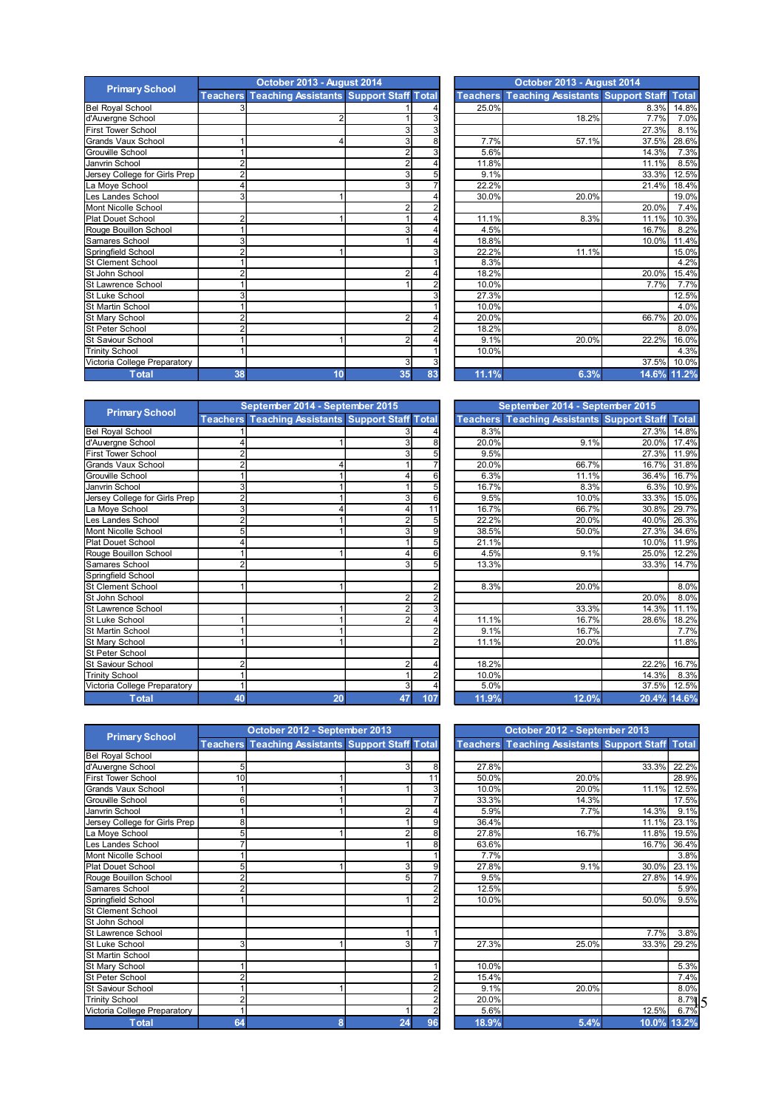|                               |                 | October 2013 - August 2014                     |                |    | October 2013 - August 2014 |                                                   |             |              |
|-------------------------------|-----------------|------------------------------------------------|----------------|----|----------------------------|---------------------------------------------------|-------------|--------------|
| <b>Primary School</b>         | <b>Teachers</b> | <b>Teaching Assistants Support Staff Total</b> |                |    |                            | <b>Teachers Teaching Assistants Support Staff</b> |             | <b>Total</b> |
| <b>Bel Royal School</b>       |                 |                                                |                |    | 25.0%                      |                                                   | 8.3%        | 14.8%        |
| d'Auvergne School             |                 |                                                |                |    |                            | 18.2%                                             | 7.7%        | 7.0%         |
| <b>First Tower School</b>     |                 |                                                |                |    |                            |                                                   | 27.3%       | 8.1%         |
| Grands Vaux School            |                 |                                                | 3              | 8  | 7.7%                       | 57.1%                                             | 37.5%       | 28.6%        |
| <b>Grouville School</b>       |                 |                                                | $\overline{2}$ |    | 5.6%                       |                                                   | 14.3%       | 7.3%         |
| Janvrin School                |                 |                                                | 2              |    | 11.8%                      |                                                   | 11.1%       | 8.5%         |
| Jersey College for Girls Prep |                 |                                                | 3              |    | 9.1%                       |                                                   | 33.3%       | 12.5%        |
| La Moye School                |                 |                                                | 3              |    | 22.2%                      |                                                   | 21.4%       | 18.4%        |
| Les Landes School             |                 |                                                |                |    | 30.0%                      | 20.0%                                             |             | 19.0%        |
| Mont Nicolle School           |                 |                                                | 2              |    |                            |                                                   | 20.0%       | 7.4%         |
| <b>Plat Douet School</b>      |                 |                                                |                |    | 11.1%                      | 8.3%                                              | 11.1%       | 10.3%        |
| Rouge Bouillon School         |                 |                                                | 3              |    | 4.5%                       |                                                   | 16.7%       | 8.2%         |
| Samares School                |                 |                                                |                |    | 18.8%                      |                                                   | 10.0%       | 11.4%        |
| Springfield School            |                 |                                                |                |    | 22.2%                      | 11.1%                                             |             | 15.0%        |
| <b>St Clement School</b>      |                 |                                                |                |    | 8.3%                       |                                                   |             | 4.2%         |
| St John School                |                 |                                                | $\overline{2}$ |    | 18.2%                      |                                                   | 20.0%       | 15.4%        |
| St Lawrence School            |                 |                                                |                |    | 10.0%                      |                                                   | 7.7%        | 7.7%         |
| St Luke School                |                 |                                                |                |    | 27.3%                      |                                                   |             | 12.5%        |
| St Martin School              |                 |                                                |                |    | 10.0%                      |                                                   |             | 4.0%         |
| St Mary School                |                 |                                                | 2              |    | 20.0%                      |                                                   | 66.7%       | 20.0%        |
| St Peter School               |                 |                                                |                |    | 18.2%                      |                                                   |             | 8.0%         |
| St Saviour School             |                 |                                                | 2              |    | 9.1%                       | 20.0%                                             | 22.2%       | 16.0%        |
| <b>Trinity School</b>         |                 |                                                |                |    | 10.0%                      |                                                   |             | 4.3%         |
| Victoria College Preparatory  |                 |                                                | 3              |    |                            |                                                   | 37.5%       | 10.0%        |
| Total                         | 38              | 10 <sub>1</sub>                                | 35             | R3 | 11 1%                      | 6.3%                                              | 14 6% 11 2% |              |

|                    |                | October 2013 - August 2014                              |                | October 2013 - August 2014 |       |                                                   |       |              |  |
|--------------------|----------------|---------------------------------------------------------|----------------|----------------------------|-------|---------------------------------------------------|-------|--------------|--|
| ary School         |                | <b>Teachers Teaching Assistants Support Staff Total</b> |                |                            |       | <b>Teachers Teaching Assistants Support Staff</b> |       | <b>Total</b> |  |
| chool              |                |                                                         |                |                            | 25.0% |                                                   | 8.3%  | 14.8%        |  |
| School             |                |                                                         |                |                            |       | 18.2%                                             | 7.7%  | 7.0%         |  |
| School             |                |                                                         | 3              |                            |       |                                                   | 27.3% | 8.1%         |  |
| <b>IX School</b>   |                |                                                         | 31             | 8                          | 7.7%  | 57.1%                                             | 37.5% | 28.6%        |  |
| hool               |                |                                                         | $\overline{2}$ | $\overline{3}$             | 5.6%  |                                                   | 14.3% | 7.3%         |  |
| loo                | $\overline{c}$ |                                                         | $\overline{2}$ | 4                          | 11.8% |                                                   | 11.1% | 8.5%         |  |
| ege for Girls Prep | $\overline{2}$ |                                                         | 3 <sup>1</sup> | $5\overline{2}$            | 9.1%  |                                                   | 33.3% | 12.5%        |  |
| hool               | 4              |                                                         | $\mathbf{3}$   |                            | 22.2% |                                                   | 21.4% | 18.4%        |  |
| School             | 3              |                                                         |                |                            | 30.0% | 20.0%                                             |       | 19.0%        |  |
| e School           |                |                                                         | $\overline{2}$ |                            |       |                                                   | 20.0% | 7.4%         |  |
| School             | $\overline{2}$ |                                                         |                |                            | 11.1% | 8.3%                                              | 11.1% | 10.3%        |  |
| llon School        |                |                                                         | $\overline{3}$ |                            | 4.5%  |                                                   | 16.7% | 8.2%         |  |
| chool              | 3              |                                                         |                |                            | 18.8% |                                                   | 10.0% | 11.4%        |  |
| School             | $\overline{2}$ |                                                         |                |                            | 22.2% | 11.1%                                             |       | 15.0%        |  |
| School             |                |                                                         |                |                            | 8.3%  |                                                   |       | 4.2%         |  |
| loor               | $\overline{2}$ |                                                         | $\overline{2}$ |                            | 18.2% |                                                   | 20.0% | 15.4%        |  |
| e School           |                |                                                         |                | 2                          | 10.0% |                                                   | 7.7%  | 7.7%         |  |
| loor               | 3              |                                                         |                |                            | 27.3% |                                                   |       | 12.5%        |  |
| chool              |                |                                                         |                |                            | 10.0% |                                                   |       | 4.0%         |  |
| hool               | $\overline{2}$ |                                                         | $\overline{2}$ |                            | 20.0% |                                                   | 66.7% | 20.0%        |  |
| hool               | $\overline{2}$ |                                                         |                |                            | 18.2% |                                                   |       | 8.0%         |  |
| School             |                |                                                         | $\overline{2}$ |                            | 9.1%  | 20.0%                                             | 22.2% | 16.0%        |  |
| lod                |                |                                                         |                |                            | 10.0% |                                                   |       | 4.3%         |  |
| lege Preparatory   |                |                                                         | 31             | 3                          |       |                                                   | 37.5% | 10.0%        |  |
| <b>Total</b>       | 38             | 10                                                      | 35             | 83                         | 11.1% | 6.3%                                              |       | 14.6% 11.2%  |  |

|                               | September 2014 - September 2015 |                                                         |                |     |  | September 2014 - September 2015 |                                                   |       |              |  |
|-------------------------------|---------------------------------|---------------------------------------------------------|----------------|-----|--|---------------------------------|---------------------------------------------------|-------|--------------|--|
| <b>Primary School</b>         |                                 | <b>Teachers Teaching Assistants Support Staff Total</b> |                |     |  |                                 | <b>Teachers Teaching Assistants Support Staff</b> |       | <b>Total</b> |  |
| <b>Bel Royal School</b>       |                                 |                                                         |                |     |  | 8.3%                            |                                                   | 27.3% | 14.8%        |  |
| d'Auvergne School             |                                 |                                                         |                |     |  | 20.0%                           | 9.1%                                              | 20.0% | 17.4%        |  |
| <b>First Tower School</b>     |                                 |                                                         |                |     |  | 9.5%                            |                                                   | 27.3% | 11.9%        |  |
| <b>Grands Vaux School</b>     |                                 |                                                         |                |     |  | 20.0%                           | 66.7%                                             | 16.7% | 31.8%        |  |
| Grouville School              |                                 |                                                         |                |     |  | 6.3%                            | 11.1%                                             | 36.4% | 16.7%        |  |
| Janvrin School                |                                 |                                                         |                |     |  | 16.7%                           | 8.3%                                              | 6.3%  | 10.9%        |  |
| Jersey College for Girls Prep |                                 |                                                         | 3              | 6   |  | 9.5%                            | 10.0%                                             | 33.3% | 15.0%        |  |
| La Moye School                |                                 |                                                         | 4              | 11  |  | 16.7%                           | 66.7%                                             | 30.8% | 29.7%        |  |
| Les Landes School             |                                 |                                                         | 2              |     |  | 22.2%                           | 20.0%                                             | 40.0% | 26.3%        |  |
| Mont Nicolle School           |                                 |                                                         | 3              |     |  | 38.5%                           | 50.0%                                             | 27.3% | 34.6%        |  |
| <b>Plat Douet School</b>      |                                 |                                                         |                |     |  | 21.1%                           |                                                   | 10.0% | 11.9%        |  |
| Rouge Bouillon School         |                                 |                                                         |                |     |  | 4.5%                            | 9.1%                                              | 25.0% | 12.2%        |  |
| Samares School                |                                 |                                                         |                |     |  | 13.3%                           |                                                   | 33.3% | 14.7%        |  |
| Springfield School            |                                 |                                                         |                |     |  |                                 |                                                   |       |              |  |
| <b>St Clement School</b>      |                                 |                                                         |                |     |  | 8.3%                            | 20.0%                                             |       | 8.0%         |  |
| St John School                |                                 |                                                         | $\mathsf{2}$   |     |  |                                 |                                                   | 20.0% | 8.0%         |  |
| St Lawrence School            |                                 |                                                         |                |     |  |                                 | 33.3%                                             | 14.3% | 11.1%        |  |
| St Luke School                |                                 |                                                         | $\overline{2}$ |     |  | 11.1%                           | 16.7%                                             | 28.6% | 18.2%        |  |
| <b>St Martin School</b>       |                                 |                                                         |                |     |  | 9.1%                            | 16.7%                                             |       | 7.7%         |  |
| St Mary School                |                                 |                                                         |                |     |  | 11.1%                           | 20.0%                                             |       | 11.8%        |  |
| St Peter School               |                                 |                                                         |                |     |  |                                 |                                                   |       |              |  |
| <b>St Saviour School</b>      |                                 |                                                         |                |     |  | 18.2%                           |                                                   | 22.2% | 16.7%        |  |
| <b>Trinity School</b>         |                                 |                                                         |                |     |  | 10.0%                           |                                                   | 14.3% | 8.3%         |  |
| Victoria College Preparatory  |                                 |                                                         | 3              |     |  | 5.0%                            |                                                   | 37.5% | 12.5%        |  |
| <b>Total</b>                  | 40                              | 20                                                      | 47             | 107 |  | 11.9%                           | 12.0%                                             |       | 20.4% 14.6%  |  |

| September 2014 - September 2015 |                                                  |                |     |                 | September 2014 - September 2015          |             |              |  |  |  |
|---------------------------------|--------------------------------------------------|----------------|-----|-----------------|------------------------------------------|-------------|--------------|--|--|--|
|                                 | Teachers Teaching Assistants Support Staff Total |                |     | <b>Teachers</b> | <b>Teaching Assistants Support Staff</b> |             | <b>Total</b> |  |  |  |
|                                 |                                                  |                |     | 8.3%            |                                          | 27.3%       | 14.8%        |  |  |  |
|                                 |                                                  | 3              |     | 20.0%           | 9.1%                                     | 20.0%       | 17.4%        |  |  |  |
| 2                               |                                                  | 3              |     | 9.5%            |                                          | 27.3%       | 11.9%        |  |  |  |
| $\overline{2}$                  |                                                  |                |     | 20.0%           | 66.7%                                    | 16.7%       | 31.8%        |  |  |  |
| 1                               |                                                  | 4              | 6   | 6.3%            | 11.1%                                    | 36.4%       | 16.7%        |  |  |  |
| 3                               |                                                  |                |     | 16.7%           | 8.3%                                     | 6.3%        | 10.9%        |  |  |  |
| 2                               |                                                  | 3              | 6   | 9.5%            | 10.0%                                    | 33.3%       | 15.0%        |  |  |  |
| 3                               | 4                                                | 4              | 11  | 16.7%           | 66.7%                                    | 30.8%       | 29.7%        |  |  |  |
| 2                               |                                                  | $\overline{2}$ |     | 22.2%           | 20.0%                                    | 40.0%       | 26.3%        |  |  |  |
| 5                               |                                                  | 3              | 9   | 38.5%           | 50.0%                                    | 27.3%       | 34.6%        |  |  |  |
| 4                               |                                                  |                |     | 21.1%           |                                          | 10.0%       | 11.9%        |  |  |  |
|                                 |                                                  | 4              | 6   | 4.5%            | 9.1%                                     | 25.0%       | 12.2%        |  |  |  |
| 2                               |                                                  | 3              | 5   | 13.3%           |                                          | 33.3%       | 14.7%        |  |  |  |
|                                 |                                                  |                |     |                 |                                          |             |              |  |  |  |
|                                 |                                                  |                | 2   | 8.3%            | 20.0%                                    |             | 8.0%         |  |  |  |
|                                 |                                                  | 2              | 2   |                 |                                          | 20.0%       | 8.0%         |  |  |  |
|                                 |                                                  | $\overline{2}$ |     |                 | 33.3%                                    | 14.3%       | 11.1%        |  |  |  |
|                                 |                                                  | $\overline{2}$ |     | 11.1%           | 16.7%                                    | 28.6%       | 18.2%        |  |  |  |
|                                 |                                                  |                |     | 9.1%            | 16.7%                                    |             | 7.7%         |  |  |  |
|                                 |                                                  |                |     | 11.1%           | 20.0%                                    |             | 11.8%        |  |  |  |
|                                 |                                                  |                |     |                 |                                          |             |              |  |  |  |
| 2                               |                                                  | $\overline{2}$ |     | 18.2%           |                                          | 22.2%       | 16.7%        |  |  |  |
|                                 |                                                  |                |     | 10.0%           |                                          | 14.3%       | 8.3%         |  |  |  |
|                                 |                                                  | 3              |     | 5.0%            |                                          | 37.5%       | 12.5%        |  |  |  |
| 40                              | 20                                               | 47             | 107 | 11.9%           | 12.0%                                    | 20.4% 14.6% |              |  |  |  |

|                               |    | October 2012 - September 2013                           |    |    | October 2012 - September 2013 |                                                         |             |       |  |
|-------------------------------|----|---------------------------------------------------------|----|----|-------------------------------|---------------------------------------------------------|-------------|-------|--|
| <b>Primary School</b>         |    | <b>Teachers Teaching Assistants Support Staff Total</b> |    |    |                               | <b>Teachers Teaching Assistants Support Staff Total</b> |             |       |  |
| <b>Bel Royal School</b>       |    |                                                         |    |    |                               |                                                         |             |       |  |
| d'Auvergne School             |    |                                                         | 3  | 8  | 27.8%                         |                                                         | 33.3%       | 22.2% |  |
| <b>First Tower School</b>     | 10 |                                                         |    | 11 | 50.0%                         | 20.0%                                                   |             | 28.9% |  |
| <b>Grands Vaux School</b>     |    |                                                         |    |    | 10.0%                         | 20.0%                                                   | 11.1%       | 12.5% |  |
| <b>Grouville School</b>       | 6  |                                                         |    |    | 33.3%                         | 14.3%                                                   |             | 17.5% |  |
| Janvrin School                |    |                                                         | 2  |    | 5.9%                          | 7.7%                                                    | 14.3%       | 9.1%  |  |
| Jersey College for Girls Prep | 8  |                                                         |    |    | 36.4%                         |                                                         | 11.1%       | 23.1% |  |
| La Moye School                |    |                                                         |    |    | 27.8%                         | 16.7%                                                   | 11.8%       | 19.5% |  |
| Les Landes School             |    |                                                         |    |    | 63.6%                         |                                                         | 16.7%       | 36.4% |  |
| Mont Nicolle School           |    |                                                         |    |    | 7.7%                          |                                                         |             | 3.8%  |  |
| <b>Plat Douet School</b>      |    |                                                         | 3  |    | 27.8%                         | 9.1%                                                    | 30.0%       | 23.1% |  |
| Rouge Bouillon School         |    |                                                         | 5  |    | 9.5%                          |                                                         | 27.8%       | 14.9% |  |
| Samares School                |    |                                                         |    |    | 12.5%                         |                                                         |             | 5.9%  |  |
| Springfield School            |    |                                                         |    |    | 10.0%                         |                                                         | 50.0%       | 9.5%  |  |
| <b>St Clement School</b>      |    |                                                         |    |    |                               |                                                         |             |       |  |
| St John School                |    |                                                         |    |    |                               |                                                         |             |       |  |
| St Lawrence School            |    |                                                         |    |    |                               |                                                         | 7.7%        | 3.8%  |  |
| <b>St Luke School</b>         |    |                                                         |    |    | 27.3%                         | 25.0%                                                   | 33.3%       | 29.2% |  |
| St Martin School              |    |                                                         |    |    |                               |                                                         |             |       |  |
| <b>St Mary School</b>         |    |                                                         |    |    | 10.0%                         |                                                         |             | 5.3%  |  |
| <b>St Peter School</b>        |    |                                                         |    |    | 15.4%                         |                                                         |             | 7.4%  |  |
| St Saviour School             |    |                                                         |    |    | 9.1%                          | 20.0%                                                   |             | 8.0%  |  |
| <b>Trinity School</b>         |    |                                                         |    |    | 20.0%                         |                                                         |             | 8.7%  |  |
| Victoria College Preparatory  |    |                                                         |    |    | 5.6%                          |                                                         | 12.5%       | 6.7%  |  |
| <b>Total</b>                  | 64 | <b>R</b>                                                | 24 | 96 | 18.9%                         | 5.4%                                                    | 10.0% 13.2% |       |  |

|                    |                | October 2012 - September 2013                           |                |    | October 2012 - September 2013 |                                                         |             |           |  |  |  |
|--------------------|----------------|---------------------------------------------------------|----------------|----|-------------------------------|---------------------------------------------------------|-------------|-----------|--|--|--|
| ary School         |                | <b>Teachers Teaching Assistants Support Staff Total</b> |                |    |                               | <b>Teachers Teaching Assistants Support Staff Total</b> |             |           |  |  |  |
| ichool             |                |                                                         |                |    |                               |                                                         |             |           |  |  |  |
| School             | 5              |                                                         | 31             | 8  | 27.8%                         |                                                         | 33.3%       | 22.2%     |  |  |  |
| School             | 10             |                                                         |                | 11 | 50.0%                         | 20.0%                                                   |             | 28.9%     |  |  |  |
| Ix School          |                |                                                         |                |    | 10.0%                         | 20.0%                                                   | 11.1%       | 12.5%     |  |  |  |
| hool:              | 6              |                                                         |                |    | 33.3%                         | 14.3%                                                   |             | 17.5%     |  |  |  |
| loo                |                |                                                         | $\overline{2}$ |    | 5.9%                          | 7.7%                                                    | 14.3%       | 9.1%      |  |  |  |
| ege for Girls Prep | 8              |                                                         |                |    | 36.4%                         |                                                         | 11.1%       | 23.1%     |  |  |  |
| hool               | 5              |                                                         |                |    | 27.8%                         | 16.7%                                                   | 11.8%       | 19.5%     |  |  |  |
| School             |                |                                                         |                | 8  | 63.6%                         |                                                         | 16.7%       | 36.4%     |  |  |  |
| e School           |                |                                                         |                |    | 7.7%                          |                                                         |             | 3.8%      |  |  |  |
| School             | 5              |                                                         | $\mathbf{3}$   |    | 27.8%                         | 9.1%                                                    | 30.0%       | 23.1%     |  |  |  |
| Ilon School        | $\overline{2}$ |                                                         | 5 <sup>1</sup> |    | 9.5%                          |                                                         | 27.8%       | 14.9%     |  |  |  |
| chool              | $\overline{2}$ |                                                         |                |    | 12.5%                         |                                                         |             | 5.9%      |  |  |  |
| School             |                |                                                         |                |    | 10.0%                         |                                                         | 50.0%       | 9.5%      |  |  |  |
| School             |                |                                                         |                |    |                               |                                                         |             |           |  |  |  |
| loor               |                |                                                         |                |    |                               |                                                         |             |           |  |  |  |
| e School           |                |                                                         |                |    |                               |                                                         | 7.7%        | 3.8%      |  |  |  |
| loor               | 3 <sub>l</sub> |                                                         | 3              |    | 27.3%                         | 25.0%                                                   | 33.3%       | 29.2%     |  |  |  |
| chool              |                |                                                         |                |    |                               |                                                         |             |           |  |  |  |
| hool               |                |                                                         |                |    | 10.0%                         |                                                         |             | 5.3%      |  |  |  |
| hool               | $\overline{2}$ |                                                         |                |    | 15.4%                         |                                                         |             | 7.4%      |  |  |  |
| School             |                |                                                         |                |    | 9.1%                          | 20.0%                                                   |             | 8.0%      |  |  |  |
| ۱o                 | $\overline{2}$ |                                                         |                |    | 20.0%                         |                                                         |             | $8.7\%$ 5 |  |  |  |
| lege Preparatory   |                |                                                         |                |    | 5.6%                          |                                                         | 12.5%       | 6.7%      |  |  |  |
| <b>Total</b>       | 64             | 8                                                       | 24             | 96 | 18.9%                         | 5.4%                                                    | 10.0% 13.2% |           |  |  |  |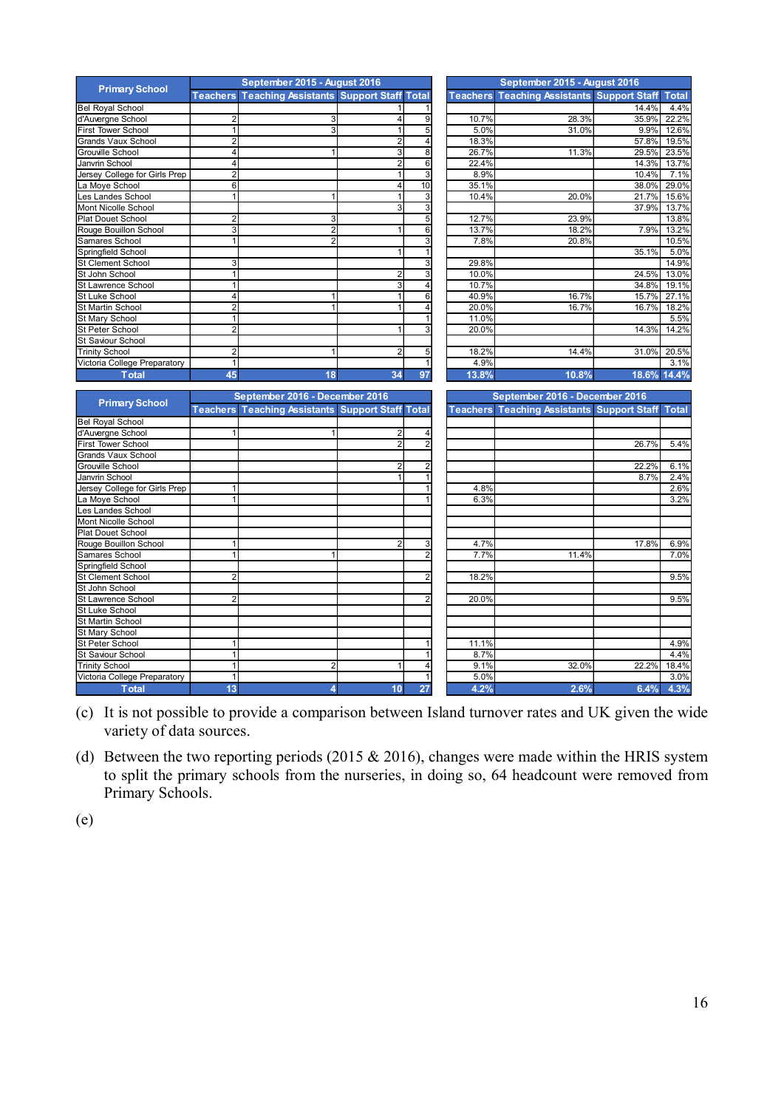|                                                       |                     | September 2015 - August 2016                            |                                   |                | September 2015 - August 2016                            |       |               |
|-------------------------------------------------------|---------------------|---------------------------------------------------------|-----------------------------------|----------------|---------------------------------------------------------|-------|---------------|
| <b>Primary School</b>                                 |                     | <b>Teachers Teaching Assistants Support Staff Total</b> |                                   |                | <b>Teachers Teaching Assistants Support Staff</b>       |       | <b>Total</b>  |
| <b>Bel Royal School</b>                               |                     |                                                         |                                   |                |                                                         | 14.4% | 4.4%          |
| d'Auvergne School                                     | 2                   | 3                                                       | 9                                 | 10.7%          | 28.3%                                                   | 35.9% | 22.2%         |
| First Tower School                                    | $\mathbf{1}$        | 3                                                       | 5<br>1                            | 5.0%           | 31.0%                                                   | 9.9%  | 12.6%         |
| <b>Grands Vaux School</b>                             | $\overline{2}$      |                                                         | $\overline{2}$<br>4               | 18.3%          |                                                         | 57.8% | 19.5%         |
| <b>Grouville School</b>                               | 4                   |                                                         | $\overline{8}$<br>3               | 26.7%          | 11.3%                                                   | 29.5% | 23.5%         |
| Janvrin School                                        | 4                   |                                                         | $6\overline{6}$<br>$\overline{2}$ | 22.4%          |                                                         | 14.3% | 13.7%         |
| Jersey College for Girls Prep                         | $\overline{2}$      |                                                         | 3                                 | 8.9%           |                                                         | 10.4% | 7.1%          |
| a Moye School                                         | 6                   |                                                         | 10<br>4                           | 35.1%          |                                                         | 38.0% | 29.0%         |
| es Landes School                                      | $\overline{1}$      |                                                         | 3                                 | 10.4%          | 20.0%                                                   | 21.7% | 15.6%         |
| Mont Nicolle School                                   |                     |                                                         | 3<br>3                            |                |                                                         | 37.9% | 13.7%         |
|                                                       |                     |                                                         | $\overline{5}$                    |                |                                                         |       |               |
| <b>Plat Douet School</b>                              | $\overline{2}$<br>3 | 3<br>$\overline{2}$                                     | $6\overline{6}$                   | 12.7%<br>13.7% | 23.9%<br>18.2%                                          |       | 13.8%         |
| Rouge Bouillon School                                 |                     |                                                         |                                   |                |                                                         | 7.9%  | 13.2%         |
| Samares School                                        | $\mathbf{1}$        | $\overline{2}$                                          | 3                                 | 7.8%           | 20.8%                                                   |       | 10.5%         |
| Springfield School                                    |                     |                                                         | $\mathbf{1}$                      |                |                                                         | 35.1% | 5.0%          |
| <b>St Clement School</b>                              | 3                   |                                                         | 3                                 | 29.8%          |                                                         |       | 14.9%         |
| St John School                                        | $\overline{1}$      |                                                         | 3                                 | 10.0%          |                                                         | 24.5% | 13.0%         |
| St Lawrence School                                    | 1                   |                                                         | 3<br>$\overline{4}$               | 10.7%          |                                                         | 34.8% | 19.1%         |
| St Luke School                                        | 4                   | -1                                                      | 6                                 | 40.9%          | 16.7%                                                   | 15.7% | 27.1%         |
| St Martin School                                      | $\overline{2}$      |                                                         | 4                                 | 20.0%          | 16.7%                                                   | 16.7% | 18.2%         |
| St Mary School                                        | $\mathbf{1}$        |                                                         |                                   | 11.0%          |                                                         |       | 5.5%          |
| St Peter School                                       | $\overline{2}$      |                                                         | 3                                 | 20.0%          |                                                         | 14.3% | 14.2%         |
| <b>St Saviour School</b>                              |                     |                                                         |                                   |                |                                                         |       |               |
| <b>Trinity School</b>                                 | $\mathbf 2$         |                                                         | 5 <sup>1</sup>                    | 18.2%          | 14.4%                                                   | 31.0% | 20.5%         |
| Victoria College Preparatory                          | 1                   |                                                         | $\mathbf{1}$                      | 4.9%           |                                                         |       | 3.1%          |
| <b>Total</b>                                          | 45                  | 18                                                      | 34<br>97                          | 13.8%          | 10.8%                                                   | 18.6% | 14.4%         |
|                                                       |                     |                                                         |                                   |                |                                                         |       |               |
| <b>Primary School</b>                                 |                     | September 2016 - December 2016                          |                                   |                | September 2016 - December 2016                          |       |               |
|                                                       |                     | <b>Teachers Teaching Assistants Support Staff Total</b> |                                   |                | <b>Teachers Teaching Assistants Support Staff Total</b> |       |               |
| <b>Bel Royal School</b>                               |                     |                                                         |                                   |                |                                                         |       |               |
| d'Auvergne School                                     | 1                   |                                                         | 4                                 |                |                                                         |       |               |
| First Tower School                                    |                     |                                                         | $\mathfrak{D}$<br>$\overline{2}$  |                |                                                         | 26.7% | 5.4%          |
| <b>Grands Vaux School</b>                             |                     |                                                         |                                   |                |                                                         |       |               |
| Grouville School                                      |                     |                                                         | 2                                 |                |                                                         | 22.2% | 6.1%          |
| Janvrin School                                        |                     |                                                         |                                   |                |                                                         | 8.7%  | 2.4%          |
| Jersey College for Girls Prep                         | 1                   |                                                         |                                   |                |                                                         |       |               |
| a Moye School                                         |                     |                                                         |                                   | 4.8%           |                                                         |       | 2.6%          |
| es Landes School                                      | 1                   |                                                         |                                   | 6.3%           |                                                         |       | 3.2%          |
|                                                       |                     |                                                         |                                   |                |                                                         |       |               |
| Mont Nicolle School                                   |                     |                                                         |                                   |                |                                                         |       |               |
| <b>Plat Douet School</b>                              |                     |                                                         |                                   |                |                                                         |       |               |
|                                                       | $\mathbf{1}$        |                                                         |                                   | 4.7%           |                                                         | 17.8% |               |
| Rouge Bouillon School                                 | $\mathbf{1}$        |                                                         | 3<br>$\overline{2}$               | 7.7%           | 11.4%                                                   |       | 6.9%<br>7.0%  |
| Samares School                                        |                     |                                                         |                                   |                |                                                         |       |               |
| Springfield School                                    |                     |                                                         |                                   |                |                                                         |       |               |
| <b>St Clement School</b>                              | $\overline{2}$      |                                                         |                                   | 18.2%          |                                                         |       | 9.5%          |
| St John School                                        |                     |                                                         |                                   |                |                                                         |       |               |
| St Lawrence School                                    | $\overline{2}$      |                                                         |                                   | 20.0%          |                                                         |       | 9.5%          |
| St Luke School                                        |                     |                                                         |                                   |                |                                                         |       |               |
| St Martin School                                      |                     |                                                         |                                   |                |                                                         |       |               |
| St Mary School                                        |                     |                                                         |                                   |                |                                                         |       |               |
| St Peter School                                       | $\mathbf{1}$        |                                                         |                                   | 11.1%          |                                                         |       | 4.9%          |
| <b>St Saviour School</b>                              | $\mathbf{1}$        |                                                         |                                   | 8.7%           |                                                         |       | 4.4%          |
| <b>Trinity School</b><br>Victoria College Preparatory | $\mathbf{1}$<br>1   | 2                                                       | 4<br>$\mathbf{1}$                 | 9.1%<br>5.0%   | 32.0%                                                   | 22.2% | 18.4%<br>3.0% |

(c) It is not possible to provide a comparison between Island turnover rates and UK given the wide variety of data sources.

**Total 13 4 10 27 4.2% 2.6% 6.4% 4.3%**

(d) Between the two reporting periods (2015  $& 2016$ ), changes were made within the HRIS system to split the primary schools from the nurseries, in doing so, 64 headcount were removed from Primary Schools.

(e)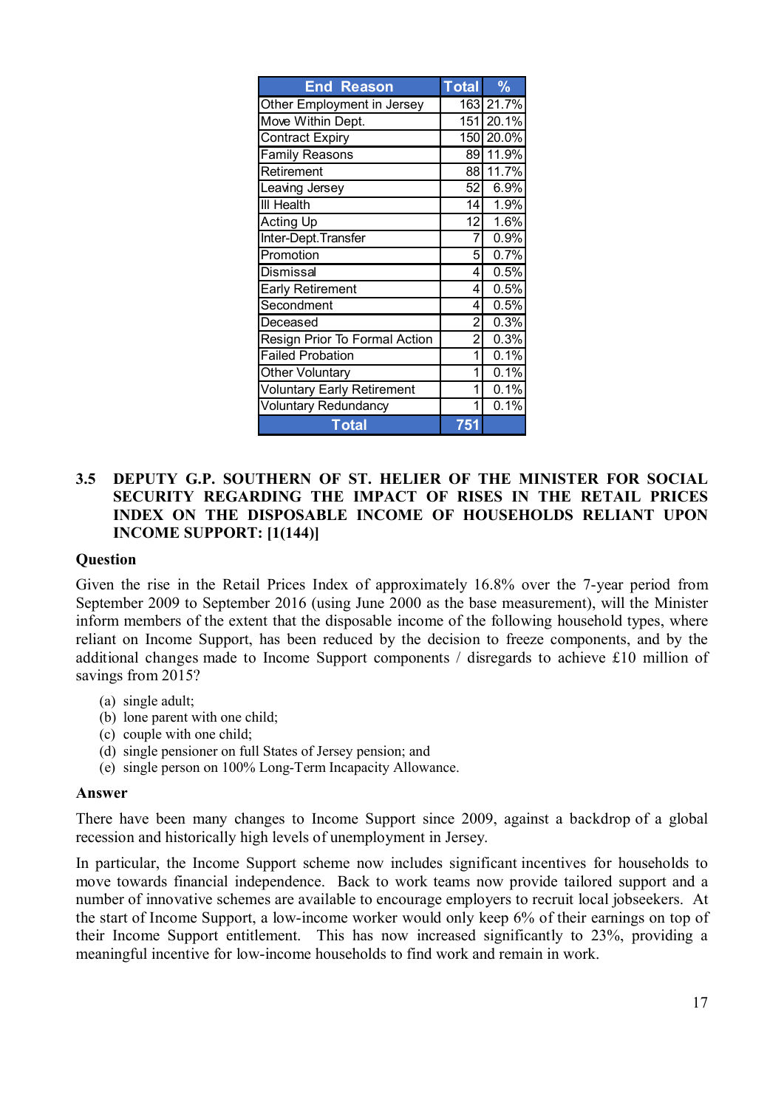| <b>End Reason</b>                 | <b>Total</b>   | $\frac{9}{6}$ |
|-----------------------------------|----------------|---------------|
| Other Employment in Jersey        |                | 163 21.7%     |
| Move Within Dept.                 |                | 151 20.1%     |
| <b>Contract Expiry</b>            | 150            | 20.0%         |
| <b>Family Reasons</b>             | 89             | 11.9%         |
| Retirement                        | 88             | 11.7%         |
| Leaving Jersey                    | 52             | 6.9%          |
| <b>III Health</b>                 | 14             | 1.9%          |
| <b>Acting Up</b>                  | 12             | 1.6%          |
| Inter-Dept. Transfer              | 7              | 0.9%          |
| Promotion                         | 5              | 0.7%          |
| <b>Dismissal</b>                  | 4              | 0.5%          |
| <b>Early Retirement</b>           | 4              | 0.5%          |
| Secondment                        | 4              | 0.5%          |
| Deceased                          | $\overline{2}$ | 0.3%          |
| Resign Prior To Formal Action     | 2              | 0.3%          |
| <b>Failed Probation</b>           | 1              | 0.1%          |
| Other Voluntary                   | 1              | 0.1%          |
| <b>Voluntary Early Retirement</b> | 1              | 0.1%          |
| <b>Voluntary Redundancy</b>       | 1              | 0.1%          |
| Total                             | 751            |               |

## **3.5 DEPUTY G.P. SOUTHERN OF ST. HELIER OF THE MINISTER FOR SOCIAL SECURITY REGARDING THE IMPACT OF RISES IN THE RETAIL PRICES INDEX ON THE DISPOSABLE INCOME OF HOUSEHOLDS RELIANT UPON INCOME SUPPORT: [1(144)]**

#### **Question**

Given the rise in the Retail Prices Index of approximately 16.8% over the 7-year period from September 2009 to September 2016 (using June 2000 as the base measurement), will the Minister inform members of the extent that the disposable income of the following household types, where reliant on Income Support, has been reduced by the decision to freeze components, and by the additional changes made to Income Support components / disregards to achieve £10 million of savings from 2015?

- (a) single adult;
- (b) lone parent with one child;
- (c) couple with one child;
- (d) single pensioner on full States of Jersey pension; and
- (e) single person on 100% Long-Term Incapacity Allowance.

#### **Answer**

There have been many changes to Income Support since 2009, against a backdrop of a global recession and historically high levels of unemployment in Jersey.

In particular, the Income Support scheme now includes significant incentives for households to move towards financial independence. Back to work teams now provide tailored support and a number of innovative schemes are available to encourage employers to recruit local jobseekers. At the start of Income Support, a low-income worker would only keep 6% of their earnings on top of their Income Support entitlement. This has now increased significantly to 23%, providing a meaningful incentive for low-income households to find work and remain in work.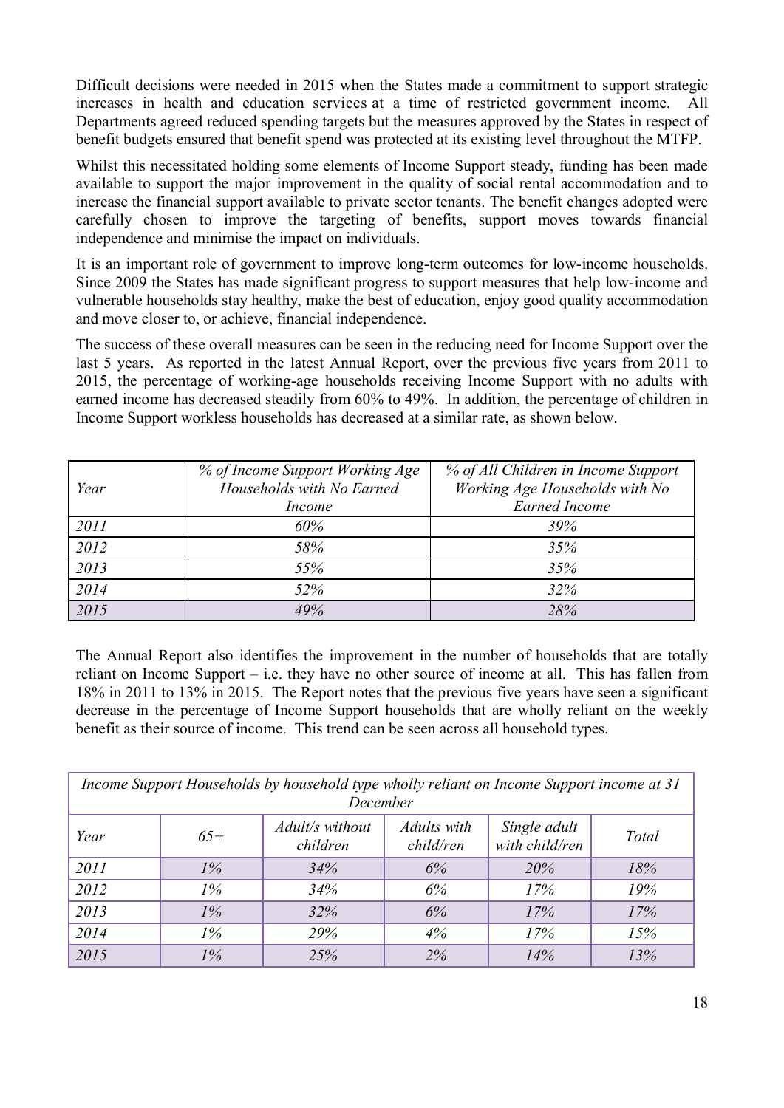Difficult decisions were needed in 2015 when the States made a commitment to support strategic increases in health and education services at a time of restricted government income. All Departments agreed reduced spending targets but the measures approved by the States in respect of benefit budgets ensured that benefit spend was protected at its existing level throughout the MTFP.

Whilst this necessitated holding some elements of Income Support steady, funding has been made available to support the major improvement in the quality of social rental accommodation and to increase the financial support available to private sector tenants. The benefit changes adopted were carefully chosen to improve the targeting of benefits, support moves towards financial independence and minimise the impact on individuals.

It is an important role of government to improve long-term outcomes for low-income households. Since 2009 the States has made significant progress to support measures that help low-income and vulnerable households stay healthy, make the best of education, enjoy good quality accommodation and move closer to, or achieve, financial independence.

The success of these overall measures can be seen in the reducing need for Income Support over the last 5 years. As reported in the latest Annual Report, over the previous five years from 2011 to 2015, the percentage of working-age households receiving Income Support with no adults with earned income has decreased steadily from 60% to 49%. In addition, the percentage of children in Income Support workless households has decreased at a similar rate, as shown below.

| Year | % of Income Support Working Age<br>Households with No Earned<br><i>Income</i> | % of All Children in Income Support<br>Working Age Households with No<br><b>Earned Income</b> |
|------|-------------------------------------------------------------------------------|-----------------------------------------------------------------------------------------------|
| 2011 | 60%                                                                           | 39%                                                                                           |
| 2012 | 58%                                                                           | 35%                                                                                           |
| 2013 | 55%                                                                           | 35%                                                                                           |
| 2014 | 52%                                                                           | 32%                                                                                           |
| 2015 | 49%                                                                           | 28%                                                                                           |

The Annual Report also identifies the improvement in the number of households that are totally reliant on Income Support – i.e. they have no other source of income at all. This has fallen from 18% in 2011 to 13% in 2015. The Report notes that the previous five years have seen a significant decrease in the percentage of Income Support households that are wholly reliant on the weekly benefit as their source of income. This trend can be seen across all household types.

| Income Support Households by household type wholly reliant on Income Support income at 31<br>December |       |                             |                          |                                |       |
|-------------------------------------------------------------------------------------------------------|-------|-----------------------------|--------------------------|--------------------------------|-------|
| Year                                                                                                  | $65+$ | Adult/s without<br>children | Adults with<br>child/ren | Single adult<br>with child/ren | Total |
| 2011                                                                                                  | $1\%$ | 34%                         | 6%                       | 20%                            | 18%   |
| 2012                                                                                                  | $1\%$ | 34%                         | 6%                       | 17%                            | 19%   |
| 2013                                                                                                  | $1\%$ | 32%                         | 6%                       | 17%                            | 17%   |
| 2014                                                                                                  | $1\%$ | 29%                         | 4%                       | 17%                            | 15%   |
| 2015                                                                                                  | $1\%$ | 25%                         | 2%                       | 14%                            | 13%   |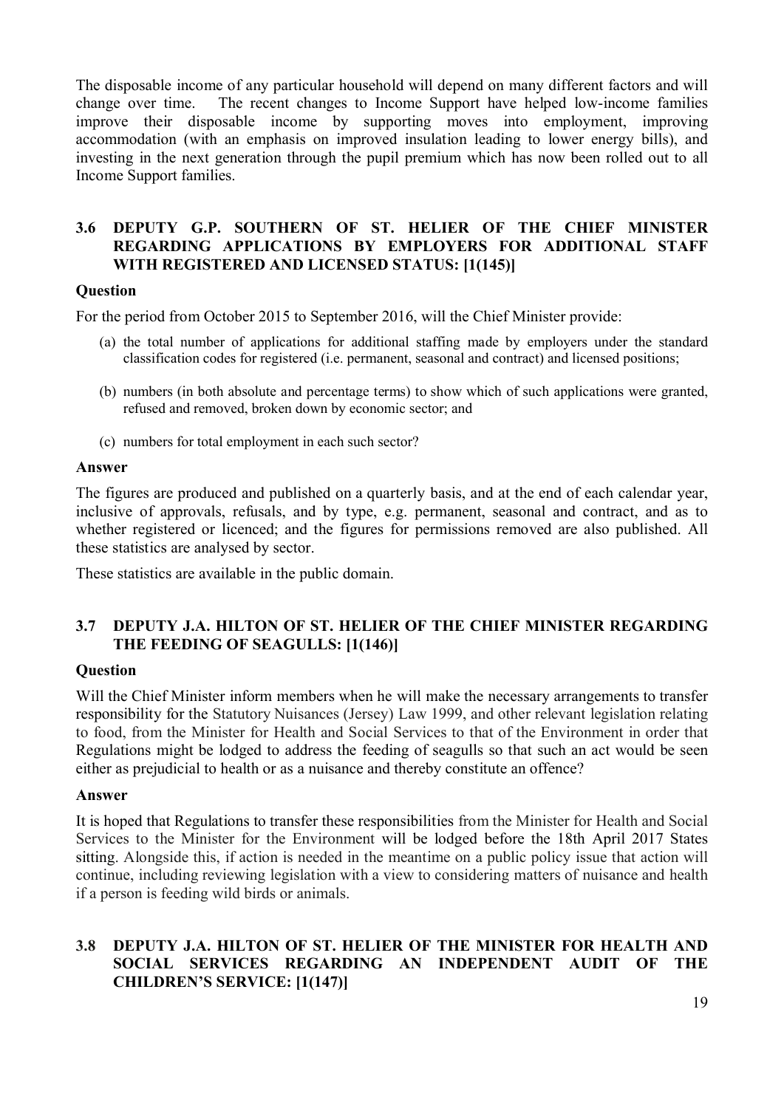The disposable income of any particular household will depend on many different factors and will change over time. The recent changes to Income Support have helped low-income families improve their disposable income by supporting moves into employment, improving accommodation (with an emphasis on improved insulation leading to lower energy bills), and investing in the next generation through the pupil premium which has now been rolled out to all Income Support families.

## **3.6 DEPUTY G.P. SOUTHERN OF ST. HELIER OF THE CHIEF MINISTER REGARDING APPLICATIONS BY EMPLOYERS FOR ADDITIONAL STAFF WITH REGISTERED AND LICENSED STATUS: [1(145)]**

## **Question**

For the period from October 2015 to September 2016, will the Chief Minister provide:

- (a) the total number of applications for additional staffing made by employers under the standard classification codes for registered (i.e. permanent, seasonal and contract) and licensed positions;
- (b) numbers (in both absolute and percentage terms) to show which of such applications were granted, refused and removed, broken down by economic sector; and
- (c) numbers for total employment in each such sector?

#### **Answer**

The figures are produced and published on a quarterly basis, and at the end of each calendar year, inclusive of approvals, refusals, and by type, e.g. permanent, seasonal and contract, and as to whether registered or licenced; and the figures for permissions removed are also published. All these statistics are analysed by sector.

These statistics are available in the public domain.

## **3.7 DEPUTY J.A. HILTON OF ST. HELIER OF THE CHIEF MINISTER REGARDING THE FEEDING OF SEAGULLS: [1(146)]**

## **Question**

Will the Chief Minister inform members when he will make the necessary arrangements to transfer responsibility for the Statutory Nuisances (Jersey) Law 1999, and other relevant legislation relating to food, from the Minister for Health and Social Services to that of the Environment in order that Regulations might be lodged to address the feeding of seagulls so that such an act would be seen either as prejudicial to health or as a nuisance and thereby constitute an offence?

#### **Answer**

It is hoped that Regulations to transfer these responsibilities from the Minister for Health and Social Services to the Minister for the Environment will be lodged before the 18th April 2017 States sitting. Alongside this, if action is needed in the meantime on a public policy issue that action will continue, including reviewing legislation with a view to considering matters of nuisance and health if a person is feeding wild birds or animals.

## **3.8 DEPUTY J.A. HILTON OF ST. HELIER OF THE MINISTER FOR HEALTH AND SOCIAL SERVICES REGARDING AN INDEPENDENT AUDIT OF THE CHILDREN'S SERVICE: [1(147)]**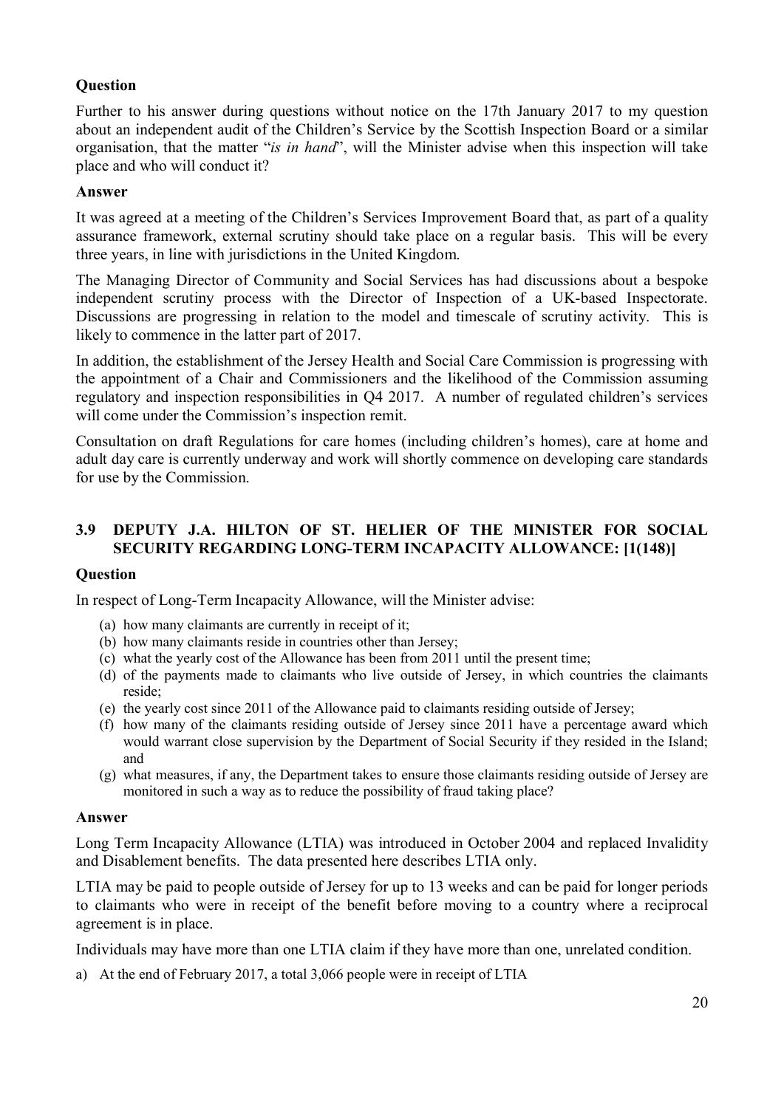## **Question**

Further to his answer during questions without notice on the 17th January 2017 to my question about an independent audit of the Children's Service by the Scottish Inspection Board or a similar organisation, that the matter "*is in hand*", will the Minister advise when this inspection will take place and who will conduct it?

#### **Answer**

It was agreed at a meeting of the Children's Services Improvement Board that, as part of a quality assurance framework, external scrutiny should take place on a regular basis. This will be every three years, in line with jurisdictions in the United Kingdom.

The Managing Director of Community and Social Services has had discussions about a bespoke independent scrutiny process with the Director of Inspection of a UK-based Inspectorate. Discussions are progressing in relation to the model and timescale of scrutiny activity. This is likely to commence in the latter part of 2017.

In addition, the establishment of the Jersey Health and Social Care Commission is progressing with the appointment of a Chair and Commissioners and the likelihood of the Commission assuming regulatory and inspection responsibilities in Q4 2017. A number of regulated children's services will come under the Commission's inspection remit.

Consultation on draft Regulations for care homes (including children's homes), care at home and adult day care is currently underway and work will shortly commence on developing care standards for use by the Commission.

## **3.9 DEPUTY J.A. HILTON OF ST. HELIER OF THE MINISTER FOR SOCIAL SECURITY REGARDING LONG-TERM INCAPACITY ALLOWANCE: [1(148)]**

#### **Question**

In respect of Long-Term Incapacity Allowance, will the Minister advise:

- (a) how many claimants are currently in receipt of it;
- (b) how many claimants reside in countries other than Jersey;
- (c) what the yearly cost of the Allowance has been from 2011 until the present time;
- (d) of the payments made to claimants who live outside of Jersey, in which countries the claimants reside;
- (e) the yearly cost since 2011 of the Allowance paid to claimants residing outside of Jersey;
- (f) how many of the claimants residing outside of Jersey since 2011 have a percentage award which would warrant close supervision by the Department of Social Security if they resided in the Island; and
- (g) what measures, if any, the Department takes to ensure those claimants residing outside of Jersey are monitored in such a way as to reduce the possibility of fraud taking place?

#### **Answer**

Long Term Incapacity Allowance (LTIA) was introduced in October 2004 and replaced Invalidity and Disablement benefits. The data presented here describes LTIA only.

LTIA may be paid to people outside of Jersey for up to 13 weeks and can be paid for longer periods to claimants who were in receipt of the benefit before moving to a country where a reciprocal agreement is in place.

Individuals may have more than one LTIA claim if they have more than one, unrelated condition.

a) At the end of February 2017, a total 3,066 people were in receipt of LTIA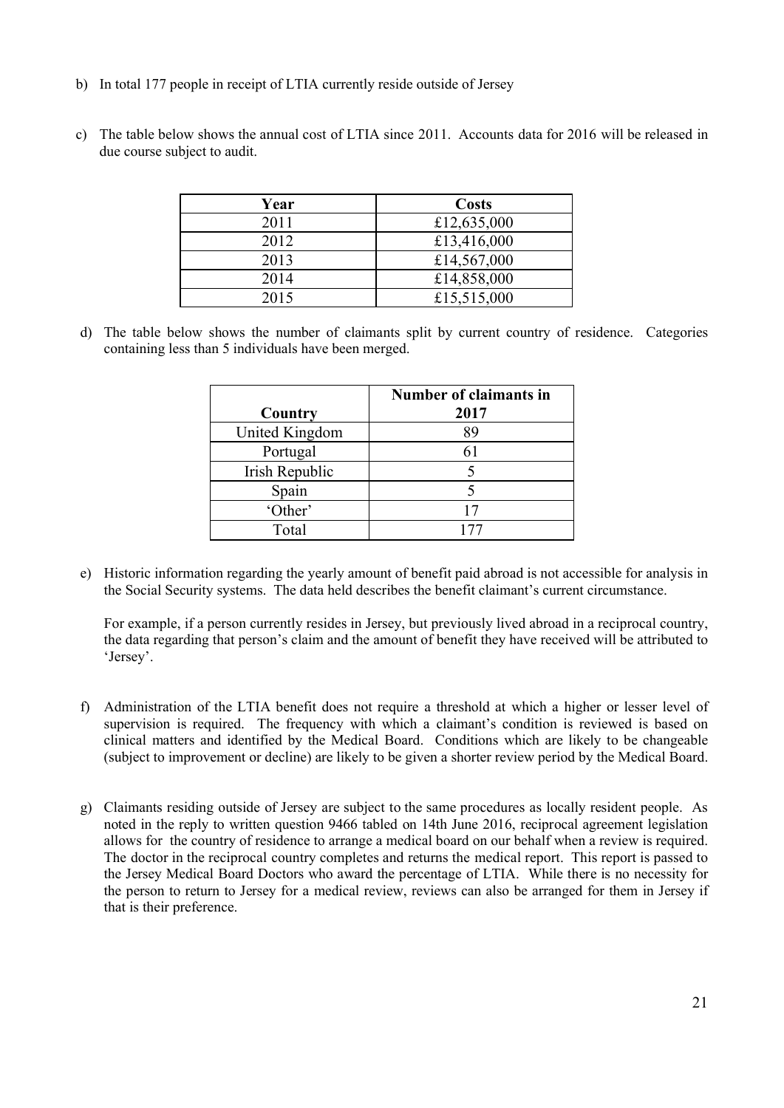- b) In total 177 people in receipt of LTIA currently reside outside of Jersey
- c) The table below shows the annual cost of LTIA since 2011. Accounts data for 2016 will be released in due course subject to audit.

| Year | <b>Costs</b> |
|------|--------------|
| 2011 | £12,635,000  |
| 2012 | £13,416,000  |
| 2013 | £14,567,000  |
| 2014 | £14,858,000  |
| 2015 | £15,515,000  |

d) The table below shows the number of claimants split by current country of residence. Categories containing less than 5 individuals have been merged.

| Country        | Number of claimants in<br>2017 |
|----------------|--------------------------------|
| United Kingdom | 89                             |
| Portugal       |                                |
| Irish Republic |                                |
| Spain          |                                |
| 'Other'        | 17                             |
| Total          | 177                            |

e) Historic information regarding the yearly amount of benefit paid abroad is not accessible for analysis in the Social Security systems. The data held describes the benefit claimant's current circumstance.

For example, if a person currently resides in Jersey, but previously lived abroad in a reciprocal country, the data regarding that person's claim and the amount of benefit they have received will be attributed to 'Jersey'.

- f) Administration of the LTIA benefit does not require a threshold at which a higher or lesser level of supervision is required. The frequency with which a claimant's condition is reviewed is based on clinical matters and identified by the Medical Board. Conditions which are likely to be changeable (subject to improvement or decline) are likely to be given a shorter review period by the Medical Board.
- g) Claimants residing outside of Jersey are subject to the same procedures as locally resident people. As noted in the reply to written question 9466 tabled on 14th June 2016, reciprocal agreement legislation allows for the country of residence to arrange a medical board on our behalf when a review is required. The doctor in the reciprocal country completes and returns the medical report. This report is passed to the Jersey Medical Board Doctors who award the percentage of LTIA. While there is no necessity for the person to return to Jersey for a medical review, reviews can also be arranged for them in Jersey if that is their preference.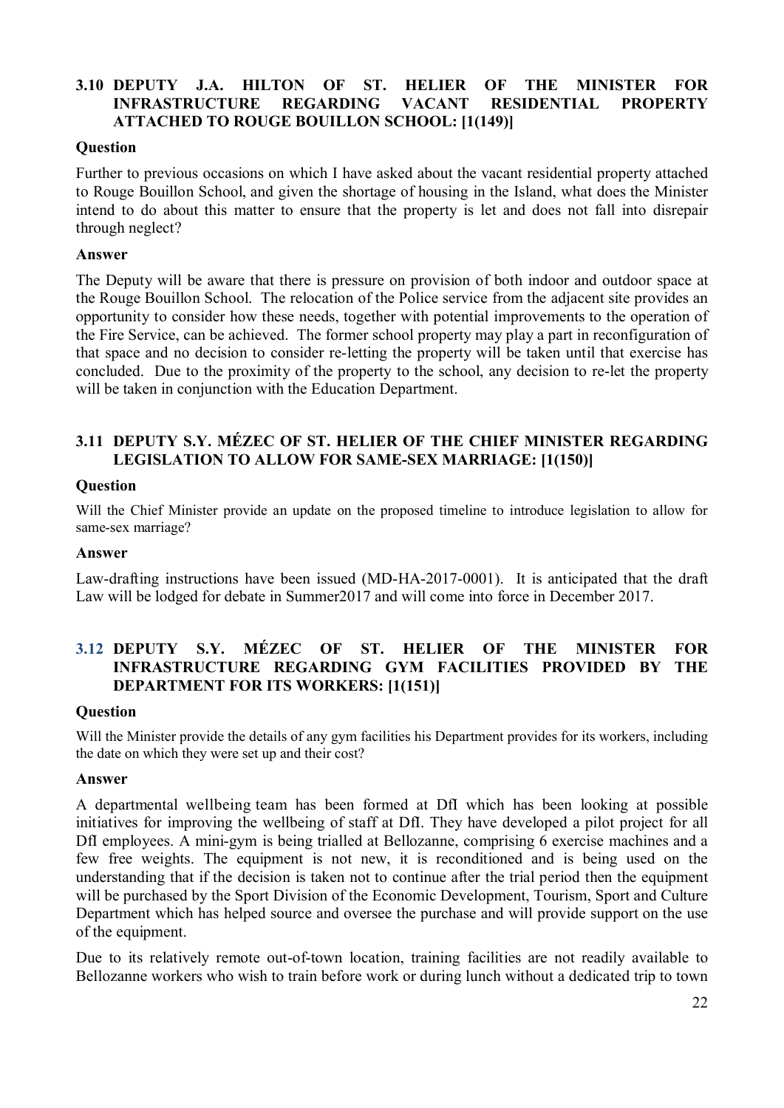## **3.10 DEPUTY J.A. HILTON OF ST. HELIER OF THE MINISTER FOR INFRASTRUCTURE REGARDING VACANT RESIDENTIAL PROPERTY ATTACHED TO ROUGE BOUILLON SCHOOL: [1(149)]**

#### **Question**

Further to previous occasions on which I have asked about the vacant residential property attached to Rouge Bouillon School, and given the shortage of housing in the Island, what does the Minister intend to do about this matter to ensure that the property is let and does not fall into disrepair through neglect?

#### **Answer**

The Deputy will be aware that there is pressure on provision of both indoor and outdoor space at the Rouge Bouillon School. The relocation of the Police service from the adjacent site provides an opportunity to consider how these needs, together with potential improvements to the operation of the Fire Service, can be achieved. The former school property may play a part in reconfiguration of that space and no decision to consider re-letting the property will be taken until that exercise has concluded. Due to the proximity of the property to the school, any decision to re-let the property will be taken in conjunction with the Education Department.

## **3.11 DEPUTY S.Y. MÉZEC OF ST. HELIER OF THE CHIEF MINISTER REGARDING LEGISLATION TO ALLOW FOR SAME-SEX MARRIAGE: [1(150)]**

#### **Question**

Will the Chief Minister provide an update on the proposed timeline to introduce legislation to allow for same-sex marriage?

#### **Answer**

Law-drafting instructions have been issued (MD-HA-2017-0001). It is anticipated that the draft Law will be lodged for debate in Summer2017 and will come into force in December 2017.

## **3.12 DEPUTY S.Y. MÉZEC OF ST. HELIER OF THE MINISTER FOR INFRASTRUCTURE REGARDING GYM FACILITIES PROVIDED BY THE DEPARTMENT FOR ITS WORKERS: [1(151)]**

#### **Question**

Will the Minister provide the details of any gym facilities his Department provides for its workers, including the date on which they were set up and their cost?

#### **Answer**

A departmental wellbeing team has been formed at DfI which has been looking at possible initiatives for improving the wellbeing of staff at DfI. They have developed a pilot project for all DfI employees. A mini-gym is being trialled at Bellozanne, comprising 6 exercise machines and a few free weights. The equipment is not new, it is reconditioned and is being used on the understanding that if the decision is taken not to continue after the trial period then the equipment will be purchased by the Sport Division of the Economic Development, Tourism, Sport and Culture Department which has helped source and oversee the purchase and will provide support on the use of the equipment.

Due to its relatively remote out-of-town location, training facilities are not readily available to Bellozanne workers who wish to train before work or during lunch without a dedicated trip to town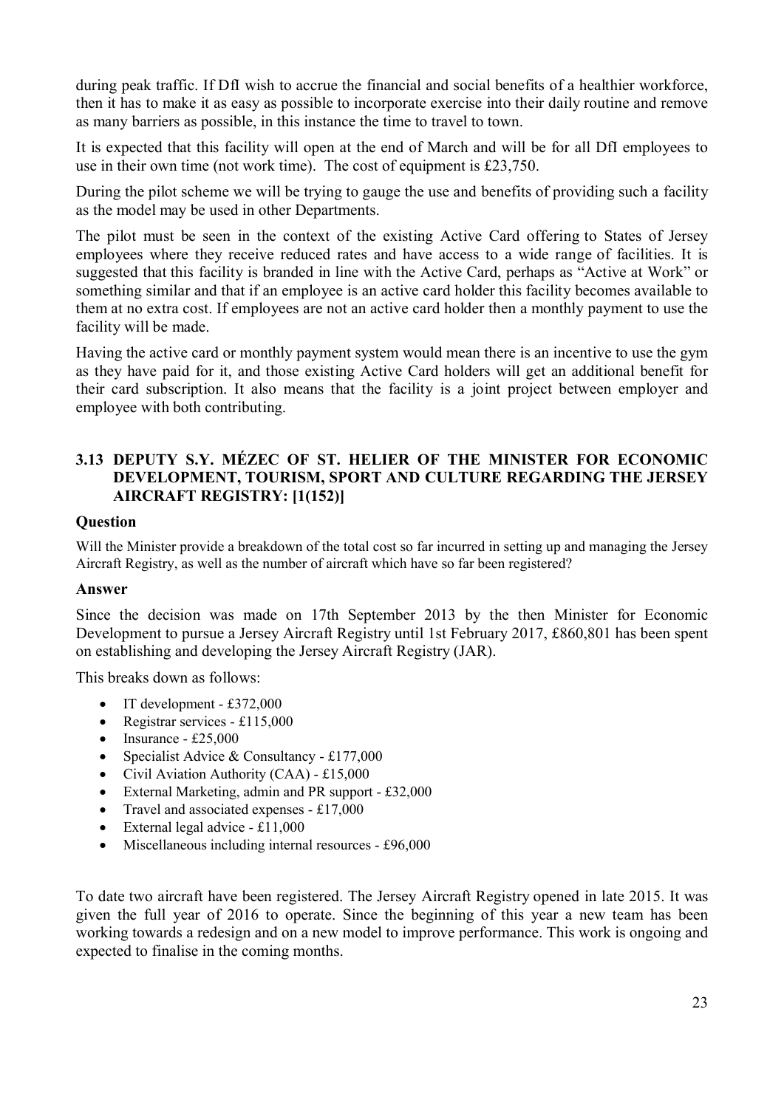during peak traffic. If DfI wish to accrue the financial and social benefits of a healthier workforce, then it has to make it as easy as possible to incorporate exercise into their daily routine and remove as many barriers as possible, in this instance the time to travel to town.

It is expected that this facility will open at the end of March and will be for all DfI employees to use in their own time (not work time). The cost of equipment is £23,750.

During the pilot scheme we will be trying to gauge the use and benefits of providing such a facility as the model may be used in other Departments.

The pilot must be seen in the context of the existing Active Card offering to States of Jersey employees where they receive reduced rates and have access to a wide range of facilities. It is suggested that this facility is branded in line with the Active Card, perhaps as "Active at Work" or something similar and that if an employee is an active card holder this facility becomes available to them at no extra cost. If employees are not an active card holder then a monthly payment to use the facility will be made.

Having the active card or monthly payment system would mean there is an incentive to use the gym as they have paid for it, and those existing Active Card holders will get an additional benefit for their card subscription. It also means that the facility is a joint project between employer and employee with both contributing.

## **3.13 DEPUTY S.Y. MÉZEC OF ST. HELIER OF THE MINISTER FOR ECONOMIC DEVELOPMENT, TOURISM, SPORT AND CULTURE REGARDING THE JERSEY AIRCRAFT REGISTRY: [1(152)]**

#### **Question**

Will the Minister provide a breakdown of the total cost so far incurred in setting up and managing the Jersey Aircraft Registry, as well as the number of aircraft which have so far been registered?

#### **Answer**

Since the decision was made on 17th September 2013 by the then Minister for Economic Development to pursue a Jersey Aircraft Registry until 1st February 2017, £860,801 has been spent on establishing and developing the Jersey Aircraft Registry (JAR).

This breaks down as follows:

- $\bullet$  IT development £372,000
- Registrar services £115,000
- $\bullet$  Insurance £25,000
- Specialist Advice & Consultancy £177,000
- Civil Aviation Authority (CAA) £15,000
- External Marketing, admin and PR support £32,000
- Travel and associated expenses £17,000
- $\bullet$  External legal advice £11,000
- Miscellaneous including internal resources £96,000

To date two aircraft have been registered. The Jersey Aircraft Registry opened in late 2015. It was given the full year of 2016 to operate. Since the beginning of this year a new team has been working towards a redesign and on a new model to improve performance. This work is ongoing and expected to finalise in the coming months.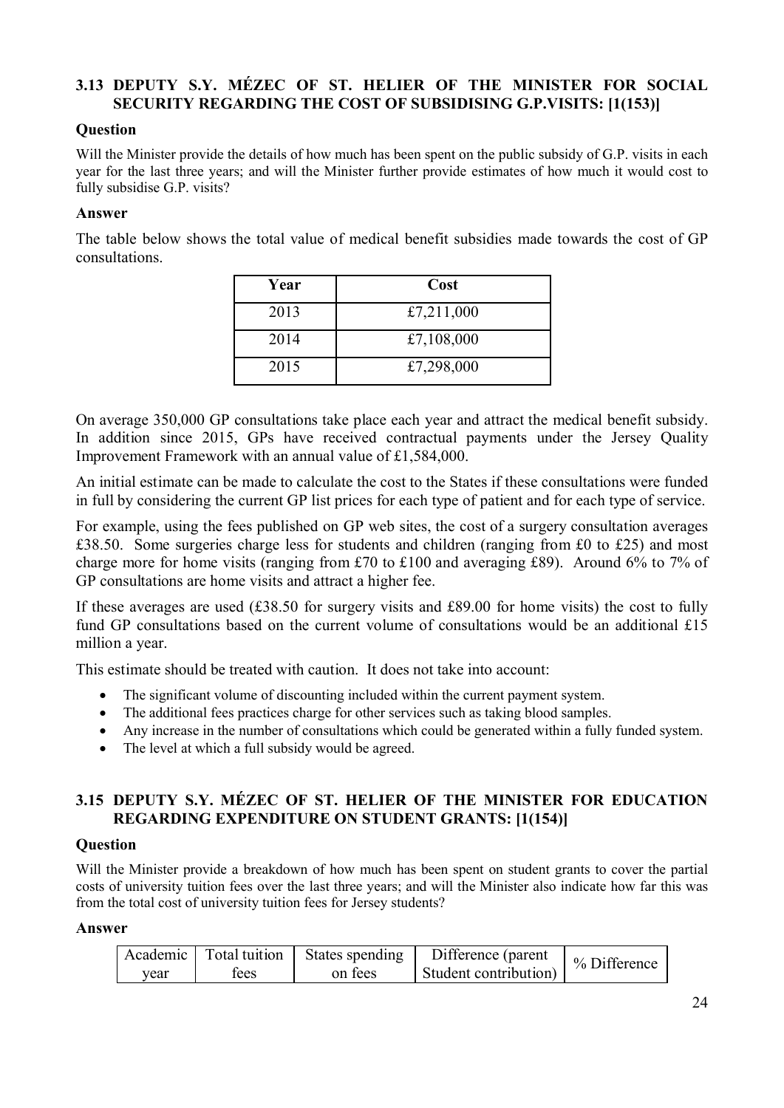## **3.13 DEPUTY S.Y. MÉZEC OF ST. HELIER OF THE MINISTER FOR SOCIAL SECURITY REGARDING THE COST OF SUBSIDISING G.P.VISITS: [1(153)]**

## **Question**

Will the Minister provide the details of how much has been spent on the public subsidy of G.P. visits in each year for the last three years; and will the Minister further provide estimates of how much it would cost to fully subsidise G.P. visits?

#### **Answer**

The table below shows the total value of medical benefit subsidies made towards the cost of GP consultations.

| Year | Cost       |
|------|------------|
| 2013 | £7,211,000 |
| 2014 | £7,108,000 |
| 2015 | £7,298,000 |

On average 350,000 GP consultations take place each year and attract the medical benefit subsidy. In addition since 2015, GPs have received contractual payments under the Jersey Quality Improvement Framework with an annual value of £1,584,000.

An initial estimate can be made to calculate the cost to the States if these consultations were funded in full by considering the current GP list prices for each type of patient and for each type of service.

For example, using the fees published on GP web sites, the cost of a surgery consultation averages £38.50. Some surgeries charge less for students and children (ranging from £0 to £25) and most charge more for home visits (ranging from £70 to £100 and averaging £89). Around 6% to 7% of GP consultations are home visits and attract a higher fee.

If these averages are used (£38.50 for surgery visits and £89.00 for home visits) the cost to fully fund GP consultations based on the current volume of consultations would be an additional £15 million a year.

This estimate should be treated with caution. It does not take into account:

- The significant volume of discounting included within the current payment system.
- The additional fees practices charge for other services such as taking blood samples.
- Any increase in the number of consultations which could be generated within a fully funded system.
- The level at which a full subsidy would be agreed.

## **3.15 DEPUTY S.Y. MÉZEC OF ST. HELIER OF THE MINISTER FOR EDUCATION REGARDING EXPENDITURE ON STUDENT GRANTS: [1(154)]**

## **Question**

Will the Minister provide a breakdown of how much has been spent on student grants to cover the partial costs of university tuition fees over the last three years; and will the Minister also indicate how far this was from the total cost of university tuition fees for Jersey students?

#### **Answer**

|      | Academic   Total tuition | States spending | Difference (parent    | $%$ Difference |
|------|--------------------------|-----------------|-----------------------|----------------|
| vear | tees                     | on fees         | Student contribution) |                |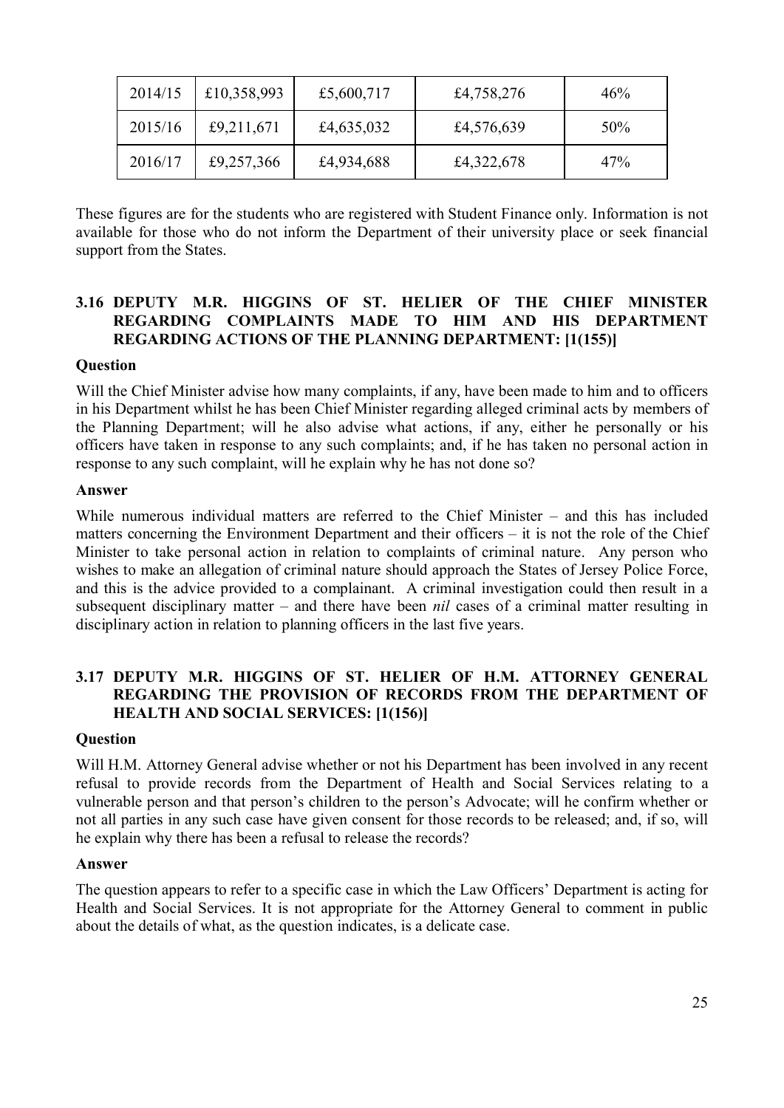| 2014/15 | £10,358,993 | £5,600,717 | £4,758,276 | 46%    |
|---------|-------------|------------|------------|--------|
| 2015/16 | £9,211,671  | £4,635,032 | £4,576,639 | $50\%$ |
| 2016/17 | £9,257,366  | £4,934,688 | £4,322,678 | 47%    |

These figures are for the students who are registered with Student Finance only. Information is not available for those who do not inform the Department of their university place or seek financial support from the States.

## **3.16 DEPUTY M.R. HIGGINS OF ST. HELIER OF THE CHIEF MINISTER REGARDING COMPLAINTS MADE TO HIM AND HIS DEPARTMENT REGARDING ACTIONS OF THE PLANNING DEPARTMENT: [1(155)]**

## **Question**

Will the Chief Minister advise how many complaints, if any, have been made to him and to officers in his Department whilst he has been Chief Minister regarding alleged criminal acts by members of the Planning Department; will he also advise what actions, if any, either he personally or his officers have taken in response to any such complaints; and, if he has taken no personal action in response to any such complaint, will he explain why he has not done so?

#### **Answer**

While numerous individual matters are referred to the Chief Minister – and this has included matters concerning the Environment Department and their officers – it is not the role of the Chief Minister to take personal action in relation to complaints of criminal nature. Any person who wishes to make an allegation of criminal nature should approach the States of Jersey Police Force, and this is the advice provided to a complainant. A criminal investigation could then result in a subsequent disciplinary matter – and there have been *nil* cases of a criminal matter resulting in disciplinary action in relation to planning officers in the last five years.

## **3.17 DEPUTY M.R. HIGGINS OF ST. HELIER OF H.M. ATTORNEY GENERAL REGARDING THE PROVISION OF RECORDS FROM THE DEPARTMENT OF HEALTH AND SOCIAL SERVICES: [1(156)]**

#### **Question**

Will H.M. Attorney General advise whether or not his Department has been involved in any recent refusal to provide records from the Department of Health and Social Services relating to a vulnerable person and that person's children to the person's Advocate; will he confirm whether or not all parties in any such case have given consent for those records to be released; and, if so, will he explain why there has been a refusal to release the records?

#### **Answer**

The question appears to refer to a specific case in which the Law Officers' Department is acting for Health and Social Services. It is not appropriate for the Attorney General to comment in public about the details of what, as the question indicates, is a delicate case.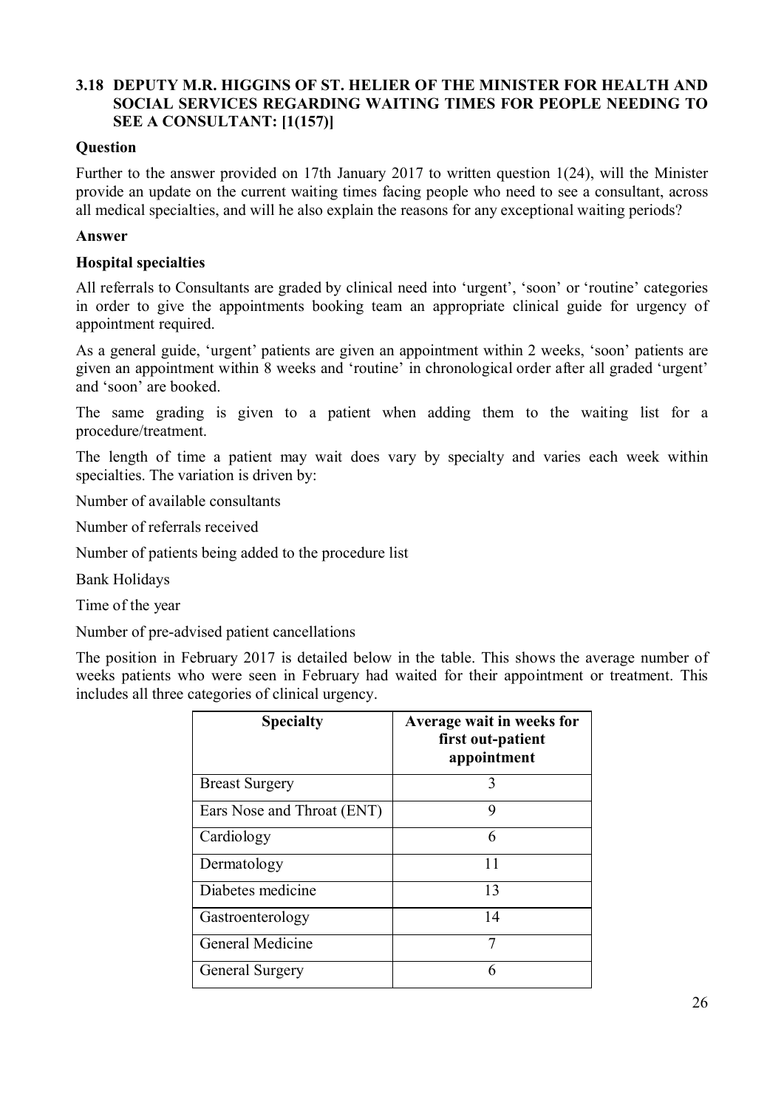## **3.18 DEPUTY M.R. HIGGINS OF ST. HELIER OF THE MINISTER FOR HEALTH AND SOCIAL SERVICES REGARDING WAITING TIMES FOR PEOPLE NEEDING TO SEE A CONSULTANT: [1(157)]**

## **Question**

Further to the answer provided on 17th January 2017 to written question 1(24), will the Minister provide an update on the current waiting times facing people who need to see a consultant, across all medical specialties, and will he also explain the reasons for any exceptional waiting periods?

#### **Answer**

#### **Hospital specialties**

All referrals to Consultants are graded by clinical need into 'urgent', 'soon' or 'routine' categories in order to give the appointments booking team an appropriate clinical guide for urgency of appointment required.

As a general guide, 'urgent' patients are given an appointment within 2 weeks, 'soon' patients are given an appointment within 8 weeks and 'routine' in chronological order after all graded 'urgent' and 'soon' are booked.

The same grading is given to a patient when adding them to the waiting list for a procedure/treatment.

The length of time a patient may wait does vary by specialty and varies each week within specialties. The variation is driven by:

Number of available consultants

Number of referrals received

Number of patients being added to the procedure list

Bank Holidays

Time of the year

Number of pre-advised patient cancellations

The position in February 2017 is detailed below in the table. This shows the average number of weeks patients who were seen in February had waited for their appointment or treatment. This includes all three categories of clinical urgency.

| <b>Specialty</b>           | Average wait in weeks for<br>first out-patient<br>appointment |
|----------------------------|---------------------------------------------------------------|
| <b>Breast Surgery</b>      | 3                                                             |
| Ears Nose and Throat (ENT) | 9                                                             |
| Cardiology                 | 6                                                             |
| Dermatology                | 11                                                            |
| Diabetes medicine          | 13                                                            |
| Gastroenterology           | 14                                                            |
| General Medicine           | 7                                                             |
| <b>General Surgery</b>     | 6                                                             |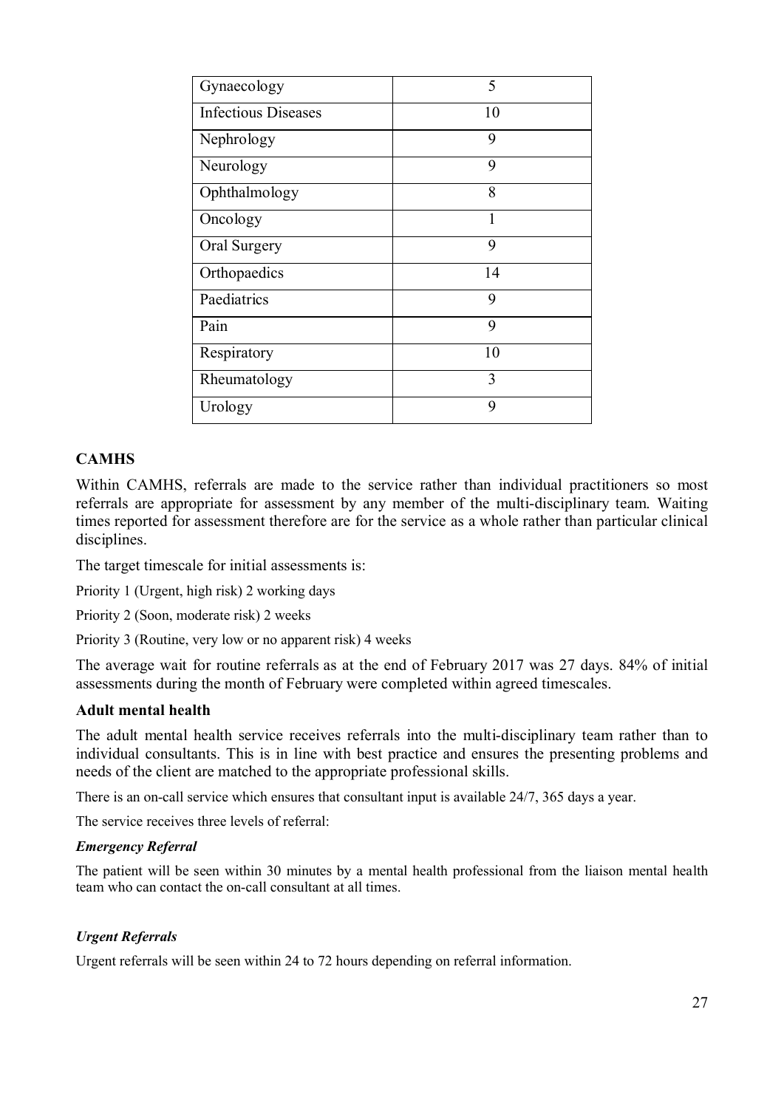| Gynaecology                | 5  |
|----------------------------|----|
| <b>Infectious Diseases</b> | 10 |
| Nephrology                 | 9  |
| Neurology                  | 9  |
| Ophthalmology              | 8  |
| Oncology                   |    |
| Oral Surgery               | 9  |
| Orthopaedics               | 14 |
| Paediatrics                | 9  |
| Pain                       | 9  |
| Respiratory                | 10 |
| Rheumatology               | 3  |
| Urology                    | 9  |

## **CAMHS**

Within CAMHS, referrals are made to the service rather than individual practitioners so most referrals are appropriate for assessment by any member of the multi-disciplinary team. Waiting times reported for assessment therefore are for the service as a whole rather than particular clinical disciplines.

The target timescale for initial assessments is:

Priority 1 (Urgent, high risk) 2 working days

Priority 2 (Soon, moderate risk) 2 weeks

Priority 3 (Routine, very low or no apparent risk) 4 weeks

The average wait for routine referrals as at the end of February 2017 was 27 days. 84% of initial assessments during the month of February were completed within agreed timescales.

## **Adult mental health**

The adult mental health service receives referrals into the multi-disciplinary team rather than to individual consultants. This is in line with best practice and ensures the presenting problems and needs of the client are matched to the appropriate professional skills.

There is an on-call service which ensures that consultant input is available 24/7, 365 days a year.

The service receives three levels of referral:

#### *Emergency Referral*

The patient will be seen within 30 minutes by a mental health professional from the liaison mental health team who can contact the on-call consultant at all times.

#### *Urgent Referrals*

Urgent referrals will be seen within 24 to 72 hours depending on referral information.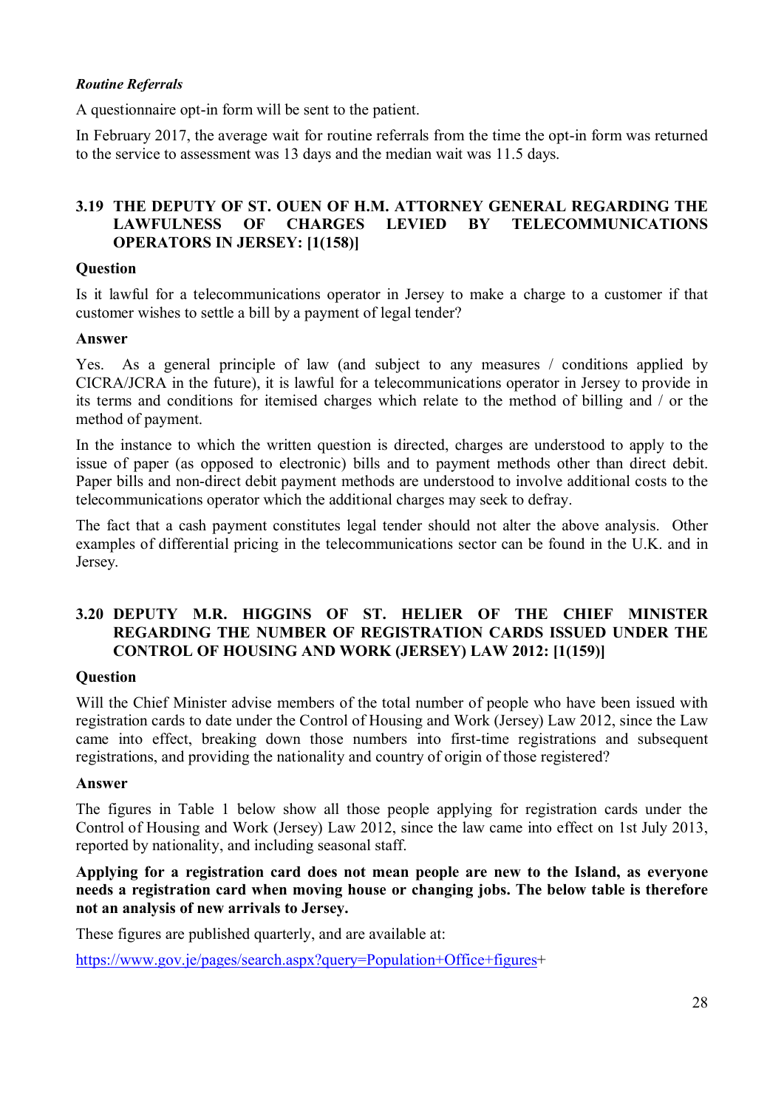## *Routine Referrals*

A questionnaire opt-in form will be sent to the patient.

In February 2017, the average wait for routine referrals from the time the opt-in form was returned to the service to assessment was 13 days and the median wait was 11.5 days.

## **3.19 THE DEPUTY OF ST. OUEN OF H.M. ATTORNEY GENERAL REGARDING THE LAWFULNESS OF CHARGES LEVIED BY TELECOMMUNICATIONS OPERATORS IN JERSEY: [1(158)]**

#### **Question**

Is it lawful for a telecommunications operator in Jersey to make a charge to a customer if that customer wishes to settle a bill by a payment of legal tender?

#### **Answer**

Yes. As a general principle of law (and subject to any measures / conditions applied by CICRA/JCRA in the future), it is lawful for a telecommunications operator in Jersey to provide in its terms and conditions for itemised charges which relate to the method of billing and / or the method of payment.

In the instance to which the written question is directed, charges are understood to apply to the issue of paper (as opposed to electronic) bills and to payment methods other than direct debit. Paper bills and non-direct debit payment methods are understood to involve additional costs to the telecommunications operator which the additional charges may seek to defray.

The fact that a cash payment constitutes legal tender should not alter the above analysis. Other examples of differential pricing in the telecommunications sector can be found in the U.K. and in Jersey.

## **3.20 DEPUTY M.R. HIGGINS OF ST. HELIER OF THE CHIEF MINISTER REGARDING THE NUMBER OF REGISTRATION CARDS ISSUED UNDER THE CONTROL OF HOUSING AND WORK (JERSEY) LAW 2012: [1(159)]**

## **Question**

Will the Chief Minister advise members of the total number of people who have been issued with registration cards to date under the Control of Housing and Work (Jersey) Law 2012, since the Law came into effect, breaking down those numbers into first-time registrations and subsequent registrations, and providing the nationality and country of origin of those registered?

#### **Answer**

The figures in Table 1 below show all those people applying for registration cards under the Control of Housing and Work (Jersey) Law 2012, since the law came into effect on 1st July 2013, reported by nationality, and including seasonal staff.

#### **Applying for a registration card does not mean people are new to the Island, as everyone needs a registration card when moving house or changing jobs. The below table is therefore not an analysis of new arrivals to Jersey.**

These figures are published quarterly, and are available at:

https://www.gov.je/pages/search.aspx?query=Population+Office+figures+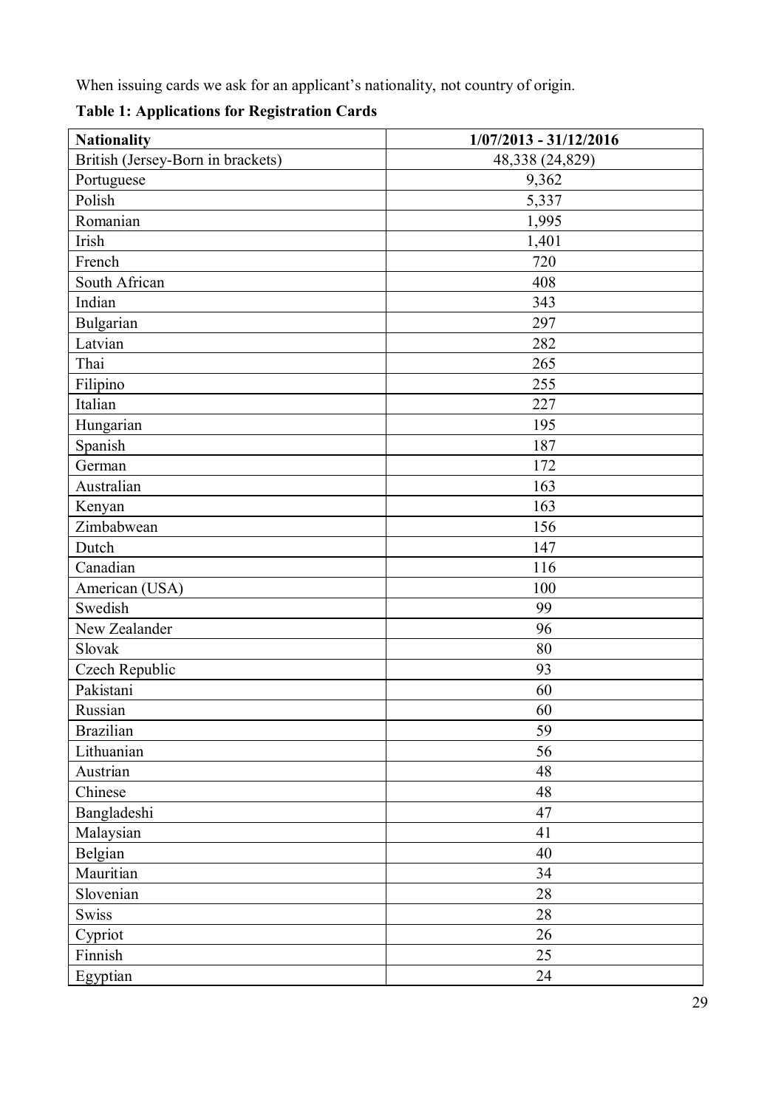When issuing cards we ask for an applicant's nationality, not country of origin.

**Table 1: Applications for Registration Cards**

| <b>Nationality</b>                | $1/07/2013 - 31/12/2016$ |
|-----------------------------------|--------------------------|
| British (Jersey-Born in brackets) | 48,338 (24,829)          |
| Portuguese                        | 9,362                    |
| Polish                            | 5,337                    |
| Romanian                          | 1,995                    |
| Irish                             | 1,401                    |
| French                            | 720                      |
| South African                     | 408                      |
| Indian                            | 343                      |
| Bulgarian                         | 297                      |
| Latvian                           | 282                      |
| Thai                              | 265                      |
| Filipino                          | 255                      |
| Italian                           | 227                      |
| Hungarian                         | 195                      |
| Spanish                           | 187                      |
| German                            | 172                      |
| Australian                        | 163                      |
| Kenyan                            | 163                      |
| Zimbabwean                        | 156                      |
| Dutch                             | 147                      |
| Canadian                          | 116                      |
| American (USA)                    | 100                      |
| Swedish                           | 99                       |
| New Zealander                     | 96                       |
| Slovak                            | 80                       |
| Czech Republic                    | 93                       |
| Pakistani                         | 60                       |
| Russian                           | 60                       |
| <b>Brazilian</b>                  | 59                       |
| Lithuanian                        | 56                       |
| Austrian                          | 48                       |
| Chinese                           | 48                       |
| Bangladeshi                       | 47                       |
| Malaysian                         | 41                       |
| Belgian                           | 40                       |
| Mauritian                         | 34                       |
| Slovenian                         | 28                       |
| <b>Swiss</b>                      | 28                       |
| Cypriot                           | 26                       |
| Finnish                           | 25                       |
| Egyptian                          | 24                       |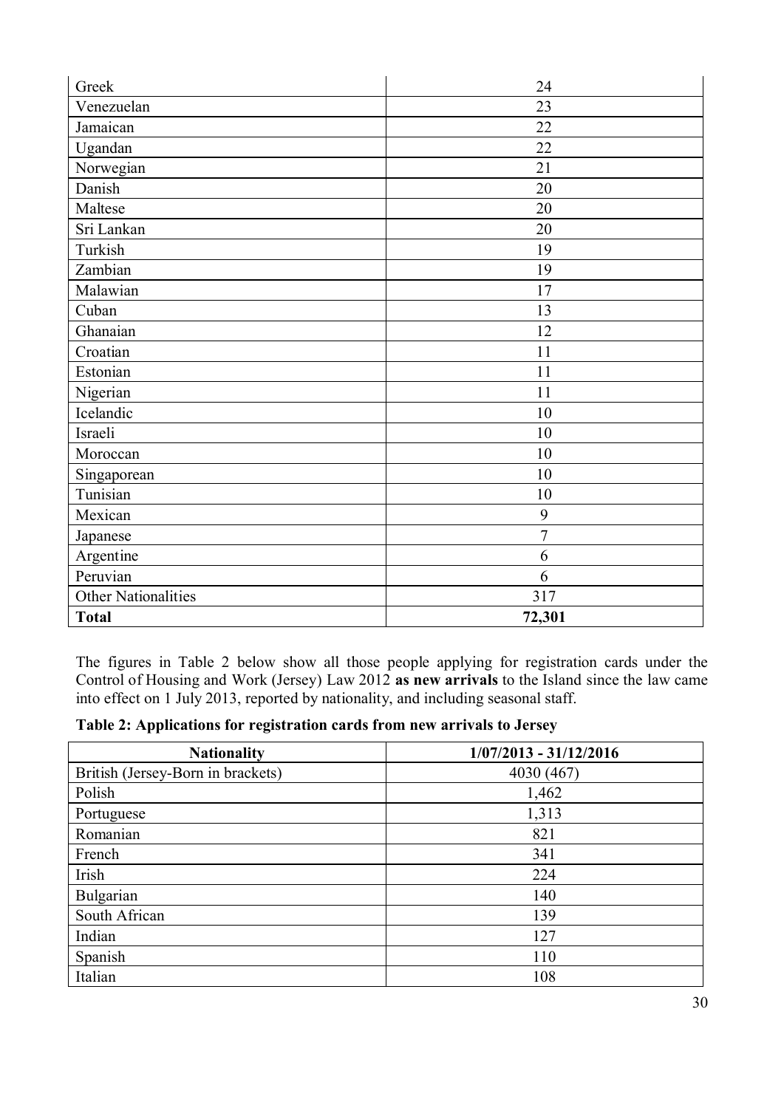| Greek                      | 24             |
|----------------------------|----------------|
| Venezuelan                 | 23             |
| Jamaican                   | 22             |
| Ugandan                    | 22             |
| Norwegian                  | 21             |
| Danish                     | 20             |
| Maltese                    | 20             |
| Sri Lankan                 | 20             |
| Turkish                    | 19             |
| Zambian                    | 19             |
| Malawian                   | 17             |
| Cuban                      | 13             |
| Ghanaian                   | 12             |
| Croatian                   | 11             |
| Estonian                   | 11             |
| Nigerian                   | 11             |
| Icelandic                  | 10             |
| Israeli                    | 10             |
| Moroccan                   | 10             |
| Singaporean                | 10             |
| Tunisian                   | 10             |
| Mexican                    | 9              |
| Japanese                   | $\overline{7}$ |
| Argentine                  | 6              |
| Peruvian                   | 6              |
| <b>Other Nationalities</b> | 317            |
| <b>Total</b>               | 72,301         |

The figures in Table 2 below show all those people applying for registration cards under the Control of Housing and Work (Jersey) Law 2012 **as new arrivals** to the Island since the law came into effect on 1 July 2013, reported by nationality, and including seasonal staff.

| Table 2: Applications for registration cards from new arrivals to Jersey |  |  |
|--------------------------------------------------------------------------|--|--|
|                                                                          |  |  |

| <b>Nationality</b>                | $1/07/2013 - 31/12/2016$ |
|-----------------------------------|--------------------------|
| British (Jersey-Born in brackets) | 4030 (467)               |
| Polish                            | 1,462                    |
| Portuguese                        | 1,313                    |
| Romanian                          | 821                      |
| French                            | 341                      |
| Irish                             | 224                      |
| Bulgarian                         | 140                      |
| South African                     | 139                      |
| Indian                            | 127                      |
| Spanish                           | 110                      |
| Italian                           | 108                      |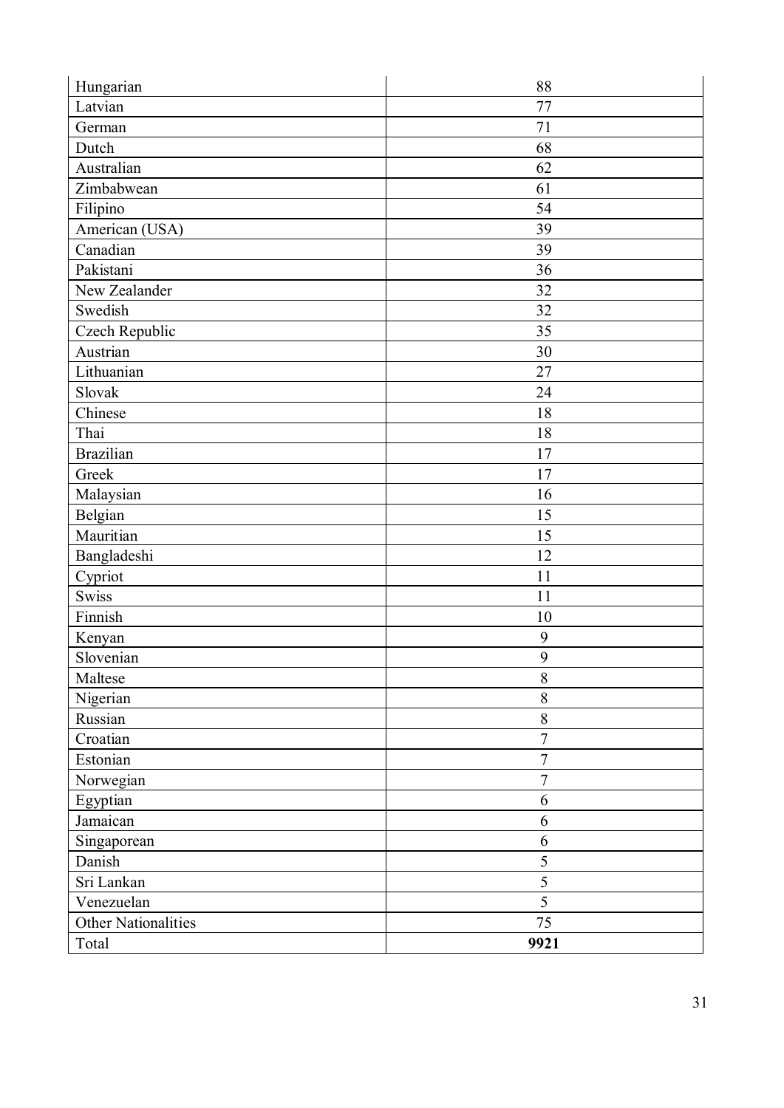| Hungarian                  | 88               |
|----------------------------|------------------|
| Latvian                    | 77               |
| German                     | 71               |
| Dutch                      | 68               |
| Australian                 | 62               |
| Zimbabwean                 | 61               |
| Filipino                   | 54               |
| American (USA)             | 39               |
| Canadian                   | 39               |
| Pakistani                  | 36               |
| New Zealander              | 32               |
| Swedish                    | 32               |
| Czech Republic             | 35               |
| Austrian                   | 30               |
| Lithuanian                 | 27               |
| Slovak                     | 24               |
| Chinese                    | 18               |
| Thai                       | 18               |
| <b>Brazilian</b>           | $17$             |
| Greek                      | 17               |
| Malaysian                  | 16               |
| Belgian                    | 15               |
| Mauritian                  | 15               |
| Bangladeshi                | 12               |
| Cypriot                    | 11               |
| <b>Swiss</b>               | 11               |
| Finnish                    | 10               |
| Kenyan                     | 9                |
| Slovenian                  | 9                |
| Maltese                    | $8\,$            |
| Nigerian                   | $\,$ $\,$        |
| Russian                    | 8                |
| Croatian                   | $\overline{7}$   |
| Estonian                   | $\overline{7}$   |
| Norwegian                  | $\overline{7}$   |
| Egyptian                   | 6                |
| Jamaican                   | 6                |
| Singaporean                | $\boldsymbol{6}$ |
| Danish                     | 5                |
| Sri Lankan                 | $\overline{5}$   |
| Venezuelan                 | $\overline{5}$   |
| <b>Other Nationalities</b> | 75               |
| Total                      | 9921             |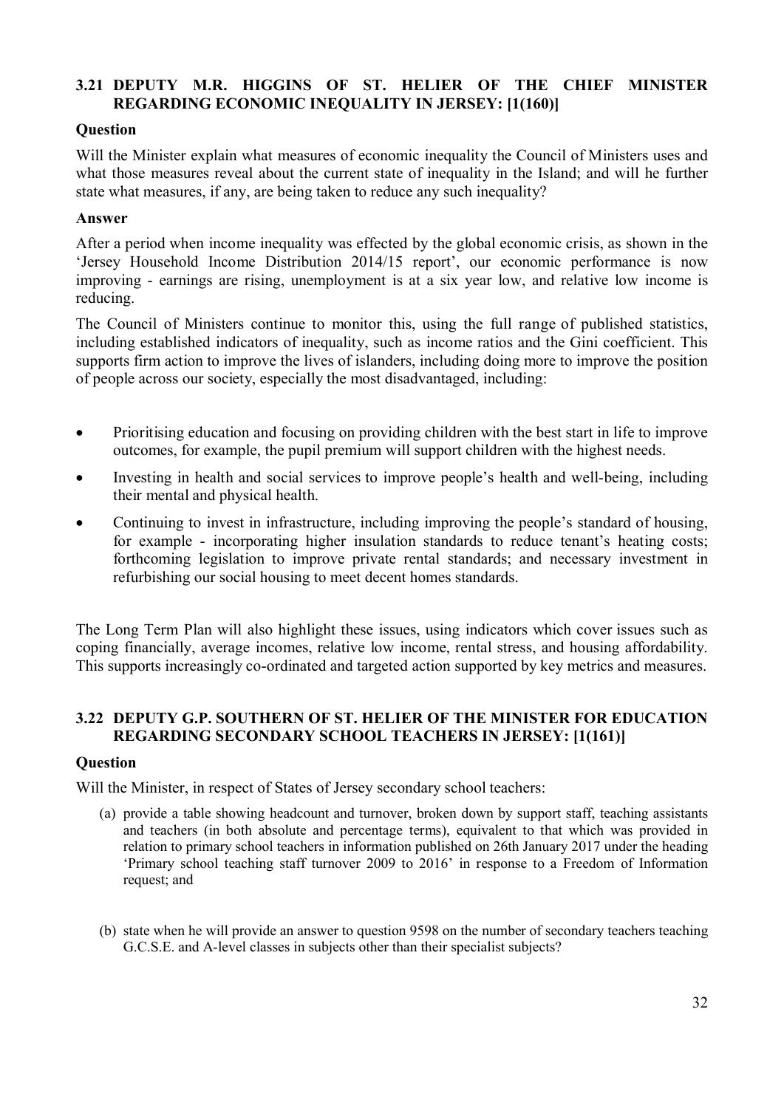## **3.21 DEPUTY M.R. HIGGINS OF ST. HELIER OF THE CHIEF MINISTER REGARDING ECONOMIC INEQUALITY IN JERSEY: [1(160)]**

## **Question**

Will the Minister explain what measures of economic inequality the Council of Ministers uses and what those measures reveal about the current state of inequality in the Island; and will he further state what measures, if any, are being taken to reduce any such inequality?

#### **Answer**

After a period when income inequality was effected by the global economic crisis, as shown in the 'Jersey Household Income Distribution 2014/15 report', our economic performance is now improving - earnings are rising, unemployment is at a six year low, and relative low income is reducing.

The Council of Ministers continue to monitor this, using the full range of published statistics, including established indicators of inequality, such as income ratios and the Gini coefficient. This supports firm action to improve the lives of islanders, including doing more to improve the position of people across our society, especially the most disadvantaged, including:

- Prioritising education and focusing on providing children with the best start in life to improve outcomes, for example, the pupil premium will support children with the highest needs.
- Investing in health and social services to improve people's health and well-being, including their mental and physical health.
- Continuing to invest in infrastructure, including improving the people's standard of housing, for example - incorporating higher insulation standards to reduce tenant's heating costs; forthcoming legislation to improve private rental standards; and necessary investment in refurbishing our social housing to meet decent homes standards.

The Long Term Plan will also highlight these issues, using indicators which cover issues such as coping financially, average incomes, relative low income, rental stress, and housing affordability. This supports increasingly co-ordinated and targeted action supported by key metrics and measures.

## **3.22 DEPUTY G.P. SOUTHERN OF ST. HELIER OF THE MINISTER FOR EDUCATION REGARDING SECONDARY SCHOOL TEACHERS IN JERSEY: [1(161)]**

#### **Question**

Will the Minister, in respect of States of Jersey secondary school teachers:

- (a) provide a table showing headcount and turnover, broken down by support staff, teaching assistants and teachers (in both absolute and percentage terms), equivalent to that which was provided in relation to primary school teachers in information published on 26th January 2017 under the heading 'Primary school teaching staff turnover 2009 to 2016' in response to a Freedom of Information request; and
- (b) state when he will provide an answer to question 9598 on the number of secondary teachers teaching G.C.S.E. and A-level classes in subjects other than their specialist subjects?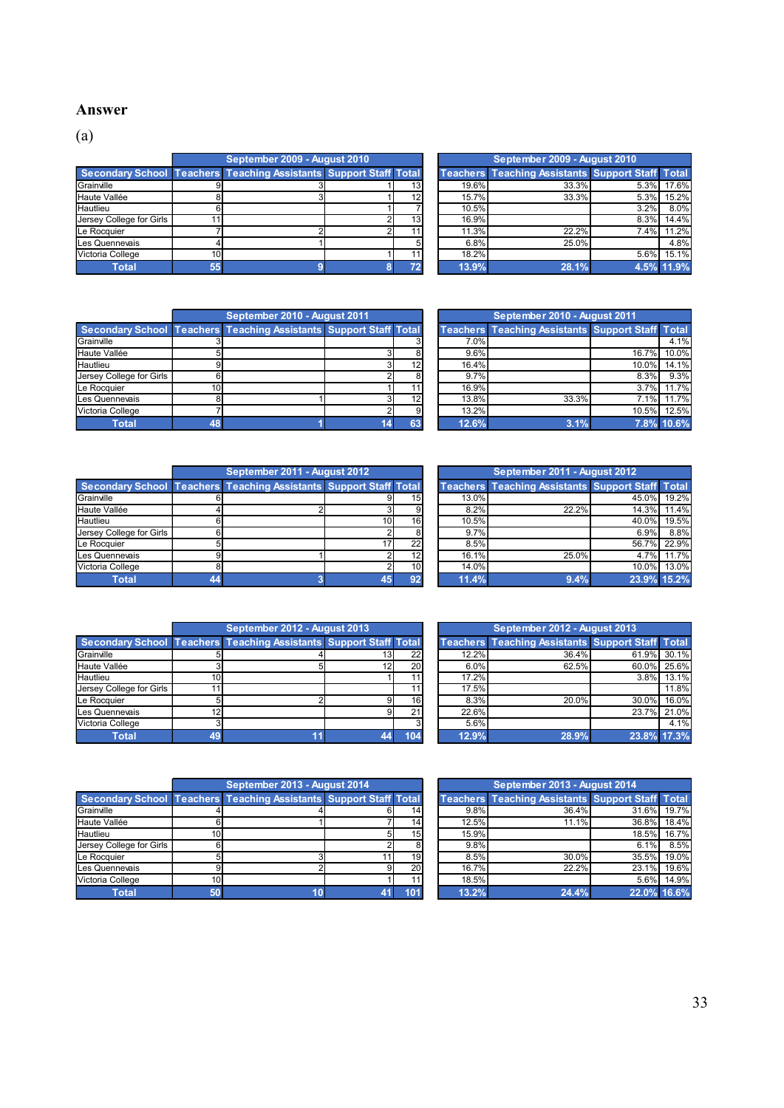#### **Answer**

(a)

|                          | September 2009 - August 2010                                             |                 |       | September 2009 - August 2010                            |      |       |
|--------------------------|--------------------------------------------------------------------------|-----------------|-------|---------------------------------------------------------|------|-------|
|                          | <b>Secondary School Teachers Teaching Assistants Support Staff Total</b> |                 |       | <b>Teachers Teaching Assistants Support Staff Total</b> |      |       |
| Grainville               |                                                                          | 131             | 19.6% | 33.3%                                                   | 5.3% | 17.6% |
| Haute Vallée             |                                                                          | 12              | 15.7% | 33.3%                                                   | 5.3% | 15.2% |
| Hautlieu                 |                                                                          |                 | 10.5% |                                                         | 3.2% | 8.0%  |
| Jersey College for Girls |                                                                          | 13 <sub>l</sub> | 16.9% |                                                         | 8.3% | 14.4% |
| Le Rocquier              |                                                                          |                 | 11.3% | 22.2%                                                   | 7.4% | 11.2% |
| Les Quennevais           |                                                                          |                 | 6.8%  | 25.0%                                                   |      | 4.8%  |
| Victoria College         |                                                                          | 11              | 18.2% |                                                         | 5.6% | 15.1% |
| Total                    |                                                                          | 72              | 13.9% | 28.1%                                                   | 4.5% | 11.9% |

| September 2009 - August 2010                   |     |       | September 2009 - August 2010                            |      |            |
|------------------------------------------------|-----|-------|---------------------------------------------------------|------|------------|
| <b>Teaching Assistants Support Staff Total</b> |     |       | <b>Teachers Teaching Assistants Support Staff Total</b> |      |            |
|                                                | 13  | 19.6% | 33.3%                                                   | 5.3% | 17.6%      |
|                                                | 12  | 15.7% | 33.3%                                                   | 5.3% | 15.2%      |
|                                                |     | 10.5% |                                                         | 3.2% | 8.0%       |
|                                                | 13  | 16.9% |                                                         | 8.3% | 14.4%      |
|                                                | 11  | 11.3% | 22.2%                                                   | 7.4% | 11.2%      |
|                                                |     | 6.8%  | 25.0%                                                   |      | 4.8%       |
|                                                | 11. | 18.2% |                                                         | 5.6% | 15.1%      |
|                                                | 72  | 13.9% | 28.1%                                                   |      | 4.5% 11.9% |

|                          | September 2010 - August 2011,                                            |    |       | September 2010 - August 2011                            |       |            |
|--------------------------|--------------------------------------------------------------------------|----|-------|---------------------------------------------------------|-------|------------|
|                          | <b>Secondary School Teachers Teaching Assistants Support Staff Total</b> |    |       | <b>Teachers Teaching Assistants Support Staff Total</b> |       |            |
| Grainville               |                                                                          |    | 7.0%  |                                                         |       | 4.1%       |
| Haute Vallée             |                                                                          | 8  | 9.6%  |                                                         | 16.7% | 10.0%      |
| Hautlieu                 |                                                                          | 12 | 16.4% |                                                         | 10.0% | 14.1%      |
| Jersey College for Girls |                                                                          | 8  | 9.7%  |                                                         | 8.3%  | 9.3%       |
| Le Rocquier              |                                                                          |    | 16.9% |                                                         | 3.7%  | 11.7%      |
| Les Quennevais           |                                                                          | 12 | 13.8% | 33.3%                                                   | 7.1%  | 11.7%      |
| Victoria College         |                                                                          | 9  | 13.2% |                                                         | 10.5% | 12.5%      |
| Total                    |                                                                          | 63 | 12.6% | 3.1%                                                    |       | 7.8% 10.6% |

| September 2010 - August 2011                   |                 | September 2010 - August 2011 |                                                         |       |            |  |  |  |
|------------------------------------------------|-----------------|------------------------------|---------------------------------------------------------|-------|------------|--|--|--|
| <b>Teaching Assistants Support Staff Total</b> |                 |                              | <b>Teachers Teaching Assistants Support Staff Total</b> |       |            |  |  |  |
|                                                |                 | 7.0%                         |                                                         |       | 4.1%       |  |  |  |
|                                                |                 | 9.6%                         |                                                         | 16.7% | 10.0%      |  |  |  |
|                                                | 12 <sup>1</sup> | 16.4%                        |                                                         | 10.0% | 14.1%      |  |  |  |
|                                                | 8               | 9.7%                         |                                                         | 8.3%  | 9.3%       |  |  |  |
|                                                | 11              | 16.9%                        |                                                         | 3.7%  | 11.7%      |  |  |  |
|                                                | 12              | 13.8%                        | 33.3%                                                   | 7.1%  | 11.7%      |  |  |  |
|                                                | 9               | 13.2%                        |                                                         | 10.5% | 12.5%      |  |  |  |
|                                                | 63              | 12.6%                        | 3.1%                                                    |       | 7.8% 10.6% |  |  |  |

|                          | September 2011 - August 2012                                      |                 |                 |       | September 2011 - August 2012                            |             |       |
|--------------------------|-------------------------------------------------------------------|-----------------|-----------------|-------|---------------------------------------------------------|-------------|-------|
|                          | Secondary School Teachers Teaching Assistants Support Staff Total |                 |                 |       | <b>Teachers Teaching Assistants Support Staff Total</b> |             |       |
| Grainville               |                                                                   |                 | 15 <sup>1</sup> | 13.0% |                                                         | 45.0%       | 19.2% |
| Haute Vallée             |                                                                   |                 | 91              | 8.2%  | 22.2%                                                   | 14.3%       | 11.4% |
| Hautlieu                 |                                                                   | 10 <sup>1</sup> | 16              | 10.5% |                                                         | 40.0%       | 19.5% |
| Jersey College for Girls |                                                                   |                 |                 | 9.7%  |                                                         | 6.9%        | 8.8%  |
| Le Rocquier              |                                                                   |                 | 22              | 8.5%  |                                                         | 56.7%       | 22.9% |
| Les Quennevais           |                                                                   |                 | 12              | 16.1% | 25.0%                                                   | 4.7%        | 11.7% |
| Victoria College         |                                                                   |                 | 10 <sup>1</sup> | 14.0% |                                                         | 10.0%       | 13.0% |
| Total                    |                                                                   | 45              | 92              | 11.4% | 9.4%                                                    | 23.9% 15.2% |       |

| September 2011 - August 2012                   |    |                 |       | September 2011 - August 2012                            |             |       |
|------------------------------------------------|----|-----------------|-------|---------------------------------------------------------|-------------|-------|
| <b>Teaching Assistants Support Staff Total</b> |    |                 |       | <b>Teachers Teaching Assistants Support Staff Total</b> |             |       |
|                                                |    | 15 <sup>1</sup> | 13.0% |                                                         | 45.0%       | 19.2% |
|                                                |    | 9               | 8.2%  | 22.2%                                                   | 14.3%       | 11.4% |
|                                                | 10 | 16 <sup>1</sup> | 10.5% |                                                         | 40.0%       | 19.5% |
|                                                |    | 8               | 9.7%  |                                                         | 6.9%        | 8.8%  |
|                                                | 17 | 22              | 8.5%  |                                                         | 56.7%       | 22.9% |
|                                                |    | 12              | 16.1% | 25.0%                                                   | 4.7%        | 11.7% |
|                                                |    | 10              | 14.0% |                                                         | 10.0%       | 13.0% |
|                                                | 45 | 92              | 11.4% | 9.4%                                                    | 23.9% 15.2% |       |

|                          | September 2012 - August 2013                                             |    |     |       | September 2012 - August 2013                            |             |       |
|--------------------------|--------------------------------------------------------------------------|----|-----|-------|---------------------------------------------------------|-------------|-------|
|                          | <b>Secondary School Teachers Teaching Assistants Support Staff Total</b> |    |     |       | <b>Teachers Teaching Assistants Support Staff Total</b> |             |       |
| Grainville               |                                                                          | 13 | 22  | 12.2% | 36.4%                                                   | 61.9%       | 30.1% |
| Haute Vallée             |                                                                          | 12 | 20  | 6.0%  | 62.5%                                                   | 60.0%       | 25.6% |
| Hautlieu                 |                                                                          |    |     | 17.2% |                                                         | 3.8%        | 13.1% |
| Jersey College for Girls |                                                                          |    |     | 17.5% |                                                         |             | 11.8% |
| Le Rocquier              |                                                                          |    | 16  | 8.3%  | 20.0%                                                   | 30.0%       | 16.0% |
| Les Quennevais           |                                                                          |    | 211 | 22.6% |                                                         | 23.7%       | 21.0% |
| Victoria College         |                                                                          |    |     | 5.6%  |                                                         |             | 4.1%  |
| <b>Total</b>             |                                                                          |    | 104 | 12.9% | 28.9%                                                   | 23.8% 17.3% |       |

|                  | September 2012 - August 2013                                 |    |                 |       | September 2012 - August 2013                            |          |             |
|------------------|--------------------------------------------------------------|----|-----------------|-------|---------------------------------------------------------|----------|-------------|
|                  | dary School Teachers Teaching Assistants Support Staff Total |    |                 |       | <b>Teachers Teaching Assistants Support Staff Total</b> |          |             |
|                  |                                                              |    | 22              | 12.2% | 36.4%                                                   |          | 61.9% 30.1% |
| allée            |                                                              | 12 | <b>20</b>       | 6.0%  | 62.5%                                                   | 60.0%    | 25.6%       |
|                  |                                                              |    |                 | 17.2% |                                                         |          | 3.8% 13.1%  |
| ollege for Girls |                                                              |    |                 | 17.5% |                                                         |          | 11.8%       |
| uier             |                                                              |    | 16 <sup>1</sup> | 8.3%  | 20.0%                                                   | $30.0\%$ | 16.0%       |
| nnevais          |                                                              |    | 21              | 22.6% |                                                         |          | 23.7% 21.0% |
| College          |                                                              |    |                 | 5.6%  |                                                         |          | 4.1%        |
| <b>Total</b>     |                                                              |    | 104             | 12.9% | 28.9%                                                   |          | 23.8% 17.3% |

|                          | September 2013 - August 2014                                      |                 |       | September 2013 - August 2014                            |             |       |
|--------------------------|-------------------------------------------------------------------|-----------------|-------|---------------------------------------------------------|-------------|-------|
|                          | Secondary School Teachers Teaching Assistants Support Staff Total |                 |       | <b>Teachers Teaching Assistants Support Staff Total</b> |             |       |
| Grainville               |                                                                   | 14              | 9.8%  | 36.4%                                                   | 31.6%       | 19.7% |
| Haute Vallée             |                                                                   | 14              | 12.5% | 11.1%                                                   | 36.8%       | 18.4% |
| Hautlieu                 |                                                                   | 15 <sub>l</sub> | 15.9% |                                                         | 18.5%       | 16.7% |
| Jersey College for Girls |                                                                   | 8               | 9.8%  |                                                         | 6.1%        | 8.5%  |
| Le Rocquier              |                                                                   | 19              | 8.5%  | 30.0%                                                   | 35.5%       | 19.0% |
| Les Quennevais           |                                                                   | 20              | 16.7% | 22.2%                                                   | 23.1%       | 19.6% |
| Victoria College         |                                                                   | 11              | 18.5% |                                                         | 5.6%        | 14.9% |
| Total                    |                                                                   | 101             | 13.2% | 24.4%                                                   | 22.0% 16.6% |       |

| September 2013 - August 2014                   |                 |       | September 2013 - August 2014                            |             |       |
|------------------------------------------------|-----------------|-------|---------------------------------------------------------|-------------|-------|
| <b>Teaching Assistants Support Staff Total</b> |                 |       | <b>Teachers Teaching Assistants Support Staff Total</b> |             |       |
|                                                | 14 <sub>1</sub> | 9.8%  | 36.4%                                                   | 31.6%       | 19.7% |
|                                                | 14              | 12.5% | 11.1%                                                   | 36.8%       | 18.4% |
|                                                | 15              | 15.9% |                                                         | 18.5%       | 16.7% |
|                                                |                 | 9.8%  |                                                         | 6.1%        | 8.5%  |
|                                                | 19              | 8.5%  | 30.0%                                                   | 35.5%       | 19.0% |
|                                                | 20              | 16.7% | 22.2%                                                   | 23.1%       | 19.6% |
|                                                | 11              | 18.5% |                                                         | 5.6%        | 14.9% |
|                                                | 101             | 13.2% | 24.4%                                                   | 22.0% 16.6% |       |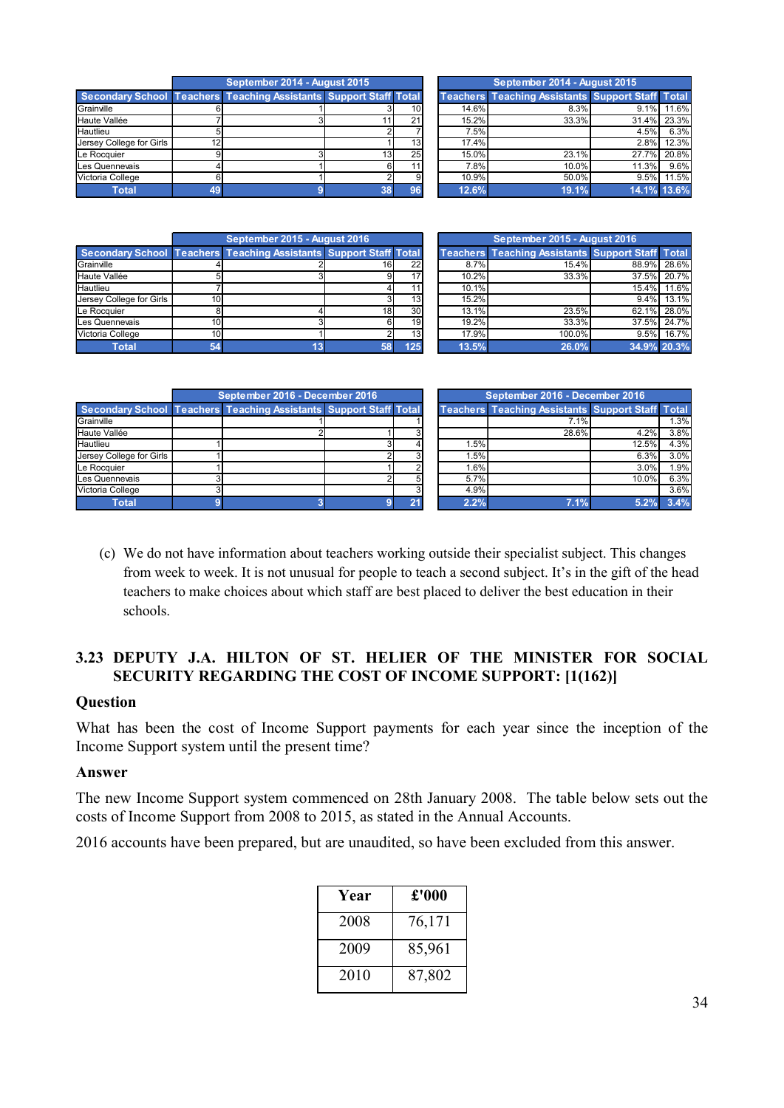|                  |    | September 2014 - August 2015                                 |                 |                 |       | September 2014 - August 2015                            |             |            |
|------------------|----|--------------------------------------------------------------|-----------------|-----------------|-------|---------------------------------------------------------|-------------|------------|
|                  |    | dary School Teachers Teaching Assistants Support Staff Total |                 |                 |       | <b>Teachers Teaching Assistants Support Staff Total</b> |             |            |
|                  |    |                                                              |                 | 10 <sup>1</sup> | 14.6% | 8.3%                                                    |             | 9.1% 11.6% |
| allée            |    |                                                              |                 | 21              | 15.2% | 33.3%                                                   | 31.4% 23.3% |            |
|                  |    |                                                              |                 |                 | 7.5%  |                                                         | 4.5%        | 6.3%       |
| ollege for Girls | 12 |                                                              |                 | 13 <sup>1</sup> | 17.4% |                                                         | $2.8\%$     | 12.3%      |
| <i>i</i> ier     |    |                                                              | 13 <sub>l</sub> | 25              | 15.0% | 23.1%                                                   | 27.7% 20.8% |            |
| nnevais          |    |                                                              |                 |                 | 7.8%  | 10.0%                                                   | 11.3%       | 9.6%       |
| College          |    |                                                              |                 |                 | 10.9% | 50.0%                                                   | 9.5%        | 11.5%      |
| <b>Total</b>     |    |                                                              |                 |                 | 12.6% | 19.1%                                                   | 14.1% 13.6% |            |

|                          | September 2014 - August 2015                                      |                 |                 | September 2014 - August 2015 |                                                         |             |       |
|--------------------------|-------------------------------------------------------------------|-----------------|-----------------|------------------------------|---------------------------------------------------------|-------------|-------|
|                          | Secondary School Teachers Teaching Assistants Support Staff Total |                 |                 |                              | <b>Teachers Teaching Assistants Support Staff Total</b> |             |       |
| Grainville               |                                                                   |                 | 101             | 14.6%                        | 8.3%                                                    | 9.1%        | 11.6% |
| Haute Vallée             |                                                                   |                 | 21              | 15.2%                        | 33.3%                                                   | 31.4%       | 23.3% |
| Hautlieu                 |                                                                   |                 |                 | 7.5%                         |                                                         | 4.5%        | 6.3%  |
| Jersey College for Girls |                                                                   |                 | 13 <sup>1</sup> | 17.4%                        |                                                         | 2.8%        | 12.3% |
| Le Rocquier              |                                                                   | 13 <sup>1</sup> | 25              | 15.0%                        | 23.1%                                                   | 27.7%       | 20.8% |
| Les Quennevais           |                                                                   |                 |                 | 7.8%                         | $10.0\%$                                                | 11.3%       | 9.6%  |
| Victoria College         |                                                                   |                 | 9               | 10.9%                        | 50.0%                                                   | 9.5%        | 11.5% |
| Total                    |                                                                   | रात             |                 | 12.6%                        | 19.1%                                                   | 14 1% 13 6% |       |

|                          | September 2015 - August 2016                                      |                 | September 2015 - August 2016 |       |                                                         |             |       |
|--------------------------|-------------------------------------------------------------------|-----------------|------------------------------|-------|---------------------------------------------------------|-------------|-------|
|                          | Secondary School Teachers Teaching Assistants Support Staff Total |                 |                              |       | <b>Teachers Teaching Assistants Support Staff Total</b> |             |       |
| Grainville               |                                                                   | 16              | <b>22</b>                    | 8.7%  | 15.4%                                                   | 88.9% 28.6% |       |
| Haute Vallée             |                                                                   |                 | 17                           | 10.2% | 33.3%                                                   | 37.5%       | 20.7% |
| Hautlieu                 |                                                                   |                 | 11                           | 10.1% |                                                         | 15.4%       | 11.6% |
| Jersey College for Girls |                                                                   |                 | 13 <sup>1</sup>              | 15.2% |                                                         | 9.4%        | 13.1% |
| Le Rocauier              |                                                                   | 18 <sup>1</sup> | 30 <sup>1</sup>              | 13.1% | 23.5%                                                   | $62.1\%$    | 28.0% |
| Les Quennevais           |                                                                   |                 | 19 <sup>1</sup>              | 19.2% | 33.3%                                                   | 37.5%       | 24.7% |
| Victoria College         |                                                                   |                 | 13 <sub>l</sub>              | 17.9% | 100.0%                                                  | 9.5%        | 16.7% |
| <b>Total</b>             |                                                                   |                 | 125                          | 13.5% | 26.0%                                                   | 34.9% 20.3% |       |

|       | September 2015 - August 2016                            |       |             |  |  |  |  |  |  |
|-------|---------------------------------------------------------|-------|-------------|--|--|--|--|--|--|
|       | <b>Teachers Teaching Assistants Support Staff Total</b> |       |             |  |  |  |  |  |  |
| 8.7%  | 15.4%                                                   | 88.9% | 28.6%       |  |  |  |  |  |  |
| 10.2% | 33.3%                                                   | 37.5% | 20.7%       |  |  |  |  |  |  |
| 10.1% |                                                         | 15.4% | 11.6%       |  |  |  |  |  |  |
| 15.2% |                                                         | 9.4%  | 13.1%       |  |  |  |  |  |  |
| 13.1% | 23.5%                                                   | 62.1% | 28.0%       |  |  |  |  |  |  |
| 19.2% | 33.3%                                                   | 37.5% | 24.7%       |  |  |  |  |  |  |
| 17.9% | 100.0%                                                  | 9.5%  | 16.7%       |  |  |  |  |  |  |
| 13.5% | 26.0%                                                   |       | 34.9% 20.3% |  |  |  |  |  |  |

|                          | September 2016 - December 2016                                    |  | September 2016 - December 2016 |      |                                                         |       |      |
|--------------------------|-------------------------------------------------------------------|--|--------------------------------|------|---------------------------------------------------------|-------|------|
|                          | Secondary School Teachers Teaching Assistants Support Staff Total |  |                                |      | <b>Teachers Teaching Assistants Support Staff Total</b> |       |      |
| Grainville               |                                                                   |  |                                |      | 7.1%                                                    |       | 1.3% |
| Haute Vallée             |                                                                   |  |                                |      | 28.6%                                                   | 4.2%  | 3.8% |
| Hautlieu                 |                                                                   |  |                                | 1.5% |                                                         | 12.5% | 4.3% |
| Jersey College for Girls |                                                                   |  |                                | 1.5% |                                                         | 6.3%  | 3.0% |
| Le Rocquier              |                                                                   |  |                                | 1.6% |                                                         | 3.0%  | 1.9% |
| Les Quennevais           |                                                                   |  | 5                              | 5.7% |                                                         | 10.0% | 6.3% |
| Victoria College         |                                                                   |  |                                | 4.9% |                                                         |       | 3.6% |
| Total                    |                                                                   |  | 21                             | 2.2% | 7.1%                                                    | 5.2%  | 3.4% |

| September 2016 - December 2016 |                                         |  |   |  | September 2016 - December 2016 |                                                         |       |      |  |  |
|--------------------------------|-----------------------------------------|--|---|--|--------------------------------|---------------------------------------------------------|-------|------|--|--|
|                                | Teaching Assistants Support Staff Total |  |   |  |                                | <b>Teachers Teaching Assistants Support Staff Total</b> |       |      |  |  |
|                                |                                         |  |   |  |                                | 7.1%                                                    |       | 1.3% |  |  |
|                                |                                         |  |   |  |                                | 28.6%                                                   | 4.2%  | 3.8% |  |  |
|                                |                                         |  |   |  | 1.5%                           |                                                         | 12.5% | 4.3% |  |  |
|                                |                                         |  |   |  | 1.5%                           |                                                         | 6.3%  | 3.0% |  |  |
|                                |                                         |  |   |  | 1.6%                           |                                                         | 3.0%  | 1.9% |  |  |
|                                |                                         |  |   |  | 5.7%                           |                                                         | 10.0% | 6.3% |  |  |
|                                |                                         |  | ົ |  | 4.9%                           |                                                         |       | 3.6% |  |  |
|                                |                                         |  | ີ |  | 2.2%                           | 7.1%                                                    | 5.2%  | 3.4% |  |  |

(c) We do not have information about teachers working outside their specialist subject. This changes from week to week. It is not unusual for people to teach a second subject. It's in the gift of the head teachers to make choices about which staff are best placed to deliver the best education in their schools.

## **3.23 DEPUTY J.A. HILTON OF ST. HELIER OF THE MINISTER FOR SOCIAL SECURITY REGARDING THE COST OF INCOME SUPPORT: [1(162)]**

## **Question**

What has been the cost of Income Support payments for each year since the inception of the Income Support system until the present time?

#### **Answer**

The new Income Support system commenced on 28th January 2008. The table below sets out the costs of Income Support from 2008 to 2015, as stated in the Annual Accounts.

2016 accounts have been prepared, but are unaudited, so have been excluded from this answer.

| Year | £'000  |
|------|--------|
| 2008 | 76,171 |
| 2009 | 85,961 |
| 2010 | 87,802 |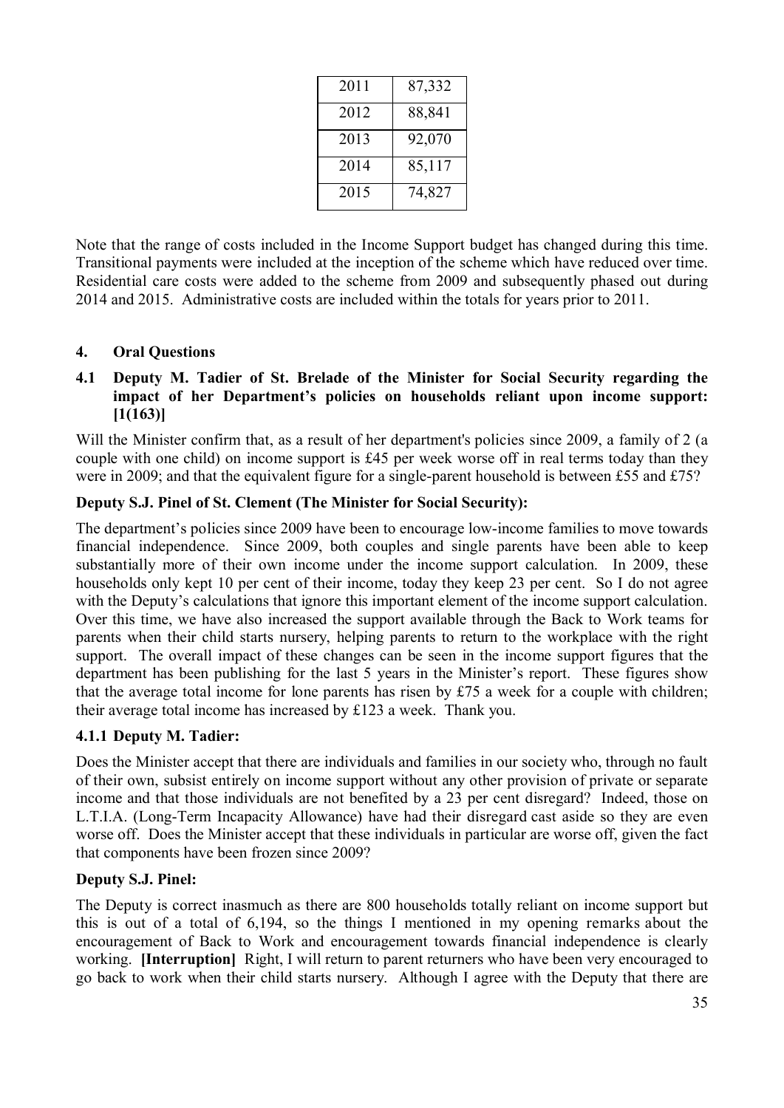| 2011 | 87,332 |
|------|--------|
| 2012 | 88,841 |
| 2013 | 92,070 |
| 2014 | 85,117 |
| 2015 | 74,827 |

Note that the range of costs included in the Income Support budget has changed during this time. Transitional payments were included at the inception of the scheme which have reduced over time. Residential care costs were added to the scheme from 2009 and subsequently phased out during 2014 and 2015. Administrative costs are included within the totals for years prior to 2011.

## **4. Oral Questions**

## **4.1 Deputy M. Tadier of St. Brelade of the Minister for Social Security regarding the impact of her Department's policies on households reliant upon income support: [1(163)]**

Will the Minister confirm that, as a result of her department's policies since 2009, a family of 2 (a couple with one child) on income support is £45 per week worse off in real terms today than they were in 2009; and that the equivalent figure for a single-parent household is between £55 and £75?

#### **Deputy S.J. Pinel of St. Clement (The Minister for Social Security):**

The department's policies since 2009 have been to encourage low-income families to move towards financial independence. Since 2009, both couples and single parents have been able to keep substantially more of their own income under the income support calculation. In 2009, these households only kept 10 per cent of their income, today they keep 23 per cent. So I do not agree with the Deputy's calculations that ignore this important element of the income support calculation. Over this time, we have also increased the support available through the Back to Work teams for parents when their child starts nursery, helping parents to return to the workplace with the right support. The overall impact of these changes can be seen in the income support figures that the department has been publishing for the last 5 years in the Minister's report. These figures show that the average total income for lone parents has risen by £75 a week for a couple with children; their average total income has increased by £123 a week. Thank you.

## **4.1.1 Deputy M. Tadier:**

Does the Minister accept that there are individuals and families in our society who, through no fault of their own, subsist entirely on income support without any other provision of private or separate income and that those individuals are not benefited by a 23 per cent disregard? Indeed, those on L.T.I.A. (Long-Term Incapacity Allowance) have had their disregard cast aside so they are even worse off. Does the Minister accept that these individuals in particular are worse off, given the fact that components have been frozen since 2009?

## **Deputy S.J. Pinel:**

The Deputy is correct inasmuch as there are 800 households totally reliant on income support but this is out of a total of 6,194, so the things I mentioned in my opening remarks about the encouragement of Back to Work and encouragement towards financial independence is clearly working. **[Interruption]** Right, I will return to parent returners who have been very encouraged to go back to work when their child starts nursery. Although I agree with the Deputy that there are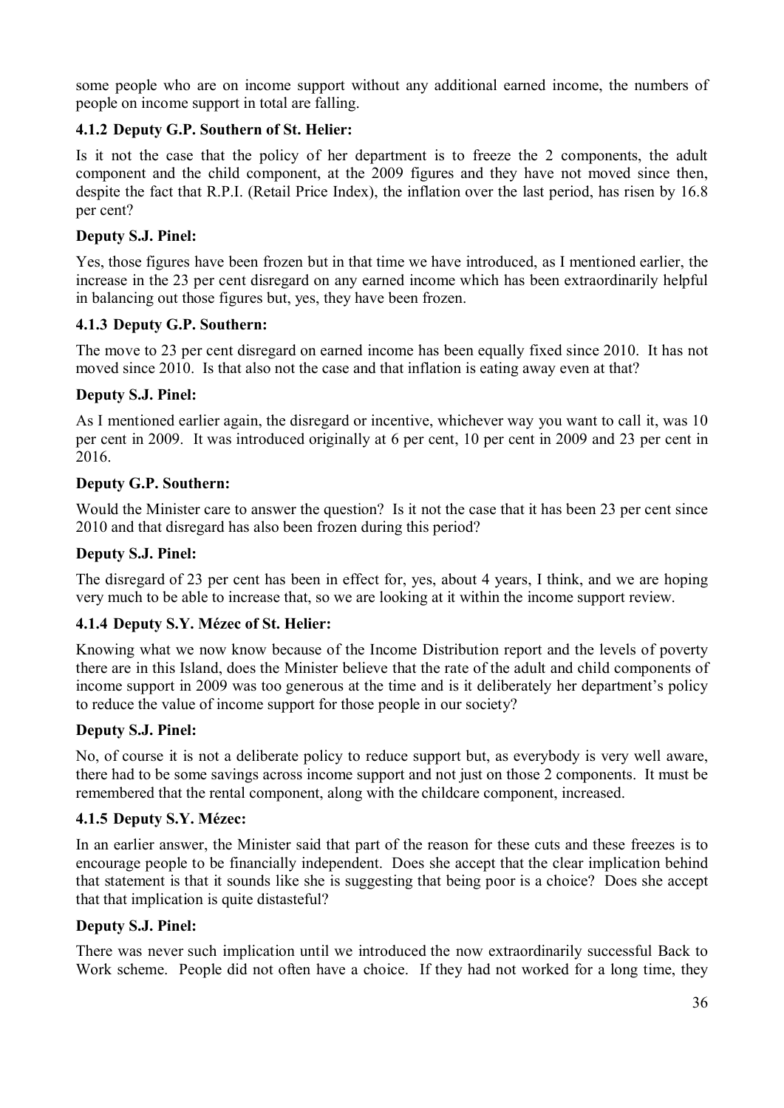some people who are on income support without any additional earned income, the numbers of people on income support in total are falling.

## **4.1.2 Deputy G.P. Southern of St. Helier:**

Is it not the case that the policy of her department is to freeze the 2 components, the adult component and the child component, at the 2009 figures and they have not moved since then, despite the fact that R.P.I. (Retail Price Index), the inflation over the last period, has risen by 16.8 per cent?

## **Deputy S.J. Pinel:**

Yes, those figures have been frozen but in that time we have introduced, as I mentioned earlier, the increase in the 23 per cent disregard on any earned income which has been extraordinarily helpful in balancing out those figures but, yes, they have been frozen.

## **4.1.3 Deputy G.P. Southern:**

The move to 23 per cent disregard on earned income has been equally fixed since 2010. It has not moved since 2010. Is that also not the case and that inflation is eating away even at that?

## **Deputy S.J. Pinel:**

As I mentioned earlier again, the disregard or incentive, whichever way you want to call it, was 10 per cent in 2009. It was introduced originally at 6 per cent, 10 per cent in 2009 and 23 per cent in 2016.

## **Deputy G.P. Southern:**

Would the Minister care to answer the question? Is it not the case that it has been 23 per cent since 2010 and that disregard has also been frozen during this period?

## **Deputy S.J. Pinel:**

The disregard of 23 per cent has been in effect for, yes, about 4 years, I think, and we are hoping very much to be able to increase that, so we are looking at it within the income support review.

## **4.1.4 Deputy S.Y. Mézec of St. Helier:**

Knowing what we now know because of the Income Distribution report and the levels of poverty there are in this Island, does the Minister believe that the rate of the adult and child components of income support in 2009 was too generous at the time and is it deliberately her department's policy to reduce the value of income support for those people in our society?

## **Deputy S.J. Pinel:**

No, of course it is not a deliberate policy to reduce support but, as everybody is very well aware, there had to be some savings across income support and not just on those 2 components. It must be remembered that the rental component, along with the childcare component, increased.

## **4.1.5 Deputy S.Y. Mézec:**

In an earlier answer, the Minister said that part of the reason for these cuts and these freezes is to encourage people to be financially independent. Does she accept that the clear implication behind that statement is that it sounds like she is suggesting that being poor is a choice? Does she accept that that implication is quite distasteful?

## **Deputy S.J. Pinel:**

There was never such implication until we introduced the now extraordinarily successful Back to Work scheme. People did not often have a choice. If they had not worked for a long time, they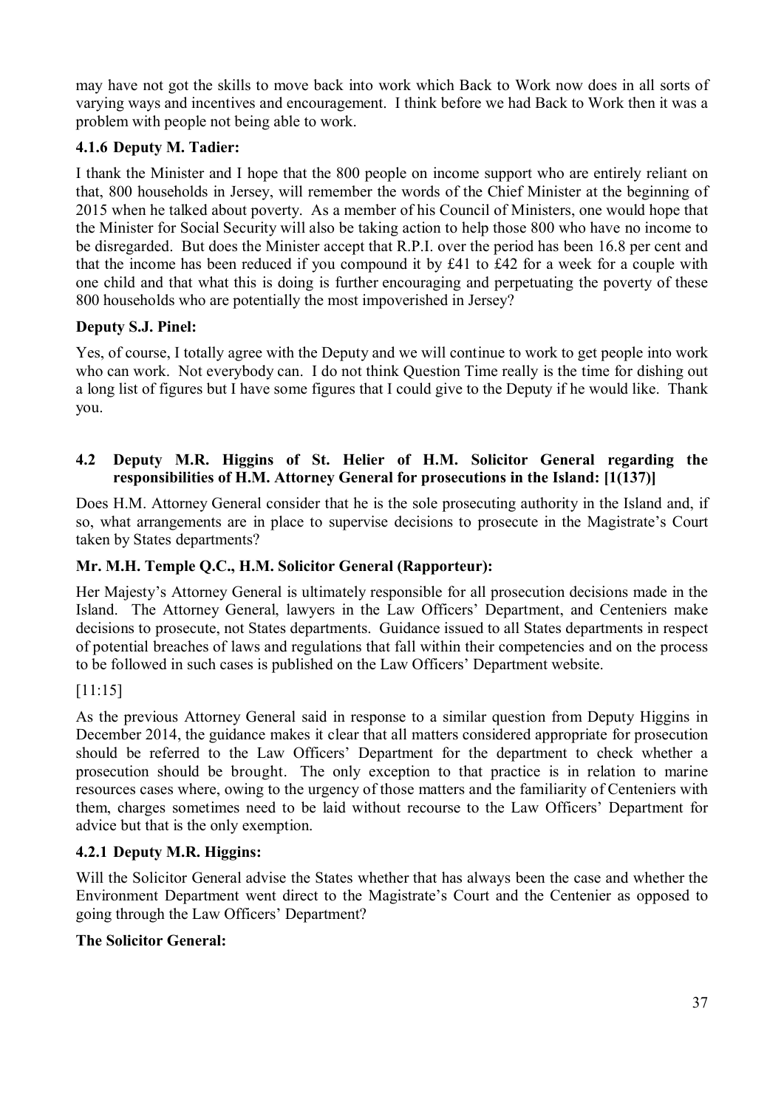may have not got the skills to move back into work which Back to Work now does in all sorts of varying ways and incentives and encouragement. I think before we had Back to Work then it was a problem with people not being able to work.

## **4.1.6 Deputy M. Tadier:**

I thank the Minister and I hope that the 800 people on income support who are entirely reliant on that, 800 households in Jersey, will remember the words of the Chief Minister at the beginning of 2015 when he talked about poverty. As a member of his Council of Ministers, one would hope that the Minister for Social Security will also be taking action to help those 800 who have no income to be disregarded. But does the Minister accept that R.P.I. over the period has been 16.8 per cent and that the income has been reduced if you compound it by £41 to £42 for a week for a couple with one child and that what this is doing is further encouraging and perpetuating the poverty of these 800 households who are potentially the most impoverished in Jersey?

### **Deputy S.J. Pinel:**

Yes, of course, I totally agree with the Deputy and we will continue to work to get people into work who can work. Not everybody can. I do not think Question Time really is the time for dishing out a long list of figures but I have some figures that I could give to the Deputy if he would like. Thank you.

### **4.2 Deputy M.R. Higgins of St. Helier of H.M. Solicitor General regarding the responsibilities of H.M. Attorney General for prosecutions in the Island: [1(137)]**

Does H.M. Attorney General consider that he is the sole prosecuting authority in the Island and, if so, what arrangements are in place to supervise decisions to prosecute in the Magistrate's Court taken by States departments?

### **Mr. M.H. Temple Q.C., H.M. Solicitor General (Rapporteur):**

Her Majesty's Attorney General is ultimately responsible for all prosecution decisions made in the Island. The Attorney General, lawyers in the Law Officers' Department, and Centeniers make decisions to prosecute, not States departments. Guidance issued to all States departments in respect of potential breaches of laws and regulations that fall within their competencies and on the process to be followed in such cases is published on the Law Officers' Department website.

### [11:15]

As the previous Attorney General said in response to a similar question from Deputy Higgins in December 2014, the guidance makes it clear that all matters considered appropriate for prosecution should be referred to the Law Officers' Department for the department to check whether a prosecution should be brought. The only exception to that practice is in relation to marine resources cases where, owing to the urgency of those matters and the familiarity of Centeniers with them, charges sometimes need to be laid without recourse to the Law Officers' Department for advice but that is the only exemption.

### **4.2.1 Deputy M.R. Higgins:**

Will the Solicitor General advise the States whether that has always been the case and whether the Environment Department went direct to the Magistrate's Court and the Centenier as opposed to going through the Law Officers' Department?

### **The Solicitor General:**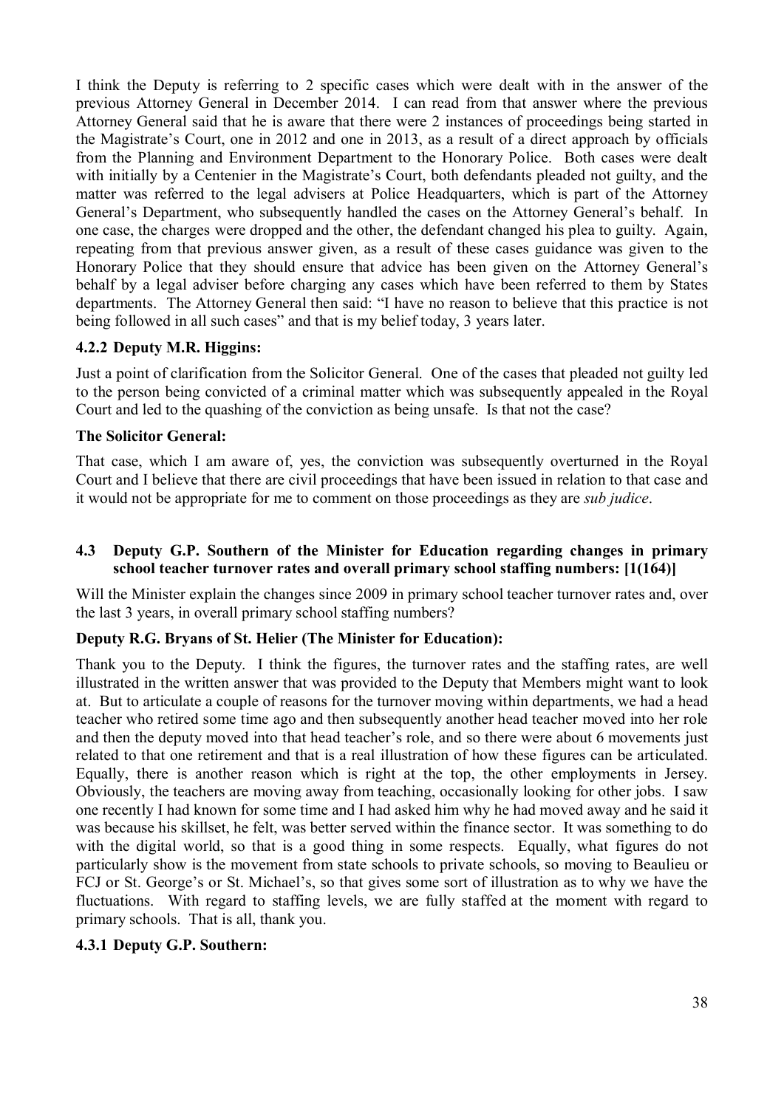I think the Deputy is referring to 2 specific cases which were dealt with in the answer of the previous Attorney General in December 2014. I can read from that answer where the previous Attorney General said that he is aware that there were 2 instances of proceedings being started in the Magistrate's Court, one in 2012 and one in 2013, as a result of a direct approach by officials from the Planning and Environment Department to the Honorary Police. Both cases were dealt with initially by a Centenier in the Magistrate's Court, both defendants pleaded not guilty, and the matter was referred to the legal advisers at Police Headquarters, which is part of the Attorney General's Department, who subsequently handled the cases on the Attorney General's behalf. In one case, the charges were dropped and the other, the defendant changed his plea to guilty. Again, repeating from that previous answer given, as a result of these cases guidance was given to the Honorary Police that they should ensure that advice has been given on the Attorney General's behalf by a legal adviser before charging any cases which have been referred to them by States departments. The Attorney General then said: "I have no reason to believe that this practice is not being followed in all such cases" and that is my belief today, 3 years later.

## **4.2.2 Deputy M.R. Higgins:**

Just a point of clarification from the Solicitor General. One of the cases that pleaded not guilty led to the person being convicted of a criminal matter which was subsequently appealed in the Royal Court and led to the quashing of the conviction as being unsafe. Is that not the case?

## **The Solicitor General:**

That case, which I am aware of, yes, the conviction was subsequently overturned in the Royal Court and I believe that there are civil proceedings that have been issued in relation to that case and it would not be appropriate for me to comment on those proceedings as they are *sub judice*.

### **4.3 Deputy G.P. Southern of the Minister for Education regarding changes in primary school teacher turnover rates and overall primary school staffing numbers: [1(164)]**

Will the Minister explain the changes since 2009 in primary school teacher turnover rates and, over the last 3 years, in overall primary school staffing numbers?

### **Deputy R.G. Bryans of St. Helier (The Minister for Education):**

Thank you to the Deputy. I think the figures, the turnover rates and the staffing rates, are well illustrated in the written answer that was provided to the Deputy that Members might want to look at. But to articulate a couple of reasons for the turnover moving within departments, we had a head teacher who retired some time ago and then subsequently another head teacher moved into her role and then the deputy moved into that head teacher's role, and so there were about 6 movements just related to that one retirement and that is a real illustration of how these figures can be articulated. Equally, there is another reason which is right at the top, the other employments in Jersey. Obviously, the teachers are moving away from teaching, occasionally looking for other jobs. I saw one recently I had known for some time and I had asked him why he had moved away and he said it was because his skillset, he felt, was better served within the finance sector. It was something to do with the digital world, so that is a good thing in some respects. Equally, what figures do not particularly show is the movement from state schools to private schools, so moving to Beaulieu or FCJ or St. George's or St. Michael's, so that gives some sort of illustration as to why we have the fluctuations. With regard to staffing levels, we are fully staffed at the moment with regard to primary schools. That is all, thank you.

### **4.3.1 Deputy G.P. Southern:**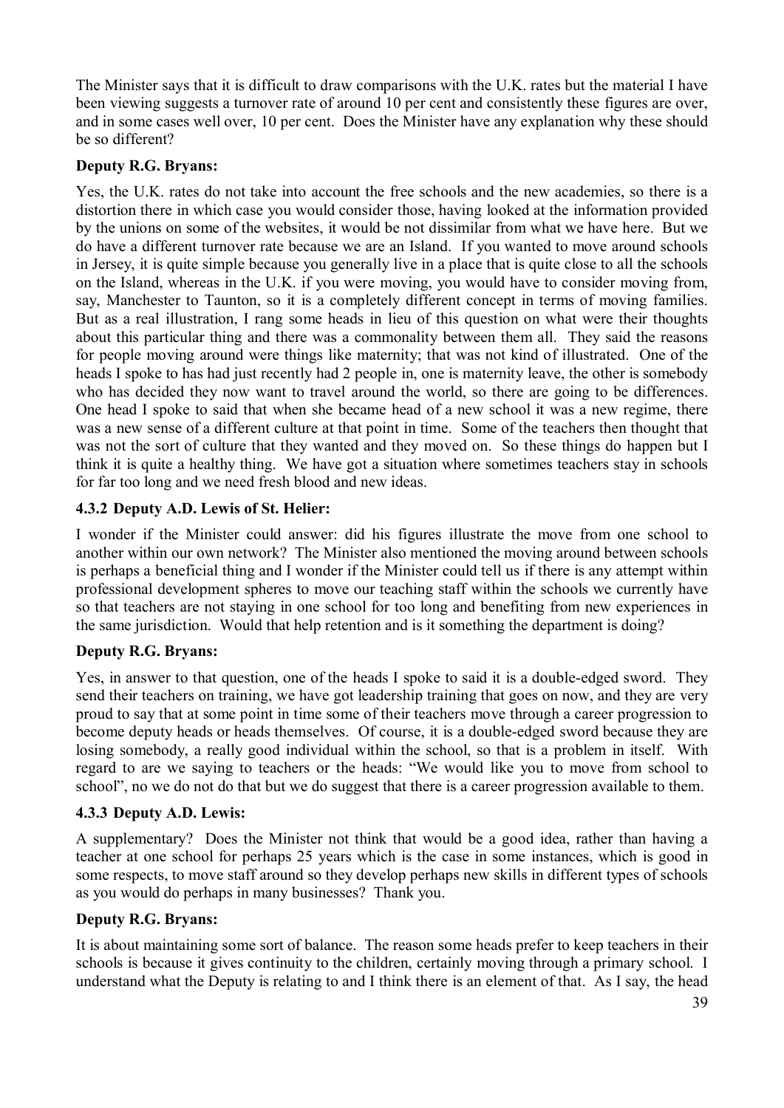The Minister says that it is difficult to draw comparisons with the U.K. rates but the material I have been viewing suggests a turnover rate of around 10 per cent and consistently these figures are over, and in some cases well over, 10 per cent. Does the Minister have any explanation why these should be so different?

## **Deputy R.G. Bryans:**

Yes, the U.K. rates do not take into account the free schools and the new academies, so there is a distortion there in which case you would consider those, having looked at the information provided by the unions on some of the websites, it would be not dissimilar from what we have here. But we do have a different turnover rate because we are an Island. If you wanted to move around schools in Jersey, it is quite simple because you generally live in a place that is quite close to all the schools on the Island, whereas in the U.K. if you were moving, you would have to consider moving from, say, Manchester to Taunton, so it is a completely different concept in terms of moving families. But as a real illustration, I rang some heads in lieu of this question on what were their thoughts about this particular thing and there was a commonality between them all. They said the reasons for people moving around were things like maternity; that was not kind of illustrated. One of the heads I spoke to has had just recently had 2 people in, one is maternity leave, the other is somebody who has decided they now want to travel around the world, so there are going to be differences. One head I spoke to said that when she became head of a new school it was a new regime, there was a new sense of a different culture at that point in time. Some of the teachers then thought that was not the sort of culture that they wanted and they moved on. So these things do happen but I think it is quite a healthy thing. We have got a situation where sometimes teachers stay in schools for far too long and we need fresh blood and new ideas.

# **4.3.2 Deputy A.D. Lewis of St. Helier:**

I wonder if the Minister could answer: did his figures illustrate the move from one school to another within our own network? The Minister also mentioned the moving around between schools is perhaps a beneficial thing and I wonder if the Minister could tell us if there is any attempt within professional development spheres to move our teaching staff within the schools we currently have so that teachers are not staying in one school for too long and benefiting from new experiences in the same jurisdiction. Would that help retention and is it something the department is doing?

# **Deputy R.G. Bryans:**

Yes, in answer to that question, one of the heads I spoke to said it is a double-edged sword. They send their teachers on training, we have got leadership training that goes on now, and they are very proud to say that at some point in time some of their teachers move through a career progression to become deputy heads or heads themselves. Of course, it is a double-edged sword because they are losing somebody, a really good individual within the school, so that is a problem in itself. With regard to are we saying to teachers or the heads: "We would like you to move from school to school", no we do not do that but we do suggest that there is a career progression available to them.

### **4.3.3 Deputy A.D. Lewis:**

A supplementary? Does the Minister not think that would be a good idea, rather than having a teacher at one school for perhaps 25 years which is the case in some instances, which is good in some respects, to move staff around so they develop perhaps new skills in different types of schools as you would do perhaps in many businesses? Thank you.

### **Deputy R.G. Bryans:**

It is about maintaining some sort of balance. The reason some heads prefer to keep teachers in their schools is because it gives continuity to the children, certainly moving through a primary school. I understand what the Deputy is relating to and I think there is an element of that. As I say, the head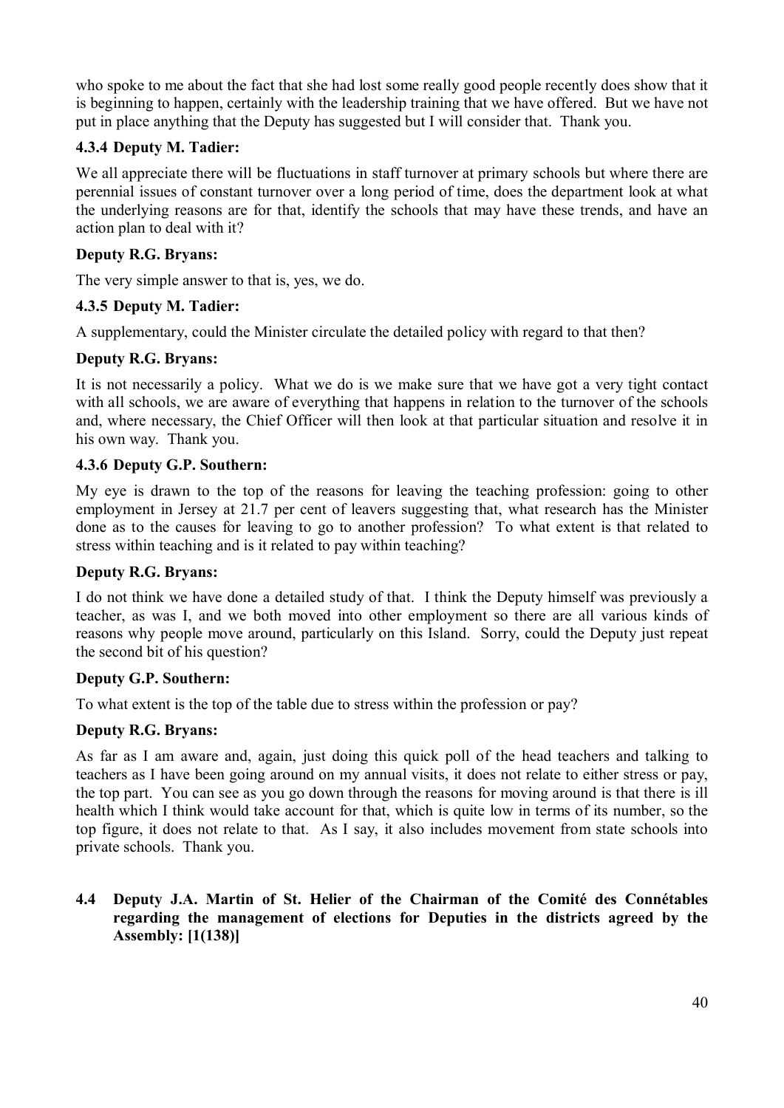who spoke to me about the fact that she had lost some really good people recently does show that it is beginning to happen, certainly with the leadership training that we have offered. But we have not put in place anything that the Deputy has suggested but I will consider that. Thank you.

## **4.3.4 Deputy M. Tadier:**

We all appreciate there will be fluctuations in staff turnover at primary schools but where there are perennial issues of constant turnover over a long period of time, does the department look at what the underlying reasons are for that, identify the schools that may have these trends, and have an action plan to deal with it?

### **Deputy R.G. Bryans:**

The very simple answer to that is, yes, we do.

### **4.3.5 Deputy M. Tadier:**

A supplementary, could the Minister circulate the detailed policy with regard to that then?

### **Deputy R.G. Bryans:**

It is not necessarily a policy. What we do is we make sure that we have got a very tight contact with all schools, we are aware of everything that happens in relation to the turnover of the schools and, where necessary, the Chief Officer will then look at that particular situation and resolve it in his own way. Thank you.

#### **4.3.6 Deputy G.P. Southern:**

My eye is drawn to the top of the reasons for leaving the teaching profession: going to other employment in Jersey at 21.7 per cent of leavers suggesting that, what research has the Minister done as to the causes for leaving to go to another profession? To what extent is that related to stress within teaching and is it related to pay within teaching?

### **Deputy R.G. Bryans:**

I do not think we have done a detailed study of that. I think the Deputy himself was previously a teacher, as was I, and we both moved into other employment so there are all various kinds of reasons why people move around, particularly on this Island. Sorry, could the Deputy just repeat the second bit of his question?

### **Deputy G.P. Southern:**

To what extent is the top of the table due to stress within the profession or pay?

### **Deputy R.G. Bryans:**

As far as I am aware and, again, just doing this quick poll of the head teachers and talking to teachers as I have been going around on my annual visits, it does not relate to either stress or pay, the top part. You can see as you go down through the reasons for moving around is that there is ill health which I think would take account for that, which is quite low in terms of its number, so the top figure, it does not relate to that. As I say, it also includes movement from state schools into private schools. Thank you.

### **4.4 Deputy J.A. Martin of St. Helier of the Chairman of the Comité des Connétables regarding the management of elections for Deputies in the districts agreed by the Assembly: [1(138)]**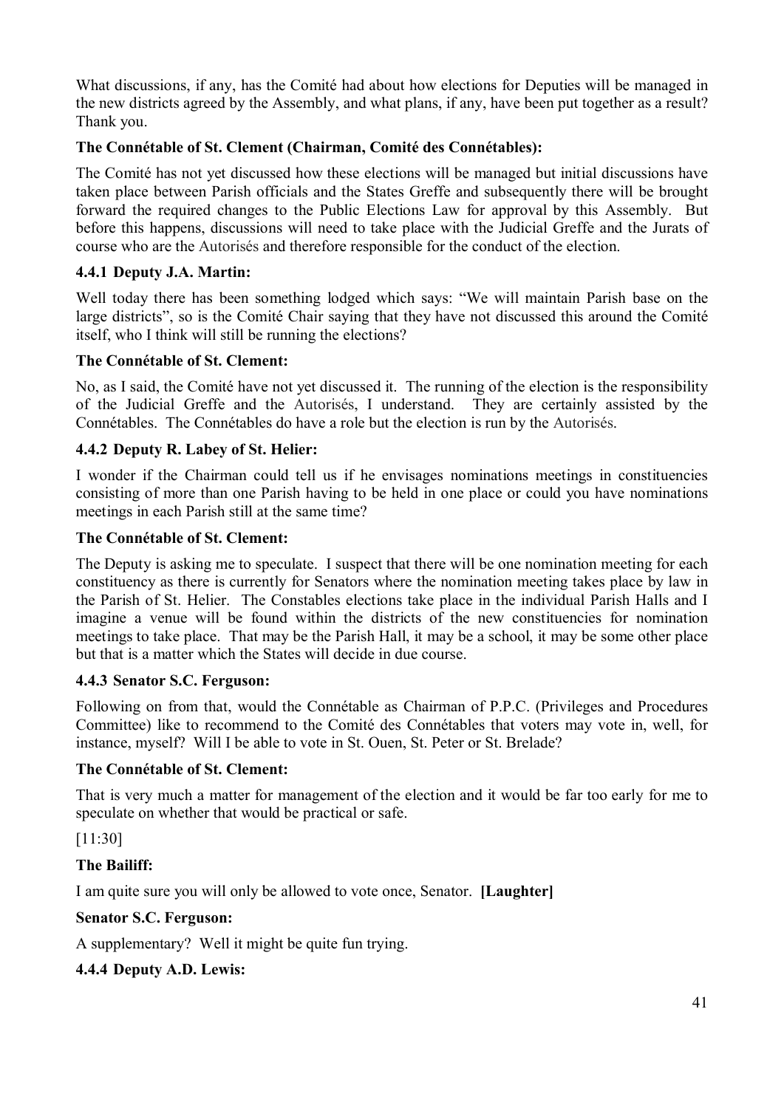What discussions, if any, has the Comité had about how elections for Deputies will be managed in the new districts agreed by the Assembly, and what plans, if any, have been put together as a result? Thank you.

## **The Connétable of St. Clement (Chairman, Comité des Connétables):**

The Comité has not yet discussed how these elections will be managed but initial discussions have taken place between Parish officials and the States Greffe and subsequently there will be brought forward the required changes to the Public Elections Law for approval by this Assembly. But before this happens, discussions will need to take place with the Judicial Greffe and the Jurats of course who are the Autorisés and therefore responsible for the conduct of the election.

### **4.4.1 Deputy J.A. Martin:**

Well today there has been something lodged which says: "We will maintain Parish base on the large districts", so is the Comité Chair saying that they have not discussed this around the Comité itself, who I think will still be running the elections?

### **The Connétable of St. Clement:**

No, as I said, the Comité have not yet discussed it. The running of the election is the responsibility of the Judicial Greffe and the Autorisés, I understand. They are certainly assisted by the Connétables. The Connétables do have a role but the election is run by the Autorisés.

### **4.4.2 Deputy R. Labey of St. Helier:**

I wonder if the Chairman could tell us if he envisages nominations meetings in constituencies consisting of more than one Parish having to be held in one place or could you have nominations meetings in each Parish still at the same time?

#### **The Connétable of St. Clement:**

The Deputy is asking me to speculate. I suspect that there will be one nomination meeting for each constituency as there is currently for Senators where the nomination meeting takes place by law in the Parish of St. Helier. The Constables elections take place in the individual Parish Halls and I imagine a venue will be found within the districts of the new constituencies for nomination meetings to take place. That may be the Parish Hall, it may be a school, it may be some other place but that is a matter which the States will decide in due course.

### **4.4.3 Senator S.C. Ferguson:**

Following on from that, would the Connétable as Chairman of P.P.C. (Privileges and Procedures Committee) like to recommend to the Comité des Connétables that voters may vote in, well, for instance, myself? Will I be able to vote in St. Ouen, St. Peter or St. Brelade?

### **The Connétable of St. Clement:**

That is very much a matter for management of the election and it would be far too early for me to speculate on whether that would be practical or safe.

[11:30]

### **The Bailiff:**

I am quite sure you will only be allowed to vote once, Senator. **[Laughter]**

### **Senator S.C. Ferguson:**

A supplementary? Well it might be quite fun trying.

### **4.4.4 Deputy A.D. Lewis:**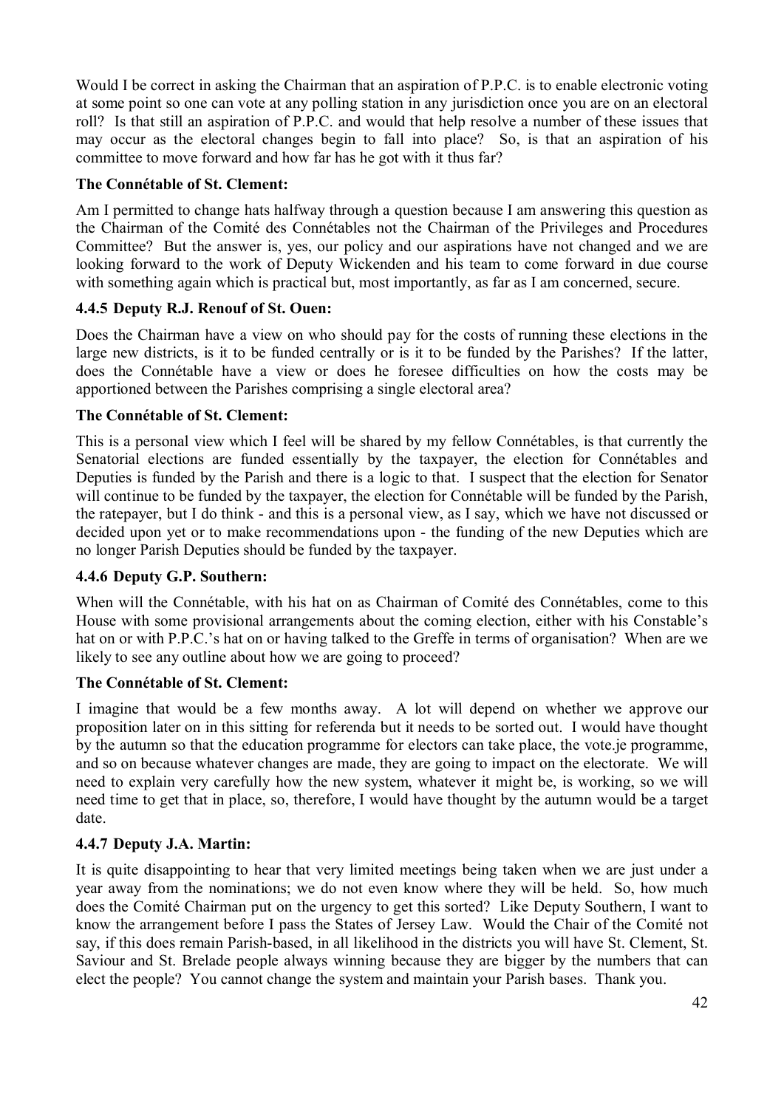Would I be correct in asking the Chairman that an aspiration of P.P.C. is to enable electronic voting at some point so one can vote at any polling station in any jurisdiction once you are on an electoral roll? Is that still an aspiration of P.P.C. and would that help resolve a number of these issues that may occur as the electoral changes begin to fall into place? So, is that an aspiration of his committee to move forward and how far has he got with it thus far?

### **The Connétable of St. Clement:**

Am I permitted to change hats halfway through a question because I am answering this question as the Chairman of the Comité des Connétables not the Chairman of the Privileges and Procedures Committee? But the answer is, yes, our policy and our aspirations have not changed and we are looking forward to the work of Deputy Wickenden and his team to come forward in due course with something again which is practical but, most importantly, as far as I am concerned, secure.

### **4.4.5 Deputy R.J. Renouf of St. Ouen:**

Does the Chairman have a view on who should pay for the costs of running these elections in the large new districts, is it to be funded centrally or is it to be funded by the Parishes? If the latter, does the Connétable have a view or does he foresee difficulties on how the costs may be apportioned between the Parishes comprising a single electoral area?

#### **The Connétable of St. Clement:**

This is a personal view which I feel will be shared by my fellow Connétables, is that currently the Senatorial elections are funded essentially by the taxpayer, the election for Connétables and Deputies is funded by the Parish and there is a logic to that. I suspect that the election for Senator will continue to be funded by the taxpayer, the election for Connétable will be funded by the Parish, the ratepayer, but I do think - and this is a personal view, as I say, which we have not discussed or decided upon yet or to make recommendations upon - the funding of the new Deputies which are no longer Parish Deputies should be funded by the taxpayer.

#### **4.4.6 Deputy G.P. Southern:**

When will the Connétable, with his hat on as Chairman of Comité des Connétables, come to this House with some provisional arrangements about the coming election, either with his Constable's hat on or with P.P.C.'s hat on or having talked to the Greffe in terms of organisation? When are we likely to see any outline about how we are going to proceed?

#### **The Connétable of St. Clement:**

I imagine that would be a few months away. A lot will depend on whether we approve our proposition later on in this sitting for referenda but it needs to be sorted out. I would have thought by the autumn so that the education programme for electors can take place, the vote.je programme, and so on because whatever changes are made, they are going to impact on the electorate. We will need to explain very carefully how the new system, whatever it might be, is working, so we will need time to get that in place, so, therefore, I would have thought by the autumn would be a target date.

### **4.4.7 Deputy J.A. Martin:**

It is quite disappointing to hear that very limited meetings being taken when we are just under a year away from the nominations; we do not even know where they will be held. So, how much does the Comité Chairman put on the urgency to get this sorted? Like Deputy Southern, I want to know the arrangement before I pass the States of Jersey Law. Would the Chair of the Comité not say, if this does remain Parish-based, in all likelihood in the districts you will have St. Clement, St. Saviour and St. Brelade people always winning because they are bigger by the numbers that can elect the people? You cannot change the system and maintain your Parish bases. Thank you.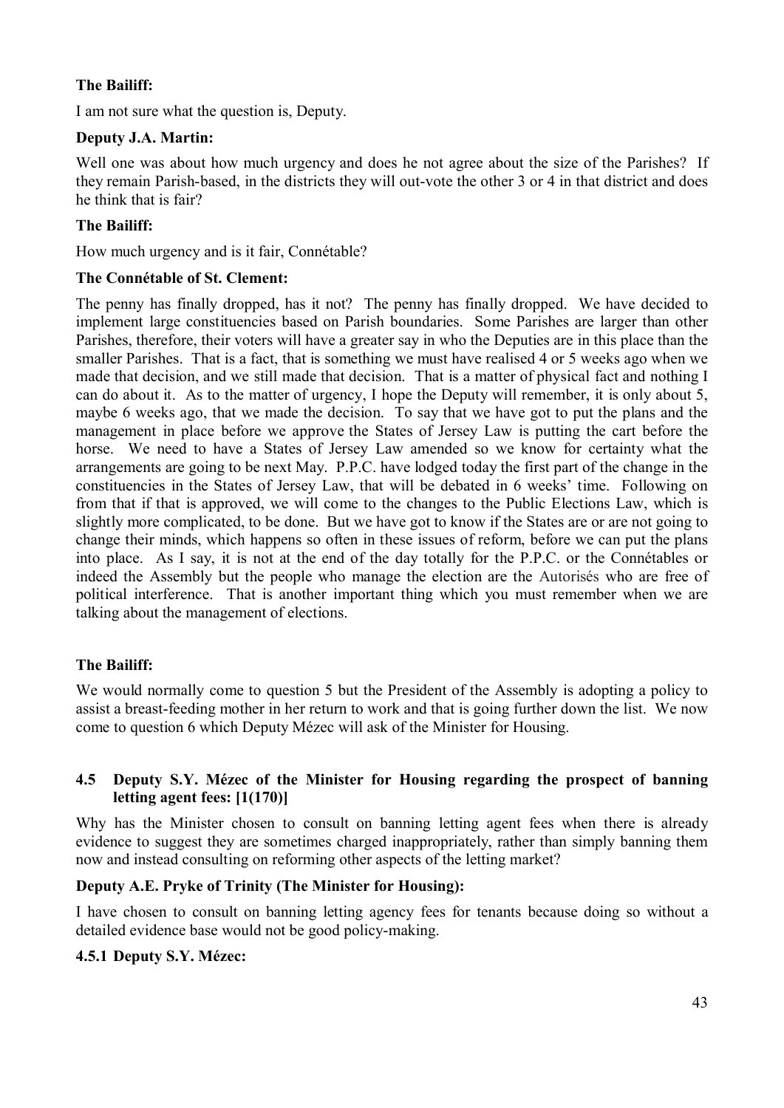## **The Bailiff:**

I am not sure what the question is, Deputy.

### **Deputy J.A. Martin:**

Well one was about how much urgency and does he not agree about the size of the Parishes? If they remain Parish-based, in the districts they will out-vote the other 3 or 4 in that district and does he think that is fair?

## **The Bailiff:**

How much urgency and is it fair, Connétable?

### **The Connétable of St. Clement:**

The penny has finally dropped, has it not? The penny has finally dropped. We have decided to implement large constituencies based on Parish boundaries. Some Parishes are larger than other Parishes, therefore, their voters will have a greater say in who the Deputies are in this place than the smaller Parishes. That is a fact, that is something we must have realised 4 or 5 weeks ago when we made that decision, and we still made that decision. That is a matter of physical fact and nothing I can do about it. As to the matter of urgency, I hope the Deputy will remember, it is only about 5, maybe 6 weeks ago, that we made the decision. To say that we have got to put the plans and the management in place before we approve the States of Jersey Law is putting the cart before the horse. We need to have a States of Jersey Law amended so we know for certainty what the arrangements are going to be next May. P.P.C. have lodged today the first part of the change in the constituencies in the States of Jersey Law, that will be debated in 6 weeks' time. Following on from that if that is approved, we will come to the changes to the Public Elections Law, which is slightly more complicated, to be done. But we have got to know if the States are or are not going to change their minds, which happens so often in these issues of reform, before we can put the plans into place. As I say, it is not at the end of the day totally for the P.P.C. or the Connétables or indeed the Assembly but the people who manage the election are the Autorisés who are free of political interference. That is another important thing which you must remember when we are talking about the management of elections.

### **The Bailiff:**

We would normally come to question 5 but the President of the Assembly is adopting a policy to assist a breast-feeding mother in her return to work and that is going further down the list. We now come to question 6 which Deputy Mézec will ask of the Minister for Housing.

## **4.5 Deputy S.Y. Mézec of the Minister for Housing regarding the prospect of banning letting agent fees: [1(170)]**

Why has the Minister chosen to consult on banning letting agent fees when there is already evidence to suggest they are sometimes charged inappropriately, rather than simply banning them now and instead consulting on reforming other aspects of the letting market?

### **Deputy A.E. Pryke of Trinity (The Minister for Housing):**

I have chosen to consult on banning letting agency fees for tenants because doing so without a detailed evidence base would not be good policy-making.

### **4.5.1 Deputy S.Y. Mézec:**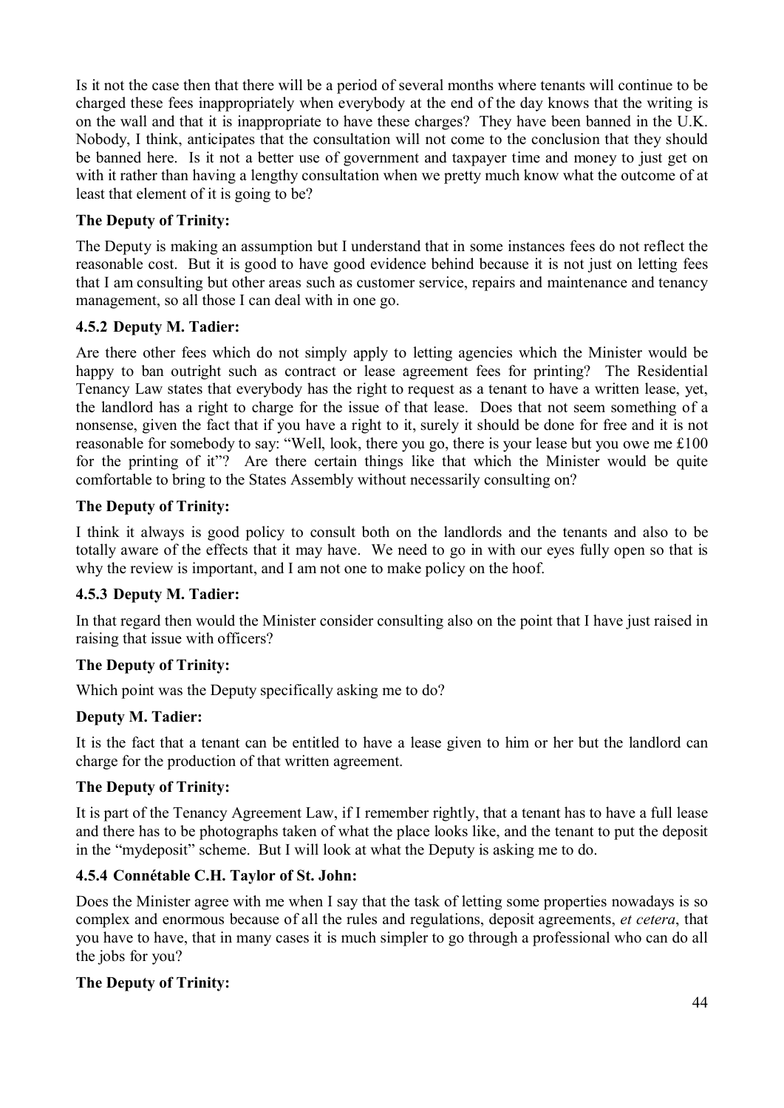Is it not the case then that there will be a period of several months where tenants will continue to be charged these fees inappropriately when everybody at the end of the day knows that the writing is on the wall and that it is inappropriate to have these charges? They have been banned in the U.K. Nobody, I think, anticipates that the consultation will not come to the conclusion that they should be banned here. Is it not a better use of government and taxpayer time and money to just get on with it rather than having a lengthy consultation when we pretty much know what the outcome of at least that element of it is going to be?

# **The Deputy of Trinity:**

The Deputy is making an assumption but I understand that in some instances fees do not reflect the reasonable cost. But it is good to have good evidence behind because it is not just on letting fees that I am consulting but other areas such as customer service, repairs and maintenance and tenancy management, so all those I can deal with in one go.

# **4.5.2 Deputy M. Tadier:**

Are there other fees which do not simply apply to letting agencies which the Minister would be happy to ban outright such as contract or lease agreement fees for printing? The Residential Tenancy Law states that everybody has the right to request as a tenant to have a written lease, yet, the landlord has a right to charge for the issue of that lease. Does that not seem something of a nonsense, given the fact that if you have a right to it, surely it should be done for free and it is not reasonable for somebody to say: "Well, look, there you go, there is your lease but you owe me £100 for the printing of it"? Are there certain things like that which the Minister would be quite comfortable to bring to the States Assembly without necessarily consulting on?

## **The Deputy of Trinity:**

I think it always is good policy to consult both on the landlords and the tenants and also to be totally aware of the effects that it may have. We need to go in with our eyes fully open so that is why the review is important, and I am not one to make policy on the hoof.

# **4.5.3 Deputy M. Tadier:**

In that regard then would the Minister consider consulting also on the point that I have just raised in raising that issue with officers?

# **The Deputy of Trinity:**

Which point was the Deputy specifically asking me to do?

# **Deputy M. Tadier:**

It is the fact that a tenant can be entitled to have a lease given to him or her but the landlord can charge for the production of that written agreement.

# **The Deputy of Trinity:**

It is part of the Tenancy Agreement Law, if I remember rightly, that a tenant has to have a full lease and there has to be photographs taken of what the place looks like, and the tenant to put the deposit in the "mydeposit" scheme. But I will look at what the Deputy is asking me to do.

# **4.5.4 Connétable C.H. Taylor of St. John:**

Does the Minister agree with me when I say that the task of letting some properties nowadays is so complex and enormous because of all the rules and regulations, deposit agreements, *et cetera*, that you have to have, that in many cases it is much simpler to go through a professional who can do all the jobs for you?

# **The Deputy of Trinity:**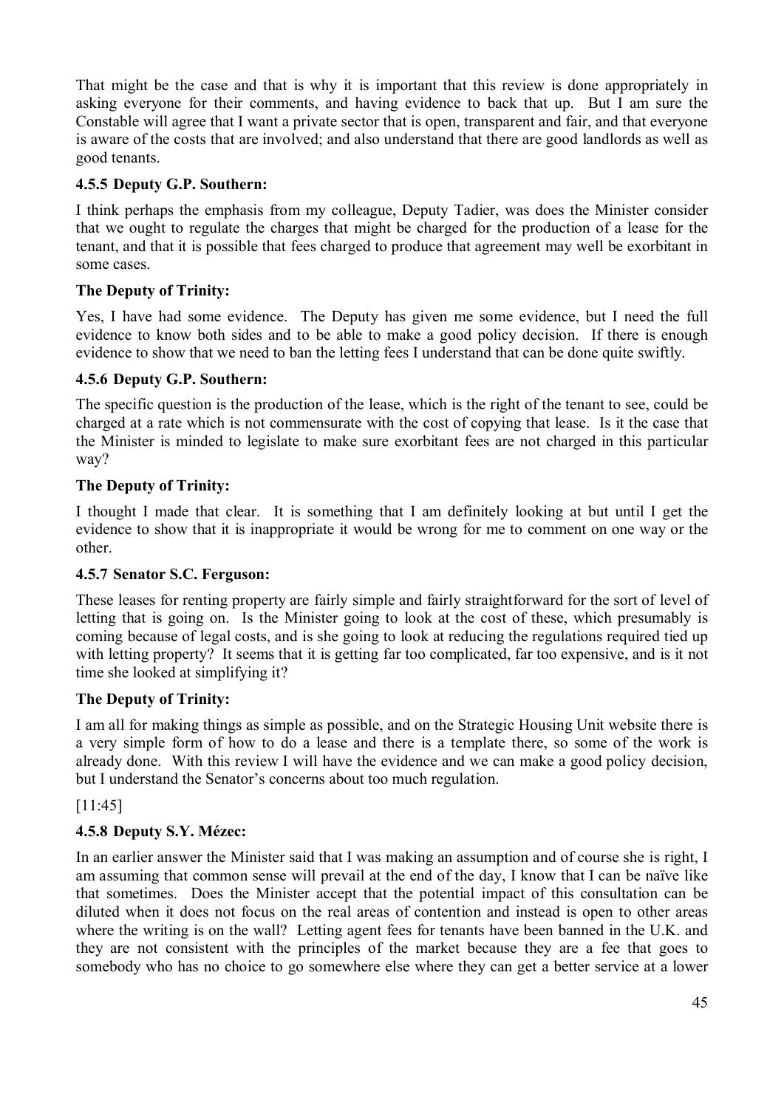That might be the case and that is why it is important that this review is done appropriately in asking everyone for their comments, and having evidence to back that up. But I am sure the Constable will agree that I want a private sector that is open, transparent and fair, and that everyone is aware of the costs that are involved; and also understand that there are good landlords as well as good tenants.

## **4.5.5 Deputy G.P. Southern:**

I think perhaps the emphasis from my colleague, Deputy Tadier, was does the Minister consider that we ought to regulate the charges that might be charged for the production of a lease for the tenant, and that it is possible that fees charged to produce that agreement may well be exorbitant in some cases.

## **The Deputy of Trinity:**

Yes, I have had some evidence. The Deputy has given me some evidence, but I need the full evidence to know both sides and to be able to make a good policy decision. If there is enough evidence to show that we need to ban the letting fees I understand that can be done quite swiftly.

## **4.5.6 Deputy G.P. Southern:**

The specific question is the production of the lease, which is the right of the tenant to see, could be charged at a rate which is not commensurate with the cost of copying that lease. Is it the case that the Minister is minded to legislate to make sure exorbitant fees are not charged in this particular way?

## **The Deputy of Trinity:**

I thought I made that clear. It is something that I am definitely looking at but until I get the evidence to show that it is inappropriate it would be wrong for me to comment on one way or the other.

### **4.5.7 Senator S.C. Ferguson:**

These leases for renting property are fairly simple and fairly straightforward for the sort of level of letting that is going on. Is the Minister going to look at the cost of these, which presumably is coming because of legal costs, and is she going to look at reducing the regulations required tied up with letting property? It seems that it is getting far too complicated, far too expensive, and is it not time she looked at simplifying it?

### **The Deputy of Trinity:**

I am all for making things as simple as possible, and on the Strategic Housing Unit website there is a very simple form of how to do a lease and there is a template there, so some of the work is already done. With this review I will have the evidence and we can make a good policy decision, but I understand the Senator's concerns about too much regulation.

[11:45]

# **4.5.8 Deputy S.Y. Mézec:**

In an earlier answer the Minister said that I was making an assumption and of course she is right, I am assuming that common sense will prevail at the end of the day, I know that I can be naïve like that sometimes. Does the Minister accept that the potential impact of this consultation can be diluted when it does not focus on the real areas of contention and instead is open to other areas where the writing is on the wall? Letting agent fees for tenants have been banned in the U.K. and they are not consistent with the principles of the market because they are a fee that goes to somebody who has no choice to go somewhere else where they can get a better service at a lower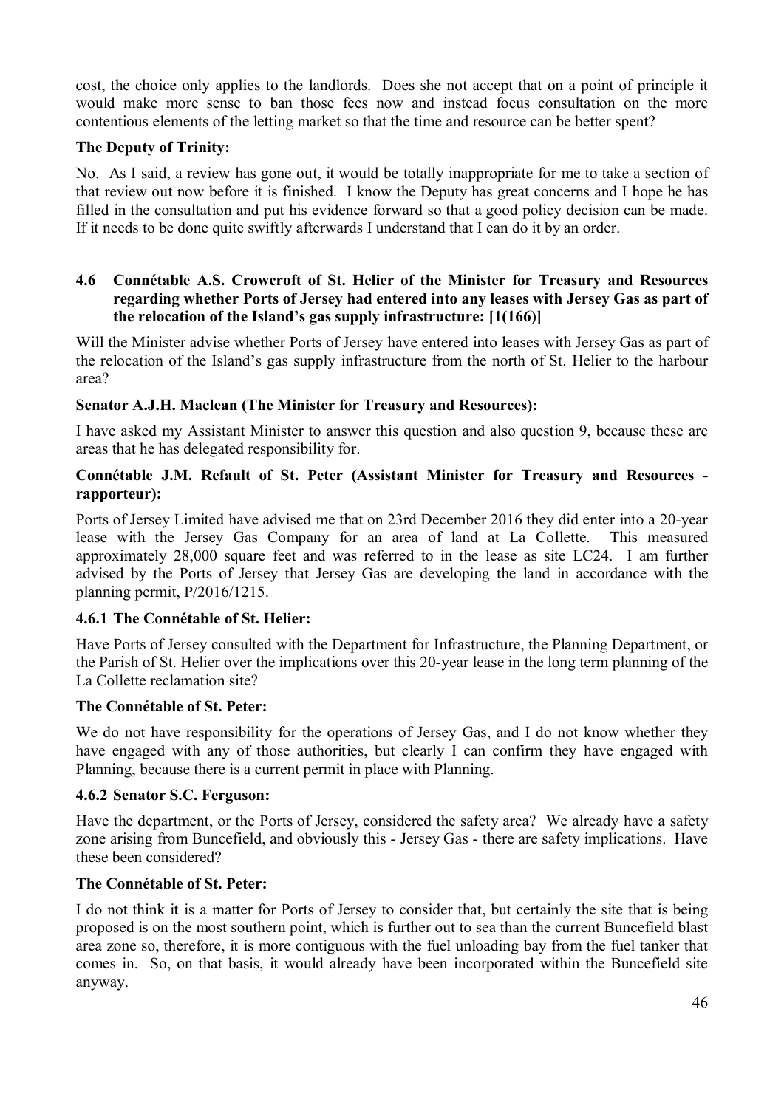cost, the choice only applies to the landlords. Does she not accept that on a point of principle it would make more sense to ban those fees now and instead focus consultation on the more contentious elements of the letting market so that the time and resource can be better spent?

#### **The Deputy of Trinity:**

No. As I said, a review has gone out, it would be totally inappropriate for me to take a section of that review out now before it is finished. I know the Deputy has great concerns and I hope he has filled in the consultation and put his evidence forward so that a good policy decision can be made. If it needs to be done quite swiftly afterwards I understand that I can do it by an order.

### **4.6 Connétable A.S. Crowcroft of St. Helier of the Minister for Treasury and Resources regarding whether Ports of Jersey had entered into any leases with Jersey Gas as part of the relocation of the Island's gas supply infrastructure: [1(166)]**

Will the Minister advise whether Ports of Jersey have entered into leases with Jersey Gas as part of the relocation of the Island's gas supply infrastructure from the north of St. Helier to the harbour area?

#### **Senator A.J.H. Maclean (The Minister for Treasury and Resources):**

I have asked my Assistant Minister to answer this question and also question 9, because these are areas that he has delegated responsibility for.

#### **Connétable J.M. Refault of St. Peter (Assistant Minister for Treasury and Resources rapporteur):**

Ports of Jersey Limited have advised me that on 23rd December 2016 they did enter into a 20-year lease with the Jersey Gas Company for an area of land at La Collette. This measured approximately 28,000 square feet and was referred to in the lease as site LC24. I am further advised by the Ports of Jersey that Jersey Gas are developing the land in accordance with the planning permit, P/2016/1215.

#### **4.6.1 The Connétable of St. Helier:**

Have Ports of Jersey consulted with the Department for Infrastructure, the Planning Department, or the Parish of St. Helier over the implications over this 20-year lease in the long term planning of the La Collette reclamation site?

#### **The Connétable of St. Peter:**

We do not have responsibility for the operations of Jersey Gas, and I do not know whether they have engaged with any of those authorities, but clearly I can confirm they have engaged with Planning, because there is a current permit in place with Planning.

#### **4.6.2 Senator S.C. Ferguson:**

Have the department, or the Ports of Jersey, considered the safety area? We already have a safety zone arising from Buncefield, and obviously this - Jersey Gas - there are safety implications. Have these been considered?

#### **The Connétable of St. Peter:**

I do not think it is a matter for Ports of Jersey to consider that, but certainly the site that is being proposed is on the most southern point, which is further out to sea than the current Buncefield blast area zone so, therefore, it is more contiguous with the fuel unloading bay from the fuel tanker that comes in. So, on that basis, it would already have been incorporated within the Buncefield site anyway.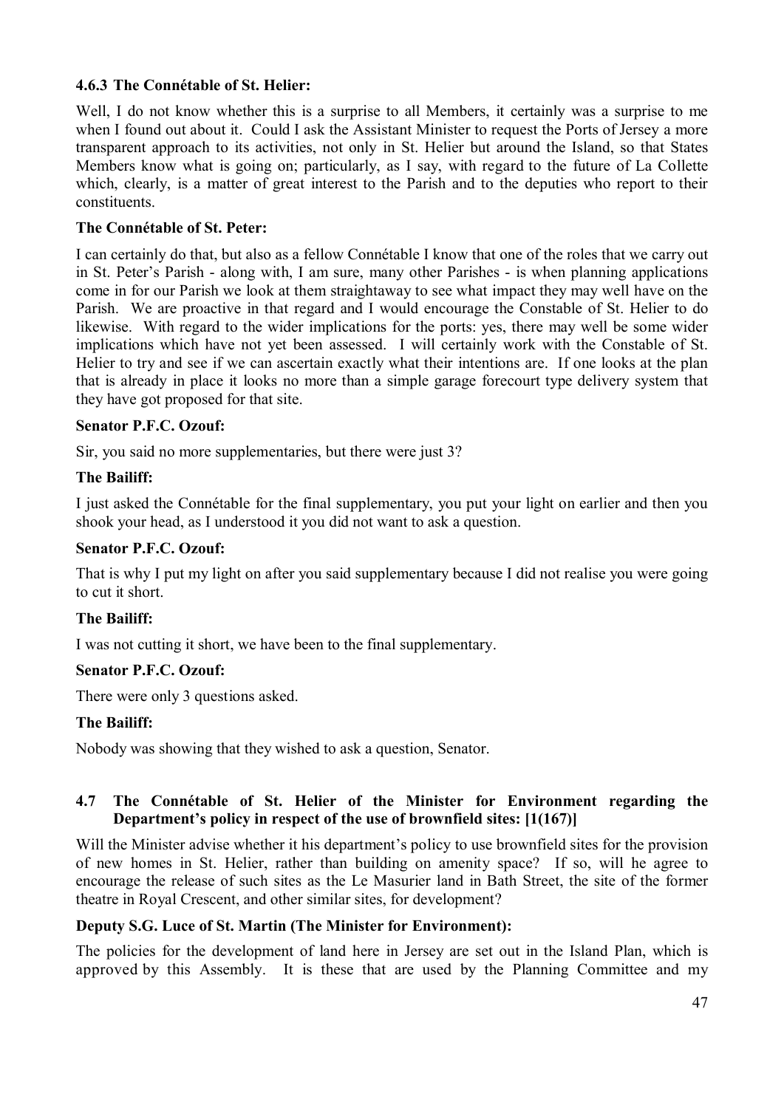### **4.6.3 The Connétable of St. Helier:**

Well, I do not know whether this is a surprise to all Members, it certainly was a surprise to me when I found out about it. Could I ask the Assistant Minister to request the Ports of Jersey a more transparent approach to its activities, not only in St. Helier but around the Island, so that States Members know what is going on; particularly, as I say, with regard to the future of La Collette which, clearly, is a matter of great interest to the Parish and to the deputies who report to their constituents.

#### **The Connétable of St. Peter:**

I can certainly do that, but also as a fellow Connétable I know that one of the roles that we carry out in St. Peter's Parish - along with, I am sure, many other Parishes - is when planning applications come in for our Parish we look at them straightaway to see what impact they may well have on the Parish. We are proactive in that regard and I would encourage the Constable of St. Helier to do likewise. With regard to the wider implications for the ports: yes, there may well be some wider implications which have not yet been assessed. I will certainly work with the Constable of St. Helier to try and see if we can ascertain exactly what their intentions are. If one looks at the plan that is already in place it looks no more than a simple garage forecourt type delivery system that they have got proposed for that site.

#### **Senator P.F.C. Ozouf:**

Sir, you said no more supplementaries, but there were just 3?

#### **The Bailiff:**

I just asked the Connétable for the final supplementary, you put your light on earlier and then you shook your head, as I understood it you did not want to ask a question.

#### **Senator P.F.C. Ozouf:**

That is why I put my light on after you said supplementary because I did not realise you were going to cut it short.

#### **The Bailiff:**

I was not cutting it short, we have been to the final supplementary.

### **Senator P.F.C. Ozouf:**

There were only 3 questions asked.

#### **The Bailiff:**

Nobody was showing that they wished to ask a question, Senator.

### **4.7 The Connétable of St. Helier of the Minister for Environment regarding the Department's policy in respect of the use of brownfield sites: [1(167)]**

Will the Minister advise whether it his department's policy to use brownfield sites for the provision of new homes in St. Helier, rather than building on amenity space? If so, will he agree to encourage the release of such sites as the Le Masurier land in Bath Street, the site of the former theatre in Royal Crescent, and other similar sites, for development?

#### **Deputy S.G. Luce of St. Martin (The Minister for Environment):**

The policies for the development of land here in Jersey are set out in the Island Plan, which is approved by this Assembly. It is these that are used by the Planning Committee and my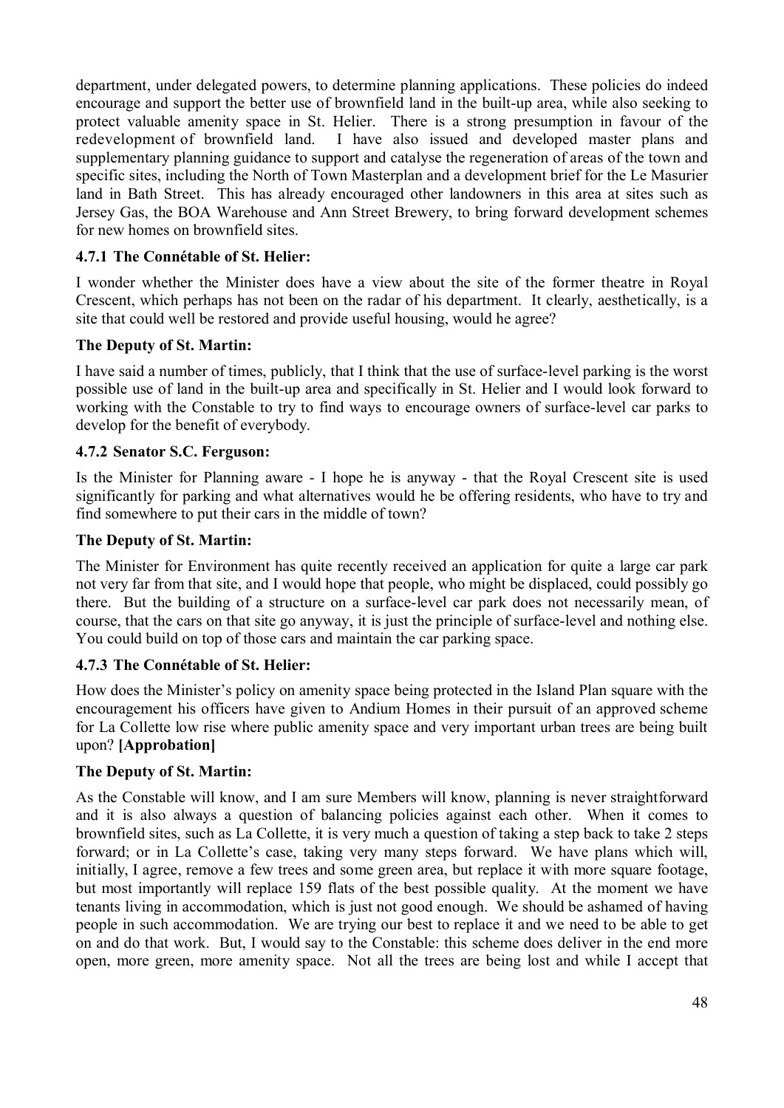department, under delegated powers, to determine planning applications. These policies do indeed encourage and support the better use of brownfield land in the built-up area, while also seeking to protect valuable amenity space in St. Helier. There is a strong presumption in favour of the redevelopment of brownfield land. I have also issued and developed master plans and supplementary planning guidance to support and catalyse the regeneration of areas of the town and specific sites, including the North of Town Masterplan and a development brief for the Le Masurier land in Bath Street. This has already encouraged other landowners in this area at sites such as Jersey Gas, the BOA Warehouse and Ann Street Brewery, to bring forward development schemes for new homes on brownfield sites.

## **4.7.1 The Connétable of St. Helier:**

I wonder whether the Minister does have a view about the site of the former theatre in Royal Crescent, which perhaps has not been on the radar of his department. It clearly, aesthetically, is a site that could well be restored and provide useful housing, would he agree?

### **The Deputy of St. Martin:**

I have said a number of times, publicly, that I think that the use of surface-level parking is the worst possible use of land in the built-up area and specifically in St. Helier and I would look forward to working with the Constable to try to find ways to encourage owners of surface-level car parks to develop for the benefit of everybody.

## **4.7.2 Senator S.C. Ferguson:**

Is the Minister for Planning aware - I hope he is anyway - that the Royal Crescent site is used significantly for parking and what alternatives would he be offering residents, who have to try and find somewhere to put their cars in the middle of town?

### **The Deputy of St. Martin:**

The Minister for Environment has quite recently received an application for quite a large car park not very far from that site, and I would hope that people, who might be displaced, could possibly go there. But the building of a structure on a surface-level car park does not necessarily mean, of course, that the cars on that site go anyway, it is just the principle of surface-level and nothing else. You could build on top of those cars and maintain the car parking space.

### **4.7.3 The Connétable of St. Helier:**

How does the Minister's policy on amenity space being protected in the Island Plan square with the encouragement his officers have given to Andium Homes in their pursuit of an approved scheme for La Collette low rise where public amenity space and very important urban trees are being built upon? **[Approbation]**

### **The Deputy of St. Martin:**

As the Constable will know, and I am sure Members will know, planning is never straightforward and it is also always a question of balancing policies against each other. When it comes to brownfield sites, such as La Collette, it is very much a question of taking a step back to take 2 steps forward; or in La Collette's case, taking very many steps forward. We have plans which will, initially, I agree, remove a few trees and some green area, but replace it with more square footage, but most importantly will replace 159 flats of the best possible quality. At the moment we have tenants living in accommodation, which is just not good enough. We should be ashamed of having people in such accommodation. We are trying our best to replace it and we need to be able to get on and do that work. But, I would say to the Constable: this scheme does deliver in the end more open, more green, more amenity space. Not all the trees are being lost and while I accept that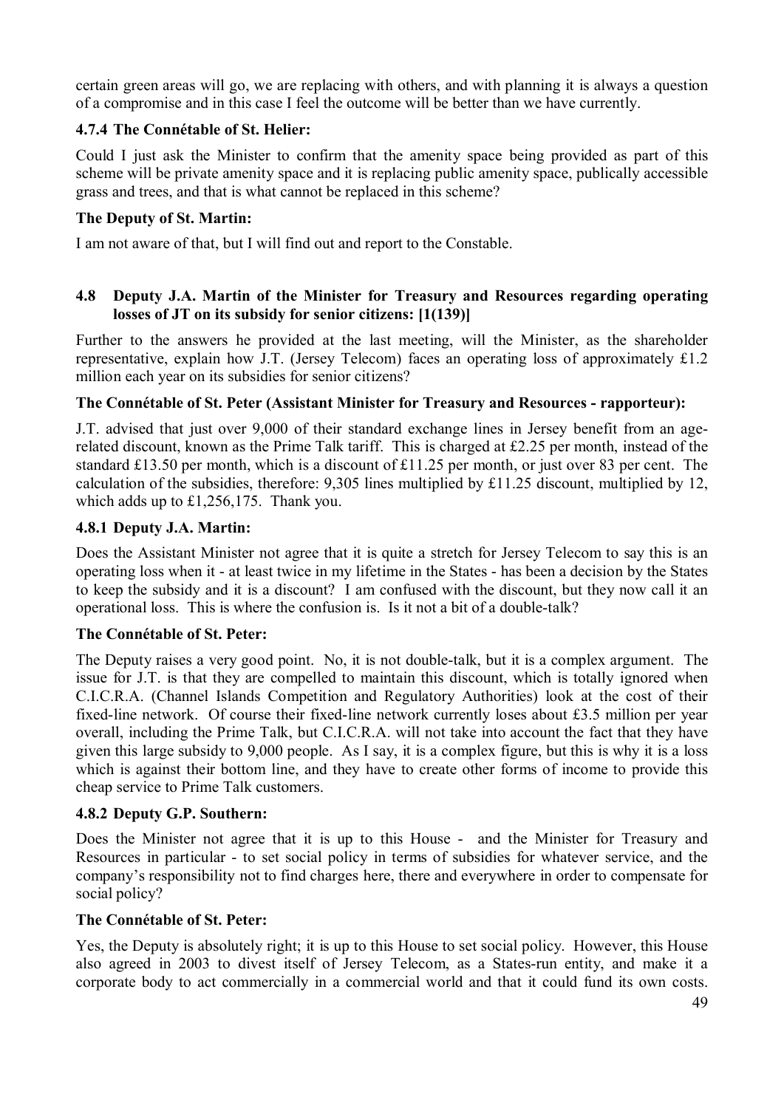certain green areas will go, we are replacing with others, and with planning it is always a question of a compromise and in this case I feel the outcome will be better than we have currently.

## **4.7.4 The Connétable of St. Helier:**

Could I just ask the Minister to confirm that the amenity space being provided as part of this scheme will be private amenity space and it is replacing public amenity space, publically accessible grass and trees, and that is what cannot be replaced in this scheme?

### **The Deputy of St. Martin:**

I am not aware of that, but I will find out and report to the Constable.

### **4.8 Deputy J.A. Martin of the Minister for Treasury and Resources regarding operating losses of JT on its subsidy for senior citizens: [1(139)]**

Further to the answers he provided at the last meeting, will the Minister, as the shareholder representative, explain how J.T. (Jersey Telecom) faces an operating loss of approximately £1.2 million each year on its subsidies for senior citizens?

### **The Connétable of St. Peter (Assistant Minister for Treasury and Resources - rapporteur):**

J.T. advised that just over 9,000 of their standard exchange lines in Jersey benefit from an agerelated discount, known as the Prime Talk tariff. This is charged at £2.25 per month, instead of the standard £13.50 per month, which is a discount of £11.25 per month, or just over 83 per cent. The calculation of the subsidies, therefore: 9,305 lines multiplied by £11.25 discount, multiplied by 12, which adds up to £1,256,175. Thank you.

### **4.8.1 Deputy J.A. Martin:**

Does the Assistant Minister not agree that it is quite a stretch for Jersey Telecom to say this is an operating loss when it - at least twice in my lifetime in the States - has been a decision by the States to keep the subsidy and it is a discount? I am confused with the discount, but they now call it an operational loss. This is where the confusion is. Is it not a bit of a double-talk?

### **The Connétable of St. Peter:**

The Deputy raises a very good point. No, it is not double-talk, but it is a complex argument. The issue for J.T. is that they are compelled to maintain this discount, which is totally ignored when C.I.C.R.A. (Channel Islands Competition and Regulatory Authorities) look at the cost of their fixed-line network. Of course their fixed-line network currently loses about £3.5 million per year overall, including the Prime Talk, but C.I.C.R.A. will not take into account the fact that they have given this large subsidy to 9,000 people. As I say, it is a complex figure, but this is why it is a loss which is against their bottom line, and they have to create other forms of income to provide this cheap service to Prime Talk customers.

### **4.8.2 Deputy G.P. Southern:**

Does the Minister not agree that it is up to this House - and the Minister for Treasury and Resources in particular - to set social policy in terms of subsidies for whatever service, and the company's responsibility not to find charges here, there and everywhere in order to compensate for social policy?

### **The Connétable of St. Peter:**

Yes, the Deputy is absolutely right; it is up to this House to set social policy. However, this House also agreed in 2003 to divest itself of Jersey Telecom, as a States-run entity, and make it a corporate body to act commercially in a commercial world and that it could fund its own costs.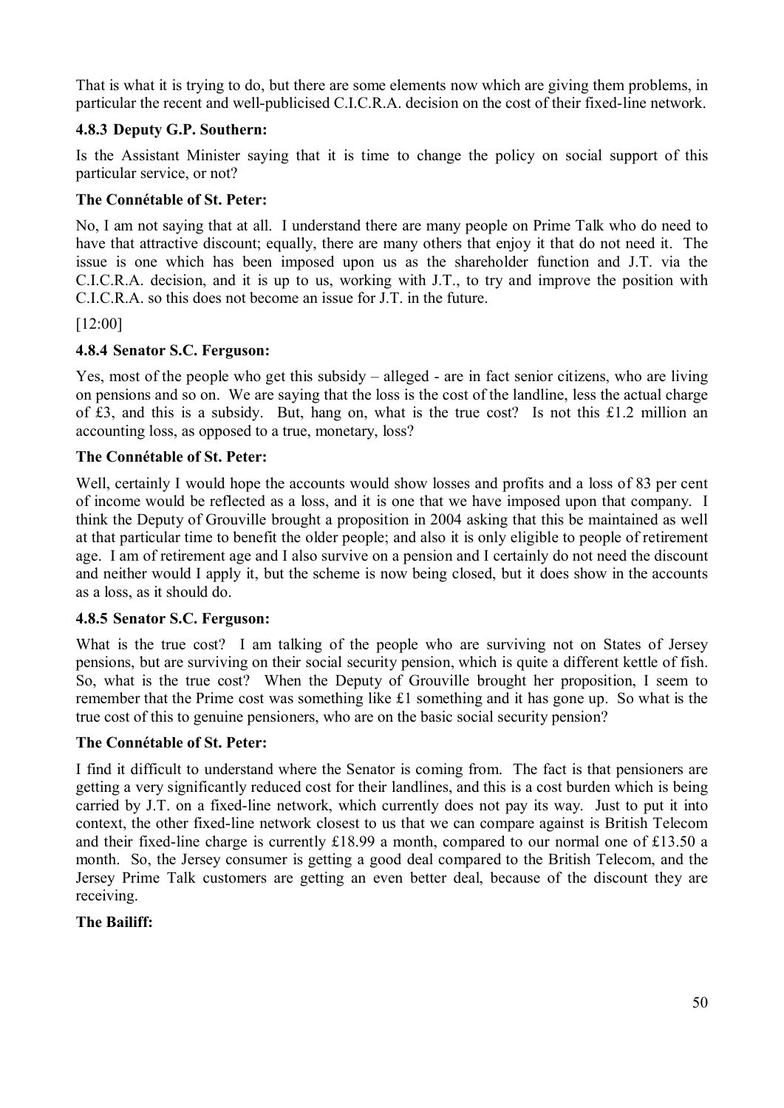That is what it is trying to do, but there are some elements now which are giving them problems, in particular the recent and well-publicised C.I.C.R.A. decision on the cost of their fixed-line network.

## **4.8.3 Deputy G.P. Southern:**

Is the Assistant Minister saying that it is time to change the policy on social support of this particular service, or not?

### **The Connétable of St. Peter:**

No, I am not saying that at all. I understand there are many people on Prime Talk who do need to have that attractive discount; equally, there are many others that enjoy it that do not need it. The issue is one which has been imposed upon us as the shareholder function and J.T. via the C.I.C.R.A. decision, and it is up to us, working with J.T., to try and improve the position with C.I.C.R.A. so this does not become an issue for J.T. in the future.

[12:00]

## **4.8.4 Senator S.C. Ferguson:**

Yes, most of the people who get this subsidy – alleged - are in fact senior citizens, who are living on pensions and so on. We are saying that the loss is the cost of the landline, less the actual charge of £3, and this is a subsidy. But, hang on, what is the true cost? Is not this £1.2 million an accounting loss, as opposed to a true, monetary, loss?

## **The Connétable of St. Peter:**

Well, certainly I would hope the accounts would show losses and profits and a loss of 83 per cent of income would be reflected as a loss, and it is one that we have imposed upon that company. I think the Deputy of Grouville brought a proposition in 2004 asking that this be maintained as well at that particular time to benefit the older people; and also it is only eligible to people of retirement age. I am of retirement age and I also survive on a pension and I certainly do not need the discount and neither would I apply it, but the scheme is now being closed, but it does show in the accounts as a loss, as it should do.

### **4.8.5 Senator S.C. Ferguson:**

What is the true cost? I am talking of the people who are surviving not on States of Jersey pensions, but are surviving on their social security pension, which is quite a different kettle of fish. So, what is the true cost? When the Deputy of Grouville brought her proposition, I seem to remember that the Prime cost was something like £1 something and it has gone up. So what is the true cost of this to genuine pensioners, who are on the basic social security pension?

### **The Connétable of St. Peter:**

I find it difficult to understand where the Senator is coming from. The fact is that pensioners are getting a very significantly reduced cost for their landlines, and this is a cost burden which is being carried by J.T. on a fixed-line network, which currently does not pay its way. Just to put it into context, the other fixed-line network closest to us that we can compare against is British Telecom and their fixed-line charge is currently £18.99 a month, compared to our normal one of £13.50 a month. So, the Jersey consumer is getting a good deal compared to the British Telecom, and the Jersey Prime Talk customers are getting an even better deal, because of the discount they are receiving.

# **The Bailiff:**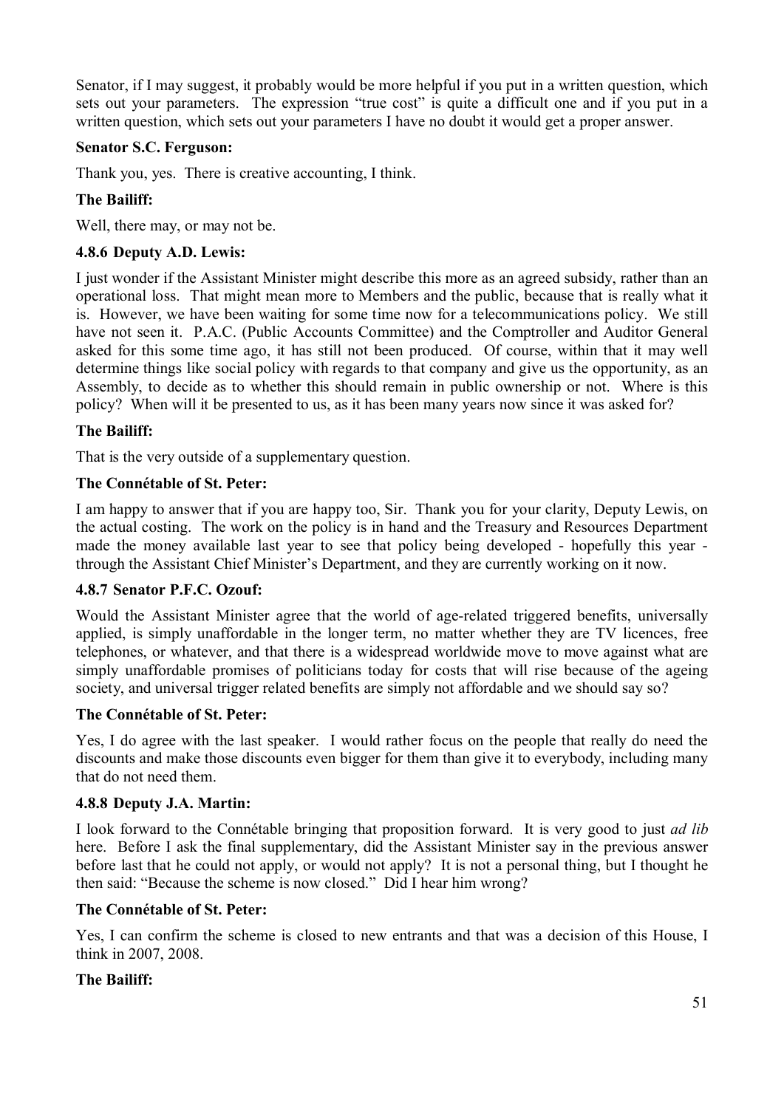Senator, if I may suggest, it probably would be more helpful if you put in a written question, which sets out your parameters. The expression "true cost" is quite a difficult one and if you put in a written question, which sets out your parameters I have no doubt it would get a proper answer.

### **Senator S.C. Ferguson:**

Thank you, yes. There is creative accounting, I think.

#### **The Bailiff:**

Well, there may, or may not be.

#### **4.8.6 Deputy A.D. Lewis:**

I just wonder if the Assistant Minister might describe this more as an agreed subsidy, rather than an operational loss. That might mean more to Members and the public, because that is really what it is. However, we have been waiting for some time now for a telecommunications policy. We still have not seen it. P.A.C. (Public Accounts Committee) and the Comptroller and Auditor General asked for this some time ago, it has still not been produced. Of course, within that it may well determine things like social policy with regards to that company and give us the opportunity, as an Assembly, to decide as to whether this should remain in public ownership or not. Where is this policy? When will it be presented to us, as it has been many years now since it was asked for?

#### **The Bailiff:**

That is the very outside of a supplementary question.

#### **The Connétable of St. Peter:**

I am happy to answer that if you are happy too, Sir. Thank you for your clarity, Deputy Lewis, on the actual costing. The work on the policy is in hand and the Treasury and Resources Department made the money available last year to see that policy being developed - hopefully this year through the Assistant Chief Minister's Department, and they are currently working on it now.

#### **4.8.7 Senator P.F.C. Ozouf:**

Would the Assistant Minister agree that the world of age-related triggered benefits, universally applied, is simply unaffordable in the longer term, no matter whether they are TV licences, free telephones, or whatever, and that there is a widespread worldwide move to move against what are simply unaffordable promises of politicians today for costs that will rise because of the ageing society, and universal trigger related benefits are simply not affordable and we should say so?

#### **The Connétable of St. Peter:**

Yes, I do agree with the last speaker. I would rather focus on the people that really do need the discounts and make those discounts even bigger for them than give it to everybody, including many that do not need them.

#### **4.8.8 Deputy J.A. Martin:**

I look forward to the Connétable bringing that proposition forward. It is very good to just *ad lib* here. Before I ask the final supplementary, did the Assistant Minister say in the previous answer before last that he could not apply, or would not apply? It is not a personal thing, but I thought he then said: "Because the scheme is now closed." Did I hear him wrong?

#### **The Connétable of St. Peter:**

Yes, I can confirm the scheme is closed to new entrants and that was a decision of this House, I think in 2007, 2008.

#### **The Bailiff:**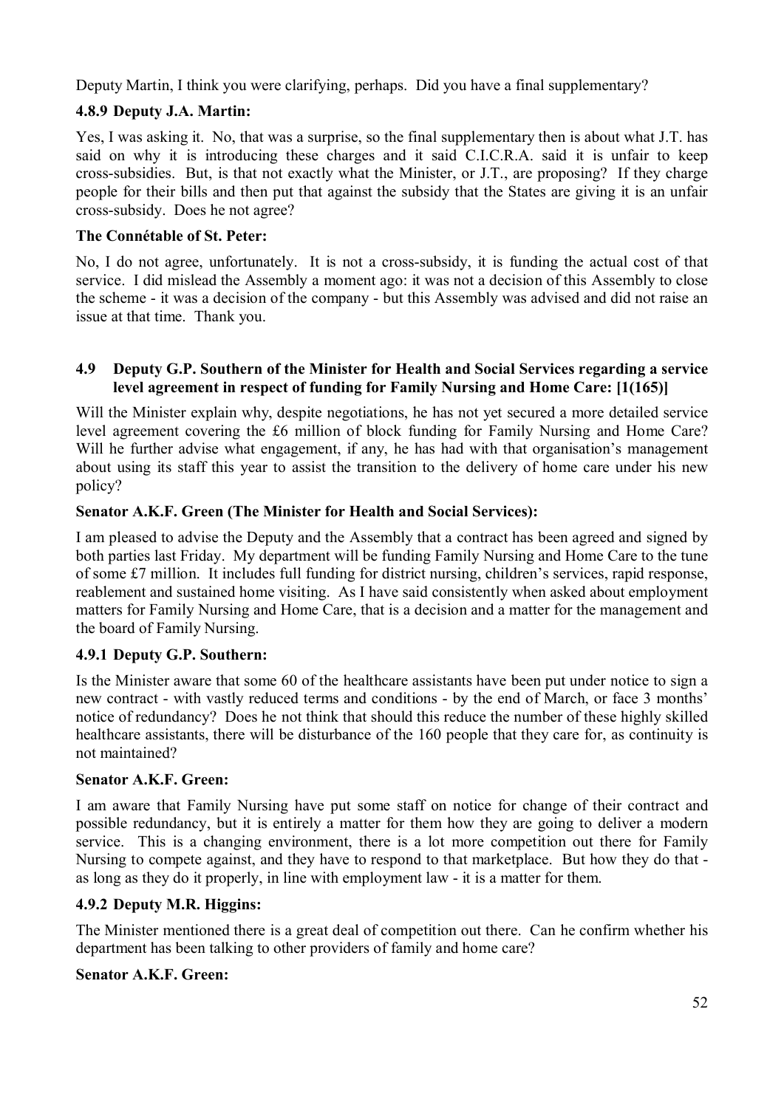Deputy Martin, I think you were clarifying, perhaps. Did you have a final supplementary?

# **4.8.9 Deputy J.A. Martin:**

Yes, I was asking it. No, that was a surprise, so the final supplementary then is about what J.T. has said on why it is introducing these charges and it said C.I.C.R.A. said it is unfair to keep cross-subsidies. But, is that not exactly what the Minister, or J.T., are proposing? If they charge people for their bills and then put that against the subsidy that the States are giving it is an unfair cross-subsidy. Does he not agree?

# **The Connétable of St. Peter:**

No, I do not agree, unfortunately. It is not a cross-subsidy, it is funding the actual cost of that service. I did mislead the Assembly a moment ago: it was not a decision of this Assembly to close the scheme - it was a decision of the company - but this Assembly was advised and did not raise an issue at that time. Thank you.

### **4.9 Deputy G.P. Southern of the Minister for Health and Social Services regarding a service level agreement in respect of funding for Family Nursing and Home Care: [1(165)]**

Will the Minister explain why, despite negotiations, he has not yet secured a more detailed service level agreement covering the £6 million of block funding for Family Nursing and Home Care? Will he further advise what engagement, if any, he has had with that organisation's management about using its staff this year to assist the transition to the delivery of home care under his new policy?

# **Senator A.K.F. Green (The Minister for Health and Social Services):**

I am pleased to advise the Deputy and the Assembly that a contract has been agreed and signed by both parties last Friday. My department will be funding Family Nursing and Home Care to the tune of some £7 million. It includes full funding for district nursing, children's services, rapid response, reablement and sustained home visiting. As I have said consistently when asked about employment matters for Family Nursing and Home Care, that is a decision and a matter for the management and the board of Family Nursing.

# **4.9.1 Deputy G.P. Southern:**

Is the Minister aware that some 60 of the healthcare assistants have been put under notice to sign a new contract - with vastly reduced terms and conditions - by the end of March, or face 3 months' notice of redundancy? Does he not think that should this reduce the number of these highly skilled healthcare assistants, there will be disturbance of the 160 people that they care for, as continuity is not maintained?

# **Senator A.K.F. Green:**

I am aware that Family Nursing have put some staff on notice for change of their contract and possible redundancy, but it is entirely a matter for them how they are going to deliver a modern service. This is a changing environment, there is a lot more competition out there for Family Nursing to compete against, and they have to respond to that marketplace. But how they do that as long as they do it properly, in line with employment law - it is a matter for them.

# **4.9.2 Deputy M.R. Higgins:**

The Minister mentioned there is a great deal of competition out there. Can he confirm whether his department has been talking to other providers of family and home care?

# **Senator A.K.F. Green:**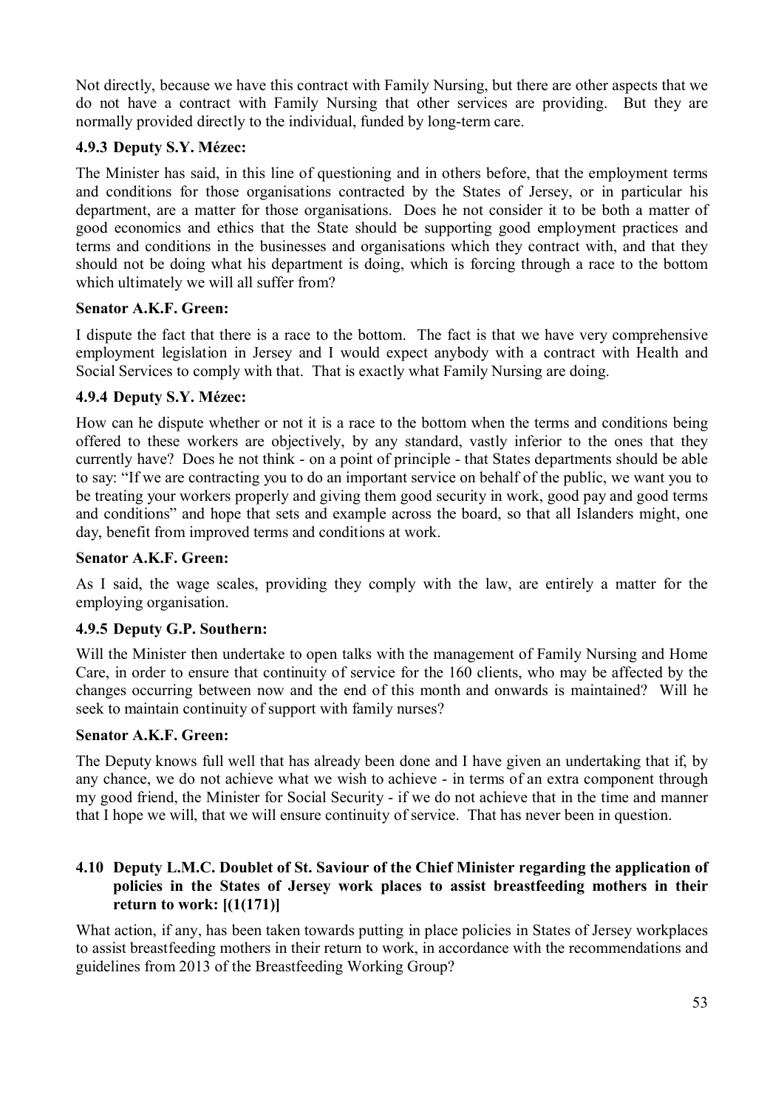Not directly, because we have this contract with Family Nursing, but there are other aspects that we do not have a contract with Family Nursing that other services are providing. But they are normally provided directly to the individual, funded by long-term care.

### **4.9.3 Deputy S.Y. Mézec:**

The Minister has said, in this line of questioning and in others before, that the employment terms and conditions for those organisations contracted by the States of Jersey, or in particular his department, are a matter for those organisations. Does he not consider it to be both a matter of good economics and ethics that the State should be supporting good employment practices and terms and conditions in the businesses and organisations which they contract with, and that they should not be doing what his department is doing, which is forcing through a race to the bottom which ultimately we will all suffer from?

### **Senator A.K.F. Green:**

I dispute the fact that there is a race to the bottom. The fact is that we have very comprehensive employment legislation in Jersey and I would expect anybody with a contract with Health and Social Services to comply with that. That is exactly what Family Nursing are doing.

### **4.9.4 Deputy S.Y. Mézec:**

How can he dispute whether or not it is a race to the bottom when the terms and conditions being offered to these workers are objectively, by any standard, vastly inferior to the ones that they currently have? Does he not think - on a point of principle - that States departments should be able to say: "If we are contracting you to do an important service on behalf of the public, we want you to be treating your workers properly and giving them good security in work, good pay and good terms and conditions" and hope that sets and example across the board, so that all Islanders might, one day, benefit from improved terms and conditions at work.

### **Senator A.K.F. Green:**

As I said, the wage scales, providing they comply with the law, are entirely a matter for the employing organisation.

### **4.9.5 Deputy G.P. Southern:**

Will the Minister then undertake to open talks with the management of Family Nursing and Home Care, in order to ensure that continuity of service for the 160 clients, who may be affected by the changes occurring between now and the end of this month and onwards is maintained? Will he seek to maintain continuity of support with family nurses?

### **Senator A.K.F. Green:**

The Deputy knows full well that has already been done and I have given an undertaking that if, by any chance, we do not achieve what we wish to achieve - in terms of an extra component through my good friend, the Minister for Social Security - if we do not achieve that in the time and manner that I hope we will, that we will ensure continuity of service. That has never been in question.

### **4.10 Deputy L.M.C. Doublet of St. Saviour of the Chief Minister regarding the application of policies in the States of Jersey work places to assist breastfeeding mothers in their return to work: [(1(171)]**

What action, if any, has been taken towards putting in place policies in States of Jersey workplaces to assist breastfeeding mothers in their return to work, in accordance with the recommendations and guidelines from 2013 of the Breastfeeding Working Group?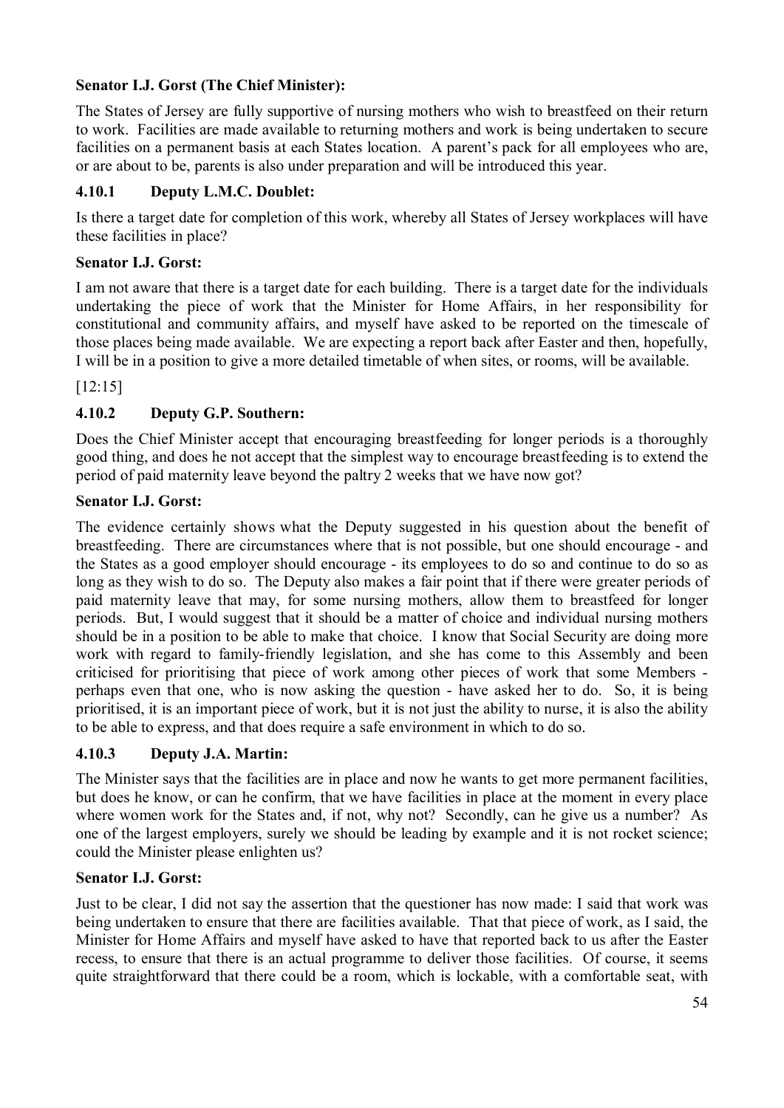# **Senator I.J. Gorst (The Chief Minister):**

The States of Jersey are fully supportive of nursing mothers who wish to breastfeed on their return to work. Facilities are made available to returning mothers and work is being undertaken to secure facilities on a permanent basis at each States location. A parent's pack for all employees who are, or are about to be, parents is also under preparation and will be introduced this year.

## **4.10.1 Deputy L.M.C. Doublet:**

Is there a target date for completion of this work, whereby all States of Jersey workplaces will have these facilities in place?

## **Senator I.J. Gorst:**

I am not aware that there is a target date for each building. There is a target date for the individuals undertaking the piece of work that the Minister for Home Affairs, in her responsibility for constitutional and community affairs, and myself have asked to be reported on the timescale of those places being made available. We are expecting a report back after Easter and then, hopefully, I will be in a position to give a more detailed timetable of when sites, or rooms, will be available.

[12:15]

# **4.10.2 Deputy G.P. Southern:**

Does the Chief Minister accept that encouraging breastfeeding for longer periods is a thoroughly good thing, and does he not accept that the simplest way to encourage breastfeeding is to extend the period of paid maternity leave beyond the paltry 2 weeks that we have now got?

### **Senator I.J. Gorst:**

The evidence certainly shows what the Deputy suggested in his question about the benefit of breastfeeding. There are circumstances where that is not possible, but one should encourage - and the States as a good employer should encourage - its employees to do so and continue to do so as long as they wish to do so. The Deputy also makes a fair point that if there were greater periods of paid maternity leave that may, for some nursing mothers, allow them to breastfeed for longer periods. But, I would suggest that it should be a matter of choice and individual nursing mothers should be in a position to be able to make that choice. I know that Social Security are doing more work with regard to family-friendly legislation, and she has come to this Assembly and been criticised for prioritising that piece of work among other pieces of work that some Members perhaps even that one, who is now asking the question - have asked her to do. So, it is being prioritised, it is an important piece of work, but it is not just the ability to nurse, it is also the ability to be able to express, and that does require a safe environment in which to do so.

### **4.10.3 Deputy J.A. Martin:**

The Minister says that the facilities are in place and now he wants to get more permanent facilities, but does he know, or can he confirm, that we have facilities in place at the moment in every place where women work for the States and, if not, why not? Secondly, can he give us a number? As one of the largest employers, surely we should be leading by example and it is not rocket science; could the Minister please enlighten us?

### **Senator I.J. Gorst:**

Just to be clear, I did not say the assertion that the questioner has now made: I said that work was being undertaken to ensure that there are facilities available. That that piece of work, as I said, the Minister for Home Affairs and myself have asked to have that reported back to us after the Easter recess, to ensure that there is an actual programme to deliver those facilities. Of course, it seems quite straightforward that there could be a room, which is lockable, with a comfortable seat, with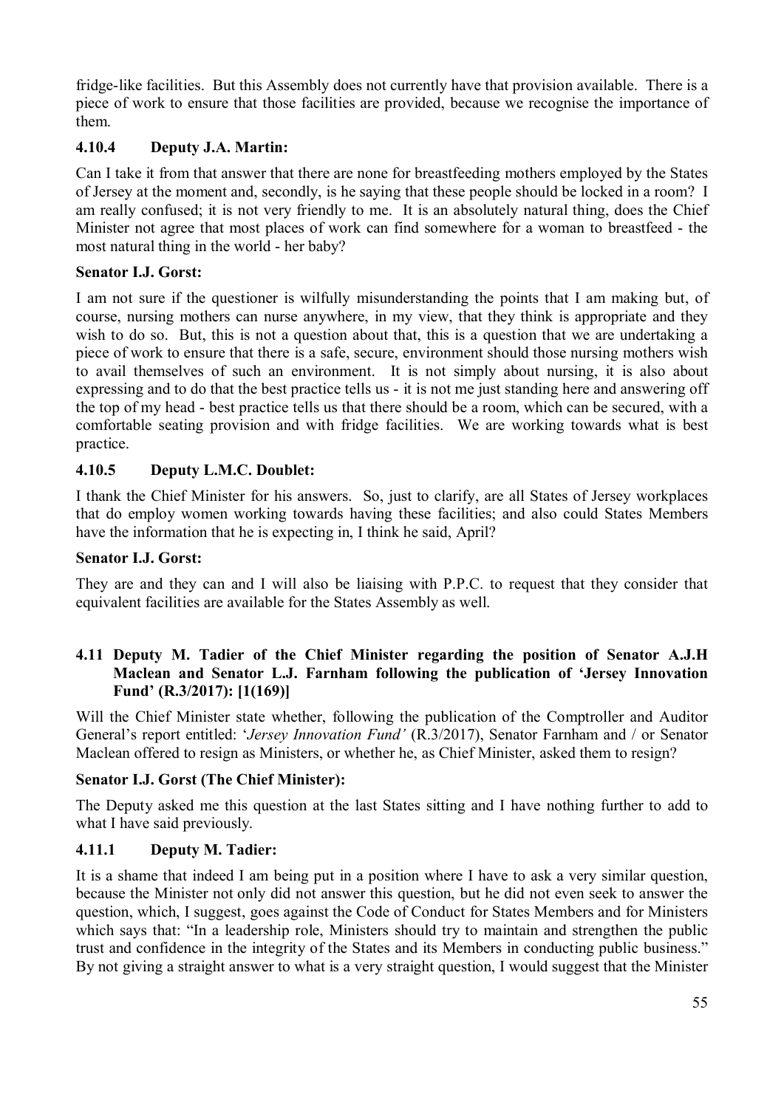fridge-like facilities. But this Assembly does not currently have that provision available. There is a piece of work to ensure that those facilities are provided, because we recognise the importance of them.

## **4.10.4 Deputy J.A. Martin:**

Can I take it from that answer that there are none for breastfeeding mothers employed by the States of Jersey at the moment and, secondly, is he saying that these people should be locked in a room? I am really confused; it is not very friendly to me. It is an absolutely natural thing, does the Chief Minister not agree that most places of work can find somewhere for a woman to breastfeed - the most natural thing in the world - her baby?

### **Senator I.J. Gorst:**

I am not sure if the questioner is wilfully misunderstanding the points that I am making but, of course, nursing mothers can nurse anywhere, in my view, that they think is appropriate and they wish to do so. But, this is not a question about that, this is a question that we are undertaking a piece of work to ensure that there is a safe, secure, environment should those nursing mothers wish to avail themselves of such an environment. It is not simply about nursing, it is also about expressing and to do that the best practice tells us - it is not me just standing here and answering off the top of my head - best practice tells us that there should be a room, which can be secured, with a comfortable seating provision and with fridge facilities. We are working towards what is best practice.

### **4.10.5 Deputy L.M.C. Doublet:**

I thank the Chief Minister for his answers. So, just to clarify, are all States of Jersey workplaces that do employ women working towards having these facilities; and also could States Members have the information that he is expecting in, I think he said, April?

#### **Senator I.J. Gorst:**

They are and they can and I will also be liaising with P.P.C. to request that they consider that equivalent facilities are available for the States Assembly as well.

### **4.11 Deputy M. Tadier of the Chief Minister regarding the position of Senator A.J.H Maclean and Senator L.J. Farnham following the publication of 'Jersey Innovation Fund' (R.3/2017): [1(169)]**

Will the Chief Minister state whether, following the publication of the Comptroller and Auditor General's report entitled: '*Jersey Innovation Fund'* (R.3/2017), Senator Farnham and / or Senator Maclean offered to resign as Ministers, or whether he, as Chief Minister, asked them to resign?

### **Senator I.J. Gorst (The Chief Minister):**

The Deputy asked me this question at the last States sitting and I have nothing further to add to what I have said previously.

### **4.11.1 Deputy M. Tadier:**

It is a shame that indeed I am being put in a position where I have to ask a very similar question, because the Minister not only did not answer this question, but he did not even seek to answer the question, which, I suggest, goes against the Code of Conduct for States Members and for Ministers which says that: "In a leadership role. Ministers should try to maintain and strengthen the public trust and confidence in the integrity of the States and its Members in conducting public business." By not giving a straight answer to what is a very straight question, I would suggest that the Minister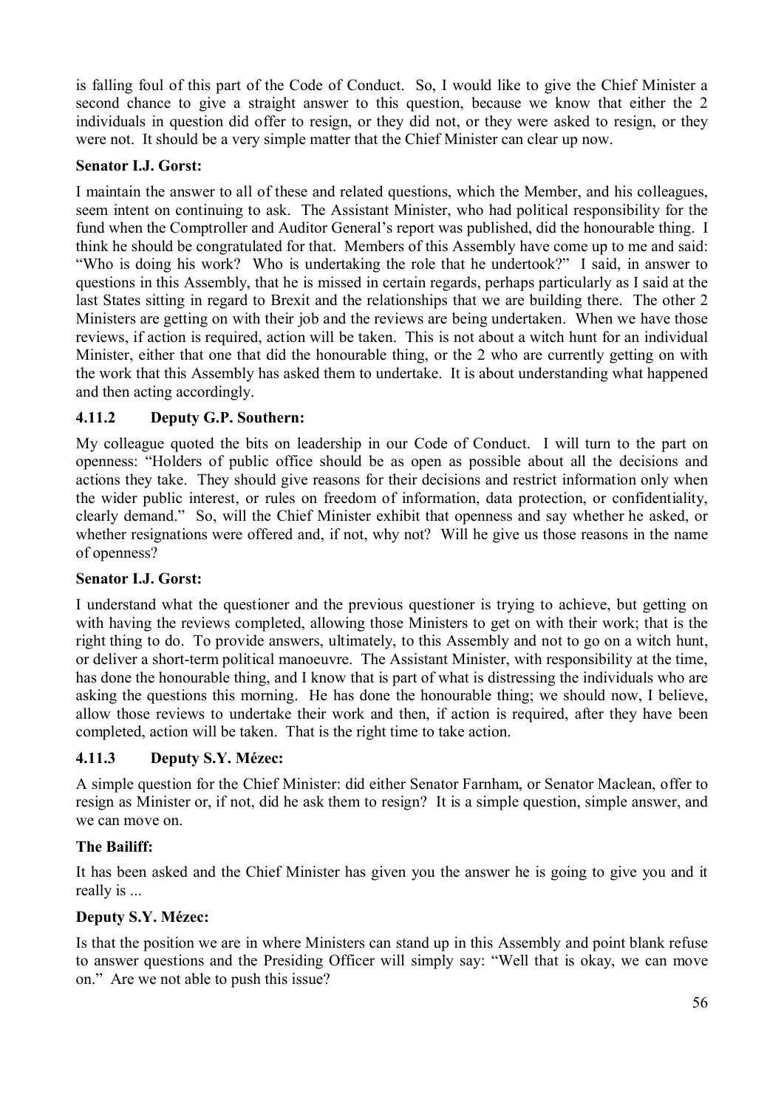is falling foul of this part of the Code of Conduct. So, I would like to give the Chief Minister a second chance to give a straight answer to this question, because we know that either the 2 individuals in question did offer to resign, or they did not, or they were asked to resign, or they were not. It should be a very simple matter that the Chief Minister can clear up now.

### **Senator I.J. Gorst:**

I maintain the answer to all of these and related questions, which the Member, and his colleagues, seem intent on continuing to ask. The Assistant Minister, who had political responsibility for the fund when the Comptroller and Auditor General's report was published, did the honourable thing. I think he should be congratulated for that. Members of this Assembly have come up to me and said: "Who is doing his work? Who is undertaking the role that he undertook?" I said, in answer to questions in this Assembly, that he is missed in certain regards, perhaps particularly as I said at the last States sitting in regard to Brexit and the relationships that we are building there. The other 2 Ministers are getting on with their job and the reviews are being undertaken. When we have those reviews, if action is required, action will be taken. This is not about a witch hunt for an individual Minister, either that one that did the honourable thing, or the 2 who are currently getting on with the work that this Assembly has asked them to undertake. It is about understanding what happened and then acting accordingly.

## **4.11.2 Deputy G.P. Southern:**

My colleague quoted the bits on leadership in our Code of Conduct. I will turn to the part on openness: "Holders of public office should be as open as possible about all the decisions and actions they take. They should give reasons for their decisions and restrict information only when the wider public interest, or rules on freedom of information, data protection, or confidentiality, clearly demand." So, will the Chief Minister exhibit that openness and say whether he asked, or whether resignations were offered and, if not, why not? Will he give us those reasons in the name of openness?

### **Senator I.J. Gorst:**

I understand what the questioner and the previous questioner is trying to achieve, but getting on with having the reviews completed, allowing those Ministers to get on with their work; that is the right thing to do. To provide answers, ultimately, to this Assembly and not to go on a witch hunt, or deliver a short-term political manoeuvre. The Assistant Minister, with responsibility at the time, has done the honourable thing, and I know that is part of what is distressing the individuals who are asking the questions this morning. He has done the honourable thing; we should now, I believe, allow those reviews to undertake their work and then, if action is required, after they have been completed, action will be taken. That is the right time to take action.

# **4.11.3 Deputy S.Y. Mézec:**

A simple question for the Chief Minister: did either Senator Farnham, or Senator Maclean, offer to resign as Minister or, if not, did he ask them to resign? It is a simple question, simple answer, and we can move on.

### **The Bailiff:**

It has been asked and the Chief Minister has given you the answer he is going to give you and it really is ...

# **Deputy S.Y. Mézec:**

Is that the position we are in where Ministers can stand up in this Assembly and point blank refuse to answer questions and the Presiding Officer will simply say: "Well that is okay, we can move on." Are we not able to push this issue?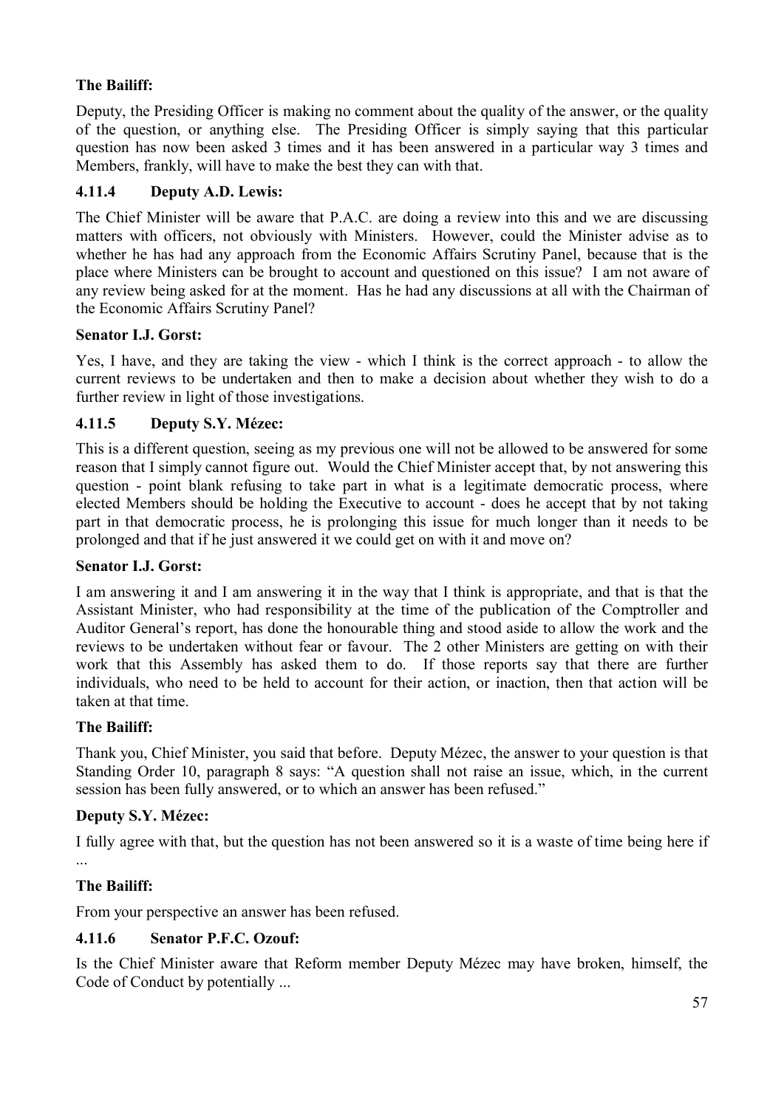# **The Bailiff:**

Deputy, the Presiding Officer is making no comment about the quality of the answer, or the quality of the question, or anything else. The Presiding Officer is simply saying that this particular question has now been asked 3 times and it has been answered in a particular way 3 times and Members, frankly, will have to make the best they can with that.

# **4.11.4 Deputy A.D. Lewis:**

The Chief Minister will be aware that P.A.C. are doing a review into this and we are discussing matters with officers, not obviously with Ministers. However, could the Minister advise as to whether he has had any approach from the Economic Affairs Scrutiny Panel, because that is the place where Ministers can be brought to account and questioned on this issue? I am not aware of any review being asked for at the moment. Has he had any discussions at all with the Chairman of the Economic Affairs Scrutiny Panel?

## **Senator I.J. Gorst:**

Yes, I have, and they are taking the view - which I think is the correct approach - to allow the current reviews to be undertaken and then to make a decision about whether they wish to do a further review in light of those investigations.

## **4.11.5 Deputy S.Y. Mézec:**

This is a different question, seeing as my previous one will not be allowed to be answered for some reason that I simply cannot figure out. Would the Chief Minister accept that, by not answering this question - point blank refusing to take part in what is a legitimate democratic process, where elected Members should be holding the Executive to account - does he accept that by not taking part in that democratic process, he is prolonging this issue for much longer than it needs to be prolonged and that if he just answered it we could get on with it and move on?

### **Senator I.J. Gorst:**

I am answering it and I am answering it in the way that I think is appropriate, and that is that the Assistant Minister, who had responsibility at the time of the publication of the Comptroller and Auditor General's report, has done the honourable thing and stood aside to allow the work and the reviews to be undertaken without fear or favour. The 2 other Ministers are getting on with their work that this Assembly has asked them to do. If those reports say that there are further individuals, who need to be held to account for their action, or inaction, then that action will be taken at that time.

### **The Bailiff:**

Thank you, Chief Minister, you said that before. Deputy Mézec, the answer to your question is that Standing Order 10, paragraph 8 says: "A question shall not raise an issue, which, in the current session has been fully answered, or to which an answer has been refused."

### **Deputy S.Y. Mézec:**

I fully agree with that, but the question has not been answered so it is a waste of time being here if ...

### **The Bailiff:**

From your perspective an answer has been refused.

### **4.11.6 Senator P.F.C. Ozouf:**

Is the Chief Minister aware that Reform member Deputy Mézec may have broken, himself, the Code of Conduct by potentially ...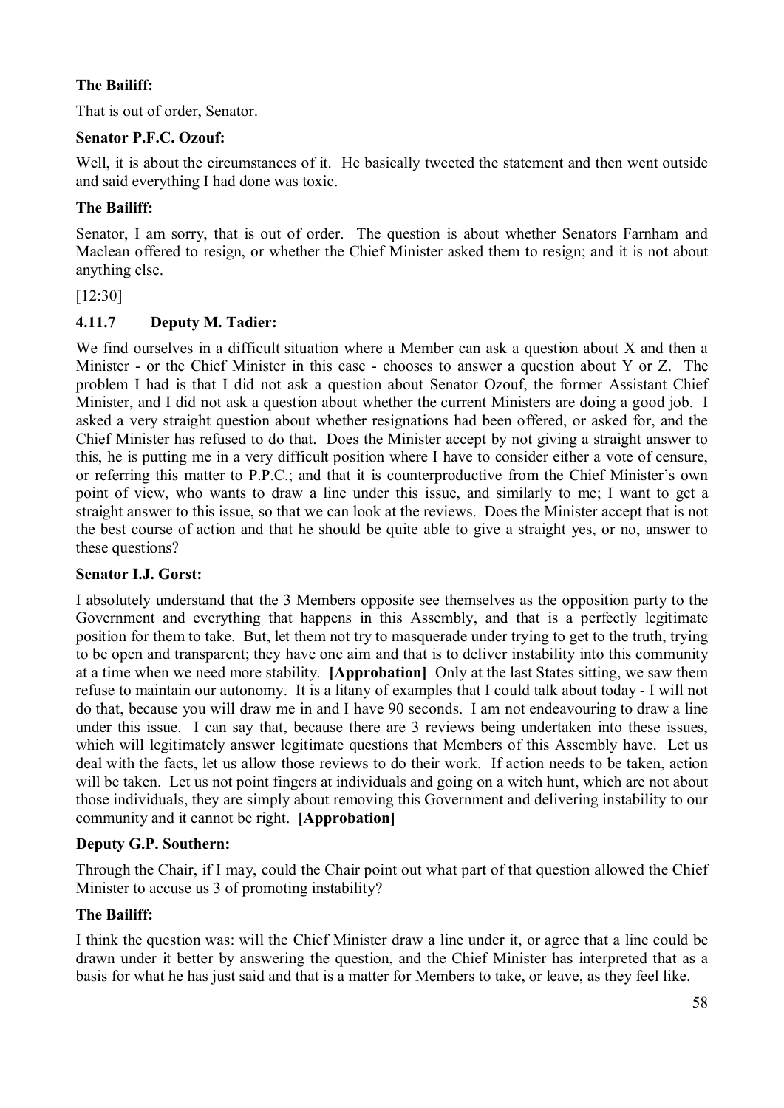# **The Bailiff:**

That is out of order, Senator.

# **Senator P.F.C. Ozouf:**

Well, it is about the circumstances of it. He basically tweeted the statement and then went outside and said everything I had done was toxic.

# **The Bailiff:**

Senator, I am sorry, that is out of order. The question is about whether Senators Farnham and Maclean offered to resign, or whether the Chief Minister asked them to resign; and it is not about anything else.

### [12:30]

# **4.11.7 Deputy M. Tadier:**

We find ourselves in a difficult situation where a Member can ask a question about X and then a Minister - or the Chief Minister in this case - chooses to answer a question about Y or Z. The problem I had is that I did not ask a question about Senator Ozouf, the former Assistant Chief Minister, and I did not ask a question about whether the current Ministers are doing a good job. I asked a very straight question about whether resignations had been offered, or asked for, and the Chief Minister has refused to do that. Does the Minister accept by not giving a straight answer to this, he is putting me in a very difficult position where I have to consider either a vote of censure, or referring this matter to P.P.C.; and that it is counterproductive from the Chief Minister's own point of view, who wants to draw a line under this issue, and similarly to me; I want to get a straight answer to this issue, so that we can look at the reviews. Does the Minister accept that is not the best course of action and that he should be quite able to give a straight yes, or no, answer to these questions?

### **Senator I.J. Gorst:**

I absolutely understand that the 3 Members opposite see themselves as the opposition party to the Government and everything that happens in this Assembly, and that is a perfectly legitimate position for them to take. But, let them not try to masquerade under trying to get to the truth, trying to be open and transparent; they have one aim and that is to deliver instability into this community at a time when we need more stability. **[Approbation]** Only at the last States sitting, we saw them refuse to maintain our autonomy. It is a litany of examples that I could talk about today - I will not do that, because you will draw me in and I have 90 seconds. I am not endeavouring to draw a line under this issue. I can say that, because there are 3 reviews being undertaken into these issues, which will legitimately answer legitimate questions that Members of this Assembly have. Let us deal with the facts, let us allow those reviews to do their work. If action needs to be taken, action will be taken. Let us not point fingers at individuals and going on a witch hunt, which are not about those individuals, they are simply about removing this Government and delivering instability to our community and it cannot be right. **[Approbation]**

# **Deputy G.P. Southern:**

Through the Chair, if I may, could the Chair point out what part of that question allowed the Chief Minister to accuse us 3 of promoting instability?

# **The Bailiff:**

I think the question was: will the Chief Minister draw a line under it, or agree that a line could be drawn under it better by answering the question, and the Chief Minister has interpreted that as a basis for what he has just said and that is a matter for Members to take, or leave, as they feel like.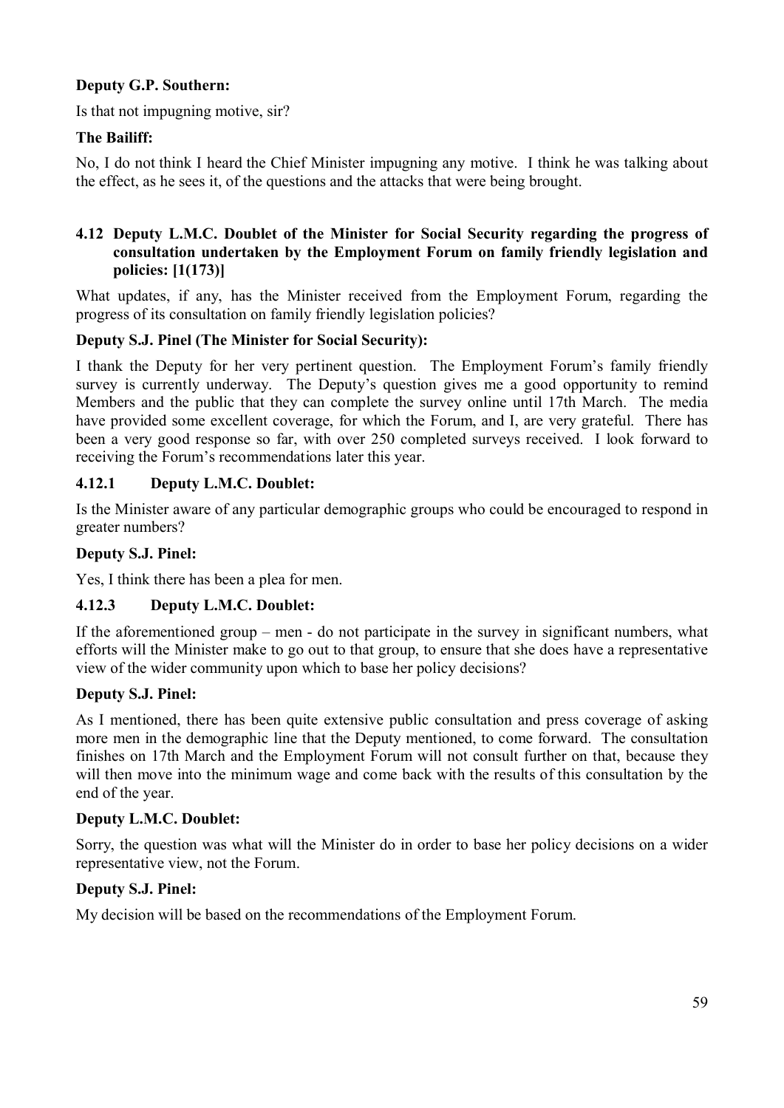## **Deputy G.P. Southern:**

Is that not impugning motive, sir?

### **The Bailiff:**

No, I do not think I heard the Chief Minister impugning any motive. I think he was talking about the effect, as he sees it, of the questions and the attacks that were being brought.

## **4.12 Deputy L.M.C. Doublet of the Minister for Social Security regarding the progress of consultation undertaken by the Employment Forum on family friendly legislation and policies: [1(173)]**

What updates, if any, has the Minister received from the Employment Forum, regarding the progress of its consultation on family friendly legislation policies?

### **Deputy S.J. Pinel (The Minister for Social Security):**

I thank the Deputy for her very pertinent question. The Employment Forum's family friendly survey is currently underway. The Deputy's question gives me a good opportunity to remind Members and the public that they can complete the survey online until 17th March. The media have provided some excellent coverage, for which the Forum, and I, are very grateful. There has been a very good response so far, with over 250 completed surveys received. I look forward to receiving the Forum's recommendations later this year.

## **4.12.1 Deputy L.M.C. Doublet:**

Is the Minister aware of any particular demographic groups who could be encouraged to respond in greater numbers?

### **Deputy S.J. Pinel:**

Yes, I think there has been a plea for men.

### **4.12.3 Deputy L.M.C. Doublet:**

If the aforementioned group – men - do not participate in the survey in significant numbers, what efforts will the Minister make to go out to that group, to ensure that she does have a representative view of the wider community upon which to base her policy decisions?

### **Deputy S.J. Pinel:**

As I mentioned, there has been quite extensive public consultation and press coverage of asking more men in the demographic line that the Deputy mentioned, to come forward. The consultation finishes on 17th March and the Employment Forum will not consult further on that, because they will then move into the minimum wage and come back with the results of this consultation by the end of the year.

### **Deputy L.M.C. Doublet:**

Sorry, the question was what will the Minister do in order to base her policy decisions on a wider representative view, not the Forum.

### **Deputy S.J. Pinel:**

My decision will be based on the recommendations of the Employment Forum.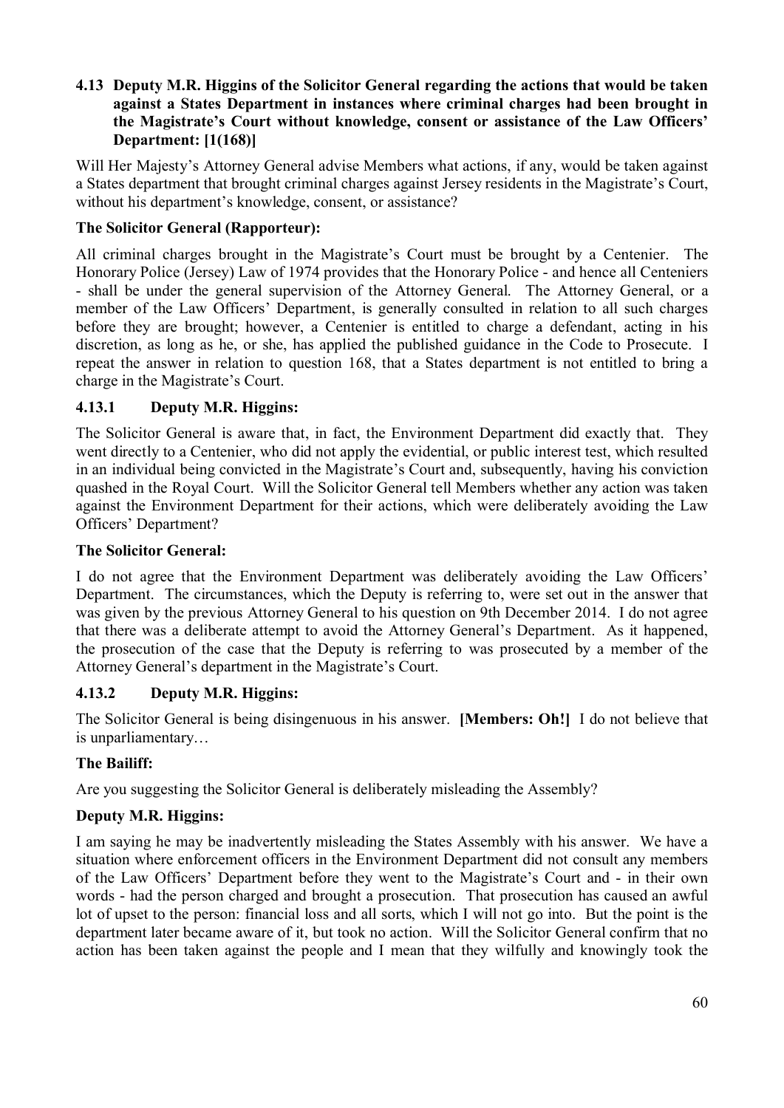### **4.13 Deputy M.R. Higgins of the Solicitor General regarding the actions that would be taken against a States Department in instances where criminal charges had been brought in the Magistrate's Court without knowledge, consent or assistance of the Law Officers' Department: [1(168)]**

Will Her Majesty's Attorney General advise Members what actions, if any, would be taken against a States department that brought criminal charges against Jersey residents in the Magistrate's Court, without his department's knowledge, consent, or assistance?

## **The Solicitor General (Rapporteur):**

All criminal charges brought in the Magistrate's Court must be brought by a Centenier. The Honorary Police (Jersey) Law of 1974 provides that the Honorary Police - and hence all Centeniers - shall be under the general supervision of the Attorney General. The Attorney General, or a member of the Law Officers' Department, is generally consulted in relation to all such charges before they are brought; however, a Centenier is entitled to charge a defendant, acting in his discretion, as long as he, or she, has applied the published guidance in the Code to Prosecute. I repeat the answer in relation to question 168, that a States department is not entitled to bring a charge in the Magistrate's Court.

### **4.13.1 Deputy M.R. Higgins:**

The Solicitor General is aware that, in fact, the Environment Department did exactly that. They went directly to a Centenier, who did not apply the evidential, or public interest test, which resulted in an individual being convicted in the Magistrate's Court and, subsequently, having his conviction quashed in the Royal Court. Will the Solicitor General tell Members whether any action was taken against the Environment Department for their actions, which were deliberately avoiding the Law Officers' Department?

#### **The Solicitor General:**

I do not agree that the Environment Department was deliberately avoiding the Law Officers' Department. The circumstances, which the Deputy is referring to, were set out in the answer that was given by the previous Attorney General to his question on 9th December 2014. I do not agree that there was a deliberate attempt to avoid the Attorney General's Department. As it happened, the prosecution of the case that the Deputy is referring to was prosecuted by a member of the Attorney General's department in the Magistrate's Court.

### **4.13.2 Deputy M.R. Higgins:**

The Solicitor General is being disingenuous in his answer. **[Members: Oh!]** I do not believe that is unparliamentary…

### **The Bailiff:**

Are you suggesting the Solicitor General is deliberately misleading the Assembly?

# **Deputy M.R. Higgins:**

I am saying he may be inadvertently misleading the States Assembly with his answer. We have a situation where enforcement officers in the Environment Department did not consult any members of the Law Officers' Department before they went to the Magistrate's Court and - in their own words - had the person charged and brought a prosecution. That prosecution has caused an awful lot of upset to the person: financial loss and all sorts, which I will not go into. But the point is the department later became aware of it, but took no action. Will the Solicitor General confirm that no action has been taken against the people and I mean that they wilfully and knowingly took the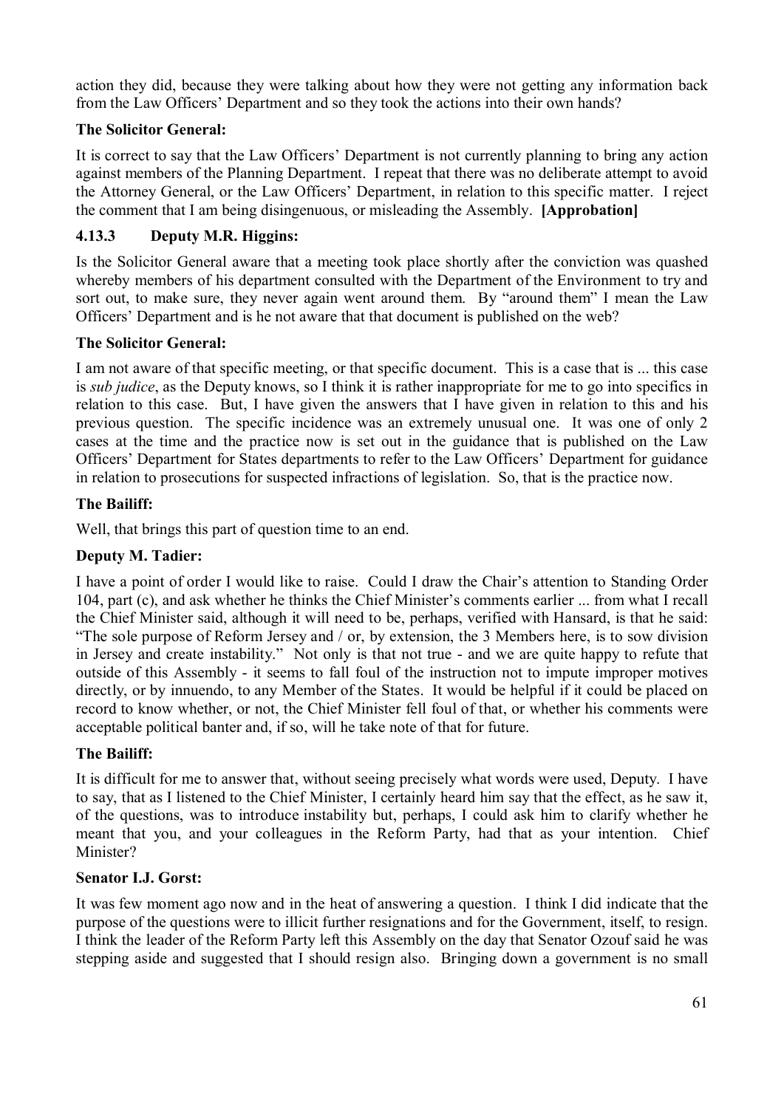action they did, because they were talking about how they were not getting any information back from the Law Officers' Department and so they took the actions into their own hands?

## **The Solicitor General:**

It is correct to say that the Law Officers' Department is not currently planning to bring any action against members of the Planning Department. I repeat that there was no deliberate attempt to avoid the Attorney General, or the Law Officers' Department, in relation to this specific matter. I reject the comment that I am being disingenuous, or misleading the Assembly. **[Approbation]**

## **4.13.3 Deputy M.R. Higgins:**

Is the Solicitor General aware that a meeting took place shortly after the conviction was quashed whereby members of his department consulted with the Department of the Environment to try and sort out, to make sure, they never again went around them. By "around them" I mean the Law Officers' Department and is he not aware that that document is published on the web?

### **The Solicitor General:**

I am not aware of that specific meeting, or that specific document. This is a case that is ... this case is *sub judice*, as the Deputy knows, so I think it is rather inappropriate for me to go into specifics in relation to this case. But, I have given the answers that I have given in relation to this and his previous question. The specific incidence was an extremely unusual one. It was one of only 2 cases at the time and the practice now is set out in the guidance that is published on the Law Officers' Department for States departments to refer to the Law Officers' Department for guidance in relation to prosecutions for suspected infractions of legislation. So, that is the practice now.

## **The Bailiff:**

Well, that brings this part of question time to an end.

### **Deputy M. Tadier:**

I have a point of order I would like to raise. Could I draw the Chair's attention to Standing Order 104, part (c), and ask whether he thinks the Chief Minister's comments earlier ... from what I recall the Chief Minister said, although it will need to be, perhaps, verified with Hansard, is that he said: "The sole purpose of Reform Jersey and / or, by extension, the 3 Members here, is to sow division in Jersey and create instability." Not only is that not true - and we are quite happy to refute that outside of this Assembly - it seems to fall foul of the instruction not to impute improper motives directly, or by innuendo, to any Member of the States. It would be helpful if it could be placed on record to know whether, or not, the Chief Minister fell foul of that, or whether his comments were acceptable political banter and, if so, will he take note of that for future.

### **The Bailiff:**

It is difficult for me to answer that, without seeing precisely what words were used, Deputy. I have to say, that as I listened to the Chief Minister, I certainly heard him say that the effect, as he saw it, of the questions, was to introduce instability but, perhaps, I could ask him to clarify whether he meant that you, and your colleagues in the Reform Party, had that as your intention. Chief Minister?

### **Senator I.J. Gorst:**

It was few moment ago now and in the heat of answering a question. I think I did indicate that the purpose of the questions were to illicit further resignations and for the Government, itself, to resign. I think the leader of the Reform Party left this Assembly on the day that Senator Ozouf said he was stepping aside and suggested that I should resign also. Bringing down a government is no small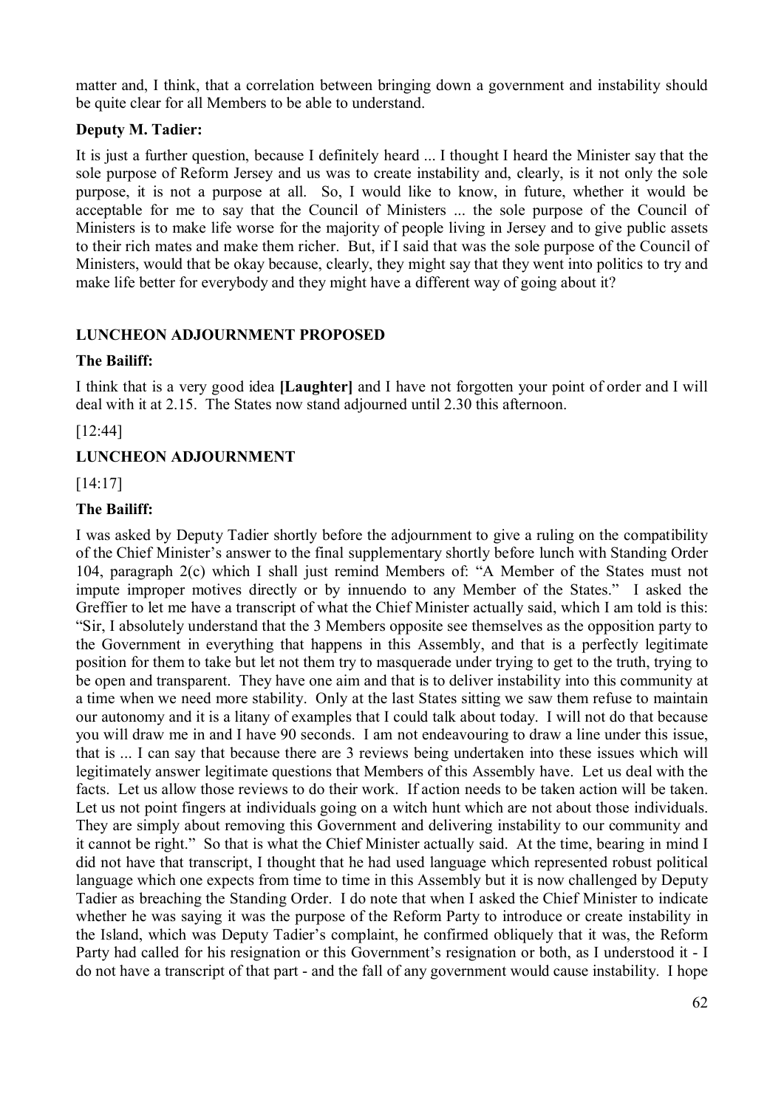matter and, I think, that a correlation between bringing down a government and instability should be quite clear for all Members to be able to understand.

## **Deputy M. Tadier:**

It is just a further question, because I definitely heard ... I thought I heard the Minister say that the sole purpose of Reform Jersey and us was to create instability and, clearly, is it not only the sole purpose, it is not a purpose at all. So, I would like to know, in future, whether it would be acceptable for me to say that the Council of Ministers ... the sole purpose of the Council of Ministers is to make life worse for the majority of people living in Jersey and to give public assets to their rich mates and make them richer. But, if I said that was the sole purpose of the Council of Ministers, would that be okay because, clearly, they might say that they went into politics to try and make life better for everybody and they might have a different way of going about it?

# **LUNCHEON ADJOURNMENT PROPOSED**

## **The Bailiff:**

I think that is a very good idea **[Laughter]** and I have not forgotten your point of order and I will deal with it at 2.15. The States now stand adjourned until 2.30 this afternoon.

[12:44]

# **LUNCHEON ADJOURNMENT**

[14:17]

## **The Bailiff:**

I was asked by Deputy Tadier shortly before the adjournment to give a ruling on the compatibility of the Chief Minister's answer to the final supplementary shortly before lunch with Standing Order 104, paragraph 2(c) which I shall just remind Members of: "A Member of the States must not impute improper motives directly or by innuendo to any Member of the States." I asked the Greffier to let me have a transcript of what the Chief Minister actually said, which I am told is this: "Sir, I absolutely understand that the 3 Members opposite see themselves as the opposition party to the Government in everything that happens in this Assembly, and that is a perfectly legitimate position for them to take but let not them try to masquerade under trying to get to the truth, trying to be open and transparent. They have one aim and that is to deliver instability into this community at a time when we need more stability. Only at the last States sitting we saw them refuse to maintain our autonomy and it is a litany of examples that I could talk about today. I will not do that because you will draw me in and I have 90 seconds. I am not endeavouring to draw a line under this issue, that is ... I can say that because there are 3 reviews being undertaken into these issues which will legitimately answer legitimate questions that Members of this Assembly have. Let us deal with the facts. Let us allow those reviews to do their work. If action needs to be taken action will be taken. Let us not point fingers at individuals going on a witch hunt which are not about those individuals. They are simply about removing this Government and delivering instability to our community and it cannot be right." So that is what the Chief Minister actually said. At the time, bearing in mind I did not have that transcript, I thought that he had used language which represented robust political language which one expects from time to time in this Assembly but it is now challenged by Deputy Tadier as breaching the Standing Order. I do note that when I asked the Chief Minister to indicate whether he was saying it was the purpose of the Reform Party to introduce or create instability in the Island, which was Deputy Tadier's complaint, he confirmed obliquely that it was, the Reform Party had called for his resignation or this Government's resignation or both, as I understood it - I do not have a transcript of that part - and the fall of any government would cause instability. I hope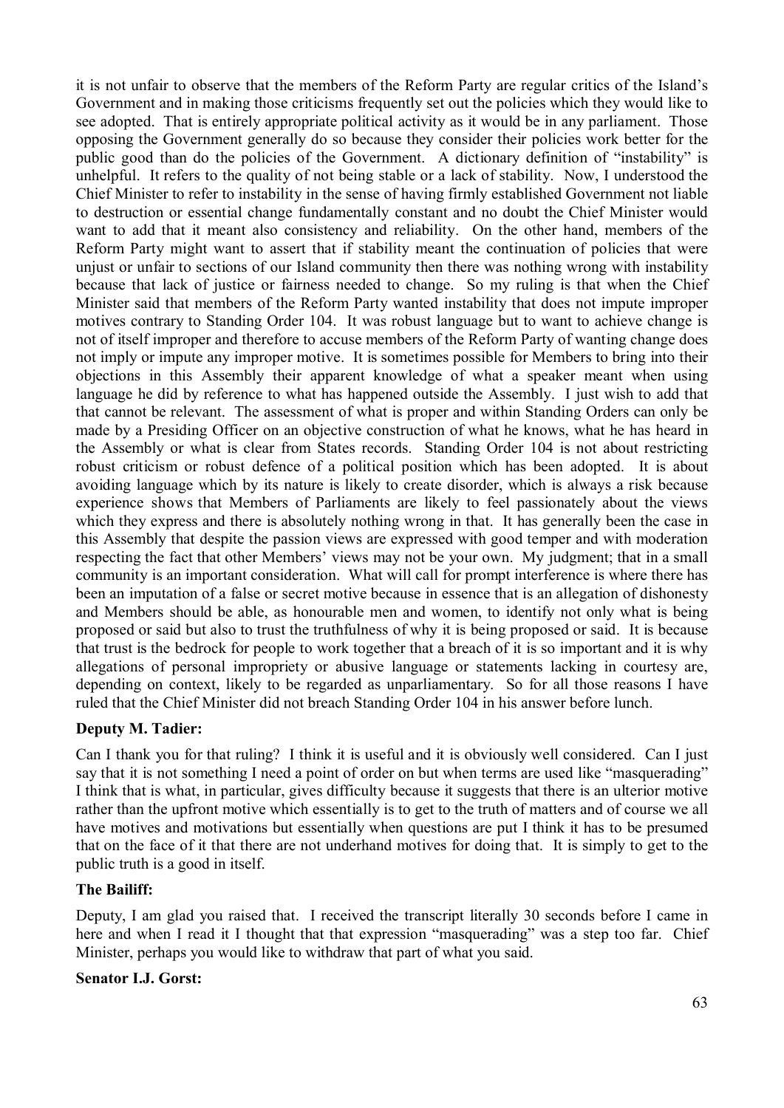it is not unfair to observe that the members of the Reform Party are regular critics of the Island's Government and in making those criticisms frequently set out the policies which they would like to see adopted. That is entirely appropriate political activity as it would be in any parliament. Those opposing the Government generally do so because they consider their policies work better for the public good than do the policies of the Government. A dictionary definition of "instability" is unhelpful. It refers to the quality of not being stable or a lack of stability. Now, I understood the Chief Minister to refer to instability in the sense of having firmly established Government not liable to destruction or essential change fundamentally constant and no doubt the Chief Minister would want to add that it meant also consistency and reliability. On the other hand, members of the Reform Party might want to assert that if stability meant the continuation of policies that were unjust or unfair to sections of our Island community then there was nothing wrong with instability because that lack of justice or fairness needed to change. So my ruling is that when the Chief Minister said that members of the Reform Party wanted instability that does not impute improper motives contrary to Standing Order 104. It was robust language but to want to achieve change is not of itself improper and therefore to accuse members of the Reform Party of wanting change does not imply or impute any improper motive. It is sometimes possible for Members to bring into their objections in this Assembly their apparent knowledge of what a speaker meant when using language he did by reference to what has happened outside the Assembly. I just wish to add that that cannot be relevant. The assessment of what is proper and within Standing Orders can only be made by a Presiding Officer on an objective construction of what he knows, what he has heard in the Assembly or what is clear from States records. Standing Order 104 is not about restricting robust criticism or robust defence of a political position which has been adopted. It is about avoiding language which by its nature is likely to create disorder, which is always a risk because experience shows that Members of Parliaments are likely to feel passionately about the views which they express and there is absolutely nothing wrong in that. It has generally been the case in this Assembly that despite the passion views are expressed with good temper and with moderation respecting the fact that other Members' views may not be your own. My judgment; that in a small community is an important consideration. What will call for prompt interference is where there has been an imputation of a false or secret motive because in essence that is an allegation of dishonesty and Members should be able, as honourable men and women, to identify not only what is being proposed or said but also to trust the truthfulness of why it is being proposed or said. It is because that trust is the bedrock for people to work together that a breach of it is so important and it is why allegations of personal impropriety or abusive language or statements lacking in courtesy are, depending on context, likely to be regarded as unparliamentary. So for all those reasons I have ruled that the Chief Minister did not breach Standing Order 104 in his answer before lunch.

### **Deputy M. Tadier:**

Can I thank you for that ruling? I think it is useful and it is obviously well considered. Can I just say that it is not something I need a point of order on but when terms are used like "masquerading" I think that is what, in particular, gives difficulty because it suggests that there is an ulterior motive rather than the upfront motive which essentially is to get to the truth of matters and of course we all have motives and motivations but essentially when questions are put I think it has to be presumed that on the face of it that there are not underhand motives for doing that. It is simply to get to the public truth is a good in itself.

### **The Bailiff:**

Deputy, I am glad you raised that. I received the transcript literally 30 seconds before I came in here and when I read it I thought that that expression "masquerading" was a step too far. Chief Minister, perhaps you would like to withdraw that part of what you said.

#### **Senator I.J. Gorst:**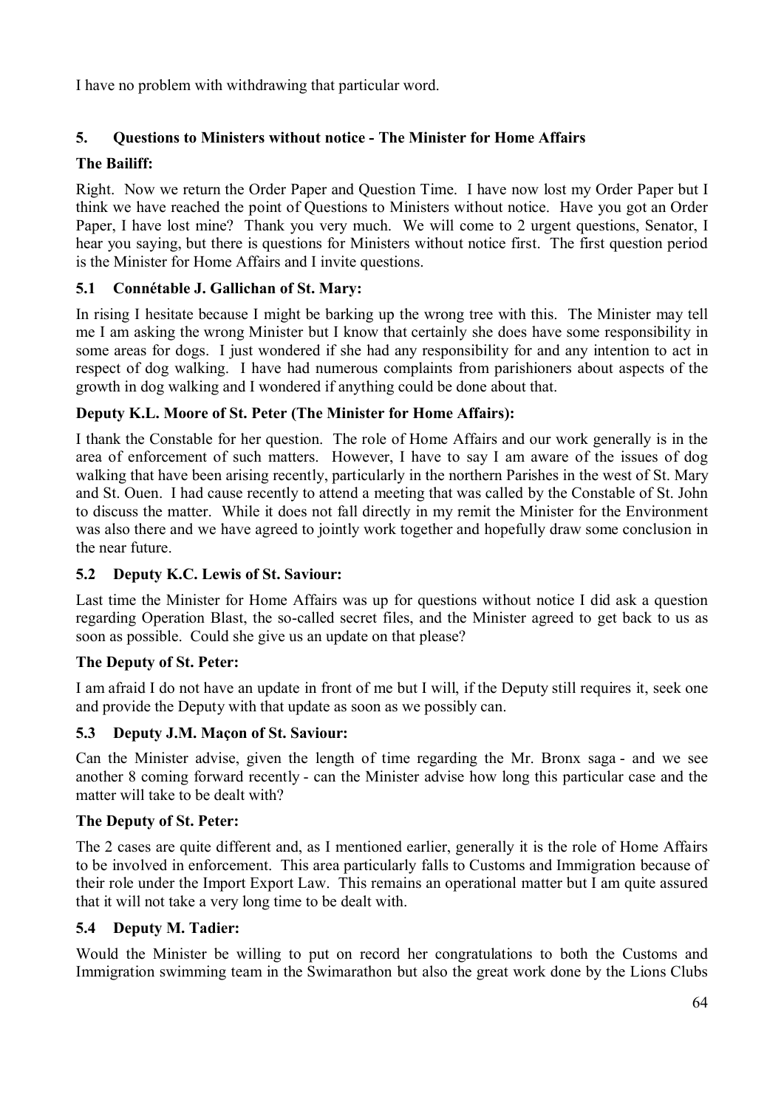I have no problem with withdrawing that particular word.

# **5. Questions to Ministers without notice - The Minister for Home Affairs**

# **The Bailiff:**

Right. Now we return the Order Paper and Question Time. I have now lost my Order Paper but I think we have reached the point of Questions to Ministers without notice. Have you got an Order Paper, I have lost mine? Thank you very much. We will come to 2 urgent questions, Senator, I hear you saying, but there is questions for Ministers without notice first. The first question period is the Minister for Home Affairs and I invite questions.

# **5.1 Connétable J. Gallichan of St. Mary:**

In rising I hesitate because I might be barking up the wrong tree with this. The Minister may tell me I am asking the wrong Minister but I know that certainly she does have some responsibility in some areas for dogs. I just wondered if she had any responsibility for and any intention to act in respect of dog walking. I have had numerous complaints from parishioners about aspects of the growth in dog walking and I wondered if anything could be done about that.

# **Deputy K.L. Moore of St. Peter (The Minister for Home Affairs):**

I thank the Constable for her question. The role of Home Affairs and our work generally is in the area of enforcement of such matters. However, I have to say I am aware of the issues of dog walking that have been arising recently, particularly in the northern Parishes in the west of St. Mary and St. Ouen. I had cause recently to attend a meeting that was called by the Constable of St. John to discuss the matter. While it does not fall directly in my remit the Minister for the Environment was also there and we have agreed to jointly work together and hopefully draw some conclusion in the near future.

# **5.2 Deputy K.C. Lewis of St. Saviour:**

Last time the Minister for Home Affairs was up for questions without notice I did ask a question regarding Operation Blast, the so-called secret files, and the Minister agreed to get back to us as soon as possible. Could she give us an update on that please?

# **The Deputy of St. Peter:**

I am afraid I do not have an update in front of me but I will, if the Deputy still requires it, seek one and provide the Deputy with that update as soon as we possibly can.

# **5.3 Deputy J.M. Maçon of St. Saviour:**

Can the Minister advise, given the length of time regarding the Mr. Bronx saga - and we see another 8 coming forward recently - can the Minister advise how long this particular case and the matter will take to be dealt with?

# **The Deputy of St. Peter:**

The 2 cases are quite different and, as I mentioned earlier, generally it is the role of Home Affairs to be involved in enforcement. This area particularly falls to Customs and Immigration because of their role under the Import Export Law. This remains an operational matter but I am quite assured that it will not take a very long time to be dealt with.

# **5.4 Deputy M. Tadier:**

Would the Minister be willing to put on record her congratulations to both the Customs and Immigration swimming team in the Swimarathon but also the great work done by the Lions Clubs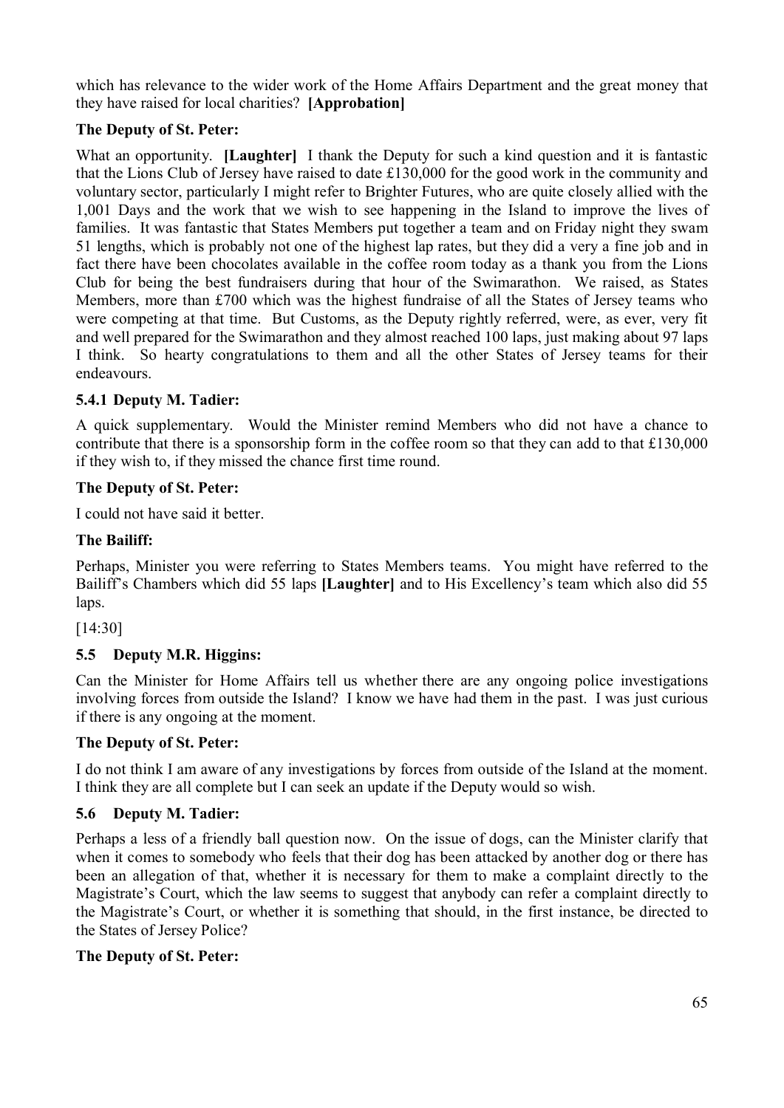which has relevance to the wider work of the Home Affairs Department and the great money that they have raised for local charities? **[Approbation]**

## **The Deputy of St. Peter:**

What an opportunity. **[Laughter]** I thank the Deputy for such a kind question and it is fantastic that the Lions Club of Jersey have raised to date £130,000 for the good work in the community and voluntary sector, particularly I might refer to Brighter Futures, who are quite closely allied with the 1,001 Days and the work that we wish to see happening in the Island to improve the lives of families. It was fantastic that States Members put together a team and on Friday night they swam 51 lengths, which is probably not one of the highest lap rates, but they did a very a fine job and in fact there have been chocolates available in the coffee room today as a thank you from the Lions Club for being the best fundraisers during that hour of the Swimarathon. We raised, as States Members, more than £700 which was the highest fundraise of all the States of Jersey teams who were competing at that time. But Customs, as the Deputy rightly referred, were, as ever, very fit and well prepared for the Swimarathon and they almost reached 100 laps, just making about 97 laps I think. So hearty congratulations to them and all the other States of Jersey teams for their endeavours.

## **5.4.1 Deputy M. Tadier:**

A quick supplementary. Would the Minister remind Members who did not have a chance to contribute that there is a sponsorship form in the coffee room so that they can add to that £130,000 if they wish to, if they missed the chance first time round.

## **The Deputy of St. Peter:**

I could not have said it better.

## **The Bailiff:**

Perhaps, Minister you were referring to States Members teams. You might have referred to the Bailiff's Chambers which did 55 laps **[Laughter]** and to His Excellency's team which also did 55 laps.

[14:30]

# **5.5 Deputy M.R. Higgins:**

Can the Minister for Home Affairs tell us whether there are any ongoing police investigations involving forces from outside the Island? I know we have had them in the past. I was just curious if there is any ongoing at the moment.

### **The Deputy of St. Peter:**

I do not think I am aware of any investigations by forces from outside of the Island at the moment. I think they are all complete but I can seek an update if the Deputy would so wish.

### **5.6 Deputy M. Tadier:**

Perhaps a less of a friendly ball question now. On the issue of dogs, can the Minister clarify that when it comes to somebody who feels that their dog has been attacked by another dog or there has been an allegation of that, whether it is necessary for them to make a complaint directly to the Magistrate's Court, which the law seems to suggest that anybody can refer a complaint directly to the Magistrate's Court, or whether it is something that should, in the first instance, be directed to the States of Jersey Police?

### **The Deputy of St. Peter:**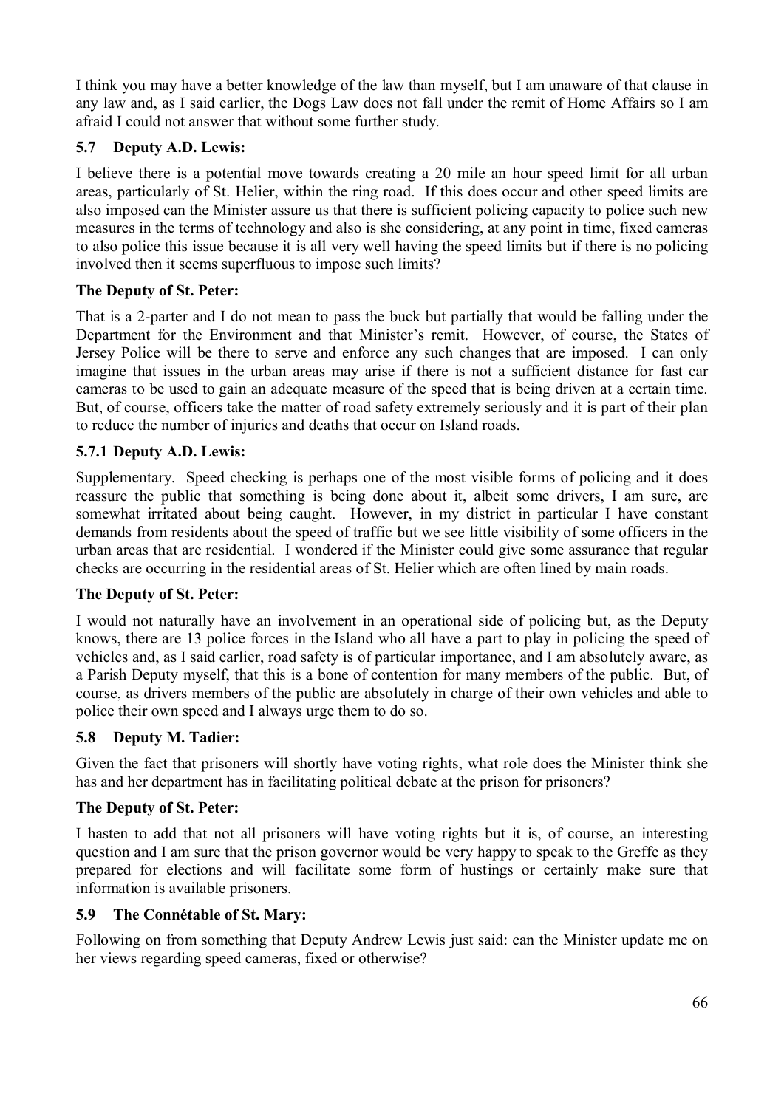I think you may have a better knowledge of the law than myself, but I am unaware of that clause in any law and, as I said earlier, the Dogs Law does not fall under the remit of Home Affairs so I am afraid I could not answer that without some further study.

## **5.7 Deputy A.D. Lewis:**

I believe there is a potential move towards creating a 20 mile an hour speed limit for all urban areas, particularly of St. Helier, within the ring road. If this does occur and other speed limits are also imposed can the Minister assure us that there is sufficient policing capacity to police such new measures in the terms of technology and also is she considering, at any point in time, fixed cameras to also police this issue because it is all very well having the speed limits but if there is no policing involved then it seems superfluous to impose such limits?

### **The Deputy of St. Peter:**

That is a 2-parter and I do not mean to pass the buck but partially that would be falling under the Department for the Environment and that Minister's remit. However, of course, the States of Jersey Police will be there to serve and enforce any such changes that are imposed. I can only imagine that issues in the urban areas may arise if there is not a sufficient distance for fast car cameras to be used to gain an adequate measure of the speed that is being driven at a certain time. But, of course, officers take the matter of road safety extremely seriously and it is part of their plan to reduce the number of injuries and deaths that occur on Island roads.

### **5.7.1 Deputy A.D. Lewis:**

Supplementary. Speed checking is perhaps one of the most visible forms of policing and it does reassure the public that something is being done about it, albeit some drivers, I am sure, are somewhat irritated about being caught. However, in my district in particular I have constant demands from residents about the speed of traffic but we see little visibility of some officers in the urban areas that are residential. I wondered if the Minister could give some assurance that regular checks are occurring in the residential areas of St. Helier which are often lined by main roads.

### **The Deputy of St. Peter:**

I would not naturally have an involvement in an operational side of policing but, as the Deputy knows, there are 13 police forces in the Island who all have a part to play in policing the speed of vehicles and, as I said earlier, road safety is of particular importance, and I am absolutely aware, as a Parish Deputy myself, that this is a bone of contention for many members of the public. But, of course, as drivers members of the public are absolutely in charge of their own vehicles and able to police their own speed and I always urge them to do so.

#### **5.8 Deputy M. Tadier:**

Given the fact that prisoners will shortly have voting rights, what role does the Minister think she has and her department has in facilitating political debate at the prison for prisoners?

#### **The Deputy of St. Peter:**

I hasten to add that not all prisoners will have voting rights but it is, of course, an interesting question and I am sure that the prison governor would be very happy to speak to the Greffe as they prepared for elections and will facilitate some form of hustings or certainly make sure that information is available prisoners.

#### **5.9 The Connétable of St. Mary:**

Following on from something that Deputy Andrew Lewis just said: can the Minister update me on her views regarding speed cameras, fixed or otherwise?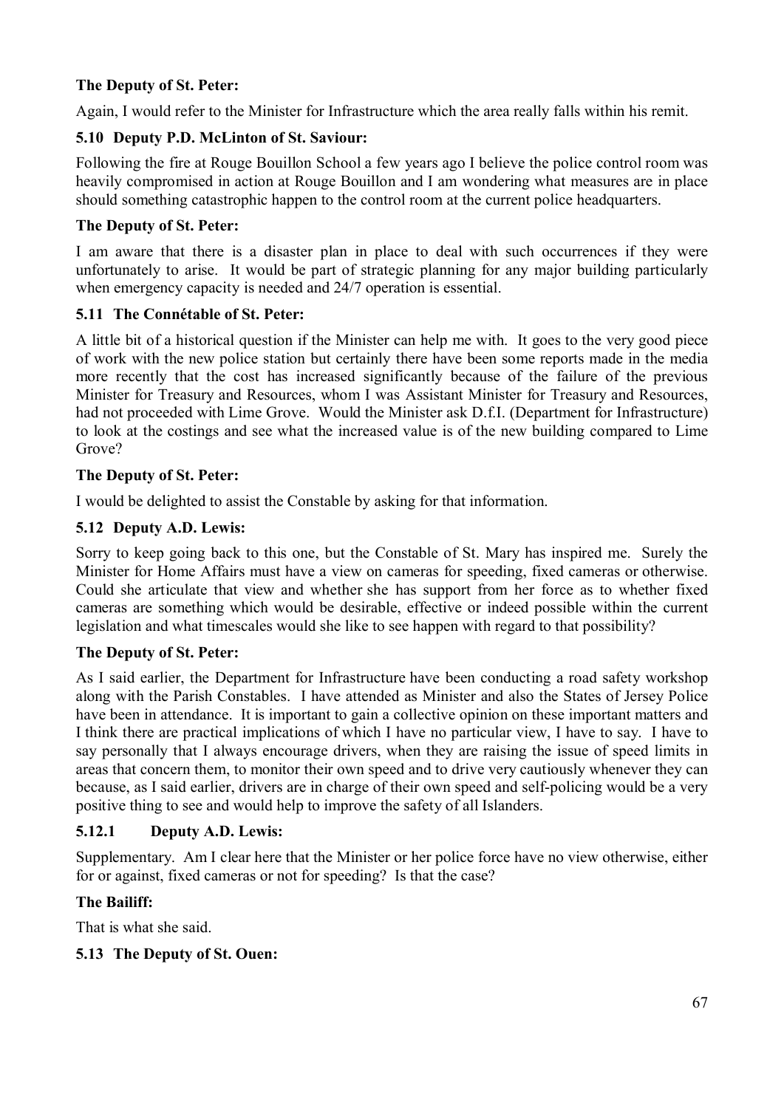# **The Deputy of St. Peter:**

Again, I would refer to the Minister for Infrastructure which the area really falls within his remit.

# **5.10 Deputy P.D. McLinton of St. Saviour:**

Following the fire at Rouge Bouillon School a few years ago I believe the police control room was heavily compromised in action at Rouge Bouillon and I am wondering what measures are in place should something catastrophic happen to the control room at the current police headquarters.

## **The Deputy of St. Peter:**

I am aware that there is a disaster plan in place to deal with such occurrences if they were unfortunately to arise. It would be part of strategic planning for any major building particularly when emergency capacity is needed and 24/7 operation is essential.

## **5.11 The Connétable of St. Peter:**

A little bit of a historical question if the Minister can help me with. It goes to the very good piece of work with the new police station but certainly there have been some reports made in the media more recently that the cost has increased significantly because of the failure of the previous Minister for Treasury and Resources, whom I was Assistant Minister for Treasury and Resources, had not proceeded with Lime Grove. Would the Minister ask D.f.I. (Department for Infrastructure) to look at the costings and see what the increased value is of the new building compared to Lime Grove?

### **The Deputy of St. Peter:**

I would be delighted to assist the Constable by asking for that information.

## **5.12 Deputy A.D. Lewis:**

Sorry to keep going back to this one, but the Constable of St. Mary has inspired me. Surely the Minister for Home Affairs must have a view on cameras for speeding, fixed cameras or otherwise. Could she articulate that view and whether she has support from her force as to whether fixed cameras are something which would be desirable, effective or indeed possible within the current legislation and what timescales would she like to see happen with regard to that possibility?

# **The Deputy of St. Peter:**

As I said earlier, the Department for Infrastructure have been conducting a road safety workshop along with the Parish Constables. I have attended as Minister and also the States of Jersey Police have been in attendance. It is important to gain a collective opinion on these important matters and I think there are practical implications of which I have no particular view, I have to say. I have to say personally that I always encourage drivers, when they are raising the issue of speed limits in areas that concern them, to monitor their own speed and to drive very cautiously whenever they can because, as I said earlier, drivers are in charge of their own speed and self-policing would be a very positive thing to see and would help to improve the safety of all Islanders.

# **5.12.1 Deputy A.D. Lewis:**

Supplementary. Am I clear here that the Minister or her police force have no view otherwise, either for or against, fixed cameras or not for speeding? Is that the case?

### **The Bailiff:**

That is what she said.

# **5.13 The Deputy of St. Ouen:**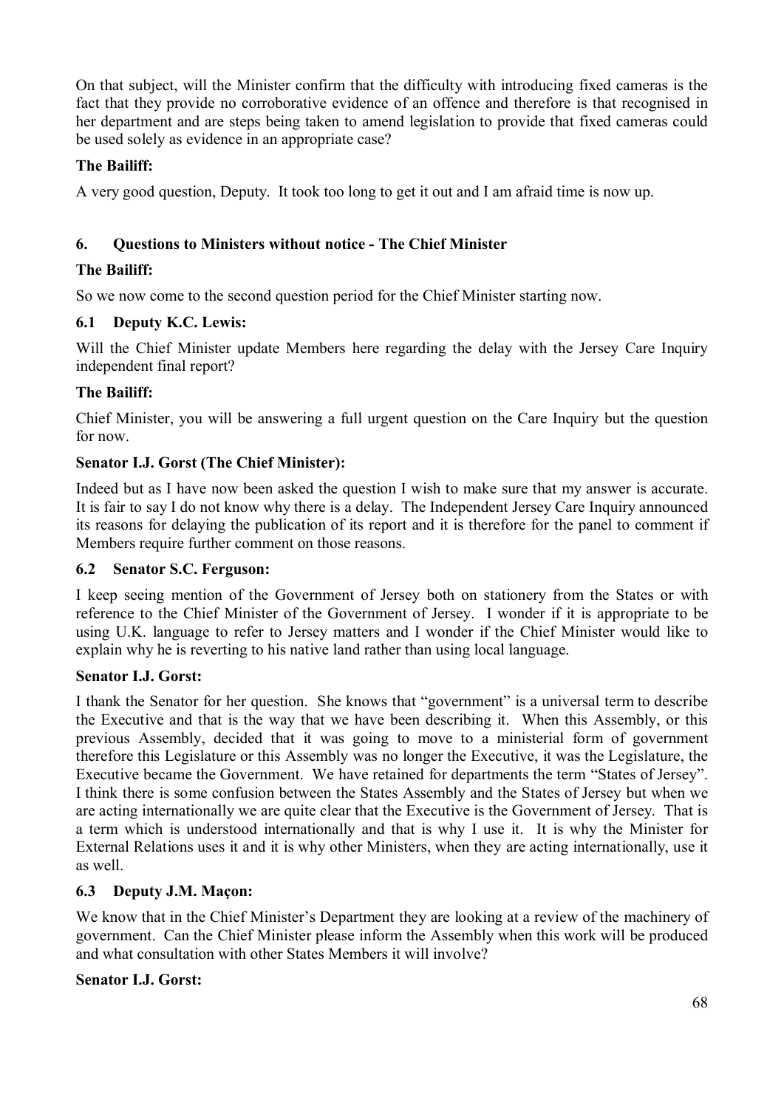On that subject, will the Minister confirm that the difficulty with introducing fixed cameras is the fact that they provide no corroborative evidence of an offence and therefore is that recognised in her department and are steps being taken to amend legislation to provide that fixed cameras could be used solely as evidence in an appropriate case?

## **The Bailiff:**

A very good question, Deputy. It took too long to get it out and I am afraid time is now up.

# **6. Questions to Ministers without notice - The Chief Minister**

## **The Bailiff:**

So we now come to the second question period for the Chief Minister starting now.

## **6.1 Deputy K.C. Lewis:**

Will the Chief Minister update Members here regarding the delay with the Jersey Care Inquiry independent final report?

## **The Bailiff:**

Chief Minister, you will be answering a full urgent question on the Care Inquiry but the question for now.

## **Senator I.J. Gorst (The Chief Minister):**

Indeed but as I have now been asked the question I wish to make sure that my answer is accurate. It is fair to say I do not know why there is a delay. The Independent Jersey Care Inquiry announced its reasons for delaying the publication of its report and it is therefore for the panel to comment if Members require further comment on those reasons.

### **6.2 Senator S.C. Ferguson:**

I keep seeing mention of the Government of Jersey both on stationery from the States or with reference to the Chief Minister of the Government of Jersey. I wonder if it is appropriate to be using U.K. language to refer to Jersey matters and I wonder if the Chief Minister would like to explain why he is reverting to his native land rather than using local language.

### **Senator I.J. Gorst:**

I thank the Senator for her question. She knows that "government" is a universal term to describe the Executive and that is the way that we have been describing it. When this Assembly, or this previous Assembly, decided that it was going to move to a ministerial form of government therefore this Legislature or this Assembly was no longer the Executive, it was the Legislature, the Executive became the Government. We have retained for departments the term "States of Jersey". I think there is some confusion between the States Assembly and the States of Jersey but when we are acting internationally we are quite clear that the Executive is the Government of Jersey. That is a term which is understood internationally and that is why I use it. It is why the Minister for External Relations uses it and it is why other Ministers, when they are acting internationally, use it as well.

### **6.3 Deputy J.M. Maçon:**

We know that in the Chief Minister's Department they are looking at a review of the machinery of government. Can the Chief Minister please inform the Assembly when this work will be produced and what consultation with other States Members it will involve?

### **Senator I.J. Gorst:**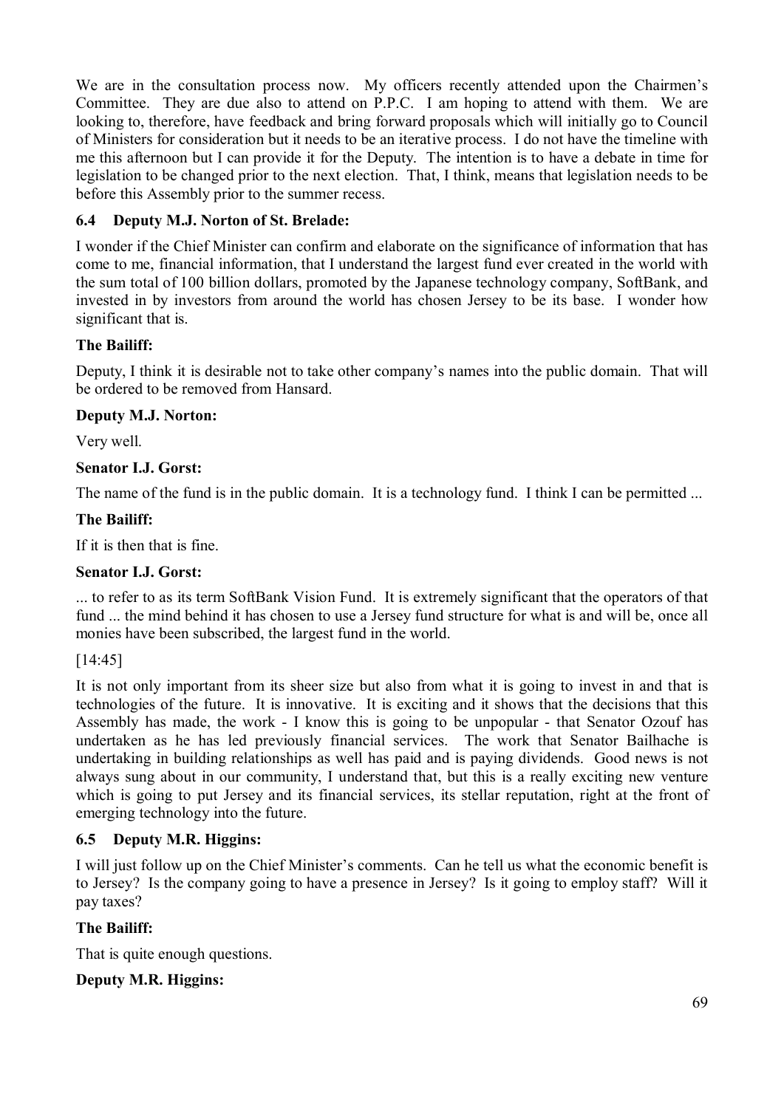We are in the consultation process now. My officers recently attended upon the Chairmen's Committee. They are due also to attend on P.P.C. I am hoping to attend with them. We are looking to, therefore, have feedback and bring forward proposals which will initially go to Council of Ministers for consideration but it needs to be an iterative process. I do not have the timeline with me this afternoon but I can provide it for the Deputy. The intention is to have a debate in time for legislation to be changed prior to the next election. That, I think, means that legislation needs to be before this Assembly prior to the summer recess.

# **6.4 Deputy M.J. Norton of St. Brelade:**

I wonder if the Chief Minister can confirm and elaborate on the significance of information that has come to me, financial information, that I understand the largest fund ever created in the world with the sum total of 100 billion dollars, promoted by the Japanese technology company, SoftBank, and invested in by investors from around the world has chosen Jersey to be its base. I wonder how significant that is.

# **The Bailiff:**

Deputy, I think it is desirable not to take other company's names into the public domain. That will be ordered to be removed from Hansard.

### **Deputy M.J. Norton:**

Very well.

## **Senator I.J. Gorst:**

The name of the fund is in the public domain. It is a technology fund. I think I can be permitted ...

## **The Bailiff:**

If it is then that is fine.

### **Senator I.J. Gorst:**

... to refer to as its term SoftBank Vision Fund. It is extremely significant that the operators of that fund ... the mind behind it has chosen to use a Jersey fund structure for what is and will be, once all monies have been subscribed, the largest fund in the world.

[14:45]

It is not only important from its sheer size but also from what it is going to invest in and that is technologies of the future. It is innovative. It is exciting and it shows that the decisions that this Assembly has made, the work - I know this is going to be unpopular - that Senator Ozouf has undertaken as he has led previously financial services. The work that Senator Bailhache is undertaking in building relationships as well has paid and is paying dividends. Good news is not always sung about in our community, I understand that, but this is a really exciting new venture which is going to put Jersey and its financial services, its stellar reputation, right at the front of emerging technology into the future.

# **6.5 Deputy M.R. Higgins:**

I will just follow up on the Chief Minister's comments. Can he tell us what the economic benefit is to Jersey? Is the company going to have a presence in Jersey? Is it going to employ staff? Will it pay taxes?

# **The Bailiff:**

That is quite enough questions.

### **Deputy M.R. Higgins:**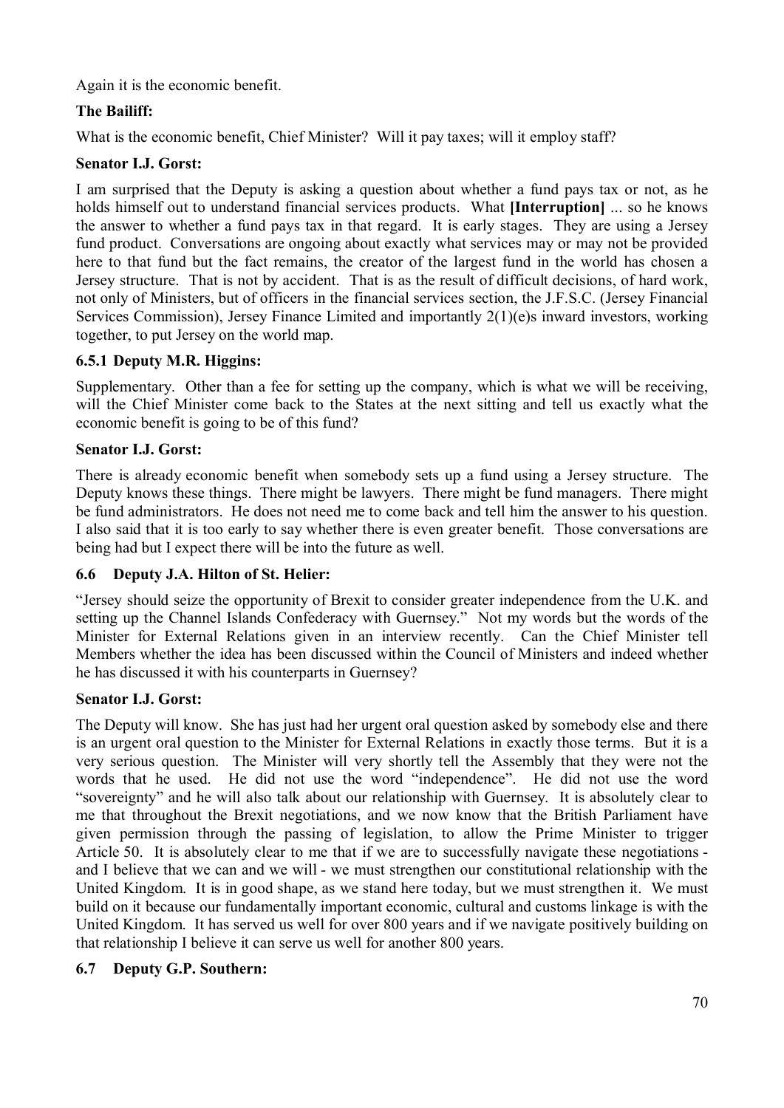Again it is the economic benefit.

# **The Bailiff:**

What is the economic benefit, Chief Minister? Will it pay taxes; will it employ staff?

## **Senator I.J. Gorst:**

I am surprised that the Deputy is asking a question about whether a fund pays tax or not, as he holds himself out to understand financial services products. What **[Interruption]** ... so he knows the answer to whether a fund pays tax in that regard. It is early stages. They are using a Jersey fund product. Conversations are ongoing about exactly what services may or may not be provided here to that fund but the fact remains, the creator of the largest fund in the world has chosen a Jersey structure. That is not by accident. That is as the result of difficult decisions, of hard work, not only of Ministers, but of officers in the financial services section, the J.F.S.C. (Jersey Financial Services Commission), Jersey Finance Limited and importantly 2(1)(e)s inward investors, working together, to put Jersey on the world map.

## **6.5.1 Deputy M.R. Higgins:**

Supplementary. Other than a fee for setting up the company, which is what we will be receiving, will the Chief Minister come back to the States at the next sitting and tell us exactly what the economic benefit is going to be of this fund?

### **Senator I.J. Gorst:**

There is already economic benefit when somebody sets up a fund using a Jersey structure. The Deputy knows these things. There might be lawyers. There might be fund managers. There might be fund administrators. He does not need me to come back and tell him the answer to his question. I also said that it is too early to say whether there is even greater benefit. Those conversations are being had but I expect there will be into the future as well.

### **6.6 Deputy J.A. Hilton of St. Helier:**

"Jersey should seize the opportunity of Brexit to consider greater independence from the U.K. and setting up the Channel Islands Confederacy with Guernsey." Not my words but the words of the Minister for External Relations given in an interview recently. Can the Chief Minister tell Members whether the idea has been discussed within the Council of Ministers and indeed whether he has discussed it with his counterparts in Guernsey?

### **Senator I.J. Gorst:**

The Deputy will know. She has just had her urgent oral question asked by somebody else and there is an urgent oral question to the Minister for External Relations in exactly those terms. But it is a very serious question. The Minister will very shortly tell the Assembly that they were not the words that he used. He did not use the word "independence". He did not use the word "sovereignty" and he will also talk about our relationship with Guernsey. It is absolutely clear to me that throughout the Brexit negotiations, and we now know that the British Parliament have given permission through the passing of legislation, to allow the Prime Minister to trigger Article 50. It is absolutely clear to me that if we are to successfully navigate these negotiations and I believe that we can and we will - we must strengthen our constitutional relationship with the United Kingdom. It is in good shape, as we stand here today, but we must strengthen it. We must build on it because our fundamentally important economic, cultural and customs linkage is with the United Kingdom. It has served us well for over 800 years and if we navigate positively building on that relationship I believe it can serve us well for another 800 years.

# **6.7 Deputy G.P. Southern:**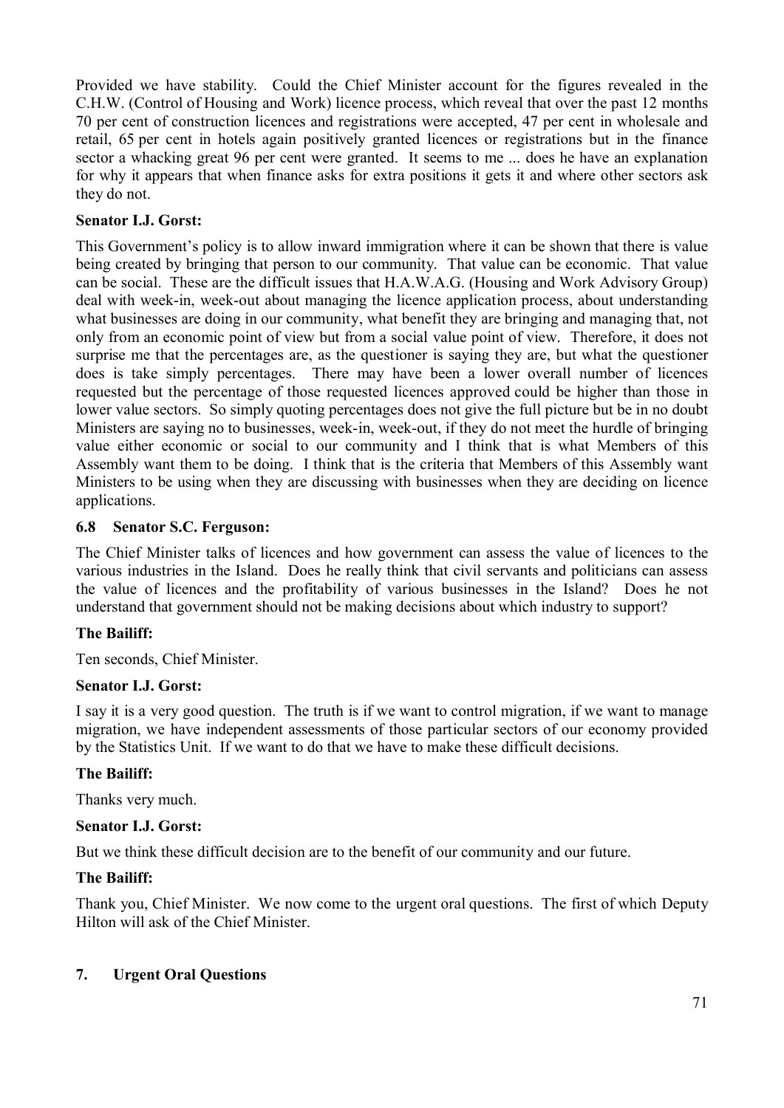Provided we have stability. Could the Chief Minister account for the figures revealed in the C.H.W. (Control of Housing and Work) licence process, which reveal that over the past 12 months 70 per cent of construction licences and registrations were accepted, 47 per cent in wholesale and retail, 65 per cent in hotels again positively granted licences or registrations but in the finance sector a whacking great 96 per cent were granted. It seems to me ... does he have an explanation for why it appears that when finance asks for extra positions it gets it and where other sectors ask they do not.

## **Senator I.J. Gorst:**

This Government's policy is to allow inward immigration where it can be shown that there is value being created by bringing that person to our community. That value can be economic. That value can be social. These are the difficult issues that H.A.W.A.G. (Housing and Work Advisory Group) deal with week-in, week-out about managing the licence application process, about understanding what businesses are doing in our community, what benefit they are bringing and managing that, not only from an economic point of view but from a social value point of view. Therefore, it does not surprise me that the percentages are, as the questioner is saying they are, but what the questioner does is take simply percentages. There may have been a lower overall number of licences requested but the percentage of those requested licences approved could be higher than those in lower value sectors. So simply quoting percentages does not give the full picture but be in no doubt Ministers are saying no to businesses, week-in, week-out, if they do not meet the hurdle of bringing value either economic or social to our community and I think that is what Members of this Assembly want them to be doing. I think that is the criteria that Members of this Assembly want Ministers to be using when they are discussing with businesses when they are deciding on licence applications.

### **6.8 Senator S.C. Ferguson:**

The Chief Minister talks of licences and how government can assess the value of licences to the various industries in the Island. Does he really think that civil servants and politicians can assess the value of licences and the profitability of various businesses in the Island? Does he not understand that government should not be making decisions about which industry to support?

### **The Bailiff:**

Ten seconds, Chief Minister.

#### **Senator I.J. Gorst:**

I say it is a very good question. The truth is if we want to control migration, if we want to manage migration, we have independent assessments of those particular sectors of our economy provided by the Statistics Unit. If we want to do that we have to make these difficult decisions.

### **The Bailiff:**

Thanks very much.

### **Senator I.J. Gorst:**

But we think these difficult decision are to the benefit of our community and our future.

#### **The Bailiff:**

Thank you, Chief Minister. We now come to the urgent oral questions. The first of which Deputy Hilton will ask of the Chief Minister.

### **7. Urgent Oral Questions**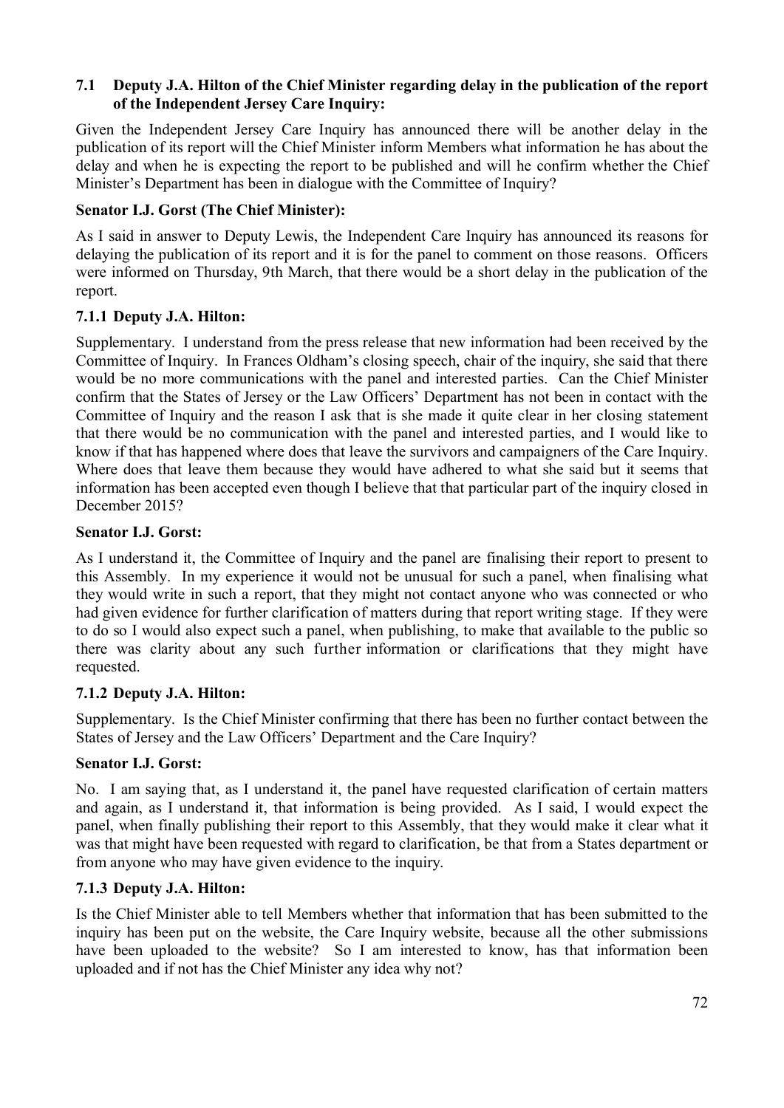### **7.1 Deputy J.A. Hilton of the Chief Minister regarding delay in the publication of the report of the Independent Jersey Care Inquiry:**

Given the Independent Jersey Care Inquiry has announced there will be another delay in the publication of its report will the Chief Minister inform Members what information he has about the delay and when he is expecting the report to be published and will he confirm whether the Chief Minister's Department has been in dialogue with the Committee of Inquiry?

### **Senator I.J. Gorst (The Chief Minister):**

As I said in answer to Deputy Lewis, the Independent Care Inquiry has announced its reasons for delaying the publication of its report and it is for the panel to comment on those reasons. Officers were informed on Thursday, 9th March, that there would be a short delay in the publication of the report.

## **7.1.1 Deputy J.A. Hilton:**

Supplementary. I understand from the press release that new information had been received by the Committee of Inquiry. In Frances Oldham's closing speech, chair of the inquiry, she said that there would be no more communications with the panel and interested parties. Can the Chief Minister confirm that the States of Jersey or the Law Officers' Department has not been in contact with the Committee of Inquiry and the reason I ask that is she made it quite clear in her closing statement that there would be no communication with the panel and interested parties, and I would like to know if that has happened where does that leave the survivors and campaigners of the Care Inquiry. Where does that leave them because they would have adhered to what she said but it seems that information has been accepted even though I believe that that particular part of the inquiry closed in December 2015?

### **Senator I.J. Gorst:**

As I understand it, the Committee of Inquiry and the panel are finalising their report to present to this Assembly. In my experience it would not be unusual for such a panel, when finalising what they would write in such a report, that they might not contact anyone who was connected or who had given evidence for further clarification of matters during that report writing stage. If they were to do so I would also expect such a panel, when publishing, to make that available to the public so there was clarity about any such further information or clarifications that they might have requested.

### **7.1.2 Deputy J.A. Hilton:**

Supplementary. Is the Chief Minister confirming that there has been no further contact between the States of Jersey and the Law Officers' Department and the Care Inquiry?

### **Senator I.J. Gorst:**

No. I am saying that, as I understand it, the panel have requested clarification of certain matters and again, as I understand it, that information is being provided. As I said, I would expect the panel, when finally publishing their report to this Assembly, that they would make it clear what it was that might have been requested with regard to clarification, be that from a States department or from anyone who may have given evidence to the inquiry.

### **7.1.3 Deputy J.A. Hilton:**

Is the Chief Minister able to tell Members whether that information that has been submitted to the inquiry has been put on the website, the Care Inquiry website, because all the other submissions have been uploaded to the website? So I am interested to know, has that information been uploaded and if not has the Chief Minister any idea why not?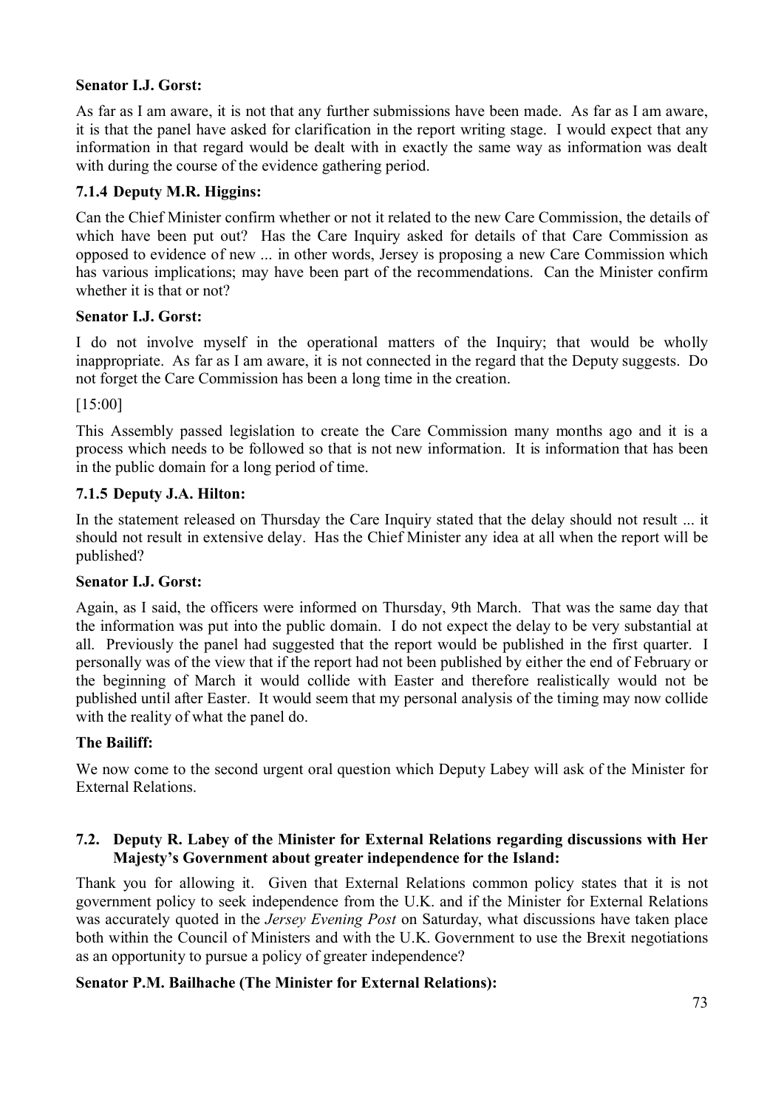### **Senator I.J. Gorst:**

As far as I am aware, it is not that any further submissions have been made. As far as I am aware, it is that the panel have asked for clarification in the report writing stage. I would expect that any information in that regard would be dealt with in exactly the same way as information was dealt with during the course of the evidence gathering period.

### **7.1.4 Deputy M.R. Higgins:**

Can the Chief Minister confirm whether or not it related to the new Care Commission, the details of which have been put out? Has the Care Inquiry asked for details of that Care Commission as opposed to evidence of new ... in other words, Jersey is proposing a new Care Commission which has various implications; may have been part of the recommendations. Can the Minister confirm whether it is that or not?

### **Senator I.J. Gorst:**

I do not involve myself in the operational matters of the Inquiry; that would be wholly inappropriate. As far as I am aware, it is not connected in the regard that the Deputy suggests. Do not forget the Care Commission has been a long time in the creation.

#### [15:00]

This Assembly passed legislation to create the Care Commission many months ago and it is a process which needs to be followed so that is not new information. It is information that has been in the public domain for a long period of time.

#### **7.1.5 Deputy J.A. Hilton:**

In the statement released on Thursday the Care Inquiry stated that the delay should not result ... it should not result in extensive delay. Has the Chief Minister any idea at all when the report will be published?

#### **Senator I.J. Gorst:**

Again, as I said, the officers were informed on Thursday, 9th March. That was the same day that the information was put into the public domain. I do not expect the delay to be very substantial at all. Previously the panel had suggested that the report would be published in the first quarter. I personally was of the view that if the report had not been published by either the end of February or the beginning of March it would collide with Easter and therefore realistically would not be published until after Easter. It would seem that my personal analysis of the timing may now collide with the reality of what the panel do.

#### **The Bailiff:**

We now come to the second urgent oral question which Deputy Labey will ask of the Minister for External Relations.

### **7.2. Deputy R. Labey of the Minister for External Relations regarding discussions with Her Majesty's Government about greater independence for the Island:**

Thank you for allowing it. Given that External Relations common policy states that it is not government policy to seek independence from the U.K. and if the Minister for External Relations was accurately quoted in the *Jersey Evening Post* on Saturday, what discussions have taken place both within the Council of Ministers and with the U.K. Government to use the Brexit negotiations as an opportunity to pursue a policy of greater independence?

### **Senator P.M. Bailhache (The Minister for External Relations):**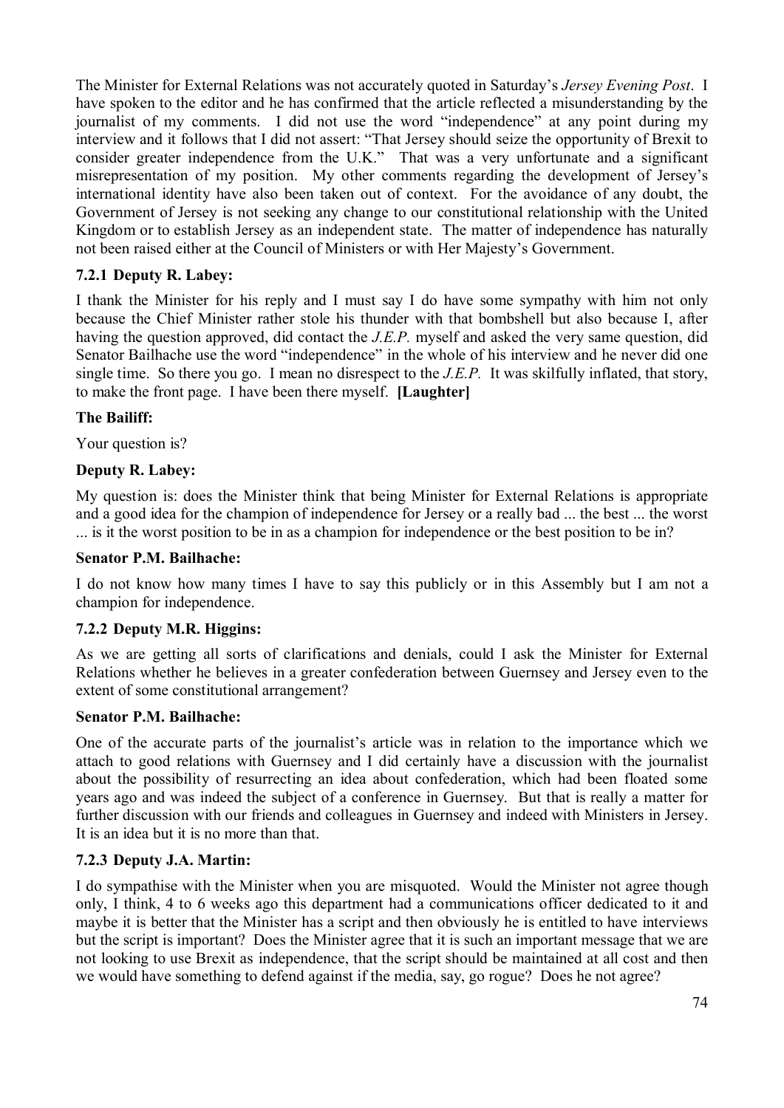The Minister for External Relations was not accurately quoted in Saturday's *Jersey Evening Post*. I have spoken to the editor and he has confirmed that the article reflected a misunderstanding by the journalist of my comments. I did not use the word "independence" at any point during my interview and it follows that I did not assert: "That Jersey should seize the opportunity of Brexit to consider greater independence from the U.K." That was a very unfortunate and a significant misrepresentation of my position. My other comments regarding the development of Jersey's international identity have also been taken out of context. For the avoidance of any doubt, the Government of Jersey is not seeking any change to our constitutional relationship with the United Kingdom or to establish Jersey as an independent state. The matter of independence has naturally not been raised either at the Council of Ministers or with Her Majesty's Government.

## **7.2.1 Deputy R. Labey:**

I thank the Minister for his reply and I must say I do have some sympathy with him not only because the Chief Minister rather stole his thunder with that bombshell but also because I, after having the question approved, did contact the *J.E.P.* myself and asked the very same question, did Senator Bailhache use the word "independence" in the whole of his interview and he never did one single time. So there you go. I mean no disrespect to the *J.E.P.* It was skilfully inflated, that story, to make the front page. I have been there myself. **[Laughter]**

### **The Bailiff:**

Your question is?

### **Deputy R. Labey:**

My question is: does the Minister think that being Minister for External Relations is appropriate and a good idea for the champion of independence for Jersey or a really bad ... the best ... the worst ... is it the worst position to be in as a champion for independence or the best position to be in?

#### **Senator P.M. Bailhache:**

I do not know how many times I have to say this publicly or in this Assembly but I am not a champion for independence.

### **7.2.2 Deputy M.R. Higgins:**

As we are getting all sorts of clarifications and denials, could I ask the Minister for External Relations whether he believes in a greater confederation between Guernsey and Jersey even to the extent of some constitutional arrangement?

#### **Senator P.M. Bailhache:**

One of the accurate parts of the journalist's article was in relation to the importance which we attach to good relations with Guernsey and I did certainly have a discussion with the journalist about the possibility of resurrecting an idea about confederation, which had been floated some years ago and was indeed the subject of a conference in Guernsey. But that is really a matter for further discussion with our friends and colleagues in Guernsey and indeed with Ministers in Jersey. It is an idea but it is no more than that.

### **7.2.3 Deputy J.A. Martin:**

I do sympathise with the Minister when you are misquoted. Would the Minister not agree though only, I think, 4 to 6 weeks ago this department had a communications officer dedicated to it and maybe it is better that the Minister has a script and then obviously he is entitled to have interviews but the script is important? Does the Minister agree that it is such an important message that we are not looking to use Brexit as independence, that the script should be maintained at all cost and then we would have something to defend against if the media, say, go rogue? Does he not agree?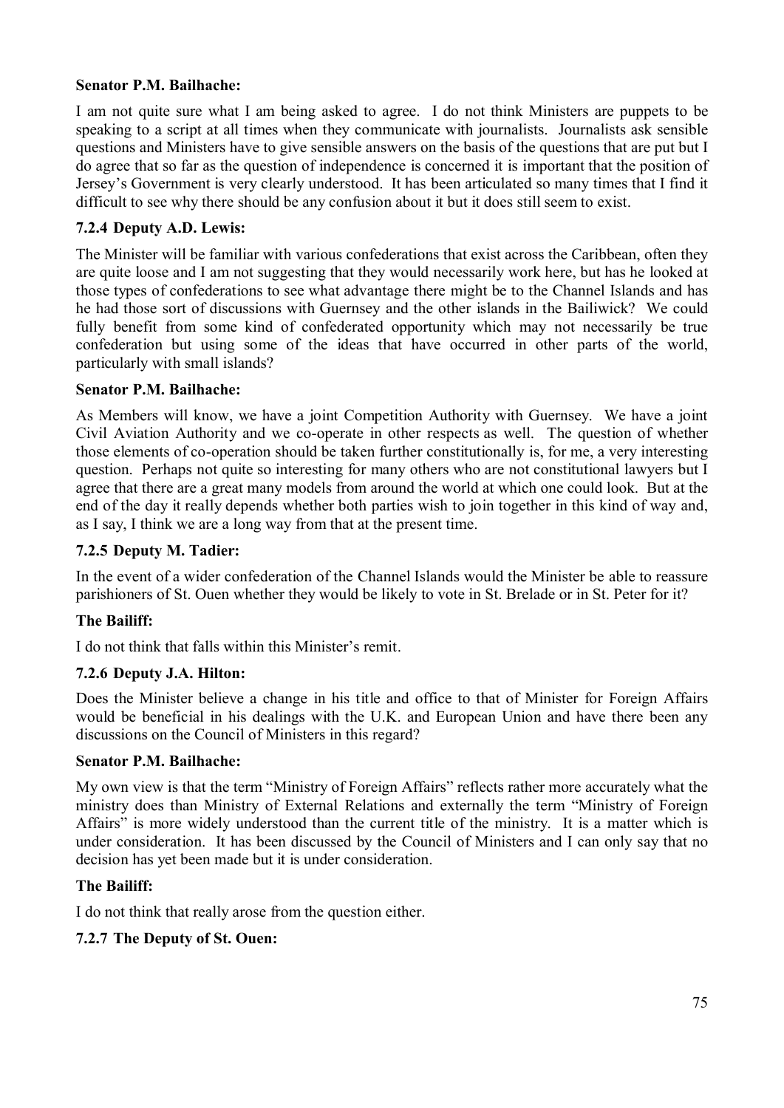### **Senator P.M. Bailhache:**

I am not quite sure what I am being asked to agree. I do not think Ministers are puppets to be speaking to a script at all times when they communicate with journalists. Journalists ask sensible questions and Ministers have to give sensible answers on the basis of the questions that are put but I do agree that so far as the question of independence is concerned it is important that the position of Jersey's Government is very clearly understood. It has been articulated so many times that I find it difficult to see why there should be any confusion about it but it does still seem to exist.

### **7.2.4 Deputy A.D. Lewis:**

The Minister will be familiar with various confederations that exist across the Caribbean, often they are quite loose and I am not suggesting that they would necessarily work here, but has he looked at those types of confederations to see what advantage there might be to the Channel Islands and has he had those sort of discussions with Guernsey and the other islands in the Bailiwick? We could fully benefit from some kind of confederated opportunity which may not necessarily be true confederation but using some of the ideas that have occurred in other parts of the world, particularly with small islands?

### **Senator P.M. Bailhache:**

As Members will know, we have a joint Competition Authority with Guernsey. We have a joint Civil Aviation Authority and we co-operate in other respects as well. The question of whether those elements of co-operation should be taken further constitutionally is, for me, a very interesting question. Perhaps not quite so interesting for many others who are not constitutional lawyers but I agree that there are a great many models from around the world at which one could look. But at the end of the day it really depends whether both parties wish to join together in this kind of way and, as I say, I think we are a long way from that at the present time.

#### **7.2.5 Deputy M. Tadier:**

In the event of a wider confederation of the Channel Islands would the Minister be able to reassure parishioners of St. Ouen whether they would be likely to vote in St. Brelade or in St. Peter for it?

### **The Bailiff:**

I do not think that falls within this Minister's remit.

### **7.2.6 Deputy J.A. Hilton:**

Does the Minister believe a change in his title and office to that of Minister for Foreign Affairs would be beneficial in his dealings with the U.K. and European Union and have there been any discussions on the Council of Ministers in this regard?

#### **Senator P.M. Bailhache:**

My own view is that the term "Ministry of Foreign Affairs" reflects rather more accurately what the ministry does than Ministry of External Relations and externally the term "Ministry of Foreign Affairs" is more widely understood than the current title of the ministry. It is a matter which is under consideration. It has been discussed by the Council of Ministers and I can only say that no decision has yet been made but it is under consideration.

#### **The Bailiff:**

I do not think that really arose from the question either.

### **7.2.7 The Deputy of St. Ouen:**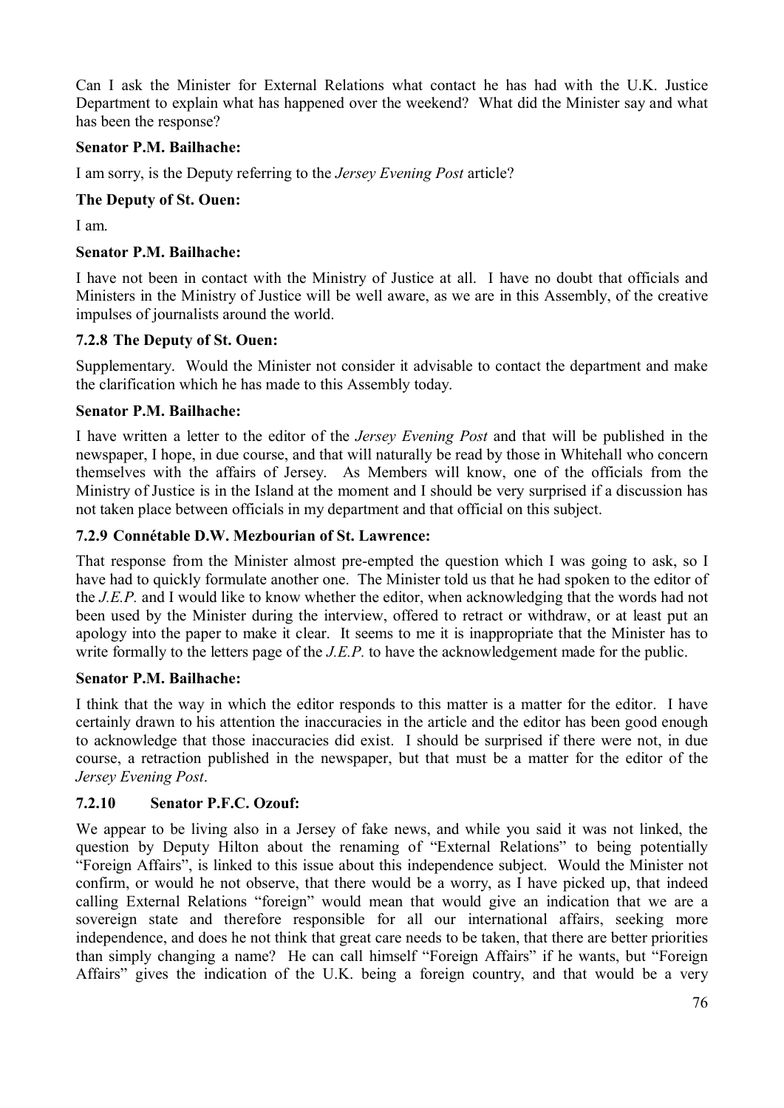Can I ask the Minister for External Relations what contact he has had with the U.K. Justice Department to explain what has happened over the weekend? What did the Minister say and what has been the response?

#### **Senator P.M. Bailhache:**

I am sorry, is the Deputy referring to the *Jersey Evening Post* article?

#### **The Deputy of St. Ouen:**

I am.

#### **Senator P.M. Bailhache:**

I have not been in contact with the Ministry of Justice at all. I have no doubt that officials and Ministers in the Ministry of Justice will be well aware, as we are in this Assembly, of the creative impulses of journalists around the world.

#### **7.2.8 The Deputy of St. Ouen:**

Supplementary. Would the Minister not consider it advisable to contact the department and make the clarification which he has made to this Assembly today.

#### **Senator P.M. Bailhache:**

I have written a letter to the editor of the *Jersey Evening Post* and that will be published in the newspaper, I hope, in due course, and that will naturally be read by those in Whitehall who concern themselves with the affairs of Jersey. As Members will know, one of the officials from the Ministry of Justice is in the Island at the moment and I should be very surprised if a discussion has not taken place between officials in my department and that official on this subject.

### **7.2.9 Connétable D.W. Mezbourian of St. Lawrence:**

That response from the Minister almost pre-empted the question which I was going to ask, so I have had to quickly formulate another one. The Minister told us that he had spoken to the editor of the *J.E.P.* and I would like to know whether the editor, when acknowledging that the words had not been used by the Minister during the interview, offered to retract or withdraw, or at least put an apology into the paper to make it clear. It seems to me it is inappropriate that the Minister has to write formally to the letters page of the *J.E.P.* to have the acknowledgement made for the public.

#### **Senator P.M. Bailhache:**

I think that the way in which the editor responds to this matter is a matter for the editor. I have certainly drawn to his attention the inaccuracies in the article and the editor has been good enough to acknowledge that those inaccuracies did exist. I should be surprised if there were not, in due course, a retraction published in the newspaper, but that must be a matter for the editor of the *Jersey Evening Post*.

### **7.2.10 Senator P.F.C. Ozouf:**

We appear to be living also in a Jersey of fake news, and while you said it was not linked, the question by Deputy Hilton about the renaming of "External Relations" to being potentially "Foreign Affairs", is linked to this issue about this independence subject. Would the Minister not confirm, or would he not observe, that there would be a worry, as I have picked up, that indeed calling External Relations "foreign" would mean that would give an indication that we are a sovereign state and therefore responsible for all our international affairs, seeking more independence, and does he not think that great care needs to be taken, that there are better priorities than simply changing a name? He can call himself "Foreign Affairs" if he wants, but "Foreign Affairs" gives the indication of the U.K. being a foreign country, and that would be a very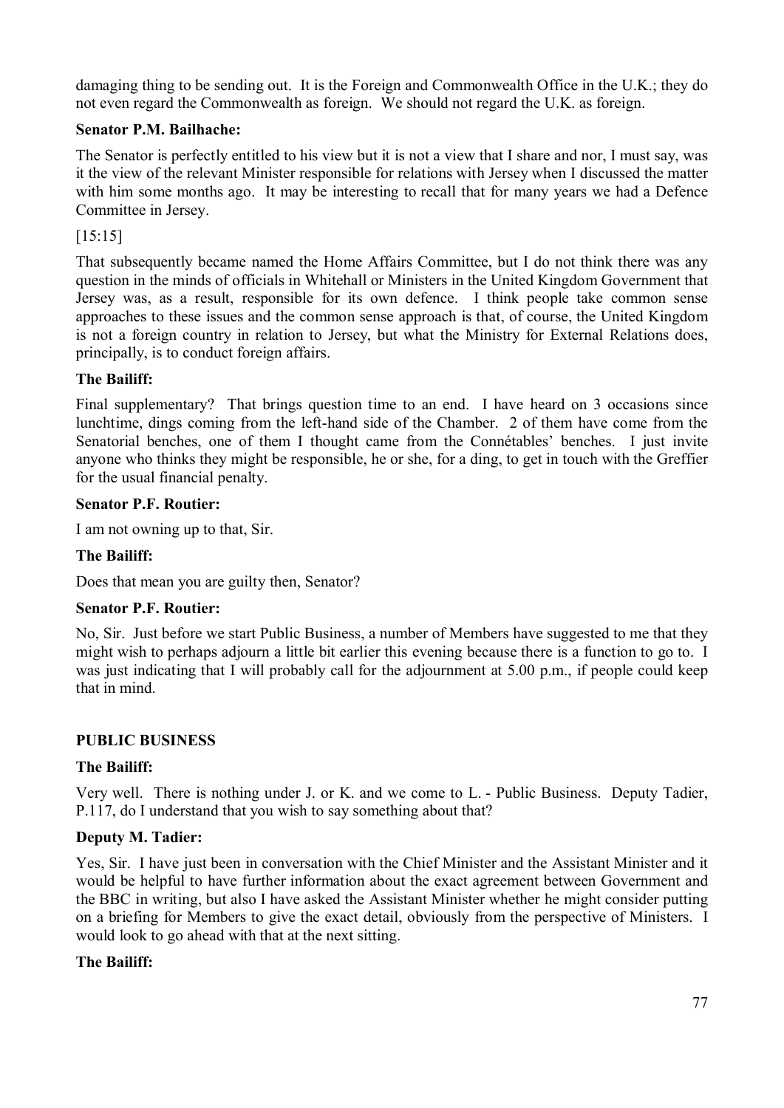damaging thing to be sending out. It is the Foreign and Commonwealth Office in the U.K.; they do not even regard the Commonwealth as foreign. We should not regard the U.K. as foreign.

## **Senator P.M. Bailhache:**

The Senator is perfectly entitled to his view but it is not a view that I share and nor, I must say, was it the view of the relevant Minister responsible for relations with Jersey when I discussed the matter with him some months ago. It may be interesting to recall that for many years we had a Defence Committee in Jersey.

[15:15]

That subsequently became named the Home Affairs Committee, but I do not think there was any question in the minds of officials in Whitehall or Ministers in the United Kingdom Government that Jersey was, as a result, responsible for its own defence. I think people take common sense approaches to these issues and the common sense approach is that, of course, the United Kingdom is not a foreign country in relation to Jersey, but what the Ministry for External Relations does, principally, is to conduct foreign affairs.

### **The Bailiff:**

Final supplementary? That brings question time to an end. I have heard on 3 occasions since lunchtime, dings coming from the left-hand side of the Chamber. 2 of them have come from the Senatorial benches, one of them I thought came from the Connétables' benches. I just invite anyone who thinks they might be responsible, he or she, for a ding, to get in touch with the Greffier for the usual financial penalty.

### **Senator P.F. Routier:**

I am not owning up to that, Sir.

### **The Bailiff:**

Does that mean you are guilty then, Senator?

### **Senator P.F. Routier:**

No, Sir. Just before we start Public Business, a number of Members have suggested to me that they might wish to perhaps adjourn a little bit earlier this evening because there is a function to go to. I was just indicating that I will probably call for the adjournment at 5.00 p.m., if people could keep that in mind.

### **PUBLIC BUSINESS**

### **The Bailiff:**

Very well. There is nothing under J. or K. and we come to L. - Public Business. Deputy Tadier, P.117, do I understand that you wish to say something about that?

### **Deputy M. Tadier:**

Yes, Sir. I have just been in conversation with the Chief Minister and the Assistant Minister and it would be helpful to have further information about the exact agreement between Government and the BBC in writing, but also I have asked the Assistant Minister whether he might consider putting on a briefing for Members to give the exact detail, obviously from the perspective of Ministers. I would look to go ahead with that at the next sitting.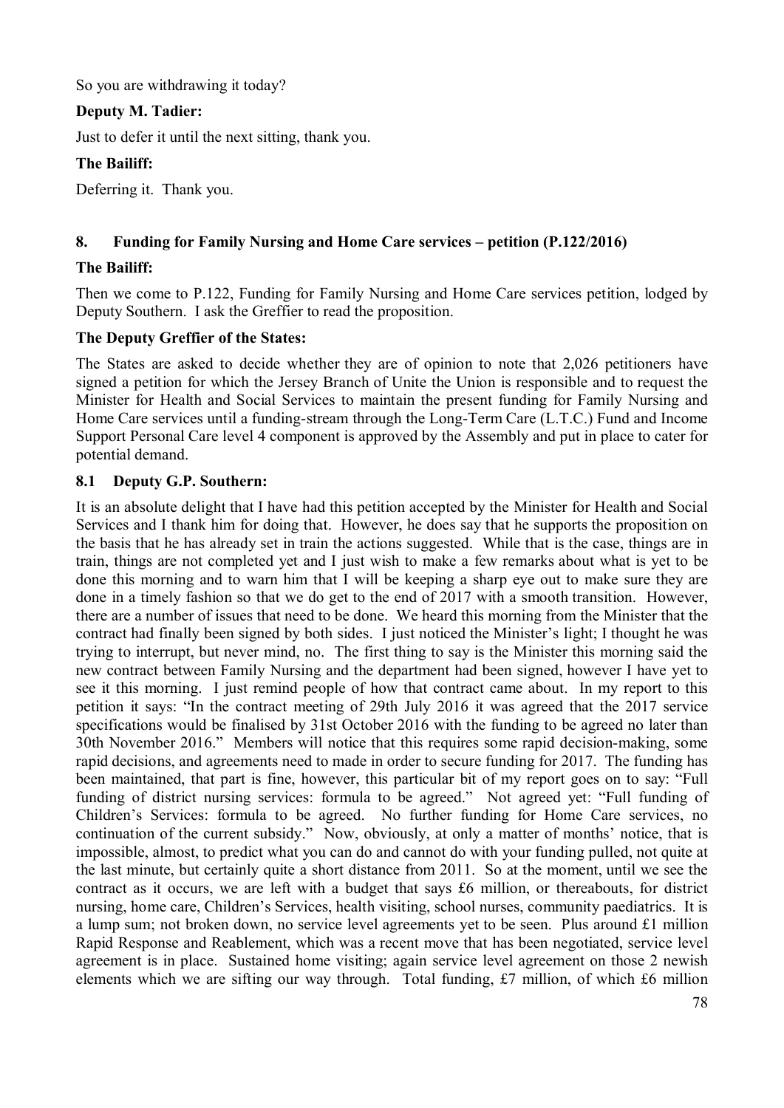So you are withdrawing it today?

### **Deputy M. Tadier:**

Just to defer it until the next sitting, thank you.

### **The Bailiff:**

Deferring it. Thank you.

### **8. Funding for Family Nursing and Home Care services – petition (P.122/2016)**

### **The Bailiff:**

Then we come to P.122, Funding for Family Nursing and Home Care services petition, lodged by Deputy Southern. I ask the Greffier to read the proposition.

### **The Deputy Greffier of the States:**

The States are asked to decide whether they are of opinion to note that 2,026 petitioners have signed a petition for which the Jersey Branch of Unite the Union is responsible and to request the Minister for Health and Social Services to maintain the present funding for Family Nursing and Home Care services until a funding-stream through the Long-Term Care (L.T.C.) Fund and Income Support Personal Care level 4 component is approved by the Assembly and put in place to cater for potential demand.

### **8.1 Deputy G.P. Southern:**

It is an absolute delight that I have had this petition accepted by the Minister for Health and Social Services and I thank him for doing that. However, he does say that he supports the proposition on the basis that he has already set in train the actions suggested. While that is the case, things are in train, things are not completed yet and I just wish to make a few remarks about what is yet to be done this morning and to warn him that I will be keeping a sharp eye out to make sure they are done in a timely fashion so that we do get to the end of 2017 with a smooth transition. However, there are a number of issues that need to be done. We heard this morning from the Minister that the contract had finally been signed by both sides. I just noticed the Minister's light; I thought he was trying to interrupt, but never mind, no. The first thing to say is the Minister this morning said the new contract between Family Nursing and the department had been signed, however I have yet to see it this morning. I just remind people of how that contract came about. In my report to this petition it says: "In the contract meeting of 29th July 2016 it was agreed that the 2017 service specifications would be finalised by 31st October 2016 with the funding to be agreed no later than 30th November 2016." Members will notice that this requires some rapid decision-making, some rapid decisions, and agreements need to made in order to secure funding for 2017. The funding has been maintained, that part is fine, however, this particular bit of my report goes on to say: "Full funding of district nursing services: formula to be agreed." Not agreed yet: "Full funding of Children's Services: formula to be agreed. No further funding for Home Care services, no continuation of the current subsidy." Now, obviously, at only a matter of months' notice, that is impossible, almost, to predict what you can do and cannot do with your funding pulled, not quite at the last minute, but certainly quite a short distance from 2011. So at the moment, until we see the contract as it occurs, we are left with a budget that says £6 million, or thereabouts, for district nursing, home care, Children's Services, health visiting, school nurses, community paediatrics. It is a lump sum; not broken down, no service level agreements yet to be seen. Plus around £1 million Rapid Response and Reablement, which was a recent move that has been negotiated, service level agreement is in place. Sustained home visiting; again service level agreement on those 2 newish elements which we are sifting our way through. Total funding, £7 million, of which £6 million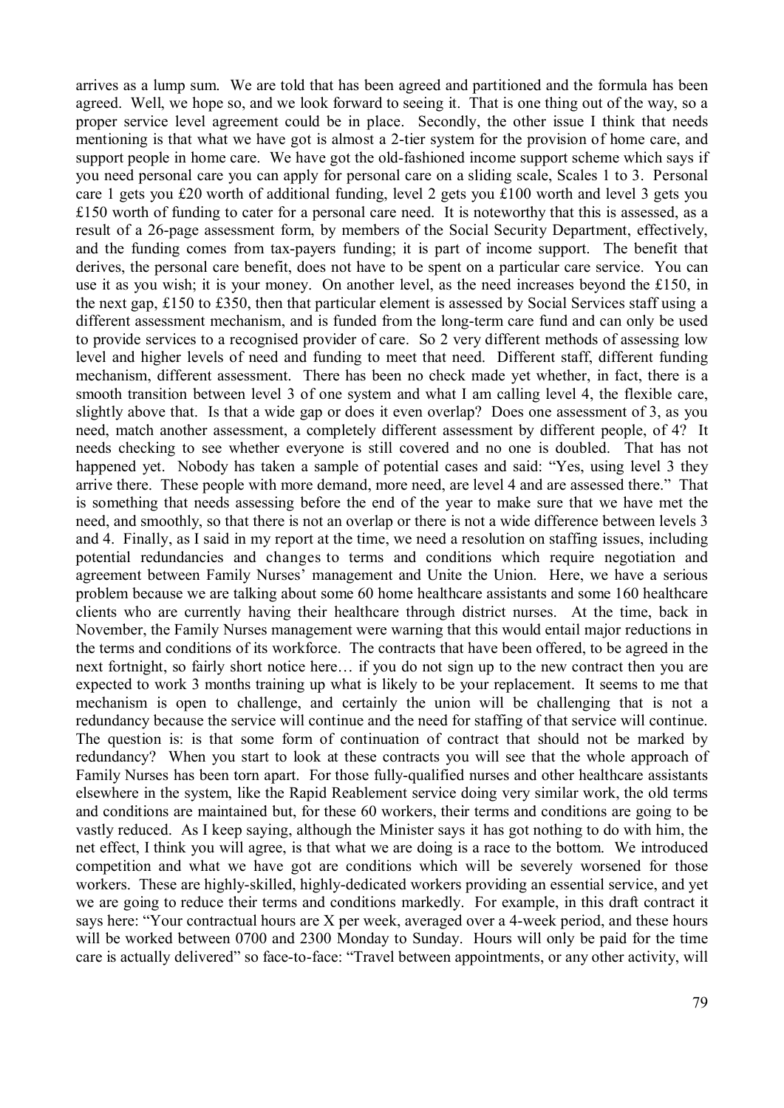arrives as a lump sum. We are told that has been agreed and partitioned and the formula has been agreed. Well, we hope so, and we look forward to seeing it. That is one thing out of the way, so a proper service level agreement could be in place. Secondly, the other issue I think that needs mentioning is that what we have got is almost a 2-tier system for the provision of home care, and support people in home care. We have got the old-fashioned income support scheme which says if you need personal care you can apply for personal care on a sliding scale, Scales 1 to 3. Personal care 1 gets you £20 worth of additional funding, level 2 gets you £100 worth and level 3 gets you £150 worth of funding to cater for a personal care need. It is noteworthy that this is assessed, as a result of a 26-page assessment form, by members of the Social Security Department, effectively, and the funding comes from tax-payers funding; it is part of income support. The benefit that derives, the personal care benefit, does not have to be spent on a particular care service. You can use it as you wish; it is your money. On another level, as the need increases beyond the £150, in the next gap, £150 to £350, then that particular element is assessed by Social Services staff using a different assessment mechanism, and is funded from the long-term care fund and can only be used to provide services to a recognised provider of care. So 2 very different methods of assessing low level and higher levels of need and funding to meet that need. Different staff, different funding mechanism, different assessment. There has been no check made yet whether, in fact, there is a smooth transition between level 3 of one system and what I am calling level 4, the flexible care, slightly above that. Is that a wide gap or does it even overlap? Does one assessment of 3, as you need, match another assessment, a completely different assessment by different people, of 4? It needs checking to see whether everyone is still covered and no one is doubled. That has not happened yet. Nobody has taken a sample of potential cases and said: "Yes, using level 3 they arrive there. These people with more demand, more need, are level 4 and are assessed there." That is something that needs assessing before the end of the year to make sure that we have met the need, and smoothly, so that there is not an overlap or there is not a wide difference between levels 3 and 4. Finally, as I said in my report at the time, we need a resolution on staffing issues, including potential redundancies and changes to terms and conditions which require negotiation and agreement between Family Nurses' management and Unite the Union. Here, we have a serious problem because we are talking about some 60 home healthcare assistants and some 160 healthcare clients who are currently having their healthcare through district nurses. At the time, back in November, the Family Nurses management were warning that this would entail major reductions in the terms and conditions of its workforce. The contracts that have been offered, to be agreed in the next fortnight, so fairly short notice here… if you do not sign up to the new contract then you are expected to work 3 months training up what is likely to be your replacement. It seems to me that mechanism is open to challenge, and certainly the union will be challenging that is not a redundancy because the service will continue and the need for staffing of that service will continue. The question is: is that some form of continuation of contract that should not be marked by redundancy? When you start to look at these contracts you will see that the whole approach of Family Nurses has been torn apart. For those fully-qualified nurses and other healthcare assistants elsewhere in the system, like the Rapid Reablement service doing very similar work, the old terms and conditions are maintained but, for these 60 workers, their terms and conditions are going to be vastly reduced. As I keep saying, although the Minister says it has got nothing to do with him, the net effect, I think you will agree, is that what we are doing is a race to the bottom. We introduced competition and what we have got are conditions which will be severely worsened for those workers. These are highly-skilled, highly-dedicated workers providing an essential service, and yet we are going to reduce their terms and conditions markedly. For example, in this draft contract it says here: "Your contractual hours are X per week, averaged over a 4-week period, and these hours will be worked between 0700 and 2300 Monday to Sunday. Hours will only be paid for the time care is actually delivered" so face-to-face: "Travel between appointments, or any other activity, will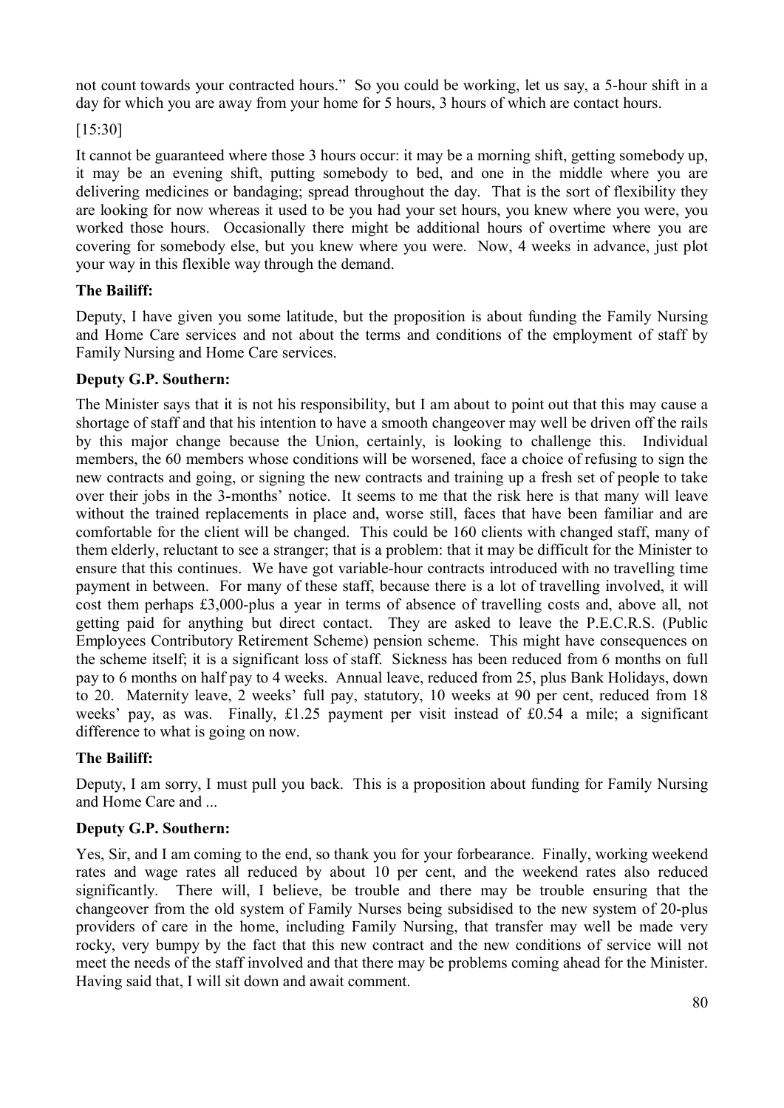not count towards your contracted hours." So you could be working, let us say, a 5-hour shift in a day for which you are away from your home for 5 hours, 3 hours of which are contact hours.

[15:30]

It cannot be guaranteed where those 3 hours occur: it may be a morning shift, getting somebody up, it may be an evening shift, putting somebody to bed, and one in the middle where you are delivering medicines or bandaging; spread throughout the day. That is the sort of flexibility they are looking for now whereas it used to be you had your set hours, you knew where you were, you worked those hours. Occasionally there might be additional hours of overtime where you are covering for somebody else, but you knew where you were. Now, 4 weeks in advance, just plot your way in this flexible way through the demand.

## **The Bailiff:**

Deputy, I have given you some latitude, but the proposition is about funding the Family Nursing and Home Care services and not about the terms and conditions of the employment of staff by Family Nursing and Home Care services.

## **Deputy G.P. Southern:**

The Minister says that it is not his responsibility, but I am about to point out that this may cause a shortage of staff and that his intention to have a smooth changeover may well be driven off the rails by this major change because the Union, certainly, is looking to challenge this. Individual members, the 60 members whose conditions will be worsened, face a choice of refusing to sign the new contracts and going, or signing the new contracts and training up a fresh set of people to take over their jobs in the 3-months' notice. It seems to me that the risk here is that many will leave without the trained replacements in place and, worse still, faces that have been familiar and are comfortable for the client will be changed. This could be 160 clients with changed staff, many of them elderly, reluctant to see a stranger; that is a problem: that it may be difficult for the Minister to ensure that this continues. We have got variable-hour contracts introduced with no travelling time payment in between. For many of these staff, because there is a lot of travelling involved, it will cost them perhaps £3,000-plus a year in terms of absence of travelling costs and, above all, not getting paid for anything but direct contact. They are asked to leave the P.E.C.R.S. (Public Employees Contributory Retirement Scheme) pension scheme. This might have consequences on the scheme itself; it is a significant loss of staff. Sickness has been reduced from 6 months on full pay to 6 months on half pay to 4 weeks. Annual leave, reduced from 25, plus Bank Holidays, down to 20. Maternity leave, 2 weeks' full pay, statutory, 10 weeks at 90 per cent, reduced from 18 weeks' pay, as was. Finally, £1.25 payment per visit instead of £0.54 a mile; a significant difference to what is going on now.

### **The Bailiff:**

Deputy, I am sorry, I must pull you back. This is a proposition about funding for Family Nursing and Home Care and ...

## **Deputy G.P. Southern:**

Yes, Sir, and I am coming to the end, so thank you for your forbearance. Finally, working weekend rates and wage rates all reduced by about 10 per cent, and the weekend rates also reduced significantly. There will, I believe, be trouble and there may be trouble ensuring that the changeover from the old system of Family Nurses being subsidised to the new system of 20-plus providers of care in the home, including Family Nursing, that transfer may well be made very rocky, very bumpy by the fact that this new contract and the new conditions of service will not meet the needs of the staff involved and that there may be problems coming ahead for the Minister. Having said that, I will sit down and await comment.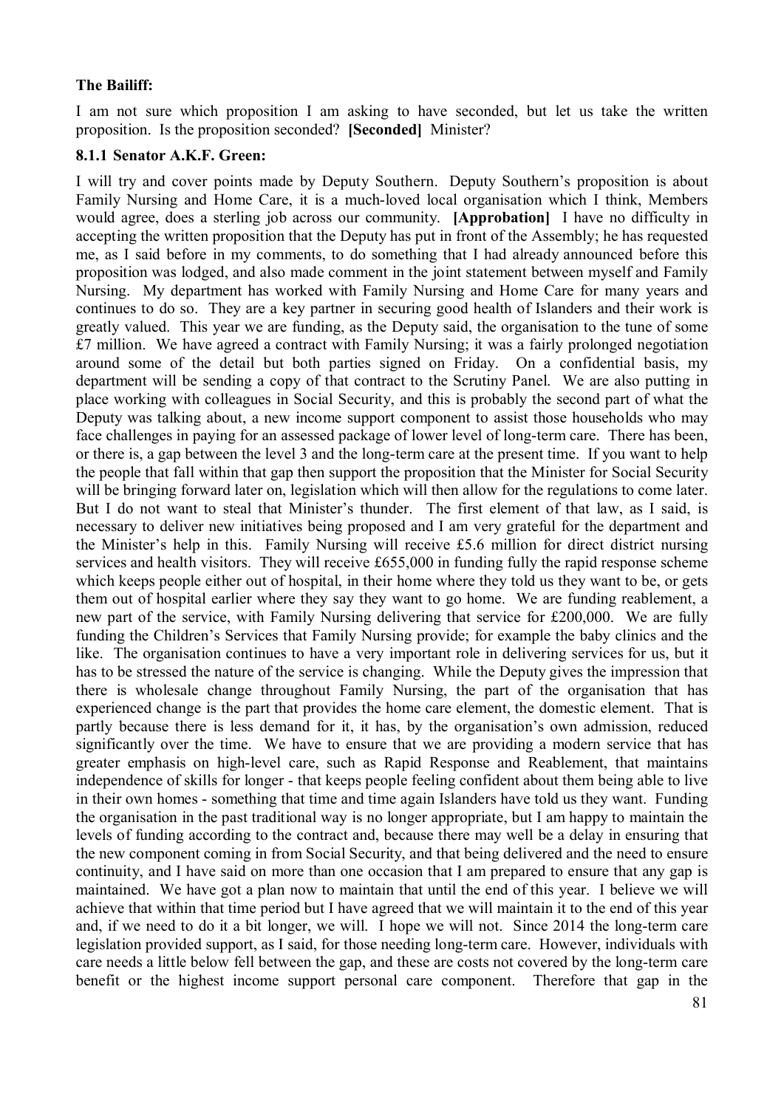#### **The Bailiff:**

I am not sure which proposition I am asking to have seconded, but let us take the written proposition. Is the proposition seconded? **[Seconded]** Minister?

#### **8.1.1 Senator A.K.F. Green:**

I will try and cover points made by Deputy Southern. Deputy Southern's proposition is about Family Nursing and Home Care, it is a much-loved local organisation which I think, Members would agree, does a sterling job across our community. **[Approbation]** I have no difficulty in accepting the written proposition that the Deputy has put in front of the Assembly; he has requested me, as I said before in my comments, to do something that I had already announced before this proposition was lodged, and also made comment in the joint statement between myself and Family Nursing. My department has worked with Family Nursing and Home Care for many years and continues to do so. They are a key partner in securing good health of Islanders and their work is greatly valued. This year we are funding, as the Deputy said, the organisation to the tune of some £7 million. We have agreed a contract with Family Nursing; it was a fairly prolonged negotiation around some of the detail but both parties signed on Friday. On a confidential basis, my department will be sending a copy of that contract to the Scrutiny Panel. We are also putting in place working with colleagues in Social Security, and this is probably the second part of what the Deputy was talking about, a new income support component to assist those households who may face challenges in paying for an assessed package of lower level of long-term care. There has been, or there is, a gap between the level 3 and the long-term care at the present time. If you want to help the people that fall within that gap then support the proposition that the Minister for Social Security will be bringing forward later on, legislation which will then allow for the regulations to come later. But I do not want to steal that Minister's thunder. The first element of that law, as I said, is necessary to deliver new initiatives being proposed and I am very grateful for the department and the Minister's help in this. Family Nursing will receive £5.6 million for direct district nursing services and health visitors. They will receive £655,000 in funding fully the rapid response scheme which keeps people either out of hospital, in their home where they told us they want to be, or gets them out of hospital earlier where they say they want to go home. We are funding reablement, a new part of the service, with Family Nursing delivering that service for £200,000. We are fully funding the Children's Services that Family Nursing provide; for example the baby clinics and the like. The organisation continues to have a very important role in delivering services for us, but it has to be stressed the nature of the service is changing. While the Deputy gives the impression that there is wholesale change throughout Family Nursing, the part of the organisation that has experienced change is the part that provides the home care element, the domestic element. That is partly because there is less demand for it, it has, by the organisation's own admission, reduced significantly over the time. We have to ensure that we are providing a modern service that has greater emphasis on high-level care, such as Rapid Response and Reablement, that maintains independence of skills for longer - that keeps people feeling confident about them being able to live in their own homes - something that time and time again Islanders have told us they want. Funding the organisation in the past traditional way is no longer appropriate, but I am happy to maintain the levels of funding according to the contract and, because there may well be a delay in ensuring that the new component coming in from Social Security, and that being delivered and the need to ensure continuity, and I have said on more than one occasion that I am prepared to ensure that any gap is maintained. We have got a plan now to maintain that until the end of this year. I believe we will achieve that within that time period but I have agreed that we will maintain it to the end of this year and, if we need to do it a bit longer, we will. I hope we will not. Since 2014 the long-term care legislation provided support, as I said, for those needing long-term care. However, individuals with care needs a little below fell between the gap, and these are costs not covered by the long-term care benefit or the highest income support personal care component. Therefore that gap in the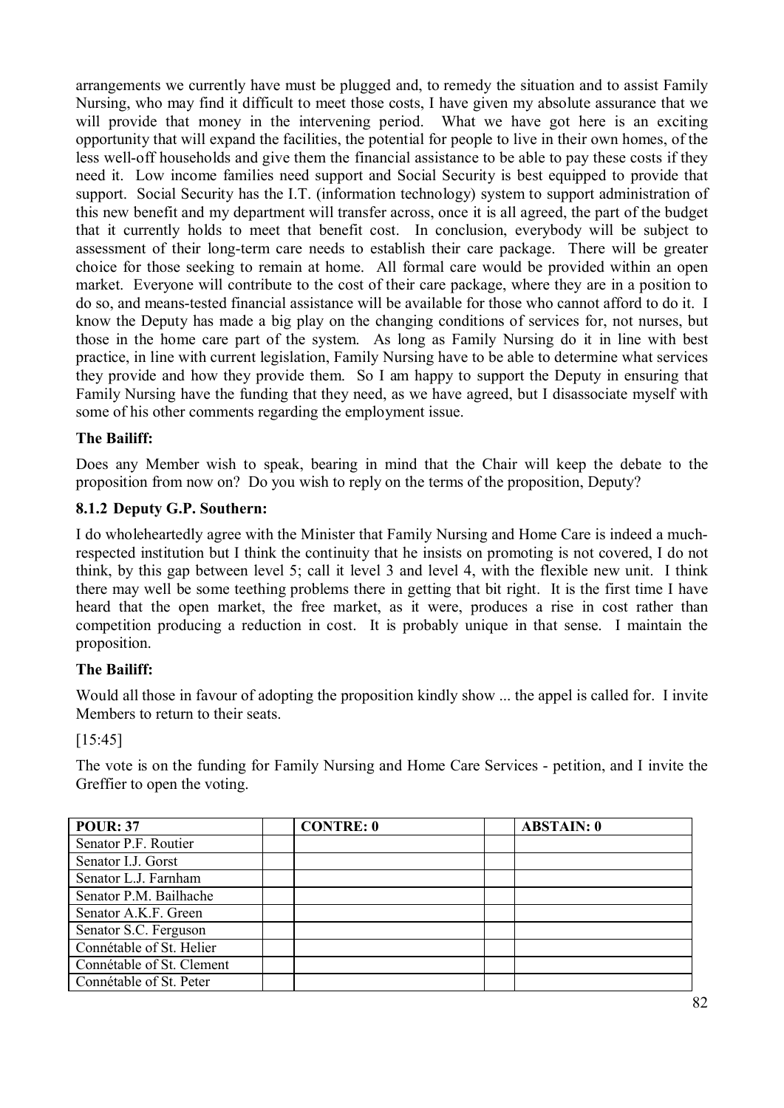arrangements we currently have must be plugged and, to remedy the situation and to assist Family Nursing, who may find it difficult to meet those costs, I have given my absolute assurance that we will provide that money in the intervening period. What we have got here is an exciting opportunity that will expand the facilities, the potential for people to live in their own homes, of the less well-off households and give them the financial assistance to be able to pay these costs if they need it. Low income families need support and Social Security is best equipped to provide that support. Social Security has the I.T. (information technology) system to support administration of this new benefit and my department will transfer across, once it is all agreed, the part of the budget that it currently holds to meet that benefit cost. In conclusion, everybody will be subject to assessment of their long-term care needs to establish their care package. There will be greater choice for those seeking to remain at home. All formal care would be provided within an open market. Everyone will contribute to the cost of their care package, where they are in a position to do so, and means-tested financial assistance will be available for those who cannot afford to do it. I know the Deputy has made a big play on the changing conditions of services for, not nurses, but those in the home care part of the system. As long as Family Nursing do it in line with best practice, in line with current legislation, Family Nursing have to be able to determine what services they provide and how they provide them. So I am happy to support the Deputy in ensuring that Family Nursing have the funding that they need, as we have agreed, but I disassociate myself with some of his other comments regarding the employment issue.

### **The Bailiff:**

Does any Member wish to speak, bearing in mind that the Chair will keep the debate to the proposition from now on? Do you wish to reply on the terms of the proposition, Deputy?

### **8.1.2 Deputy G.P. Southern:**

I do wholeheartedly agree with the Minister that Family Nursing and Home Care is indeed a muchrespected institution but I think the continuity that he insists on promoting is not covered, I do not think, by this gap between level 5; call it level 3 and level 4, with the flexible new unit. I think there may well be some teething problems there in getting that bit right. It is the first time I have heard that the open market, the free market, as it were, produces a rise in cost rather than competition producing a reduction in cost. It is probably unique in that sense. I maintain the proposition.

### **The Bailiff:**

Would all those in favour of adopting the proposition kindly show ... the appel is called for. I invite Members to return to their seats.

[15:45]

The vote is on the funding for Family Nursing and Home Care Services - petition, and I invite the Greffier to open the voting.

| <b>POUR: 37</b>           | <b>CONTRE: 0</b> | <b>ABSTAIN: 0</b> |
|---------------------------|------------------|-------------------|
| Senator P.F. Routier      |                  |                   |
| Senator I.J. Gorst        |                  |                   |
| Senator L.J. Farnham      |                  |                   |
| Senator P.M. Bailhache    |                  |                   |
| Senator A.K.F. Green      |                  |                   |
| Senator S.C. Ferguson     |                  |                   |
| Connétable of St. Helier  |                  |                   |
| Connétable of St. Clement |                  |                   |
| Connétable of St. Peter   |                  |                   |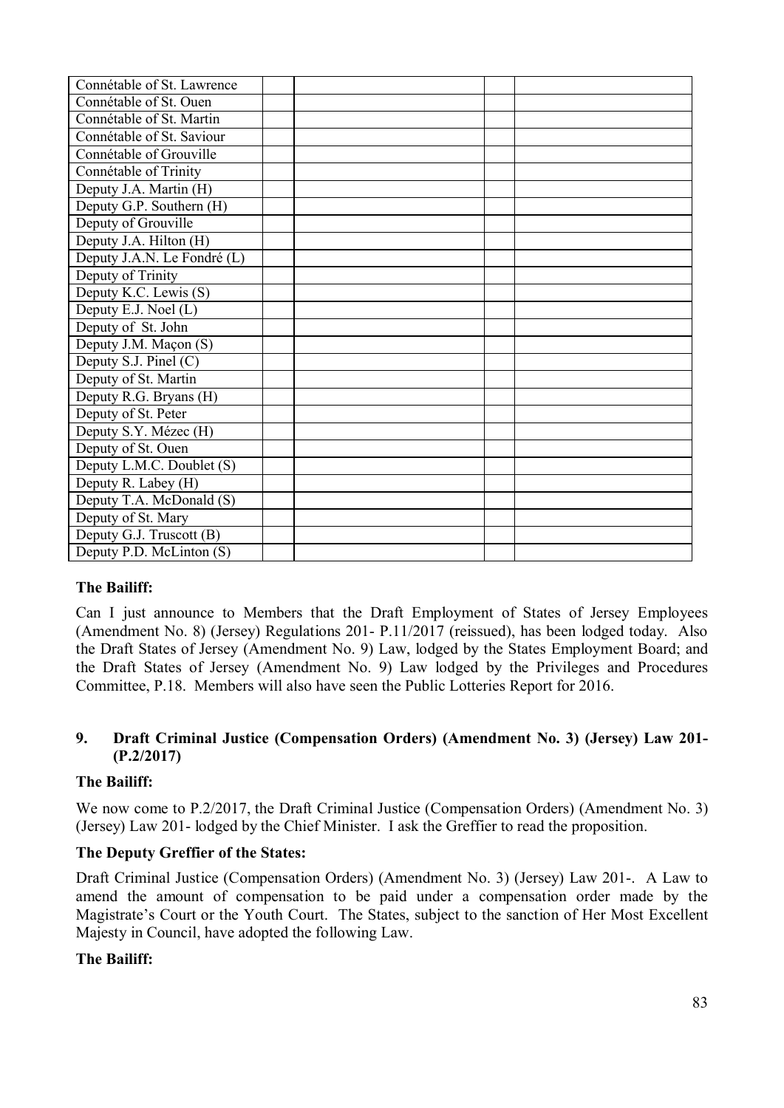| Connétable of St. Lawrence            |  |  |
|---------------------------------------|--|--|
| Connétable of St. Ouen                |  |  |
| Connétable of St. Martin              |  |  |
| Connétable of St. Saviour             |  |  |
| Connétable of Grouville               |  |  |
| Connétable of Trinity                 |  |  |
| Deputy J.A. Martin (H)                |  |  |
| Deputy G.P. Southern (H)              |  |  |
| Deputy of Grouville                   |  |  |
| Deputy J.A. Hilton (H)                |  |  |
| Deputy J.A.N. Le Fondré (L)           |  |  |
| Deputy of Trinity                     |  |  |
| Deputy K.C. Lewis (S)                 |  |  |
| Deputy E.J. Noel (L)                  |  |  |
| Deputy of St. John                    |  |  |
| Deputy J.M. Maçon (S)                 |  |  |
| Deputy S.J. Pinel (C)                 |  |  |
| Deputy of St. Martin                  |  |  |
| Deputy R.G. Bryans (H)                |  |  |
| Deputy of St. Peter                   |  |  |
| Deputy S.Y. Mézec (H)                 |  |  |
| Deputy of St. Ouen                    |  |  |
| Deputy L.M.C. Doublet (S)             |  |  |
| Deputy R. Labey (H)                   |  |  |
| Deputy T.A. McDonald $\overline{(S)}$ |  |  |
| Deputy of St. Mary                    |  |  |
| Deputy G.J. Truscott (B)              |  |  |
| Deputy P.D. McLinton (S)              |  |  |

### **The Bailiff:**

Can I just announce to Members that the Draft Employment of States of Jersey Employees (Amendment No. 8) (Jersey) Regulations 201- P.11/2017 (reissued), has been lodged today. Also the Draft States of Jersey (Amendment No. 9) Law, lodged by the States Employment Board; and the Draft States of Jersey (Amendment No. 9) Law lodged by the Privileges and Procedures Committee, P.18. Members will also have seen the Public Lotteries Report for 2016.

### **9. Draft Criminal Justice (Compensation Orders) (Amendment No. 3) (Jersey) Law 201- (P.2/2017)**

### **The Bailiff:**

We now come to P.2/2017, the Draft Criminal Justice (Compensation Orders) (Amendment No. 3) (Jersey) Law 201- lodged by the Chief Minister. I ask the Greffier to read the proposition.

### **The Deputy Greffier of the States:**

Draft Criminal Justice (Compensation Orders) (Amendment No. 3) (Jersey) Law 201-. A Law to amend the amount of compensation to be paid under a compensation order made by the Magistrate's Court or the Youth Court. The States, subject to the sanction of Her Most Excellent Majesty in Council, have adopted the following Law.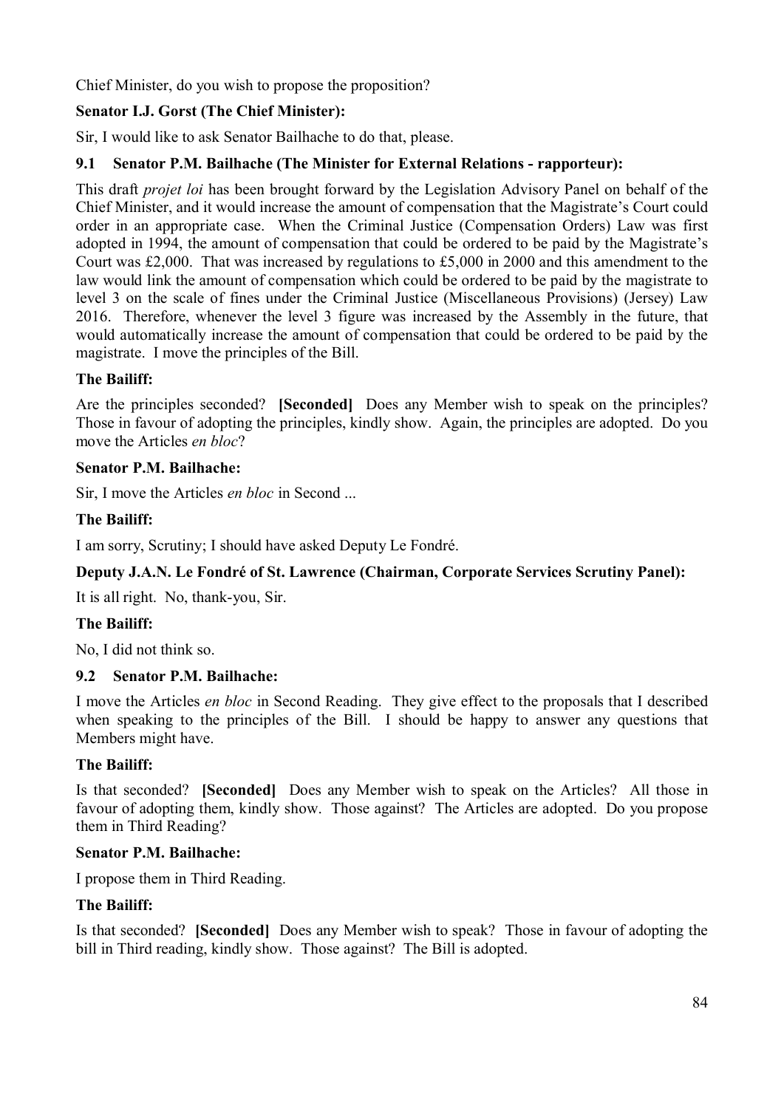Chief Minister, do you wish to propose the proposition?

# **Senator I.J. Gorst (The Chief Minister):**

Sir, I would like to ask Senator Bailhache to do that, please.

## **9.1 Senator P.M. Bailhache (The Minister for External Relations - rapporteur):**

This draft *projet loi* has been brought forward by the Legislation Advisory Panel on behalf of the Chief Minister, and it would increase the amount of compensation that the Magistrate's Court could order in an appropriate case. When the Criminal Justice (Compensation Orders) Law was first adopted in 1994, the amount of compensation that could be ordered to be paid by the Magistrate's Court was £2,000. That was increased by regulations to £5,000 in 2000 and this amendment to the law would link the amount of compensation which could be ordered to be paid by the magistrate to level 3 on the scale of fines under the Criminal Justice (Miscellaneous Provisions) (Jersey) Law 2016. Therefore, whenever the level 3 figure was increased by the Assembly in the future, that would automatically increase the amount of compensation that could be ordered to be paid by the magistrate. I move the principles of the Bill.

## **The Bailiff:**

Are the principles seconded? **[Seconded]** Does any Member wish to speak on the principles? Those in favour of adopting the principles, kindly show. Again, the principles are adopted. Do you move the Articles *en bloc*?

## **Senator P.M. Bailhache:**

Sir, I move the Articles *en bloc* in Second ...

## **The Bailiff:**

I am sorry, Scrutiny; I should have asked Deputy Le Fondré.

## **Deputy J.A.N. Le Fondré of St. Lawrence (Chairman, Corporate Services Scrutiny Panel):**

It is all right. No, thank-you, Sir.

## **The Bailiff:**

No, I did not think so.

## **9.2 Senator P.M. Bailhache:**

I move the Articles *en bloc* in Second Reading. They give effect to the proposals that I described when speaking to the principles of the Bill. I should be happy to answer any questions that Members might have.

## **The Bailiff:**

Is that seconded? **[Seconded]** Does any Member wish to speak on the Articles? All those in favour of adopting them, kindly show. Those against? The Articles are adopted. Do you propose them in Third Reading?

### **Senator P.M. Bailhache:**

I propose them in Third Reading.

### **The Bailiff:**

Is that seconded? **[Seconded]** Does any Member wish to speak? Those in favour of adopting the bill in Third reading, kindly show. Those against? The Bill is adopted.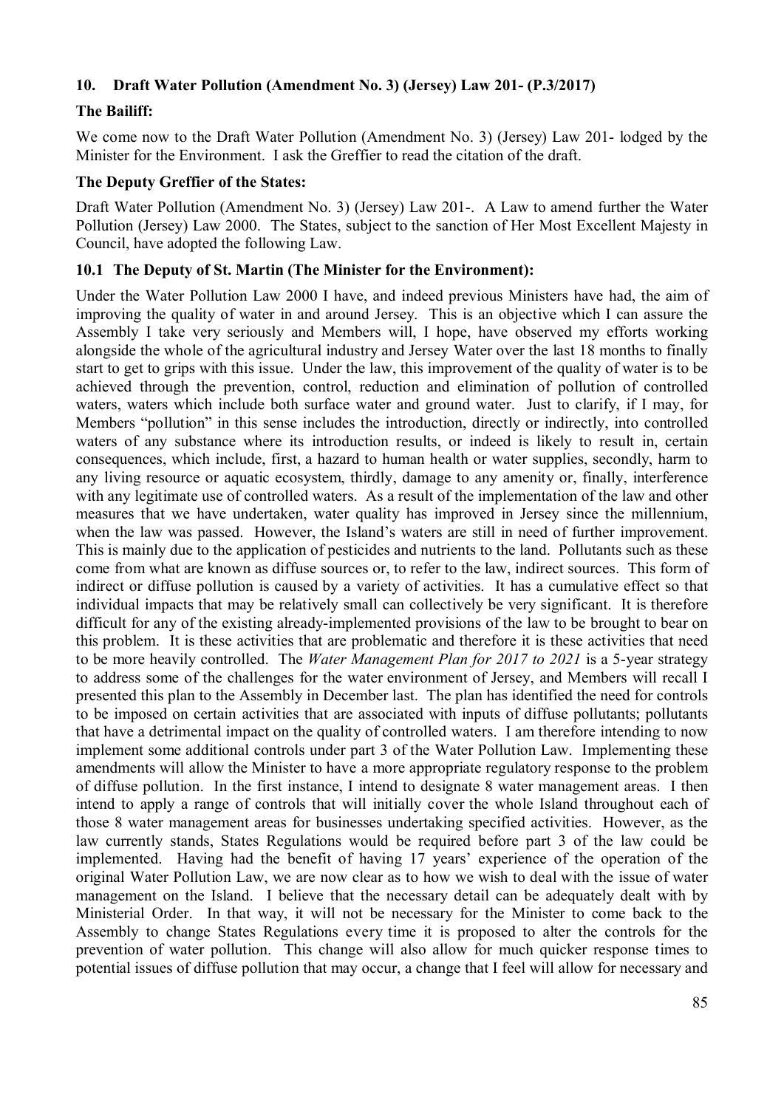### **10. Draft Water Pollution (Amendment No. 3) (Jersey) Law 201- (P.3/2017)**

## **The Bailiff:**

We come now to the Draft Water Pollution (Amendment No. 3) (Jersey) Law 201- lodged by the Minister for the Environment. I ask the Greffier to read the citation of the draft.

#### **The Deputy Greffier of the States:**

Draft Water Pollution (Amendment No. 3) (Jersey) Law 201-. A Law to amend further the Water Pollution (Jersey) Law 2000. The States, subject to the sanction of Her Most Excellent Majesty in Council, have adopted the following Law.

### **10.1 The Deputy of St. Martin (The Minister for the Environment):**

Under the Water Pollution Law 2000 I have, and indeed previous Ministers have had, the aim of improving the quality of water in and around Jersey. This is an objective which I can assure the Assembly I take very seriously and Members will, I hope, have observed my efforts working alongside the whole of the agricultural industry and Jersey Water over the last 18 months to finally start to get to grips with this issue. Under the law, this improvement of the quality of water is to be achieved through the prevention, control, reduction and elimination of pollution of controlled waters, waters which include both surface water and ground water. Just to clarify, if I may, for Members "pollution" in this sense includes the introduction, directly or indirectly, into controlled waters of any substance where its introduction results, or indeed is likely to result in, certain consequences, which include, first, a hazard to human health or water supplies, secondly, harm to any living resource or aquatic ecosystem, thirdly, damage to any amenity or, finally, interference with any legitimate use of controlled waters. As a result of the implementation of the law and other measures that we have undertaken, water quality has improved in Jersey since the millennium, when the law was passed. However, the Island's waters are still in need of further improvement. This is mainly due to the application of pesticides and nutrients to the land. Pollutants such as these come from what are known as diffuse sources or, to refer to the law, indirect sources. This form of indirect or diffuse pollution is caused by a variety of activities. It has a cumulative effect so that individual impacts that may be relatively small can collectively be very significant. It is therefore difficult for any of the existing already-implemented provisions of the law to be brought to bear on this problem. It is these activities that are problematic and therefore it is these activities that need to be more heavily controlled. The *Water Management Plan for 2017 to 2021* is a 5-year strategy to address some of the challenges for the water environment of Jersey, and Members will recall I presented this plan to the Assembly in December last. The plan has identified the need for controls to be imposed on certain activities that are associated with inputs of diffuse pollutants; pollutants that have a detrimental impact on the quality of controlled waters. I am therefore intending to now implement some additional controls under part 3 of the Water Pollution Law. Implementing these amendments will allow the Minister to have a more appropriate regulatory response to the problem of diffuse pollution. In the first instance, I intend to designate 8 water management areas. I then intend to apply a range of controls that will initially cover the whole Island throughout each of those 8 water management areas for businesses undertaking specified activities. However, as the law currently stands, States Regulations would be required before part 3 of the law could be implemented. Having had the benefit of having 17 years' experience of the operation of the original Water Pollution Law, we are now clear as to how we wish to deal with the issue of water management on the Island. I believe that the necessary detail can be adequately dealt with by Ministerial Order. In that way, it will not be necessary for the Minister to come back to the Assembly to change States Regulations every time it is proposed to alter the controls for the prevention of water pollution. This change will also allow for much quicker response times to potential issues of diffuse pollution that may occur, a change that I feel will allow for necessary and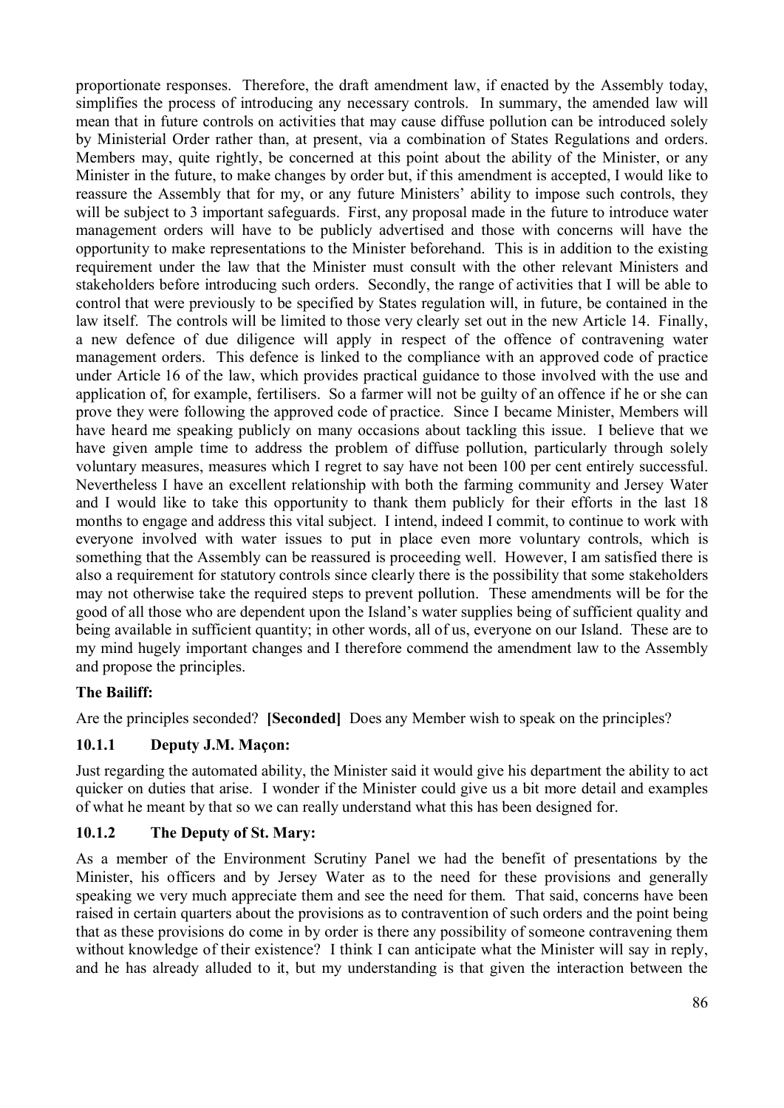proportionate responses. Therefore, the draft amendment law, if enacted by the Assembly today, simplifies the process of introducing any necessary controls. In summary, the amended law will mean that in future controls on activities that may cause diffuse pollution can be introduced solely by Ministerial Order rather than, at present, via a combination of States Regulations and orders. Members may, quite rightly, be concerned at this point about the ability of the Minister, or any Minister in the future, to make changes by order but, if this amendment is accepted, I would like to reassure the Assembly that for my, or any future Ministers' ability to impose such controls, they will be subject to 3 important safeguards. First, any proposal made in the future to introduce water management orders will have to be publicly advertised and those with concerns will have the opportunity to make representations to the Minister beforehand. This is in addition to the existing requirement under the law that the Minister must consult with the other relevant Ministers and stakeholders before introducing such orders. Secondly, the range of activities that I will be able to control that were previously to be specified by States regulation will, in future, be contained in the law itself. The controls will be limited to those very clearly set out in the new Article 14. Finally, a new defence of due diligence will apply in respect of the offence of contravening water management orders. This defence is linked to the compliance with an approved code of practice under Article 16 of the law, which provides practical guidance to those involved with the use and application of, for example, fertilisers. So a farmer will not be guilty of an offence if he or she can prove they were following the approved code of practice. Since I became Minister, Members will have heard me speaking publicly on many occasions about tackling this issue. I believe that we have given ample time to address the problem of diffuse pollution, particularly through solely voluntary measures, measures which I regret to say have not been 100 per cent entirely successful. Nevertheless I have an excellent relationship with both the farming community and Jersey Water and I would like to take this opportunity to thank them publicly for their efforts in the last 18 months to engage and address this vital subject. I intend, indeed I commit, to continue to work with everyone involved with water issues to put in place even more voluntary controls, which is something that the Assembly can be reassured is proceeding well. However, I am satisfied there is also a requirement for statutory controls since clearly there is the possibility that some stakeholders may not otherwise take the required steps to prevent pollution. These amendments will be for the good of all those who are dependent upon the Island's water supplies being of sufficient quality and being available in sufficient quantity; in other words, all of us, everyone on our Island. These are to my mind hugely important changes and I therefore commend the amendment law to the Assembly and propose the principles.

## **The Bailiff:**

Are the principles seconded? **[Seconded]** Does any Member wish to speak on the principles?

### **10.1.1 Deputy J.M. Maçon:**

Just regarding the automated ability, the Minister said it would give his department the ability to act quicker on duties that arise. I wonder if the Minister could give us a bit more detail and examples of what he meant by that so we can really understand what this has been designed for.

### **10.1.2 The Deputy of St. Mary:**

As a member of the Environment Scrutiny Panel we had the benefit of presentations by the Minister, his officers and by Jersey Water as to the need for these provisions and generally speaking we very much appreciate them and see the need for them. That said, concerns have been raised in certain quarters about the provisions as to contravention of such orders and the point being that as these provisions do come in by order is there any possibility of someone contravening them without knowledge of their existence? I think I can anticipate what the Minister will say in reply, and he has already alluded to it, but my understanding is that given the interaction between the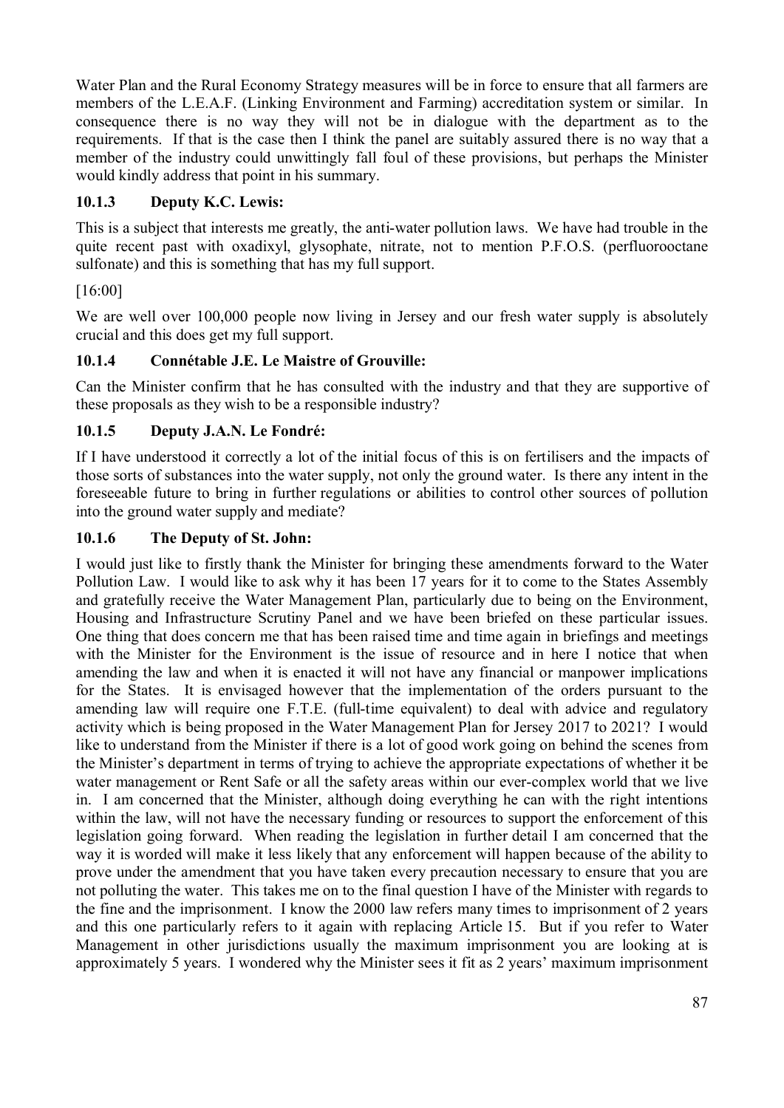Water Plan and the Rural Economy Strategy measures will be in force to ensure that all farmers are members of the L.E.A.F. (Linking Environment and Farming) accreditation system or similar. In consequence there is no way they will not be in dialogue with the department as to the requirements. If that is the case then I think the panel are suitably assured there is no way that a member of the industry could unwittingly fall foul of these provisions, but perhaps the Minister would kindly address that point in his summary.

# **10.1.3 Deputy K.C. Lewis:**

This is a subject that interests me greatly, the anti-water pollution laws. We have had trouble in the quite recent past with oxadixyl, glysophate, nitrate, not to mention P.F.O.S. (perfluorooctane sulfonate) and this is something that has my full support.

# [16:00]

We are well over 100,000 people now living in Jersey and our fresh water supply is absolutely crucial and this does get my full support.

# **10.1.4 Connétable J.E. Le Maistre of Grouville:**

Can the Minister confirm that he has consulted with the industry and that they are supportive of these proposals as they wish to be a responsible industry?

# **10.1.5 Deputy J.A.N. Le Fondré:**

If I have understood it correctly a lot of the initial focus of this is on fertilisers and the impacts of those sorts of substances into the water supply, not only the ground water. Is there any intent in the foreseeable future to bring in further regulations or abilities to control other sources of pollution into the ground water supply and mediate?

# **10.1.6 The Deputy of St. John:**

I would just like to firstly thank the Minister for bringing these amendments forward to the Water Pollution Law. I would like to ask why it has been 17 years for it to come to the States Assembly and gratefully receive the Water Management Plan, particularly due to being on the Environment, Housing and Infrastructure Scrutiny Panel and we have been briefed on these particular issues. One thing that does concern me that has been raised time and time again in briefings and meetings with the Minister for the Environment is the issue of resource and in here I notice that when amending the law and when it is enacted it will not have any financial or manpower implications for the States. It is envisaged however that the implementation of the orders pursuant to the amending law will require one F.T.E. (full-time equivalent) to deal with advice and regulatory activity which is being proposed in the Water Management Plan for Jersey 2017 to 2021? I would like to understand from the Minister if there is a lot of good work going on behind the scenes from the Minister's department in terms of trying to achieve the appropriate expectations of whether it be water management or Rent Safe or all the safety areas within our ever-complex world that we live in. I am concerned that the Minister, although doing everything he can with the right intentions within the law, will not have the necessary funding or resources to support the enforcement of this legislation going forward. When reading the legislation in further detail I am concerned that the way it is worded will make it less likely that any enforcement will happen because of the ability to prove under the amendment that you have taken every precaution necessary to ensure that you are not polluting the water. This takes me on to the final question I have of the Minister with regards to the fine and the imprisonment. I know the 2000 law refers many times to imprisonment of 2 years and this one particularly refers to it again with replacing Article 15. But if you refer to Water Management in other jurisdictions usually the maximum imprisonment you are looking at is approximately 5 years. I wondered why the Minister sees it fit as 2 years' maximum imprisonment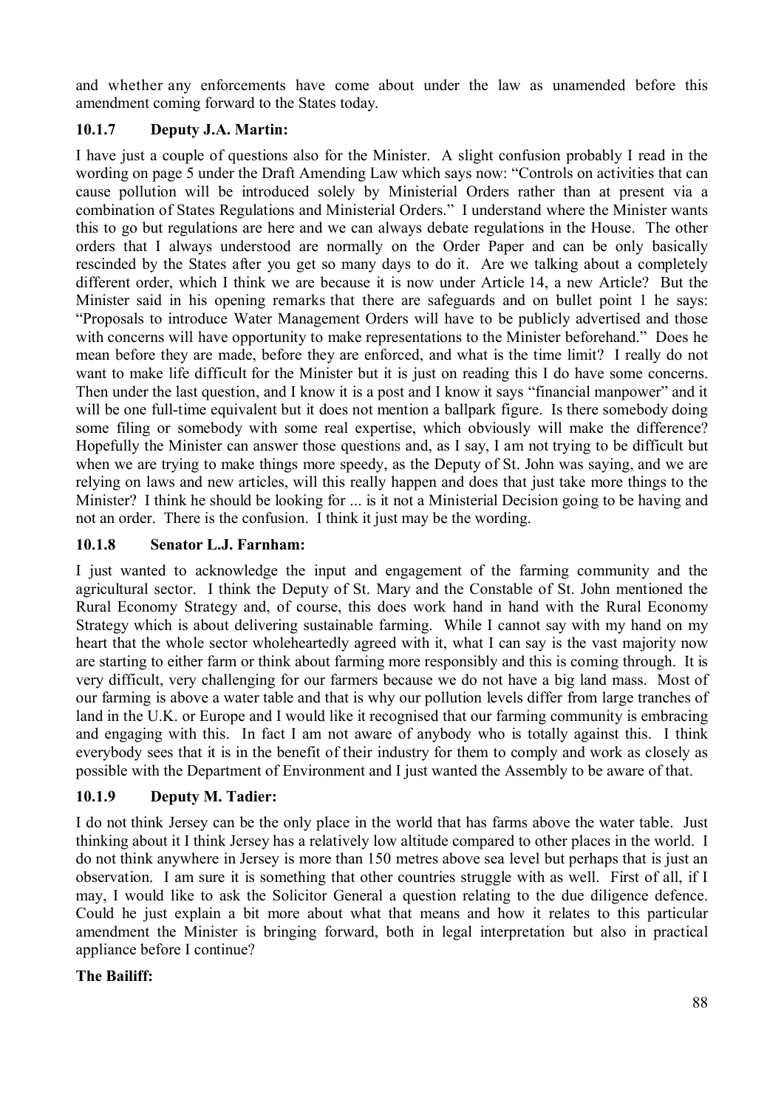and whether any enforcements have come about under the law as unamended before this amendment coming forward to the States today.

### **10.1.7 Deputy J.A. Martin:**

I have just a couple of questions also for the Minister. A slight confusion probably I read in the wording on page 5 under the Draft Amending Law which says now: "Controls on activities that can cause pollution will be introduced solely by Ministerial Orders rather than at present via a combination of States Regulations and Ministerial Orders." I understand where the Minister wants this to go but regulations are here and we can always debate regulations in the House. The other orders that I always understood are normally on the Order Paper and can be only basically rescinded by the States after you get so many days to do it. Are we talking about a completely different order, which I think we are because it is now under Article 14, a new Article? But the Minister said in his opening remarks that there are safeguards and on bullet point 1 he says: "Proposals to introduce Water Management Orders will have to be publicly advertised and those with concerns will have opportunity to make representations to the Minister beforehand." Does he mean before they are made, before they are enforced, and what is the time limit? I really do not want to make life difficult for the Minister but it is just on reading this I do have some concerns. Then under the last question, and I know it is a post and I know it says "financial manpower" and it will be one full-time equivalent but it does not mention a ballpark figure. Is there somebody doing some filing or somebody with some real expertise, which obviously will make the difference? Hopefully the Minister can answer those questions and, as I say, I am not trying to be difficult but when we are trying to make things more speedy, as the Deputy of St. John was saying, and we are relying on laws and new articles, will this really happen and does that just take more things to the Minister? I think he should be looking for ... is it not a Ministerial Decision going to be having and not an order. There is the confusion. I think it just may be the wording.

### **10.1.8 Senator L.J. Farnham:**

I just wanted to acknowledge the input and engagement of the farming community and the agricultural sector. I think the Deputy of St. Mary and the Constable of St. John mentioned the Rural Economy Strategy and, of course, this does work hand in hand with the Rural Economy Strategy which is about delivering sustainable farming. While I cannot say with my hand on my heart that the whole sector wholeheartedly agreed with it, what I can say is the vast majority now are starting to either farm or think about farming more responsibly and this is coming through. It is very difficult, very challenging for our farmers because we do not have a big land mass. Most of our farming is above a water table and that is why our pollution levels differ from large tranches of land in the U.K. or Europe and I would like it recognised that our farming community is embracing and engaging with this. In fact I am not aware of anybody who is totally against this. I think everybody sees that it is in the benefit of their industry for them to comply and work as closely as possible with the Department of Environment and I just wanted the Assembly to be aware of that.

### **10.1.9 Deputy M. Tadier:**

I do not think Jersey can be the only place in the world that has farms above the water table. Just thinking about it I think Jersey has a relatively low altitude compared to other places in the world. I do not think anywhere in Jersey is more than 150 metres above sea level but perhaps that is just an observation. I am sure it is something that other countries struggle with as well. First of all, if I may, I would like to ask the Solicitor General a question relating to the due diligence defence. Could he just explain a bit more about what that means and how it relates to this particular amendment the Minister is bringing forward, both in legal interpretation but also in practical appliance before I continue?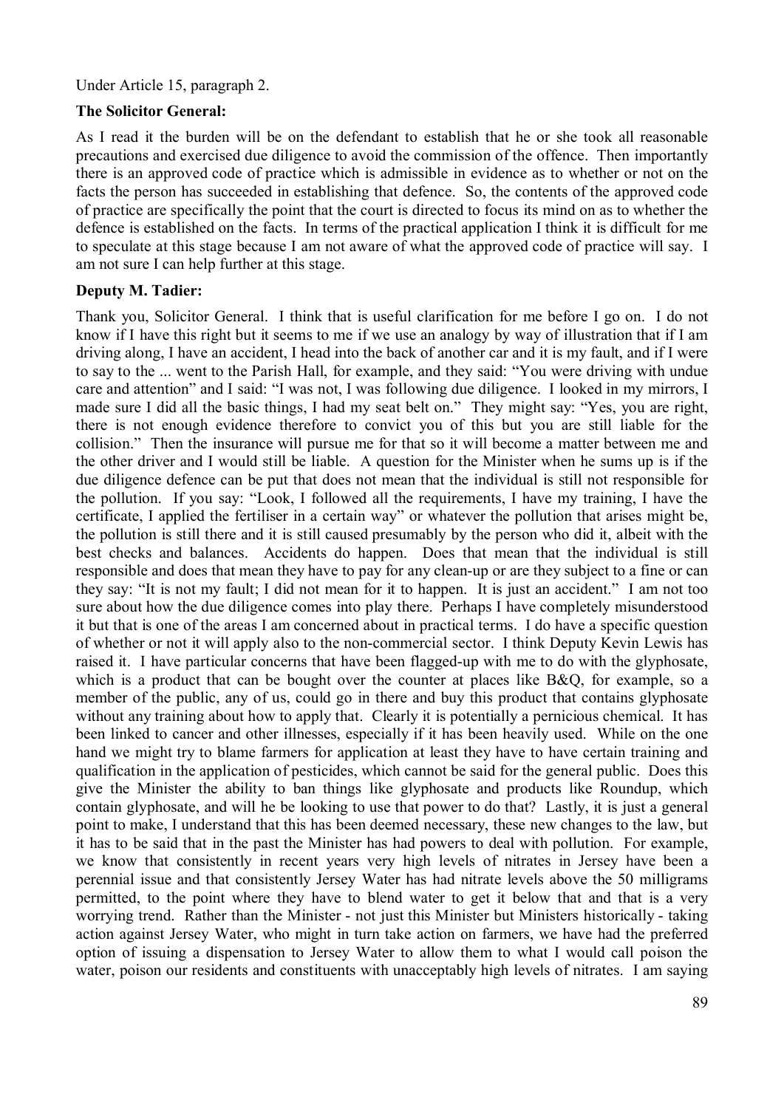#### Under Article 15, paragraph 2.

### **The Solicitor General:**

As I read it the burden will be on the defendant to establish that he or she took all reasonable precautions and exercised due diligence to avoid the commission of the offence. Then importantly there is an approved code of practice which is admissible in evidence as to whether or not on the facts the person has succeeded in establishing that defence. So, the contents of the approved code of practice are specifically the point that the court is directed to focus its mind on as to whether the defence is established on the facts. In terms of the practical application I think it is difficult for me to speculate at this stage because I am not aware of what the approved code of practice will say. I am not sure I can help further at this stage.

### **Deputy M. Tadier:**

Thank you, Solicitor General. I think that is useful clarification for me before I go on. I do not know if I have this right but it seems to me if we use an analogy by way of illustration that if I am driving along, I have an accident, I head into the back of another car and it is my fault, and if I were to say to the ... went to the Parish Hall, for example, and they said: "You were driving with undue care and attention" and I said: "I was not, I was following due diligence. I looked in my mirrors, I made sure I did all the basic things, I had my seat belt on." They might say: "Yes, you are right, there is not enough evidence therefore to convict you of this but you are still liable for the collision." Then the insurance will pursue me for that so it will become a matter between me and the other driver and I would still be liable. A question for the Minister when he sums up is if the due diligence defence can be put that does not mean that the individual is still not responsible for the pollution. If you say: "Look, I followed all the requirements, I have my training, I have the certificate, I applied the fertiliser in a certain way" or whatever the pollution that arises might be, the pollution is still there and it is still caused presumably by the person who did it, albeit with the best checks and balances. Accidents do happen. Does that mean that the individual is still responsible and does that mean they have to pay for any clean-up or are they subject to a fine or can they say: "It is not my fault; I did not mean for it to happen. It is just an accident." I am not too sure about how the due diligence comes into play there. Perhaps I have completely misunderstood it but that is one of the areas I am concerned about in practical terms. I do have a specific question of whether or not it will apply also to the non-commercial sector. I think Deputy Kevin Lewis has raised it. I have particular concerns that have been flagged-up with me to do with the glyphosate, which is a product that can be bought over the counter at places like B&O, for example, so a member of the public, any of us, could go in there and buy this product that contains glyphosate without any training about how to apply that. Clearly it is potentially a pernicious chemical. It has been linked to cancer and other illnesses, especially if it has been heavily used. While on the one hand we might try to blame farmers for application at least they have to have certain training and qualification in the application of pesticides, which cannot be said for the general public. Does this give the Minister the ability to ban things like glyphosate and products like Roundup, which contain glyphosate, and will he be looking to use that power to do that? Lastly, it is just a general point to make, I understand that this has been deemed necessary, these new changes to the law, but it has to be said that in the past the Minister has had powers to deal with pollution. For example, we know that consistently in recent years very high levels of nitrates in Jersey have been a perennial issue and that consistently Jersey Water has had nitrate levels above the 50 milligrams permitted, to the point where they have to blend water to get it below that and that is a very worrying trend. Rather than the Minister - not just this Minister but Ministers historically - taking action against Jersey Water, who might in turn take action on farmers, we have had the preferred option of issuing a dispensation to Jersey Water to allow them to what I would call poison the water, poison our residents and constituents with unacceptably high levels of nitrates. I am saying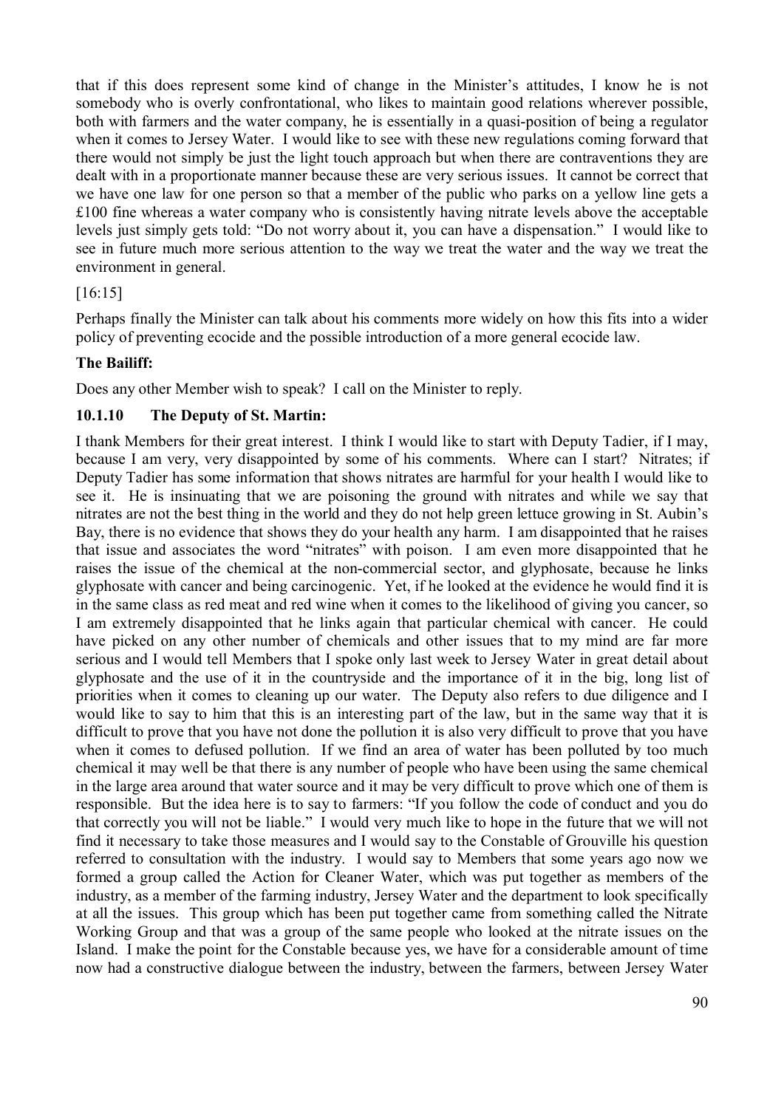that if this does represent some kind of change in the Minister's attitudes, I know he is not somebody who is overly confrontational, who likes to maintain good relations wherever possible, both with farmers and the water company, he is essentially in a quasi-position of being a regulator when it comes to Jersey Water. I would like to see with these new regulations coming forward that there would not simply be just the light touch approach but when there are contraventions they are dealt with in a proportionate manner because these are very serious issues. It cannot be correct that we have one law for one person so that a member of the public who parks on a yellow line gets a £100 fine whereas a water company who is consistently having nitrate levels above the acceptable levels just simply gets told: "Do not worry about it, you can have a dispensation." I would like to see in future much more serious attention to the way we treat the water and the way we treat the environment in general.

### [16:15]

Perhaps finally the Minister can talk about his comments more widely on how this fits into a wider policy of preventing ecocide and the possible introduction of a more general ecocide law.

### **The Bailiff:**

Does any other Member wish to speak? I call on the Minister to reply.

### **10.1.10 The Deputy of St. Martin:**

I thank Members for their great interest. I think I would like to start with Deputy Tadier, if I may, because I am very, very disappointed by some of his comments. Where can I start? Nitrates; if Deputy Tadier has some information that shows nitrates are harmful for your health I would like to see it. He is insinuating that we are poisoning the ground with nitrates and while we say that nitrates are not the best thing in the world and they do not help green lettuce growing in St. Aubin's Bay, there is no evidence that shows they do your health any harm. I am disappointed that he raises that issue and associates the word "nitrates" with poison. I am even more disappointed that he raises the issue of the chemical at the non-commercial sector, and glyphosate, because he links glyphosate with cancer and being carcinogenic. Yet, if he looked at the evidence he would find it is in the same class as red meat and red wine when it comes to the likelihood of giving you cancer, so I am extremely disappointed that he links again that particular chemical with cancer. He could have picked on any other number of chemicals and other issues that to my mind are far more serious and I would tell Members that I spoke only last week to Jersey Water in great detail about glyphosate and the use of it in the countryside and the importance of it in the big, long list of priorities when it comes to cleaning up our water. The Deputy also refers to due diligence and I would like to say to him that this is an interesting part of the law, but in the same way that it is difficult to prove that you have not done the pollution it is also very difficult to prove that you have when it comes to defused pollution. If we find an area of water has been polluted by too much chemical it may well be that there is any number of people who have been using the same chemical in the large area around that water source and it may be very difficult to prove which one of them is responsible. But the idea here is to say to farmers: "If you follow the code of conduct and you do that correctly you will not be liable." I would very much like to hope in the future that we will not find it necessary to take those measures and I would say to the Constable of Grouville his question referred to consultation with the industry. I would say to Members that some years ago now we formed a group called the Action for Cleaner Water, which was put together as members of the industry, as a member of the farming industry, Jersey Water and the department to look specifically at all the issues. This group which has been put together came from something called the Nitrate Working Group and that was a group of the same people who looked at the nitrate issues on the Island. I make the point for the Constable because yes, we have for a considerable amount of time now had a constructive dialogue between the industry, between the farmers, between Jersey Water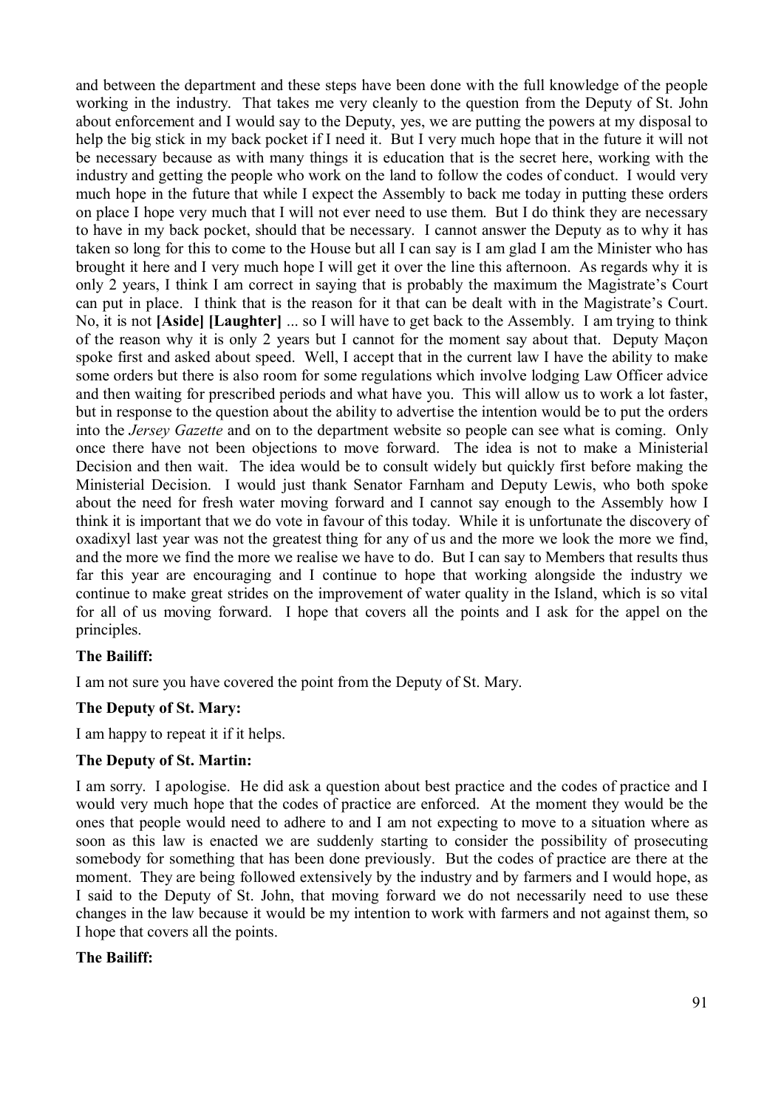and between the department and these steps have been done with the full knowledge of the people working in the industry. That takes me very cleanly to the question from the Deputy of St. John about enforcement and I would say to the Deputy, yes, we are putting the powers at my disposal to help the big stick in my back pocket if I need it. But I very much hope that in the future it will not be necessary because as with many things it is education that is the secret here, working with the industry and getting the people who work on the land to follow the codes of conduct. I would very much hope in the future that while I expect the Assembly to back me today in putting these orders on place I hope very much that I will not ever need to use them. But I do think they are necessary to have in my back pocket, should that be necessary. I cannot answer the Deputy as to why it has taken so long for this to come to the House but all I can say is I am glad I am the Minister who has brought it here and I very much hope I will get it over the line this afternoon. As regards why it is only 2 years, I think I am correct in saying that is probably the maximum the Magistrate's Court can put in place. I think that is the reason for it that can be dealt with in the Magistrate's Court. No, it is not **[Aside] [Laughter]** ... so I will have to get back to the Assembly. I am trying to think of the reason why it is only 2 years but I cannot for the moment say about that. Deputy Maçon spoke first and asked about speed. Well, I accept that in the current law I have the ability to make some orders but there is also room for some regulations which involve lodging Law Officer advice and then waiting for prescribed periods and what have you. This will allow us to work a lot faster, but in response to the question about the ability to advertise the intention would be to put the orders into the *Jersey Gazette* and on to the department website so people can see what is coming. Only once there have not been objections to move forward. The idea is not to make a Ministerial Decision and then wait. The idea would be to consult widely but quickly first before making the Ministerial Decision. I would just thank Senator Farnham and Deputy Lewis, who both spoke about the need for fresh water moving forward and I cannot say enough to the Assembly how I think it is important that we do vote in favour of this today. While it is unfortunate the discovery of oxadixyl last year was not the greatest thing for any of us and the more we look the more we find, and the more we find the more we realise we have to do. But I can say to Members that results thus far this year are encouraging and I continue to hope that working alongside the industry we continue to make great strides on the improvement of water quality in the Island, which is so vital for all of us moving forward. I hope that covers all the points and I ask for the appel on the principles.

### **The Bailiff:**

I am not sure you have covered the point from the Deputy of St. Mary.

### **The Deputy of St. Mary:**

I am happy to repeat it if it helps.

### **The Deputy of St. Martin:**

I am sorry. I apologise. He did ask a question about best practice and the codes of practice and I would very much hope that the codes of practice are enforced. At the moment they would be the ones that people would need to adhere to and I am not expecting to move to a situation where as soon as this law is enacted we are suddenly starting to consider the possibility of prosecuting somebody for something that has been done previously. But the codes of practice are there at the moment. They are being followed extensively by the industry and by farmers and I would hope, as I said to the Deputy of St. John, that moving forward we do not necessarily need to use these changes in the law because it would be my intention to work with farmers and not against them, so I hope that covers all the points.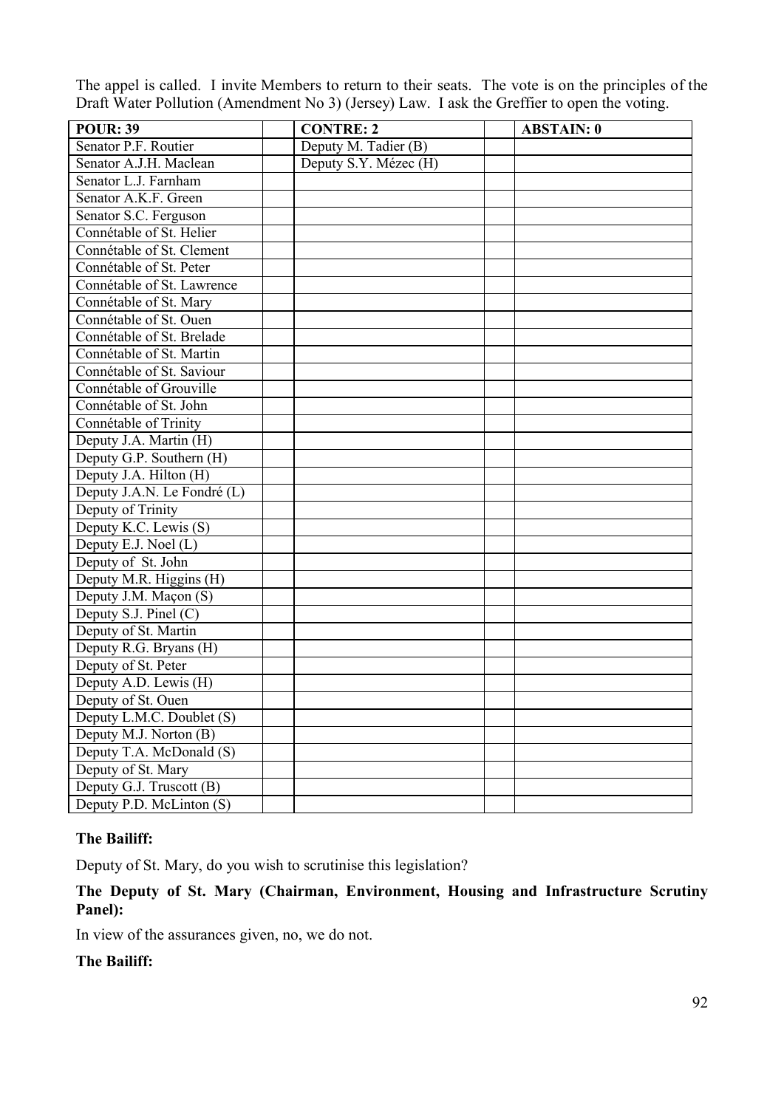The appel is called. I invite Members to return to their seats. The vote is on the principles of the Draft Water Pollution (Amendment No 3) (Jersey) Law. I ask the Greffier to open the voting.

| <b>POUR: 39</b>             | <b>CONTRE: 2</b>      | <b>ABSTAIN: 0</b> |
|-----------------------------|-----------------------|-------------------|
| Senator P.F. Routier        | Deputy M. Tadier (B)  |                   |
| Senator A.J.H. Maclean      | Deputy S.Y. Mézec (H) |                   |
| Senator L.J. Farnham        |                       |                   |
| Senator A.K.F. Green        |                       |                   |
| Senator S.C. Ferguson       |                       |                   |
| Connétable of St. Helier    |                       |                   |
| Connétable of St. Clement   |                       |                   |
| Connétable of St. Peter     |                       |                   |
| Connétable of St. Lawrence  |                       |                   |
| Connétable of St. Mary      |                       |                   |
| Connétable of St. Ouen      |                       |                   |
| Connétable of St. Brelade   |                       |                   |
| Connétable of St. Martin    |                       |                   |
| Connétable of St. Saviour   |                       |                   |
| Connétable of Grouville     |                       |                   |
| Connétable of St. John      |                       |                   |
| Connétable of Trinity       |                       |                   |
| Deputy J.A. Martin (H)      |                       |                   |
| Deputy G.P. Southern (H)    |                       |                   |
| Deputy J.A. Hilton (H)      |                       |                   |
| Deputy J.A.N. Le Fondré (L) |                       |                   |
| Deputy of Trinity           |                       |                   |
| Deputy K.C. Lewis (S)       |                       |                   |
| Deputy E.J. Noel (L)        |                       |                   |
| Deputy of St. John          |                       |                   |
| Deputy M.R. Higgins (H)     |                       |                   |
| Deputy J.M. Maçon (S)       |                       |                   |
| Deputy S.J. Pinel (C)       |                       |                   |
| Deputy of St. Martin        |                       |                   |
| Deputy R.G. Bryans (H)      |                       |                   |
| Deputy of St. Peter         |                       |                   |
| Deputy A.D. Lewis (H)       |                       |                   |
| Deputy of St. Ouen          |                       |                   |
| Deputy L.M.C. Doublet (S)   |                       |                   |
| Deputy M.J. Norton (B)      |                       |                   |
| Deputy T.A. McDonald (S)    |                       |                   |
| Deputy of St. Mary          |                       |                   |
| Deputy G.J. Truscott (B)    |                       |                   |
| Deputy P.D. McLinton (S)    |                       |                   |

### **The Bailiff:**

Deputy of St. Mary, do you wish to scrutinise this legislation?

## **The Deputy of St. Mary (Chairman, Environment, Housing and Infrastructure Scrutiny Panel):**

In view of the assurances given, no, we do not.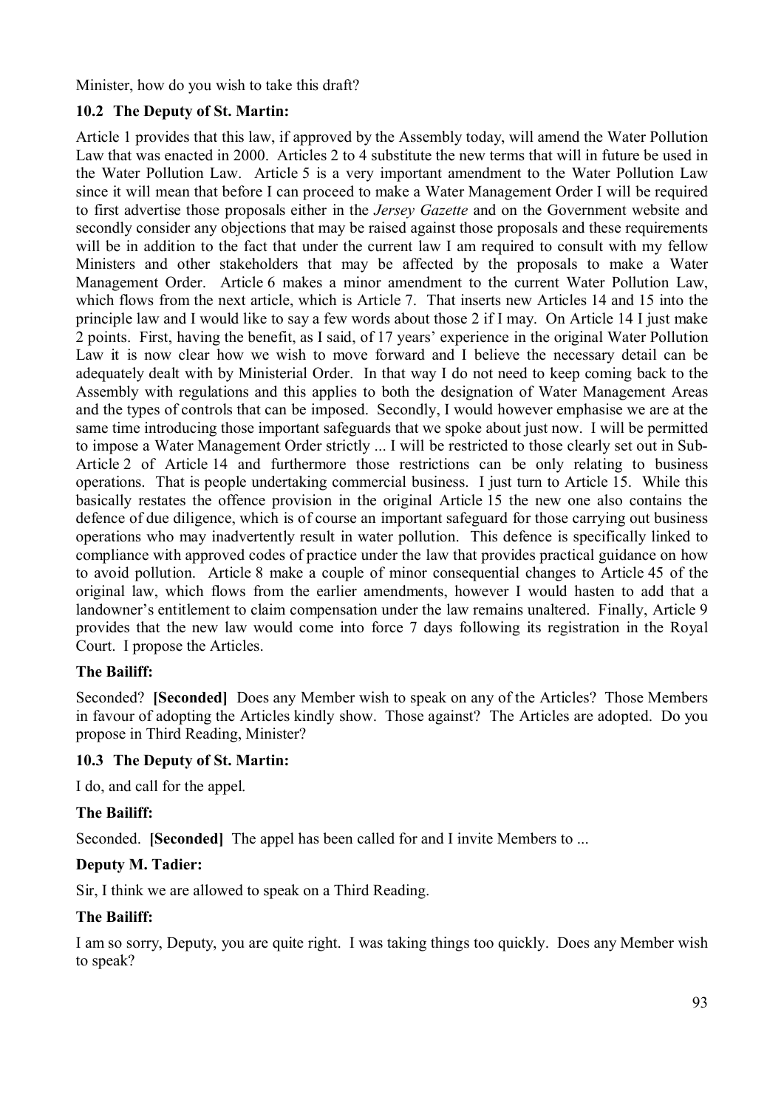Minister, how do you wish to take this draft?

## **10.2 The Deputy of St. Martin:**

Article 1 provides that this law, if approved by the Assembly today, will amend the Water Pollution Law that was enacted in 2000. Articles 2 to 4 substitute the new terms that will in future be used in the Water Pollution Law. Article 5 is a very important amendment to the Water Pollution Law since it will mean that before I can proceed to make a Water Management Order I will be required to first advertise those proposals either in the *Jersey Gazette* and on the Government website and secondly consider any objections that may be raised against those proposals and these requirements will be in addition to the fact that under the current law I am required to consult with my fellow Ministers and other stakeholders that may be affected by the proposals to make a Water Management Order. Article 6 makes a minor amendment to the current Water Pollution Law, which flows from the next article, which is Article 7. That inserts new Articles 14 and 15 into the principle law and I would like to say a few words about those 2 if I may. On Article 14 I just make 2 points. First, having the benefit, as I said, of 17 years' experience in the original Water Pollution Law it is now clear how we wish to move forward and I believe the necessary detail can be adequately dealt with by Ministerial Order. In that way I do not need to keep coming back to the Assembly with regulations and this applies to both the designation of Water Management Areas and the types of controls that can be imposed. Secondly, I would however emphasise we are at the same time introducing those important safeguards that we spoke about just now. I will be permitted to impose a Water Management Order strictly ... I will be restricted to those clearly set out in Sub-Article 2 of Article 14 and furthermore those restrictions can be only relating to business operations. That is people undertaking commercial business. I just turn to Article 15. While this basically restates the offence provision in the original Article 15 the new one also contains the defence of due diligence, which is of course an important safeguard for those carrying out business operations who may inadvertently result in water pollution. This defence is specifically linked to compliance with approved codes of practice under the law that provides practical guidance on how to avoid pollution. Article 8 make a couple of minor consequential changes to Article 45 of the original law, which flows from the earlier amendments, however I would hasten to add that a landowner's entitlement to claim compensation under the law remains unaltered. Finally, Article 9 provides that the new law would come into force 7 days following its registration in the Royal Court. I propose the Articles.

### **The Bailiff:**

Seconded? **[Seconded]** Does any Member wish to speak on any of the Articles? Those Members in favour of adopting the Articles kindly show. Those against? The Articles are adopted. Do you propose in Third Reading, Minister?

### **10.3 The Deputy of St. Martin:**

I do, and call for the appel.

### **The Bailiff:**

Seconded. **[Seconded]** The appel has been called for and I invite Members to ...

#### **Deputy M. Tadier:**

Sir, I think we are allowed to speak on a Third Reading.

### **The Bailiff:**

I am so sorry, Deputy, you are quite right. I was taking things too quickly. Does any Member wish to speak?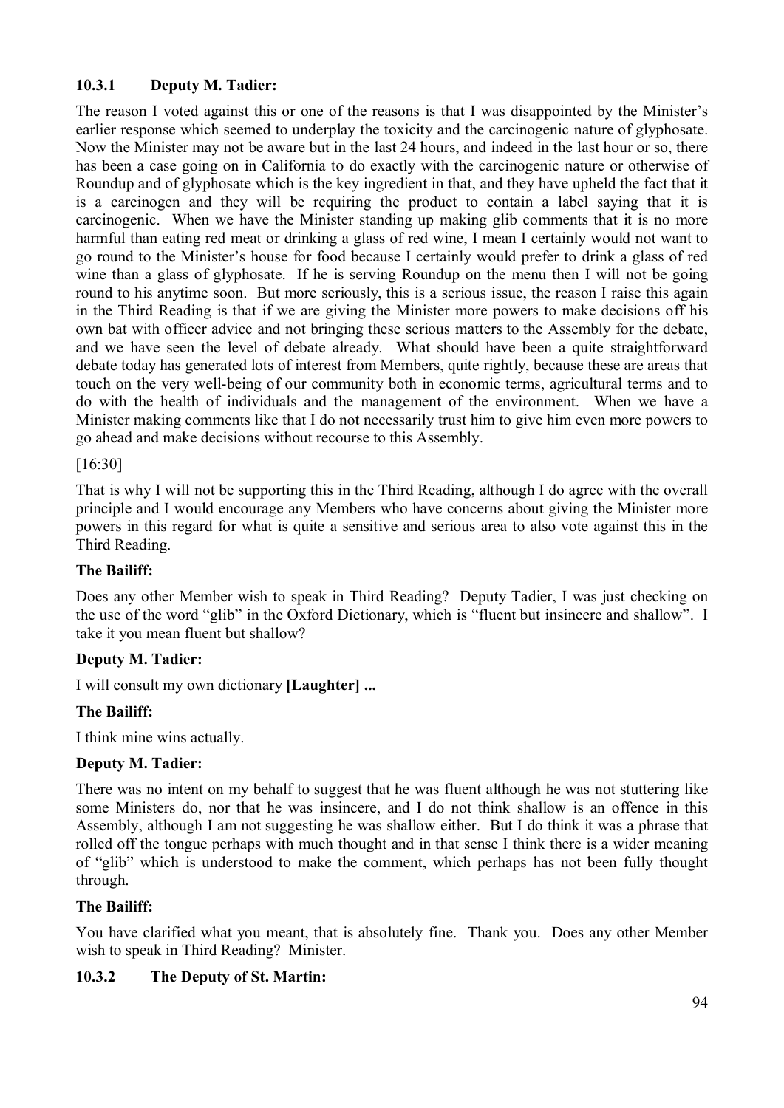# **10.3.1 Deputy M. Tadier:**

The reason I voted against this or one of the reasons is that I was disappointed by the Minister's earlier response which seemed to underplay the toxicity and the carcinogenic nature of glyphosate. Now the Minister may not be aware but in the last 24 hours, and indeed in the last hour or so, there has been a case going on in California to do exactly with the carcinogenic nature or otherwise of Roundup and of glyphosate which is the key ingredient in that, and they have upheld the fact that it is a carcinogen and they will be requiring the product to contain a label saying that it is carcinogenic. When we have the Minister standing up making glib comments that it is no more harmful than eating red meat or drinking a glass of red wine, I mean I certainly would not want to go round to the Minister's house for food because I certainly would prefer to drink a glass of red wine than a glass of glyphosate. If he is serving Roundup on the menu then I will not be going round to his anytime soon. But more seriously, this is a serious issue, the reason I raise this again in the Third Reading is that if we are giving the Minister more powers to make decisions off his own bat with officer advice and not bringing these serious matters to the Assembly for the debate, and we have seen the level of debate already. What should have been a quite straightforward debate today has generated lots of interest from Members, quite rightly, because these are areas that touch on the very well-being of our community both in economic terms, agricultural terms and to do with the health of individuals and the management of the environment. When we have a Minister making comments like that I do not necessarily trust him to give him even more powers to go ahead and make decisions without recourse to this Assembly.

### [16:30]

That is why I will not be supporting this in the Third Reading, although I do agree with the overall principle and I would encourage any Members who have concerns about giving the Minister more powers in this regard for what is quite a sensitive and serious area to also vote against this in the Third Reading.

### **The Bailiff:**

Does any other Member wish to speak in Third Reading? Deputy Tadier, I was just checking on the use of the word "glib" in the Oxford Dictionary, which is "fluent but insincere and shallow". I take it you mean fluent but shallow?

### **Deputy M. Tadier:**

I will consult my own dictionary **[Laughter] ...**

## **The Bailiff:**

I think mine wins actually.

### **Deputy M. Tadier:**

There was no intent on my behalf to suggest that he was fluent although he was not stuttering like some Ministers do, nor that he was insincere, and I do not think shallow is an offence in this Assembly, although I am not suggesting he was shallow either. But I do think it was a phrase that rolled off the tongue perhaps with much thought and in that sense I think there is a wider meaning of "glib" which is understood to make the comment, which perhaps has not been fully thought through.

### **The Bailiff:**

You have clarified what you meant, that is absolutely fine. Thank you. Does any other Member wish to speak in Third Reading? Minister.

## **10.3.2 The Deputy of St. Martin:**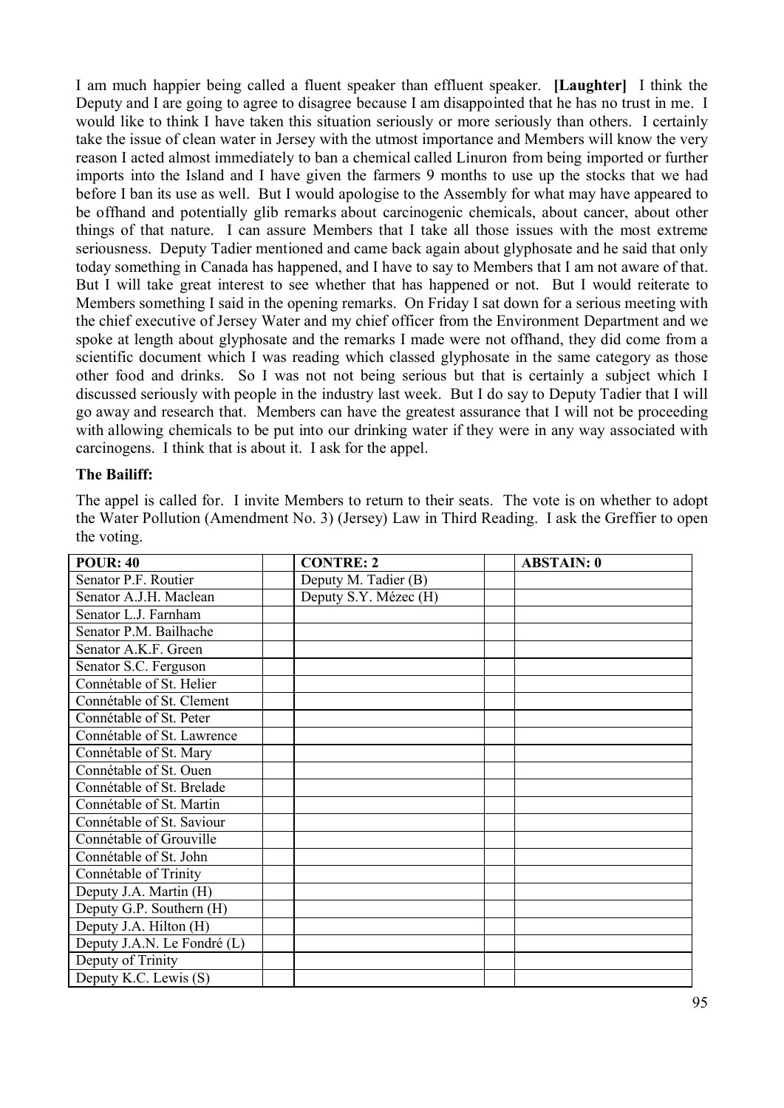I am much happier being called a fluent speaker than effluent speaker. **[Laughter]** I think the Deputy and I are going to agree to disagree because I am disappointed that he has no trust in me. I would like to think I have taken this situation seriously or more seriously than others. I certainly take the issue of clean water in Jersey with the utmost importance and Members will know the very reason I acted almost immediately to ban a chemical called Linuron from being imported or further imports into the Island and I have given the farmers 9 months to use up the stocks that we had before I ban its use as well. But I would apologise to the Assembly for what may have appeared to be offhand and potentially glib remarks about carcinogenic chemicals, about cancer, about other things of that nature. I can assure Members that I take all those issues with the most extreme seriousness. Deputy Tadier mentioned and came back again about glyphosate and he said that only today something in Canada has happened, and I have to say to Members that I am not aware of that. But I will take great interest to see whether that has happened or not. But I would reiterate to Members something I said in the opening remarks. On Friday I sat down for a serious meeting with the chief executive of Jersey Water and my chief officer from the Environment Department and we spoke at length about glyphosate and the remarks I made were not offhand, they did come from a scientific document which I was reading which classed glyphosate in the same category as those other food and drinks. So I was not not being serious but that is certainly a subject which I discussed seriously with people in the industry last week. But I do say to Deputy Tadier that I will go away and research that. Members can have the greatest assurance that I will not be proceeding with allowing chemicals to be put into our drinking water if they were in any way associated with carcinogens. I think that is about it. I ask for the appel.

#### **The Bailiff:**

The appel is called for. I invite Members to return to their seats. The vote is on whether to adopt the Water Pollution (Amendment No. 3) (Jersey) Law in Third Reading. I ask the Greffier to open the voting.

| <b>POUR: 40</b>             | <b>CONTRE: 2</b>      | <b>ABSTAIN: 0</b> |
|-----------------------------|-----------------------|-------------------|
| Senator P.F. Routier        | Deputy M. Tadier (B)  |                   |
| Senator A.J.H. Maclean      | Deputy S.Y. Mézec (H) |                   |
| Senator L.J. Farnham        |                       |                   |
| Senator P.M. Bailhache      |                       |                   |
| Senator A.K.F. Green        |                       |                   |
| Senator S.C. Ferguson       |                       |                   |
| Connétable of St. Helier    |                       |                   |
| Connétable of St. Clement   |                       |                   |
| Connétable of St. Peter     |                       |                   |
| Connétable of St. Lawrence  |                       |                   |
| Connétable of St. Mary      |                       |                   |
| Connétable of St. Ouen      |                       |                   |
| Connétable of St. Brelade   |                       |                   |
| Connétable of St. Martin    |                       |                   |
| Connétable of St. Saviour   |                       |                   |
| Connétable of Grouville     |                       |                   |
| Connétable of St. John      |                       |                   |
| Connétable of Trinity       |                       |                   |
| Deputy J.A. Martin (H)      |                       |                   |
| Deputy G.P. Southern (H)    |                       |                   |
| Deputy J.A. Hilton (H)      |                       |                   |
| Deputy J.A.N. Le Fondré (L) |                       |                   |
| Deputy of Trinity           |                       |                   |
| Deputy K.C. Lewis (S)       |                       |                   |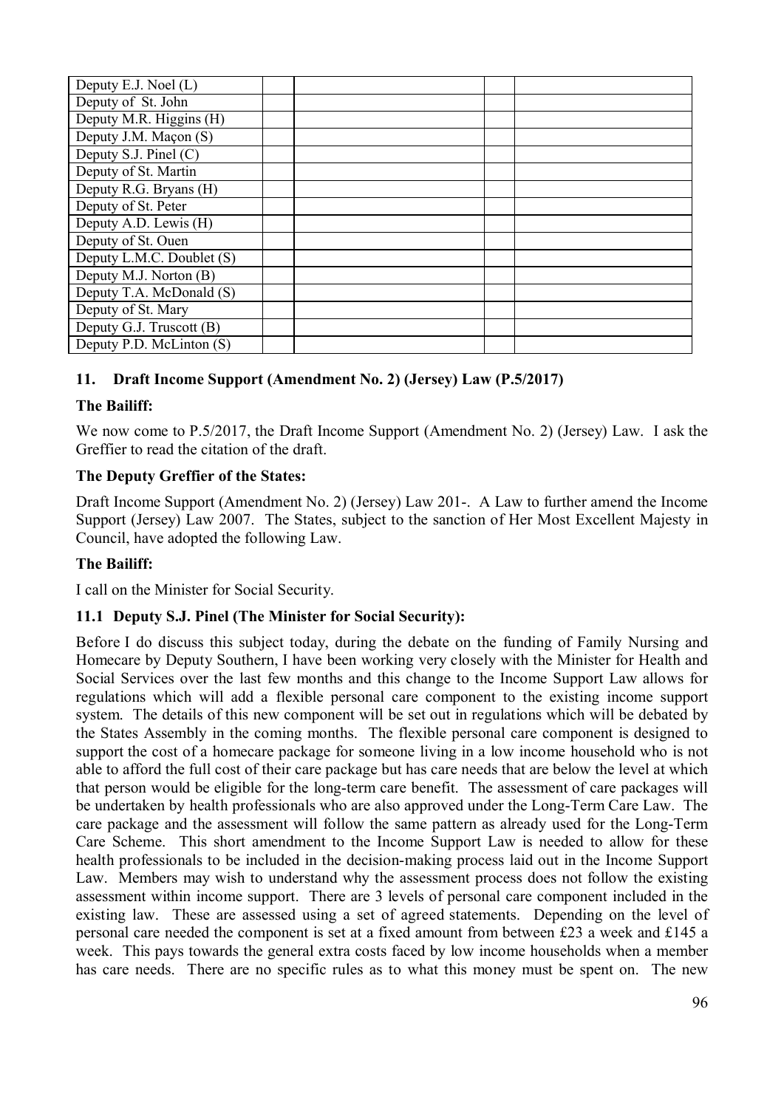| Deputy E.J. Noel (L)      |  |  |
|---------------------------|--|--|
| Deputy of St. John        |  |  |
| Deputy M.R. Higgins (H)   |  |  |
| Deputy J.M. Maçon (S)     |  |  |
| Deputy S.J. Pinel (C)     |  |  |
| Deputy of St. Martin      |  |  |
| Deputy R.G. Bryans (H)    |  |  |
| Deputy of St. Peter       |  |  |
| Deputy A.D. Lewis (H)     |  |  |
| Deputy of St. Ouen        |  |  |
| Deputy L.M.C. Doublet (S) |  |  |
| Deputy M.J. Norton (B)    |  |  |
| Deputy T.A. McDonald (S)  |  |  |
| Deputy of St. Mary        |  |  |
| Deputy G.J. Truscott (B)  |  |  |
| Deputy P.D. McLinton (S)  |  |  |

# **11. Draft Income Support (Amendment No. 2) (Jersey) Law (P.5/2017)**

### **The Bailiff:**

We now come to P.5/2017, the Draft Income Support (Amendment No. 2) (Jersey) Law. I ask the Greffier to read the citation of the draft.

### **The Deputy Greffier of the States:**

Draft Income Support (Amendment No. 2) (Jersey) Law 201-. A Law to further amend the Income Support (Jersey) Law 2007. The States, subject to the sanction of Her Most Excellent Majesty in Council, have adopted the following Law.

## **The Bailiff:**

I call on the Minister for Social Security.

### **11.1 Deputy S.J. Pinel (The Minister for Social Security):**

Before I do discuss this subject today, during the debate on the funding of Family Nursing and Homecare by Deputy Southern, I have been working very closely with the Minister for Health and Social Services over the last few months and this change to the Income Support Law allows for regulations which will add a flexible personal care component to the existing income support system. The details of this new component will be set out in regulations which will be debated by the States Assembly in the coming months. The flexible personal care component is designed to support the cost of a homecare package for someone living in a low income household who is not able to afford the full cost of their care package but has care needs that are below the level at which that person would be eligible for the long-term care benefit. The assessment of care packages will be undertaken by health professionals who are also approved under the Long-Term Care Law. The care package and the assessment will follow the same pattern as already used for the Long-Term Care Scheme. This short amendment to the Income Support Law is needed to allow for these health professionals to be included in the decision-making process laid out in the Income Support Law. Members may wish to understand why the assessment process does not follow the existing assessment within income support. There are 3 levels of personal care component included in the existing law. These are assessed using a set of agreed statements. Depending on the level of personal care needed the component is set at a fixed amount from between £23 a week and £145 a week. This pays towards the general extra costs faced by low income households when a member has care needs. There are no specific rules as to what this money must be spent on. The new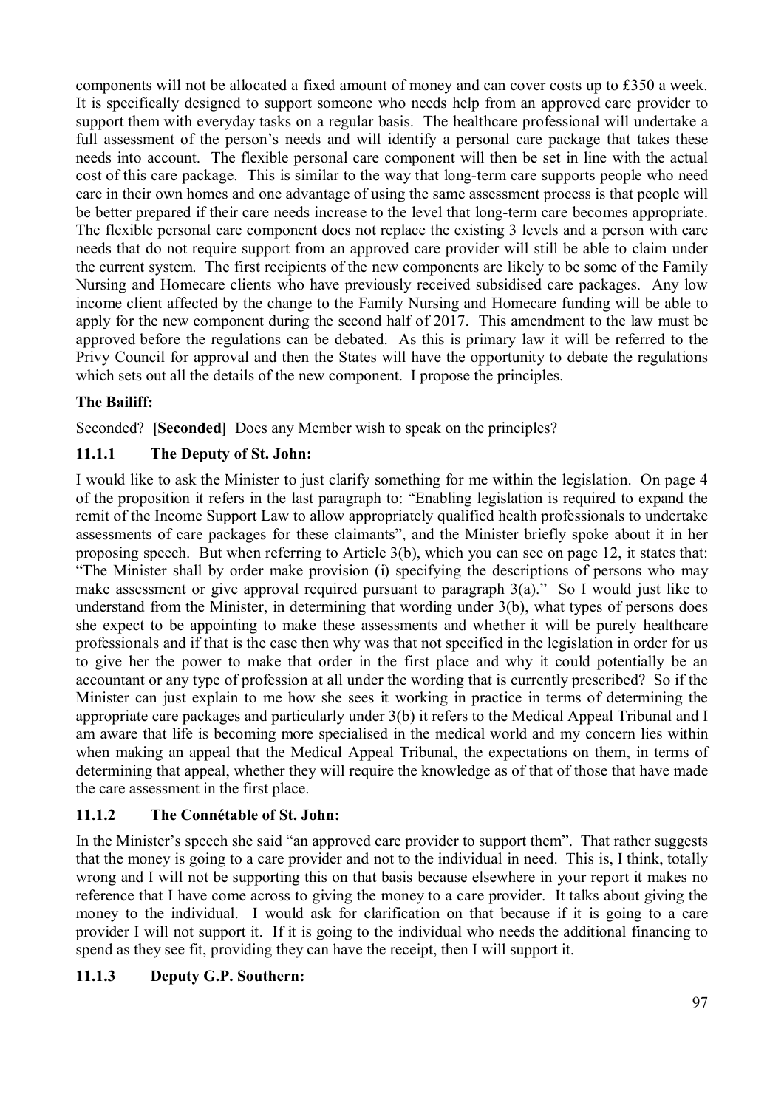components will not be allocated a fixed amount of money and can cover costs up to £350 a week. It is specifically designed to support someone who needs help from an approved care provider to support them with everyday tasks on a regular basis. The healthcare professional will undertake a full assessment of the person's needs and will identify a personal care package that takes these needs into account. The flexible personal care component will then be set in line with the actual cost of this care package. This is similar to the way that long-term care supports people who need care in their own homes and one advantage of using the same assessment process is that people will be better prepared if their care needs increase to the level that long-term care becomes appropriate. The flexible personal care component does not replace the existing 3 levels and a person with care needs that do not require support from an approved care provider will still be able to claim under the current system. The first recipients of the new components are likely to be some of the Family Nursing and Homecare clients who have previously received subsidised care packages. Any low income client affected by the change to the Family Nursing and Homecare funding will be able to apply for the new component during the second half of 2017. This amendment to the law must be approved before the regulations can be debated. As this is primary law it will be referred to the Privy Council for approval and then the States will have the opportunity to debate the regulations which sets out all the details of the new component. I propose the principles.

## **The Bailiff:**

Seconded? **[Seconded]** Does any Member wish to speak on the principles?

## **11.1.1 The Deputy of St. John:**

I would like to ask the Minister to just clarify something for me within the legislation. On page 4 of the proposition it refers in the last paragraph to: "Enabling legislation is required to expand the remit of the Income Support Law to allow appropriately qualified health professionals to undertake assessments of care packages for these claimants", and the Minister briefly spoke about it in her proposing speech. But when referring to Article 3(b), which you can see on page 12, it states that: "The Minister shall by order make provision (i) specifying the descriptions of persons who may make assessment or give approval required pursuant to paragraph 3(a)." So I would just like to understand from the Minister, in determining that wording under 3(b), what types of persons does she expect to be appointing to make these assessments and whether it will be purely healthcare professionals and if that is the case then why was that not specified in the legislation in order for us to give her the power to make that order in the first place and why it could potentially be an accountant or any type of profession at all under the wording that is currently prescribed? So if the Minister can just explain to me how she sees it working in practice in terms of determining the appropriate care packages and particularly under 3(b) it refers to the Medical Appeal Tribunal and I am aware that life is becoming more specialised in the medical world and my concern lies within when making an appeal that the Medical Appeal Tribunal, the expectations on them, in terms of determining that appeal, whether they will require the knowledge as of that of those that have made the care assessment in the first place.

## **11.1.2 The Connétable of St. John:**

In the Minister's speech she said "an approved care provider to support them". That rather suggests that the money is going to a care provider and not to the individual in need. This is, I think, totally wrong and I will not be supporting this on that basis because elsewhere in your report it makes no reference that I have come across to giving the money to a care provider. It talks about giving the money to the individual. I would ask for clarification on that because if it is going to a care provider I will not support it. If it is going to the individual who needs the additional financing to spend as they see fit, providing they can have the receipt, then I will support it.

## **11.1.3 Deputy G.P. Southern:**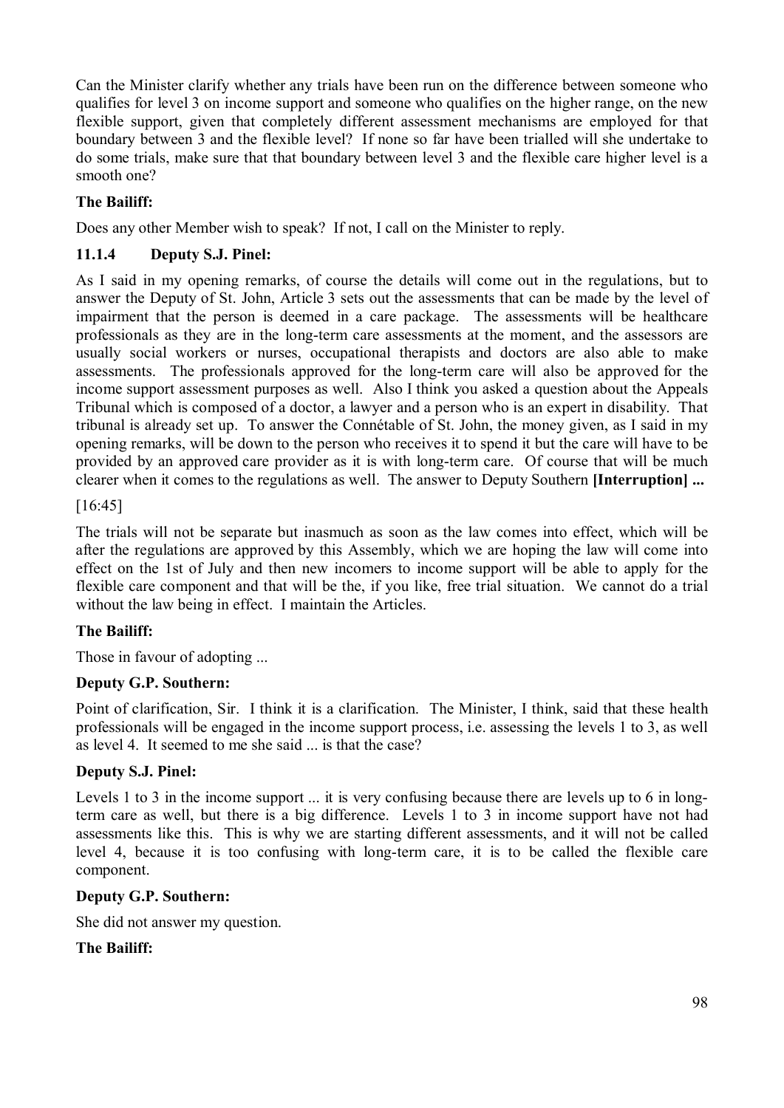Can the Minister clarify whether any trials have been run on the difference between someone who qualifies for level 3 on income support and someone who qualifies on the higher range, on the new flexible support, given that completely different assessment mechanisms are employed for that boundary between 3 and the flexible level? If none so far have been trialled will she undertake to do some trials, make sure that that boundary between level 3 and the flexible care higher level is a smooth one?

## **The Bailiff:**

Does any other Member wish to speak? If not, I call on the Minister to reply.

### **11.1.4 Deputy S.J. Pinel:**

As I said in my opening remarks, of course the details will come out in the regulations, but to answer the Deputy of St. John, Article 3 sets out the assessments that can be made by the level of impairment that the person is deemed in a care package. The assessments will be healthcare professionals as they are in the long-term care assessments at the moment, and the assessors are usually social workers or nurses, occupational therapists and doctors are also able to make assessments. The professionals approved for the long-term care will also be approved for the income support assessment purposes as well. Also I think you asked a question about the Appeals Tribunal which is composed of a doctor, a lawyer and a person who is an expert in disability. That tribunal is already set up. To answer the Connétable of St. John, the money given, as I said in my opening remarks, will be down to the person who receives it to spend it but the care will have to be provided by an approved care provider as it is with long-term care. Of course that will be much clearer when it comes to the regulations as well. The answer to Deputy Southern **[Interruption] ...** 

#### [16:45]

The trials will not be separate but inasmuch as soon as the law comes into effect, which will be after the regulations are approved by this Assembly, which we are hoping the law will come into effect on the 1st of July and then new incomers to income support will be able to apply for the flexible care component and that will be the, if you like, free trial situation. We cannot do a trial without the law being in effect. I maintain the Articles.

### **The Bailiff:**

Those in favour of adopting ...

### **Deputy G.P. Southern:**

Point of clarification, Sir. I think it is a clarification. The Minister, I think, said that these health professionals will be engaged in the income support process, i.e. assessing the levels 1 to 3, as well as level 4. It seemed to me she said ... is that the case?

### **Deputy S.J. Pinel:**

Levels 1 to 3 in the income support ... it is very confusing because there are levels up to 6 in longterm care as well, but there is a big difference. Levels 1 to 3 in income support have not had assessments like this. This is why we are starting different assessments, and it will not be called level 4, because it is too confusing with long-term care, it is to be called the flexible care component.

### **Deputy G.P. Southern:**

She did not answer my question.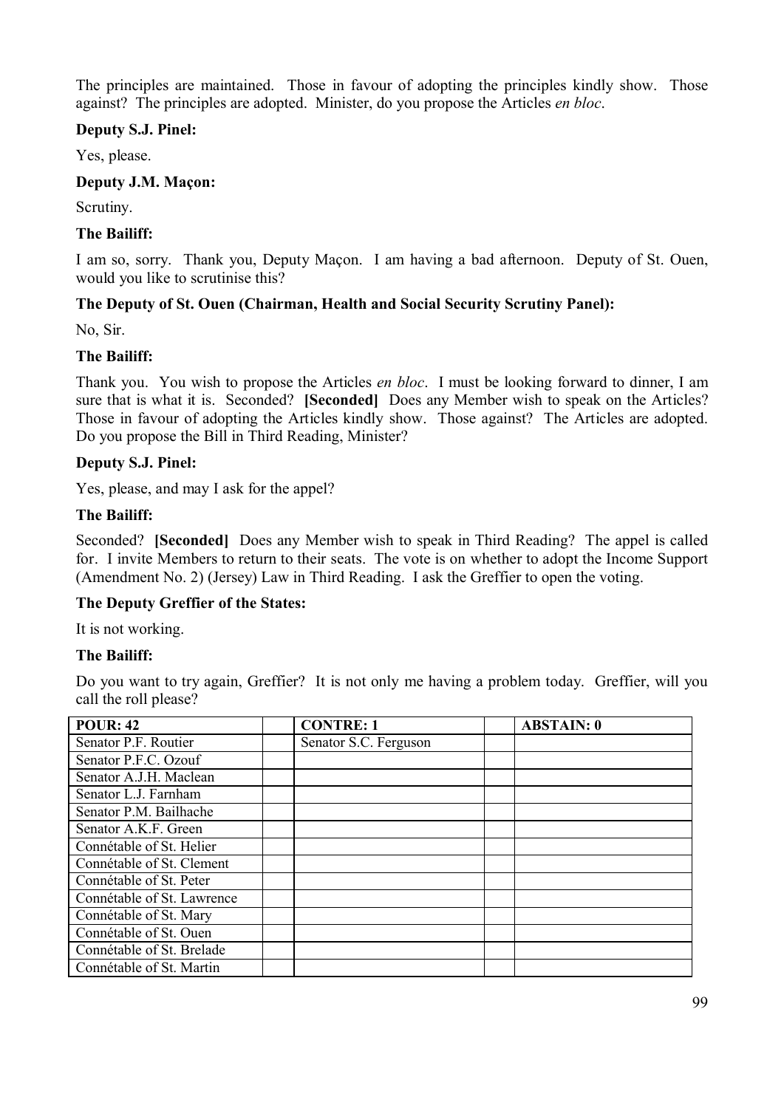The principles are maintained. Those in favour of adopting the principles kindly show. Those against? The principles are adopted. Minister, do you propose the Articles *en bloc*.

### **Deputy S.J. Pinel:**

Yes, please.

#### **Deputy J.M. Maçon:**

Scrutiny.

#### **The Bailiff:**

I am so, sorry. Thank you, Deputy Maçon. I am having a bad afternoon. Deputy of St. Ouen, would you like to scrutinise this?

### **The Deputy of St. Ouen (Chairman, Health and Social Security Scrutiny Panel):**

No, Sir.

#### **The Bailiff:**

Thank you. You wish to propose the Articles *en bloc*. I must be looking forward to dinner, I am sure that is what it is. Seconded? **[Seconded]** Does any Member wish to speak on the Articles? Those in favour of adopting the Articles kindly show. Those against? The Articles are adopted. Do you propose the Bill in Third Reading, Minister?

#### **Deputy S.J. Pinel:**

Yes, please, and may I ask for the appel?

### **The Bailiff:**

Seconded? **[Seconded]** Does any Member wish to speak in Third Reading? The appel is called for. I invite Members to return to their seats. The vote is on whether to adopt the Income Support (Amendment No. 2) (Jersey) Law in Third Reading. I ask the Greffier to open the voting.

#### **The Deputy Greffier of the States:**

It is not working.

#### **The Bailiff:**

Do you want to try again, Greffier? It is not only me having a problem today. Greffier, will you call the roll please?

| <b>POUR: 42</b>            | <b>CONTRE: 1</b>      | <b>ABSTAIN: 0</b> |
|----------------------------|-----------------------|-------------------|
| Senator P.F. Routier       | Senator S.C. Ferguson |                   |
| Senator P.F.C. Ozouf       |                       |                   |
| Senator A.J.H. Maclean     |                       |                   |
| Senator L.J. Farnham       |                       |                   |
| Senator P.M. Bailhache     |                       |                   |
| Senator A.K.F. Green       |                       |                   |
| Connétable of St. Helier   |                       |                   |
| Connétable of St. Clement  |                       |                   |
| Connétable of St. Peter    |                       |                   |
| Connétable of St. Lawrence |                       |                   |
| Connétable of St. Mary     |                       |                   |
| Connétable of St. Ouen     |                       |                   |
| Connétable of St. Brelade  |                       |                   |
| Connétable of St. Martin   |                       |                   |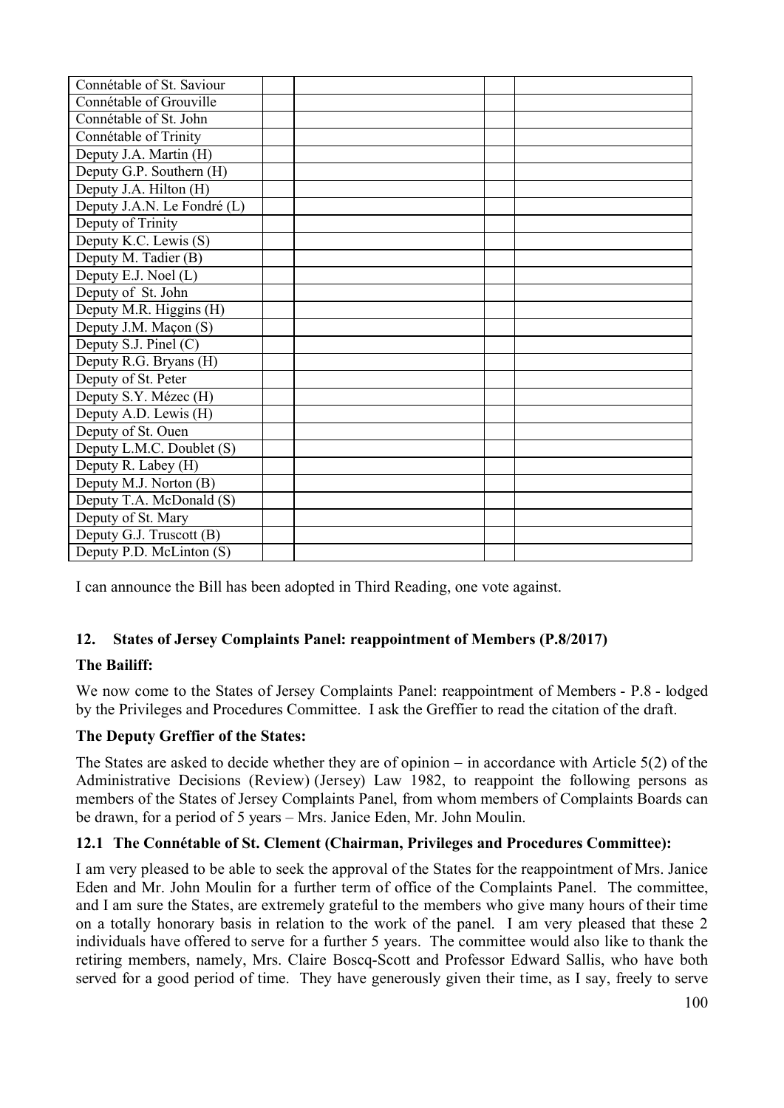| Connétable of St. Saviour   |  |  |
|-----------------------------|--|--|
| Connétable of Grouville     |  |  |
| Connétable of St. John      |  |  |
| Connétable of Trinity       |  |  |
| Deputy J.A. Martin (H)      |  |  |
| Deputy G.P. Southern (H)    |  |  |
| Deputy J.A. Hilton (H)      |  |  |
| Deputy J.A.N. Le Fondré (L) |  |  |
| Deputy of Trinity           |  |  |
| Deputy K.C. Lewis (S)       |  |  |
| Deputy M. Tadier (B)        |  |  |
| Deputy E.J. Noel (L)        |  |  |
| Deputy of St. John          |  |  |
| Deputy M.R. Higgins (H)     |  |  |
| Deputy J.M. Maçon (S)       |  |  |
| Deputy S.J. Pinel (C)       |  |  |
| Deputy R.G. Bryans (H)      |  |  |
| Deputy of St. Peter         |  |  |
| Deputy S.Y. Mézec (H)       |  |  |
| Deputy A.D. Lewis (H)       |  |  |
| Deputy of St. Ouen          |  |  |
| Deputy L.M.C. Doublet (S)   |  |  |
| Deputy R. Labey (H)         |  |  |
| Deputy M.J. Norton (B)      |  |  |
| Deputy T.A. McDonald (S)    |  |  |
| Deputy of St. Mary          |  |  |
| Deputy G.J. Truscott (B)    |  |  |
| Deputy P.D. McLinton (S)    |  |  |

I can announce the Bill has been adopted in Third Reading, one vote against.

### **12. States of Jersey Complaints Panel: reappointment of Members (P.8/2017)**

### **The Bailiff:**

We now come to the States of Jersey Complaints Panel: reappointment of Members - P.8 - lodged by the Privileges and Procedures Committee. I ask the Greffier to read the citation of the draft.

### **The Deputy Greffier of the States:**

The States are asked to decide whether they are of opinion  $-$  in accordance with Article 5(2) of the Administrative Decisions (Review) (Jersey) Law 1982, to reappoint the following persons as members of the States of Jersey Complaints Panel, from whom members of Complaints Boards can be drawn, for a period of 5 years – Mrs. Janice Eden, Mr. John Moulin.

### **12.1 The Connétable of St. Clement (Chairman, Privileges and Procedures Committee):**

I am very pleased to be able to seek the approval of the States for the reappointment of Mrs. Janice Eden and Mr. John Moulin for a further term of office of the Complaints Panel. The committee, and I am sure the States, are extremely grateful to the members who give many hours of their time on a totally honorary basis in relation to the work of the panel. I am very pleased that these 2 individuals have offered to serve for a further 5 years. The committee would also like to thank the retiring members, namely, Mrs. Claire Boscq-Scott and Professor Edward Sallis, who have both served for a good period of time. They have generously given their time, as I say, freely to serve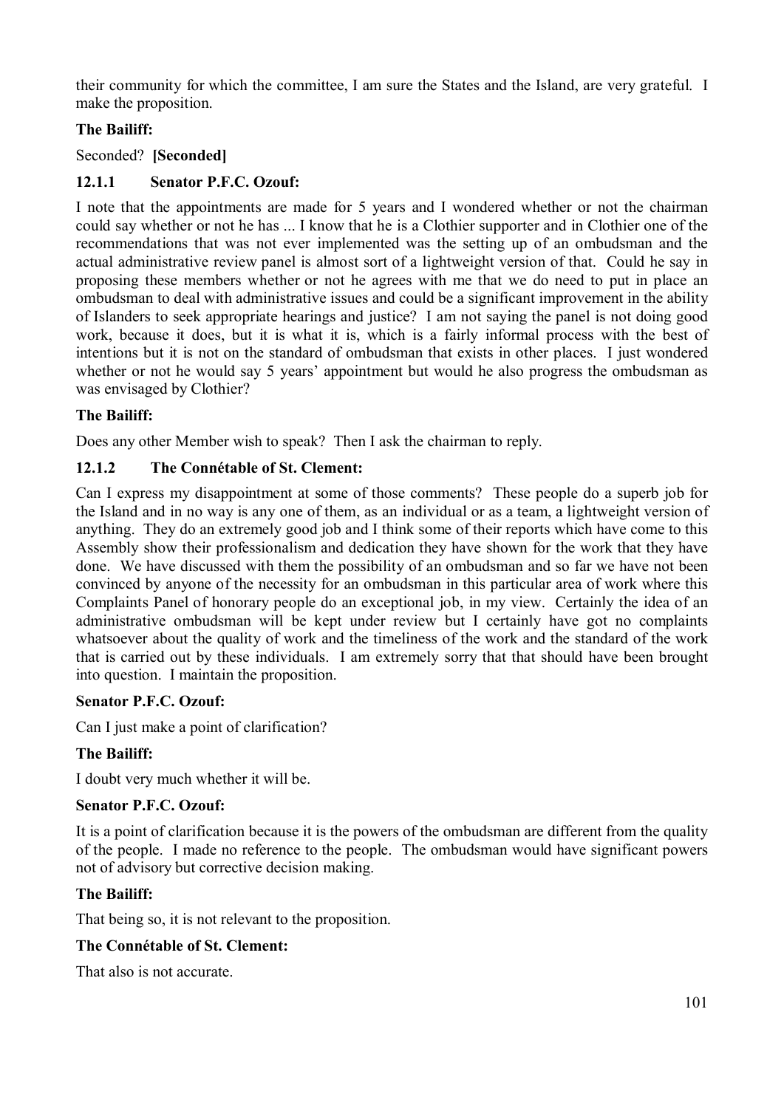their community for which the committee, I am sure the States and the Island, are very grateful. I make the proposition.

## **The Bailiff:**

Seconded? **[Seconded]** 

### **12.1.1 Senator P.F.C. Ozouf:**

I note that the appointments are made for 5 years and I wondered whether or not the chairman could say whether or not he has ... I know that he is a Clothier supporter and in Clothier one of the recommendations that was not ever implemented was the setting up of an ombudsman and the actual administrative review panel is almost sort of a lightweight version of that. Could he say in proposing these members whether or not he agrees with me that we do need to put in place an ombudsman to deal with administrative issues and could be a significant improvement in the ability of Islanders to seek appropriate hearings and justice? I am not saying the panel is not doing good work, because it does, but it is what it is, which is a fairly informal process with the best of intentions but it is not on the standard of ombudsman that exists in other places. I just wondered whether or not he would say 5 years' appointment but would he also progress the ombudsman as was envisaged by Clothier?

### **The Bailiff:**

Does any other Member wish to speak? Then I ask the chairman to reply.

### **12.1.2 The Connétable of St. Clement:**

Can I express my disappointment at some of those comments? These people do a superb job for the Island and in no way is any one of them, as an individual or as a team, a lightweight version of anything. They do an extremely good job and I think some of their reports which have come to this Assembly show their professionalism and dedication they have shown for the work that they have done. We have discussed with them the possibility of an ombudsman and so far we have not been convinced by anyone of the necessity for an ombudsman in this particular area of work where this Complaints Panel of honorary people do an exceptional job, in my view. Certainly the idea of an administrative ombudsman will be kept under review but I certainly have got no complaints whatsoever about the quality of work and the timeliness of the work and the standard of the work that is carried out by these individuals. I am extremely sorry that that should have been brought into question. I maintain the proposition.

### **Senator P.F.C. Ozouf:**

Can I just make a point of clarification?

### **The Bailiff:**

I doubt very much whether it will be.

#### **Senator P.F.C. Ozouf:**

It is a point of clarification because it is the powers of the ombudsman are different from the quality of the people. I made no reference to the people. The ombudsman would have significant powers not of advisory but corrective decision making.

### **The Bailiff:**

That being so, it is not relevant to the proposition.

### **The Connétable of St. Clement:**

That also is not accurate.